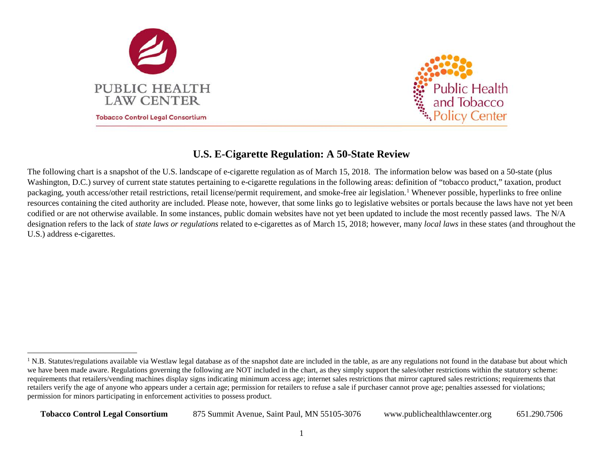

<span id="page-0-0"></span>

## **U.S. E-Cigarette Regulation: A 50-State Review**

The following chart is a snapshot of the U.S. landscape of e-cigarette regulation as of March 15, 2018. The information below was based on a 50-state (plus Washington, D.C.) survey of current state statutes pertaining to e-cigarette regulations in the following areas: definition of "tobacco product," taxation, product packaging, youth access/other retail restrictions, retail license/permit requirement, and smoke-free air legislation.<sup>[1](#page-0-0)</sup> Whenever possible, hyperlinks to free online resources containing the cited authority are included. Please note, however, that some links go to legislative websites or portals because the laws have not yet been codified or are not otherwise available. In some instances, public domain websites have not yet been updated to include the most recently passed laws. The N/A designation refers to the lack of *state laws or regulations* related to e-cigarettes as of March 15, 2018; however, many *local laws* in these states (and throughout the U.S.) address e-cigarettes.

<sup>&</sup>lt;sup>1</sup> N.B. Statutes/regulations available via Westlaw legal database as of the snapshot date are included in the table, as are any regulations not found in the database but about which we have been made aware. Regulations governing the following are NOT included in the chart, as they simply support the sales/other restrictions within the statutory scheme: requirements that retailers/vending machines display signs indicating minimum access age; internet sales restrictions that mirror captured sales restrictions; requirements that retailers verify the age of anyone who appears under a certain age; permission for retailers to refuse a sale if purchaser cannot prove age; penalties assessed for violations; permission for minors participating in enforcement activities to possess product.

**Tobacco Control Legal Consortium** 875 Summit Avenue, Saint Paul, MN 55105-3076 www.publichealthlawcenter.org 651.290.7506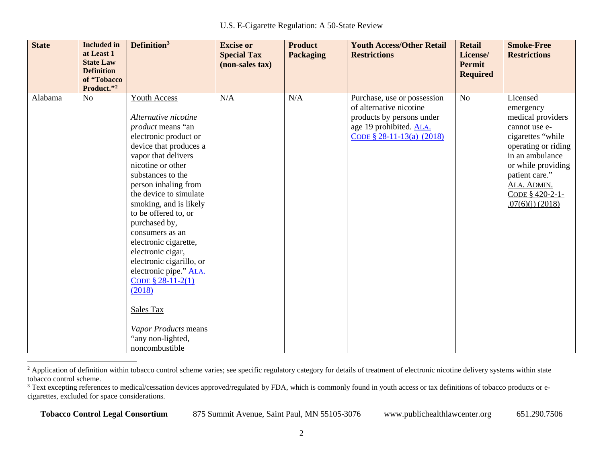<span id="page-1-1"></span><span id="page-1-0"></span>

| <b>State</b> | <b>Included</b> in<br>at Least 1<br><b>State Law</b><br><b>Definition</b> | Definition <sup>3</sup>                                                                                                                                                                                                                                                                                                                                                                                                                                                                                                                      | <b>Excise or</b><br><b>Special Tax</b><br>(non-sales tax) | <b>Product</b><br><b>Packaging</b> | <b>Youth Access/Other Retail</b><br><b>Restrictions</b>                                                                                        | <b>Retail</b><br>License/<br><b>Permit</b><br><b>Required</b> | <b>Smoke-Free</b><br><b>Restrictions</b>                                                                                                                                                                                   |
|--------------|---------------------------------------------------------------------------|----------------------------------------------------------------------------------------------------------------------------------------------------------------------------------------------------------------------------------------------------------------------------------------------------------------------------------------------------------------------------------------------------------------------------------------------------------------------------------------------------------------------------------------------|-----------------------------------------------------------|------------------------------------|------------------------------------------------------------------------------------------------------------------------------------------------|---------------------------------------------------------------|----------------------------------------------------------------------------------------------------------------------------------------------------------------------------------------------------------------------------|
|              | of "Tobacco<br>Product."2                                                 |                                                                                                                                                                                                                                                                                                                                                                                                                                                                                                                                              |                                                           |                                    |                                                                                                                                                |                                                               |                                                                                                                                                                                                                            |
| Alabama      | N <sub>o</sub>                                                            | <b>Youth Access</b><br>Alternative nicotine<br>product means "an<br>electronic product or<br>device that produces a<br>vapor that delivers<br>nicotine or other<br>substances to the<br>person inhaling from<br>the device to simulate<br>smoking, and is likely<br>to be offered to, or<br>purchased by,<br>consumers as an<br>electronic cigarette,<br>electronic cigar,<br>electronic cigarillo, or<br>electronic pipe." ALA.<br>CODE $$28-11-2(1)$<br>(2018)<br>Sales Tax<br>Vapor Products means<br>"any non-lighted,<br>noncombustible | N/A                                                       | N/A                                | Purchase, use or possession<br>of alternative nicotine<br>products by persons under<br>age 19 prohibited. ALA.<br>CODE $\S$ 28-11-13(a) (2018) | N <sub>o</sub>                                                | Licensed<br>emergency<br>medical providers<br>cannot use e-<br>cigarettes "while<br>operating or riding<br>in an ambulance<br>or while providing<br>patient care."<br>ALA. ADMIN.<br>CODE § 420-2-1-<br>$.07(6)(i)$ (2018) |

<sup>&</sup>lt;sup>2</sup> Application of definition within tobacco control scheme varies; see specific regulatory category for details of treatment of electronic nicotine delivery systems within state tobacco control scheme.

<sup>&</sup>lt;sup>3</sup> Text excepting references to medical/cessation devices approved/regulated by FDA, which is commonly found in youth access or tax definitions of tobacco products or ecigarettes, excluded for space considerations.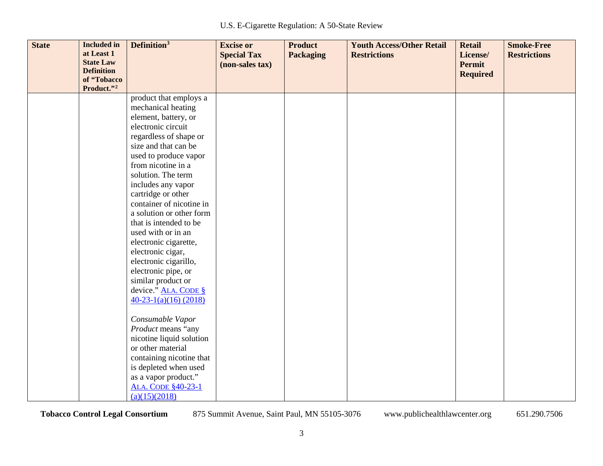| <b>State</b> | <b>Included</b> in<br>at Least 1<br><b>State Law</b><br><b>Definition</b><br>of "Tobacco | Definition <sup>3</sup>                     | <b>Excise or</b><br><b>Special Tax</b><br>(non-sales tax) | <b>Product</b><br><b>Packaging</b> | <b>Youth Access/Other Retail</b><br><b>Restrictions</b> | <b>Retail</b><br>License/<br>Permit<br><b>Required</b> | <b>Smoke-Free</b><br><b>Restrictions</b> |
|--------------|------------------------------------------------------------------------------------------|---------------------------------------------|-----------------------------------------------------------|------------------------------------|---------------------------------------------------------|--------------------------------------------------------|------------------------------------------|
|              | Product."2                                                                               |                                             |                                                           |                                    |                                                         |                                                        |                                          |
|              |                                                                                          | product that employs a                      |                                                           |                                    |                                                         |                                                        |                                          |
|              |                                                                                          | mechanical heating                          |                                                           |                                    |                                                         |                                                        |                                          |
|              |                                                                                          | element, battery, or                        |                                                           |                                    |                                                         |                                                        |                                          |
|              |                                                                                          | electronic circuit                          |                                                           |                                    |                                                         |                                                        |                                          |
|              |                                                                                          | regardless of shape or                      |                                                           |                                    |                                                         |                                                        |                                          |
|              |                                                                                          | size and that can be                        |                                                           |                                    |                                                         |                                                        |                                          |
|              |                                                                                          | used to produce vapor<br>from nicotine in a |                                                           |                                    |                                                         |                                                        |                                          |
|              |                                                                                          | solution. The term                          |                                                           |                                    |                                                         |                                                        |                                          |
|              |                                                                                          | includes any vapor                          |                                                           |                                    |                                                         |                                                        |                                          |
|              |                                                                                          | cartridge or other                          |                                                           |                                    |                                                         |                                                        |                                          |
|              |                                                                                          | container of nicotine in                    |                                                           |                                    |                                                         |                                                        |                                          |
|              |                                                                                          | a solution or other form                    |                                                           |                                    |                                                         |                                                        |                                          |
|              |                                                                                          | that is intended to be                      |                                                           |                                    |                                                         |                                                        |                                          |
|              |                                                                                          | used with or in an                          |                                                           |                                    |                                                         |                                                        |                                          |
|              |                                                                                          | electronic cigarette,                       |                                                           |                                    |                                                         |                                                        |                                          |
|              |                                                                                          | electronic cigar,                           |                                                           |                                    |                                                         |                                                        |                                          |
|              |                                                                                          | electronic cigarillo,                       |                                                           |                                    |                                                         |                                                        |                                          |
|              |                                                                                          | electronic pipe, or                         |                                                           |                                    |                                                         |                                                        |                                          |
|              |                                                                                          | similar product or                          |                                                           |                                    |                                                         |                                                        |                                          |
|              |                                                                                          | device." ALA. CODE §                        |                                                           |                                    |                                                         |                                                        |                                          |
|              |                                                                                          | $40-23-1(a)(16)$ (2018)                     |                                                           |                                    |                                                         |                                                        |                                          |
|              |                                                                                          |                                             |                                                           |                                    |                                                         |                                                        |                                          |
|              |                                                                                          | Consumable Vapor<br>Product means "any      |                                                           |                                    |                                                         |                                                        |                                          |
|              |                                                                                          | nicotine liquid solution                    |                                                           |                                    |                                                         |                                                        |                                          |
|              |                                                                                          | or other material                           |                                                           |                                    |                                                         |                                                        |                                          |
|              |                                                                                          | containing nicotine that                    |                                                           |                                    |                                                         |                                                        |                                          |
|              |                                                                                          | is depleted when used                       |                                                           |                                    |                                                         |                                                        |                                          |
|              |                                                                                          | as a vapor product."                        |                                                           |                                    |                                                         |                                                        |                                          |
|              |                                                                                          | <b>ALA. CODE §40-23-1</b>                   |                                                           |                                    |                                                         |                                                        |                                          |
|              |                                                                                          | (a)(15)(2018)                               |                                                           |                                    |                                                         |                                                        |                                          |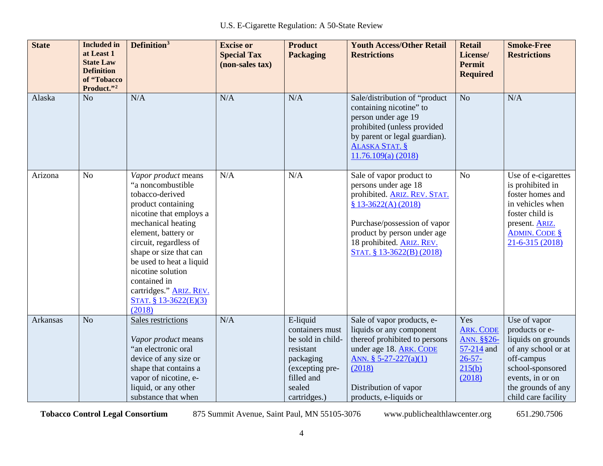| <b>State</b> | <b>Included</b> in<br>at Least 1<br><b>State Law</b><br><b>Definition</b><br>of "Tobacco<br>Product."2 | Definition <sup>3</sup>                                                                                                                                                                                                                                                                                                                       | <b>Excise or</b><br><b>Special Tax</b><br>(non-sales tax) | <b>Product</b><br><b>Packaging</b>                                                                                                    | <b>Youth Access/Other Retail</b><br><b>Restrictions</b>                                                                                                                                                                          | <b>Retail</b><br>License/<br><b>Permit</b><br><b>Required</b>                          | <b>Smoke-Free</b><br><b>Restrictions</b>                                                                                                                                       |
|--------------|--------------------------------------------------------------------------------------------------------|-----------------------------------------------------------------------------------------------------------------------------------------------------------------------------------------------------------------------------------------------------------------------------------------------------------------------------------------------|-----------------------------------------------------------|---------------------------------------------------------------------------------------------------------------------------------------|----------------------------------------------------------------------------------------------------------------------------------------------------------------------------------------------------------------------------------|----------------------------------------------------------------------------------------|--------------------------------------------------------------------------------------------------------------------------------------------------------------------------------|
| Alaska       | N <sub>o</sub>                                                                                         | N/A                                                                                                                                                                                                                                                                                                                                           | N/A                                                       | N/A                                                                                                                                   | Sale/distribution of "product<br>containing nicotine" to<br>person under age 19<br>prohibited (unless provided<br>by parent or legal guardian).<br><b>ALASKA STAT. §</b><br>11.76.109(a) (2018)                                  | N <sub>o</sub>                                                                         | N/A                                                                                                                                                                            |
| Arizona      | N <sub>o</sub>                                                                                         | Vapor product means<br>"a noncombustible<br>tobacco-derived<br>product containing<br>nicotine that employs a<br>mechanical heating<br>element, battery or<br>circuit, regardless of<br>shape or size that can<br>be used to heat a liquid<br>nicotine solution<br>contained in<br>cartridges." ARIZ. REV.<br>STAT. $$13-3622(E)(3)$<br>(2018) | N/A                                                       | N/A                                                                                                                                   | Sale of vapor product to<br>persons under age 18<br>prohibited. ARIZ. REV. STAT.<br>$$13-3622(A)(2018)$<br>Purchase/possession of vapor<br>product by person under age<br>18 prohibited. ARIZ. REV.<br>STAT. § 13-3622(B) (2018) | N <sub>o</sub>                                                                         | Use of e-cigarettes<br>is prohibited in<br>foster homes and<br>in vehicles when<br>foster child is<br>present. ARIZ.<br><b>ADMIN. CODE §</b><br>$21 - 6 - 315(2018)$           |
| Arkansas     | N <sub>o</sub>                                                                                         | Sales restrictions<br>Vapor product means<br>"an electronic oral<br>device of any size or<br>shape that contains a<br>vapor of nicotine, e-<br>liquid, or any other<br>substance that when                                                                                                                                                    | N/A                                                       | E-liquid<br>containers must<br>be sold in child-<br>resistant<br>packaging<br>(excepting pre-<br>filled and<br>sealed<br>cartridges.) | Sale of vapor products, e-<br>liquids or any component<br>thereof prohibited to persons<br>under age 18. ARK. CODE<br>ANN. $§ 5-27-227(a)(1)$<br>(2018)<br>Distribution of vapor<br>products, e-liquids or                       | Yes<br><b>ARK. CODE</b><br>ANN. §§26-<br>57-214 and<br>$26 - 57 -$<br>215(b)<br>(2018) | Use of vapor<br>products or e-<br>liquids on grounds<br>of any school or at<br>off-campus<br>school-sponsored<br>events, in or on<br>the grounds of any<br>child care facility |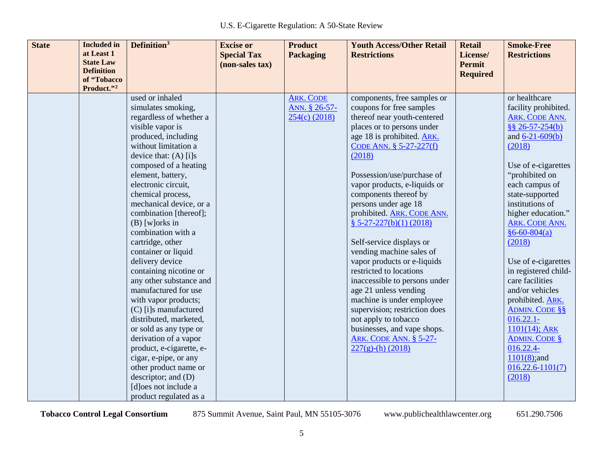| <b>State</b> | <b>Included</b> in<br>at Least 1<br><b>State Law</b><br><b>Definition</b><br>of "Tobacco<br>Product."2 | Definition <sup>3</sup>                                                                                                                                                                                                                                                                                                                                                                                                                                                                                                                                                                                                                                                                                                                | <b>Excise or</b><br><b>Special Tax</b><br>(non-sales tax) | <b>Product</b><br><b>Packaging</b>                   | <b>Youth Access/Other Retail</b><br><b>Restrictions</b>                                                                                                                                                                                                                                                                                                                                                                                                                                                                                                                                                                                                                                                                           | <b>Retail</b><br>License/<br><b>Permit</b><br><b>Required</b> | <b>Smoke-Free</b><br><b>Restrictions</b>                                                                                                                                                                                                                                                                                                                                                                                                                                                                                                                 |
|--------------|--------------------------------------------------------------------------------------------------------|----------------------------------------------------------------------------------------------------------------------------------------------------------------------------------------------------------------------------------------------------------------------------------------------------------------------------------------------------------------------------------------------------------------------------------------------------------------------------------------------------------------------------------------------------------------------------------------------------------------------------------------------------------------------------------------------------------------------------------------|-----------------------------------------------------------|------------------------------------------------------|-----------------------------------------------------------------------------------------------------------------------------------------------------------------------------------------------------------------------------------------------------------------------------------------------------------------------------------------------------------------------------------------------------------------------------------------------------------------------------------------------------------------------------------------------------------------------------------------------------------------------------------------------------------------------------------------------------------------------------------|---------------------------------------------------------------|----------------------------------------------------------------------------------------------------------------------------------------------------------------------------------------------------------------------------------------------------------------------------------------------------------------------------------------------------------------------------------------------------------------------------------------------------------------------------------------------------------------------------------------------------------|
|              |                                                                                                        | used or inhaled<br>simulates smoking,<br>regardless of whether a<br>visible vapor is<br>produced, including<br>without limitation a<br>device that: $(A)$ [i]s<br>composed of a heating<br>element, battery,<br>electronic circuit,<br>chemical process,<br>mechanical device, or a<br>combination [thereof];<br>$(B)$ [w] orks in<br>combination with a<br>cartridge, other<br>container or liquid<br>delivery device<br>containing nicotine or<br>any other substance and<br>manufactured for use<br>with vapor products;<br>(C) [i]s manufactured<br>distributed, marketed,<br>or sold as any type or<br>derivation of a vapor<br>product, e-cigarette, e-<br>cigar, e-pipe, or any<br>other product name or<br>descriptor; and (D) |                                                           | <b>ARK. CODE</b><br>ANN. § 26-57-<br>$254(c)$ (2018) | components, free samples or<br>coupons for free samples<br>thereof near youth-centered<br>places or to persons under<br>age 18 is prohibited. ARK.<br>CODE ANN. § 5-27-227(f)<br>(2018)<br>Possession/use/purchase of<br>vapor products, e-liquids or<br>components thereof by<br>persons under age 18<br>prohibited. <b>ARK. CODE ANN.</b><br>$$ 5-27-227(b)(1) (2018)$<br>Self-service displays or<br>vending machine sales of<br>vapor products or e-liquids<br>restricted to locations<br>inaccessible to persons under<br>age 21 unless vending<br>machine is under employee<br>supervision; restriction does<br>not apply to tobacco<br>businesses, and vape shops.<br><b>ARK. CODE ANN. § 5-27-</b><br>$227(g)-(h)$ (2018) |                                                               | or healthcare<br>facility prohibited.<br>ARK. CODE ANN.<br>$$8 26 - 57 - 254(b)$<br>and $6-21-609(b)$<br>(2018)<br>Use of e-cigarettes<br>"prohibited on<br>each campus of<br>state-supported<br>institutions of<br>higher education."<br>ARK. CODE ANN.<br>$§6 - 60 - 804(a)$<br>(2018)<br>Use of e-cigarettes<br>in registered child-<br>care facilities<br>and/or vehicles<br>prohibited. ARK.<br><b>ADMIN. CODE §§</b><br>$016.22.1 -$<br>$1101(14)$ ; ARK<br><b>ADMIN. CODE §</b><br>016.22.4-<br>$1101(8)$ ; and<br>$016.22.6 - 1101(7)$<br>(2018) |
|              |                                                                                                        | [d]oes not include a<br>product regulated as a                                                                                                                                                                                                                                                                                                                                                                                                                                                                                                                                                                                                                                                                                         |                                                           |                                                      |                                                                                                                                                                                                                                                                                                                                                                                                                                                                                                                                                                                                                                                                                                                                   |                                                               |                                                                                                                                                                                                                                                                                                                                                                                                                                                                                                                                                          |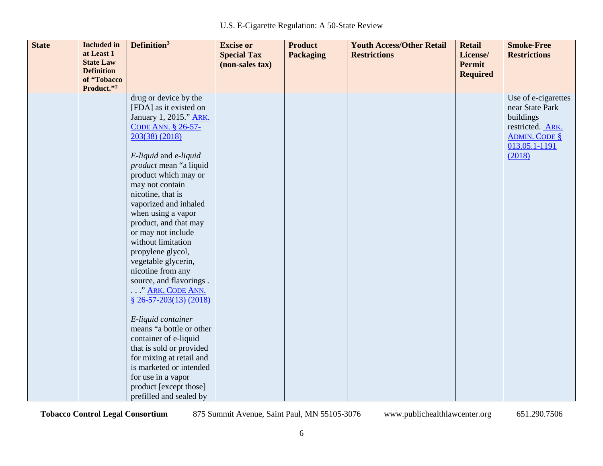| <b>State</b> | <b>Included</b> in | Definition <sup>3</sup>  | <b>Excise or</b>   | <b>Product</b>   | <b>Youth Access/Other Retail</b> | <b>Retail</b>   | <b>Smoke-Free</b>    |
|--------------|--------------------|--------------------------|--------------------|------------------|----------------------------------|-----------------|----------------------|
|              | at Least 1         |                          | <b>Special Tax</b> | <b>Packaging</b> | <b>Restrictions</b>              | License/        | <b>Restrictions</b>  |
|              | <b>State Law</b>   |                          | (non-sales tax)    |                  |                                  | <b>Permit</b>   |                      |
|              | <b>Definition</b>  |                          |                    |                  |                                  | <b>Required</b> |                      |
|              | of "Tobacco        |                          |                    |                  |                                  |                 |                      |
|              | Product."2         |                          |                    |                  |                                  |                 |                      |
|              |                    | drug or device by the    |                    |                  |                                  |                 | Use of e-cigarettes  |
|              |                    | [FDA] as it existed on   |                    |                  |                                  |                 | near State Park      |
|              |                    | January 1, 2015." ARK.   |                    |                  |                                  |                 | buildings            |
|              |                    | CODE ANN. § 26-57-       |                    |                  |                                  |                 | restricted. ARK.     |
|              |                    | 203(38) (2018)           |                    |                  |                                  |                 | <b>ADMIN. CODE §</b> |
|              |                    |                          |                    |                  |                                  |                 | 013.05.1-1191        |
|              |                    | E-liquid and e-liquid    |                    |                  |                                  |                 | (2018)               |
|              |                    | product mean "a liquid   |                    |                  |                                  |                 |                      |
|              |                    | product which may or     |                    |                  |                                  |                 |                      |
|              |                    | may not contain          |                    |                  |                                  |                 |                      |
|              |                    | nicotine, that is        |                    |                  |                                  |                 |                      |
|              |                    | vaporized and inhaled    |                    |                  |                                  |                 |                      |
|              |                    | when using a vapor       |                    |                  |                                  |                 |                      |
|              |                    | product, and that may    |                    |                  |                                  |                 |                      |
|              |                    | or may not include       |                    |                  |                                  |                 |                      |
|              |                    | without limitation       |                    |                  |                                  |                 |                      |
|              |                    | propylene glycol,        |                    |                  |                                  |                 |                      |
|              |                    | vegetable glycerin,      |                    |                  |                                  |                 |                      |
|              |                    | nicotine from any        |                    |                  |                                  |                 |                      |
|              |                    | source, and flavorings.  |                    |                  |                                  |                 |                      |
|              |                    | " ARK. CODE ANN.         |                    |                  |                                  |                 |                      |
|              |                    | $$26-57-203(13)(2018)$   |                    |                  |                                  |                 |                      |
|              |                    |                          |                    |                  |                                  |                 |                      |
|              |                    | E-liquid container       |                    |                  |                                  |                 |                      |
|              |                    | means "a bottle or other |                    |                  |                                  |                 |                      |
|              |                    | container of e-liquid    |                    |                  |                                  |                 |                      |
|              |                    | that is sold or provided |                    |                  |                                  |                 |                      |
|              |                    | for mixing at retail and |                    |                  |                                  |                 |                      |
|              |                    | is marketed or intended  |                    |                  |                                  |                 |                      |
|              |                    | for use in a vapor       |                    |                  |                                  |                 |                      |
|              |                    | product [except those]   |                    |                  |                                  |                 |                      |
|              |                    | prefilled and sealed by  |                    |                  |                                  |                 |                      |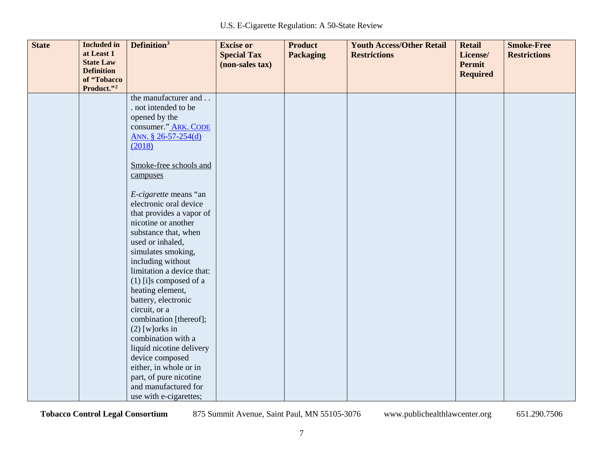| <b>State</b> | <b>Included</b> in             | Definition <sup>3</sup>   | <b>Excise or</b>   | <b>Product</b>   | <b>Youth Access/Other Retail</b> | <b>Retail</b>   | <b>Smoke-Free</b>   |
|--------------|--------------------------------|---------------------------|--------------------|------------------|----------------------------------|-----------------|---------------------|
|              | at Least 1<br><b>State Law</b> |                           | <b>Special Tax</b> | <b>Packaging</b> | <b>Restrictions</b>              | License/        | <b>Restrictions</b> |
|              | <b>Definition</b>              |                           | (non-sales tax)    |                  |                                  | <b>Permit</b>   |                     |
|              | of "Tobacco                    |                           |                    |                  |                                  | <b>Required</b> |                     |
|              | Product."2                     |                           |                    |                  |                                  |                 |                     |
|              |                                | the manufacturer and      |                    |                  |                                  |                 |                     |
|              |                                | . not intended to be      |                    |                  |                                  |                 |                     |
|              |                                | opened by the             |                    |                  |                                  |                 |                     |
|              |                                | consumer." ARK. CODE      |                    |                  |                                  |                 |                     |
|              |                                | ANN. § 26-57-254(d)       |                    |                  |                                  |                 |                     |
|              |                                | (2018)                    |                    |                  |                                  |                 |                     |
|              |                                |                           |                    |                  |                                  |                 |                     |
|              |                                | Smoke-free schools and    |                    |                  |                                  |                 |                     |
|              |                                | campuses                  |                    |                  |                                  |                 |                     |
|              |                                | E-cigarette means "an     |                    |                  |                                  |                 |                     |
|              |                                | electronic oral device    |                    |                  |                                  |                 |                     |
|              |                                | that provides a vapor of  |                    |                  |                                  |                 |                     |
|              |                                | nicotine or another       |                    |                  |                                  |                 |                     |
|              |                                | substance that, when      |                    |                  |                                  |                 |                     |
|              |                                | used or inhaled,          |                    |                  |                                  |                 |                     |
|              |                                | simulates smoking,        |                    |                  |                                  |                 |                     |
|              |                                | including without         |                    |                  |                                  |                 |                     |
|              |                                | limitation a device that: |                    |                  |                                  |                 |                     |
|              |                                | $(1)$ [i]s composed of a  |                    |                  |                                  |                 |                     |
|              |                                | heating element,          |                    |                  |                                  |                 |                     |
|              |                                | battery, electronic       |                    |                  |                                  |                 |                     |
|              |                                | circuit, or a             |                    |                  |                                  |                 |                     |
|              |                                | combination [thereof];    |                    |                  |                                  |                 |                     |
|              |                                | $(2)$ [w] orks in         |                    |                  |                                  |                 |                     |
|              |                                | combination with a        |                    |                  |                                  |                 |                     |
|              |                                | liquid nicotine delivery  |                    |                  |                                  |                 |                     |
|              |                                | device composed           |                    |                  |                                  |                 |                     |
|              |                                | either, in whole or in    |                    |                  |                                  |                 |                     |
|              |                                | part, of pure nicotine    |                    |                  |                                  |                 |                     |
|              |                                | and manufactured for      |                    |                  |                                  |                 |                     |
|              |                                | use with e-cigarettes;    |                    |                  |                                  |                 |                     |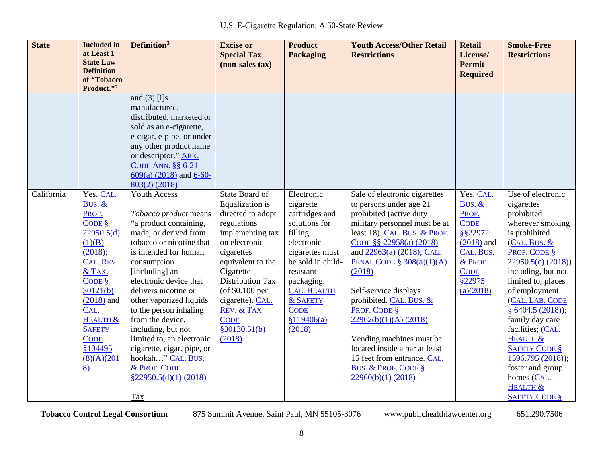| <b>State</b> | <b>Included</b> in<br>at Least 1<br><b>State Law</b><br><b>Definition</b>                                                                                                                                                              | Definition <sup>3</sup>                                                                                                                                                                                                                                                                                                                                                                                                                                            | <b>Excise or</b><br><b>Special Tax</b><br>(non-sales tax)                                                                                                                                                                                                                             | <b>Product</b><br><b>Packaging</b>                                                                                                                                                                                               | <b>Youth Access/Other Retail</b><br><b>Restrictions</b>                                                                                                                                                                                                                                                                                                                                                                                                                                                | <b>Retail</b><br>License/<br><b>Permit</b><br><b>Required</b>                                                                         | <b>Smoke-Free</b><br><b>Restrictions</b>                                                                                                                                                                                                                                                                                                                                                                            |
|--------------|----------------------------------------------------------------------------------------------------------------------------------------------------------------------------------------------------------------------------------------|--------------------------------------------------------------------------------------------------------------------------------------------------------------------------------------------------------------------------------------------------------------------------------------------------------------------------------------------------------------------------------------------------------------------------------------------------------------------|---------------------------------------------------------------------------------------------------------------------------------------------------------------------------------------------------------------------------------------------------------------------------------------|----------------------------------------------------------------------------------------------------------------------------------------------------------------------------------------------------------------------------------|--------------------------------------------------------------------------------------------------------------------------------------------------------------------------------------------------------------------------------------------------------------------------------------------------------------------------------------------------------------------------------------------------------------------------------------------------------------------------------------------------------|---------------------------------------------------------------------------------------------------------------------------------------|---------------------------------------------------------------------------------------------------------------------------------------------------------------------------------------------------------------------------------------------------------------------------------------------------------------------------------------------------------------------------------------------------------------------|
|              | of "Tobacco<br>Product."2                                                                                                                                                                                                              |                                                                                                                                                                                                                                                                                                                                                                                                                                                                    |                                                                                                                                                                                                                                                                                       |                                                                                                                                                                                                                                  |                                                                                                                                                                                                                                                                                                                                                                                                                                                                                                        |                                                                                                                                       |                                                                                                                                                                                                                                                                                                                                                                                                                     |
|              |                                                                                                                                                                                                                                        | and $(3)$ [i]s<br>manufactured,<br>distributed, marketed or<br>sold as an e-cigarette,<br>e-cigar, e-pipe, or under<br>any other product name<br>or descriptor." ARK.<br>CODE ANN. §§ 6-21-<br>$609(a)$ (2018) and 6-60-<br>$803(2)$ (2018)                                                                                                                                                                                                                        |                                                                                                                                                                                                                                                                                       |                                                                                                                                                                                                                                  |                                                                                                                                                                                                                                                                                                                                                                                                                                                                                                        |                                                                                                                                       |                                                                                                                                                                                                                                                                                                                                                                                                                     |
| California   | Yes. CAL.<br>BUS. &<br>PROF.<br>CODE<br>22950.5(d)<br>(1)(B)<br>(2018);<br>CAL. REV.<br>& TAX.<br>$CODE$ $\frac{8}{5}$<br>30121(b)<br>$(2018)$ and<br>CAL.<br>HEALTH &<br><b>SAFETY</b><br><b>CODE</b><br>§104495<br>(8)(A)(201)<br>8) | Youth Access<br>Tobacco product means<br>"a product containing,<br>made, or derived from<br>tobacco or nicotine that<br>is intended for human<br>consumption<br>[including] an<br>electronic device that<br>delivers nicotine or<br>other vaporized liquids<br>to the person inhaling<br>from the device,<br>including, but not<br>limited to, an electronic<br>cigarette, cigar, pipe, or<br>hookah" CAL. BUS.<br>& PROF. CODE<br>$\S22950.5(d)(1) (2018)$<br>Tax | State Board of<br>Equalization is<br>directed to adopt<br>regulations<br>implementing tax<br>on electronic<br>cigarettes<br>equivalent to the<br>Cigarette<br><b>Distribution Tax</b><br>(of $$0.100$ per<br>cigarette). CAL.<br>REV. & TAX<br><b>CODE</b><br>\$30130.51(b)<br>(2018) | Electronic<br>cigarette<br>cartridges and<br>solutions for<br>filling<br>electronic<br>cigarettes must<br>be sold in child-<br>resistant<br>packaging.<br><b>CAL. HEALTH</b><br>& SAFETY<br><b>CODE</b><br>\$119406(a)<br>(2018) | Sale of electronic cigarettes<br>to persons under age 21<br>prohibited (active duty<br>military personnel must be at<br>least 18). CAL. BUS. & PROF.<br>CODE §§ 22958(a) (2018)<br>and 22963(a) (2018); CAL.<br>PENAL CODE $§ 308(a)(1)(A)$<br>(2018)<br>Self-service displays<br>prohibited. CAL. BUS. &<br>PROF. CODE §<br>22962(b)(1)(A) (2018)<br>Vending machines must be<br>located inside a bar at least<br>15 feet from entrance. CAL.<br><b>BUS. &amp; PROF. CODE §</b><br>22960(b)(1) (2018) | Yes. CAL.<br>BUS. &<br>PROF.<br><b>CODE</b><br>8822972<br>$(2018)$ and<br>CAL. BUS.<br>& PROF.<br><b>CODE</b><br>\$22975<br>(a)(2018) | Use of electronic<br>cigarettes<br>prohibited<br>wherever smoking<br>is prohibited<br>(CAL. BUS. &<br>PROF. CODE §<br>22950.5(c) (2018)<br>including, but not<br>limited to, places<br>of employment<br>(CAL. LAB. CODE<br>§ $6404.5(2018)$ ;<br>family day care<br>facilities; (CAL.<br>HEALTH &<br><b>SAFETY CODE §</b><br>1596.795(2018);<br>foster and group<br>homes (CAL.<br>HEALTH &<br><b>SAFETY CODE §</b> |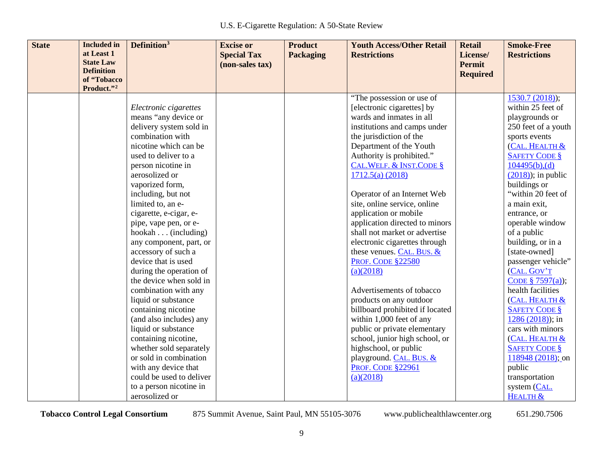| <b>State</b> | <b>Included</b> in<br>at Least 1                     | Definition <sup>3</sup>  | <b>Excise or</b><br><b>Special Tax</b> | <b>Product</b><br><b>Packaging</b> | <b>Youth Access/Other Retail</b><br><b>Restrictions</b> | <b>Retail</b><br>License/        | <b>Smoke-Free</b><br><b>Restrictions</b> |
|--------------|------------------------------------------------------|--------------------------|----------------------------------------|------------------------------------|---------------------------------------------------------|----------------------------------|------------------------------------------|
|              | <b>State Law</b><br><b>Definition</b><br>of "Tobacco |                          | (non-sales tax)                        |                                    |                                                         | <b>Permit</b><br><b>Required</b> |                                          |
|              | Product."2                                           |                          |                                        |                                    |                                                         |                                  |                                          |
|              |                                                      |                          |                                        |                                    | "The possession or use of                               |                                  | $1530.7(2018)$ ;                         |
|              |                                                      | Electronic cigarettes    |                                        |                                    | [electronic cigarettes] by                              |                                  | within 25 feet of                        |
|              |                                                      | means "any device or     |                                        |                                    | wards and inmates in all                                |                                  | playgrounds or                           |
|              |                                                      | delivery system sold in  |                                        |                                    | institutions and camps under                            |                                  | 250 feet of a youth                      |
|              |                                                      | combination with         |                                        |                                    | the jurisdiction of the                                 |                                  | sports events                            |
|              |                                                      | nicotine which can be    |                                        |                                    | Department of the Youth                                 |                                  | (CAL. HEALTH &                           |
|              |                                                      | used to deliver to a     |                                        |                                    | Authority is prohibited."                               |                                  | <b>SAFETY CODE §</b>                     |
|              |                                                      | person nicotine in       |                                        |                                    | <b>CAL. WELF. &amp; INST. CODE §</b>                    |                                  | 104495(b),(d)                            |
|              |                                                      | aerosolized or           |                                        |                                    | 1712.5(a) (2018)                                        |                                  | $(2018)$ ; in public                     |
|              |                                                      | vaporized form,          |                                        |                                    |                                                         |                                  | buildings or                             |
|              |                                                      | including, but not       |                                        |                                    | Operator of an Internet Web                             |                                  | "within 20 feet of                       |
|              |                                                      | limited to, an e-        |                                        |                                    | site, online service, online                            |                                  | a main exit,                             |
|              |                                                      | cigarette, e-cigar, e-   |                                        |                                    | application or mobile                                   |                                  | entrance, or                             |
|              |                                                      | pipe, vape pen, or e-    |                                        |                                    | application directed to minors                          |                                  | operable window                          |
|              |                                                      | hookah (including)       |                                        |                                    | shall not market or advertise                           |                                  | of a public                              |
|              |                                                      | any component, part, or  |                                        |                                    | electronic cigarettes through                           |                                  | building, or in a                        |
|              |                                                      | accessory of such a      |                                        |                                    | these venues. CAL. BUS. &                               |                                  | [state-owned]                            |
|              |                                                      | device that is used      |                                        |                                    | <b>PROF. CODE §22580</b>                                |                                  | passenger vehicle"                       |
|              |                                                      | during the operation of  |                                        |                                    | (a)(2018)                                               |                                  | (CAL. GOV'T                              |
|              |                                                      | the device when sold in  |                                        |                                    |                                                         |                                  | CODE § 7597(a));                         |
|              |                                                      | combination with any     |                                        |                                    | Advertisements of tobacco                               |                                  | health facilities                        |
|              |                                                      | liquid or substance      |                                        |                                    | products on any outdoor                                 |                                  | (CAL. HEALTH &                           |
|              |                                                      | containing nicotine      |                                        |                                    | billboard prohibited if located                         |                                  | <b>SAFETY CODE §</b>                     |
|              |                                                      | (and also includes) any  |                                        |                                    | within 1,000 feet of any                                |                                  | $1286(2018)$ ; in                        |
|              |                                                      | liquid or substance      |                                        |                                    | public or private elementary                            |                                  | cars with minors                         |
|              |                                                      | containing nicotine,     |                                        |                                    | school, junior high school, or                          |                                  | (CAL. HEALTH &                           |
|              |                                                      | whether sold separately  |                                        |                                    | highschool, or public                                   |                                  | <b>SAFETY CODE §</b>                     |
|              |                                                      | or sold in combination   |                                        |                                    | playground. CAL. BUS. &                                 |                                  | $118948 (2018)$ ; on                     |
|              |                                                      | with any device that     |                                        |                                    | <b>PROF. CODE §22961</b>                                |                                  | public                                   |
|              |                                                      | could be used to deliver |                                        |                                    | (a)(2018)                                               |                                  | transportation                           |
|              |                                                      | to a person nicotine in  |                                        |                                    |                                                         |                                  | system (CAL.                             |
|              |                                                      | aerosolized or           |                                        |                                    |                                                         |                                  | HEALTH &                                 |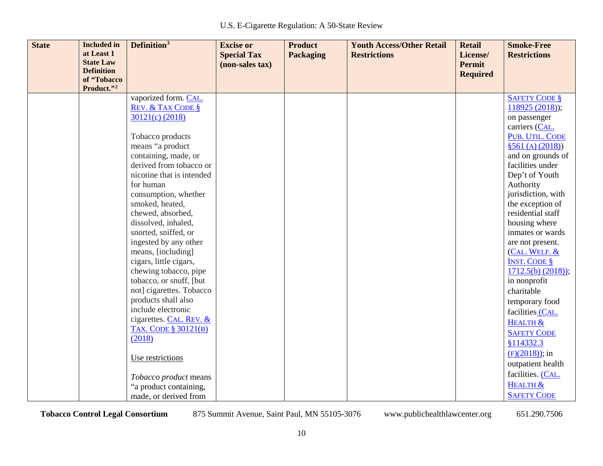| <b>State</b> | <b>Included</b> in             | Definition <sup>3</sup>      | <b>Excise or</b>   | <b>Product</b>   | <b>Youth Access/Other Retail</b> | <b>Retail</b>   | <b>Smoke-Free</b>    |
|--------------|--------------------------------|------------------------------|--------------------|------------------|----------------------------------|-----------------|----------------------|
|              | at Least 1<br><b>State Law</b> |                              | <b>Special Tax</b> | <b>Packaging</b> | <b>Restrictions</b>              | License/        | <b>Restrictions</b>  |
|              | <b>Definition</b>              |                              | (non-sales tax)    |                  |                                  | <b>Permit</b>   |                      |
|              | of "Tobacco                    |                              |                    |                  |                                  | <b>Required</b> |                      |
|              | Product."2                     |                              |                    |                  |                                  |                 |                      |
|              |                                | vaporized form. CAL.         |                    |                  |                                  |                 | <b>SAFETY CODE §</b> |
|              |                                | <b>REV. &amp; TAX CODE §</b> |                    |                  |                                  |                 | 118925(2018);        |
|              |                                | 30121(c) (2018)              |                    |                  |                                  |                 | on passenger         |
|              |                                |                              |                    |                  |                                  |                 | carriers (CAL.       |
|              |                                | Tobacco products             |                    |                  |                                  |                 | PUB. UTIL. CODE      |
|              |                                | means "a product             |                    |                  |                                  |                 | \$561(A)(2018)       |
|              |                                | containing, made, or         |                    |                  |                                  |                 | and on grounds of    |
|              |                                | derived from tobacco or      |                    |                  |                                  |                 | facilities under     |
|              |                                | nicotine that is intended    |                    |                  |                                  |                 | Dep't of Youth       |
|              |                                | for human                    |                    |                  |                                  |                 | Authority            |
|              |                                | consumption, whether         |                    |                  |                                  |                 | jurisdiction, with   |
|              |                                | smoked, heated,              |                    |                  |                                  |                 | the exception of     |
|              |                                | chewed, absorbed,            |                    |                  |                                  |                 | residential staff    |
|              |                                | dissolved, inhaled,          |                    |                  |                                  |                 | housing where        |
|              |                                | snorted, sniffed, or         |                    |                  |                                  |                 | inmates or wards     |
|              |                                | ingested by any other        |                    |                  |                                  |                 | are not present.     |
|              |                                | means, [including]           |                    |                  |                                  |                 | (CAL. WELF. &        |
|              |                                | cigars, little cigars,       |                    |                  |                                  |                 | <b>INST. CODE §</b>  |
|              |                                | chewing tobacco, pipe        |                    |                  |                                  |                 | $1712.5(b) (2018)$ ; |
|              |                                | tobacco, or snuff, [but      |                    |                  |                                  |                 | in nonprofit         |
|              |                                | not] cigarettes. Tobacco     |                    |                  |                                  |                 | charitable           |
|              |                                | products shall also          |                    |                  |                                  |                 | temporary food       |
|              |                                | include electronic           |                    |                  |                                  |                 | facilities (CAL.     |
|              |                                | cigarettes. CAL. REV. &      |                    |                  |                                  |                 | HEALTH &             |
|              |                                | <b>TAX. CODE § 30121(B)</b>  |                    |                  |                                  |                 | <b>SAFETY CODE</b>   |
|              |                                | (2018)                       |                    |                  |                                  |                 | §114332.3            |
|              |                                |                              |                    |                  |                                  |                 | $(F)(2018)$ ; in     |
|              |                                | Use restrictions             |                    |                  |                                  |                 | outpatient health    |
|              |                                |                              |                    |                  |                                  |                 | facilities. (CAL.    |
|              |                                | Tobacco product means        |                    |                  |                                  |                 | HEALTH &             |
|              |                                | "a product containing,       |                    |                  |                                  |                 | <b>SAFETY CODE</b>   |
|              |                                | made, or derived from        |                    |                  |                                  |                 |                      |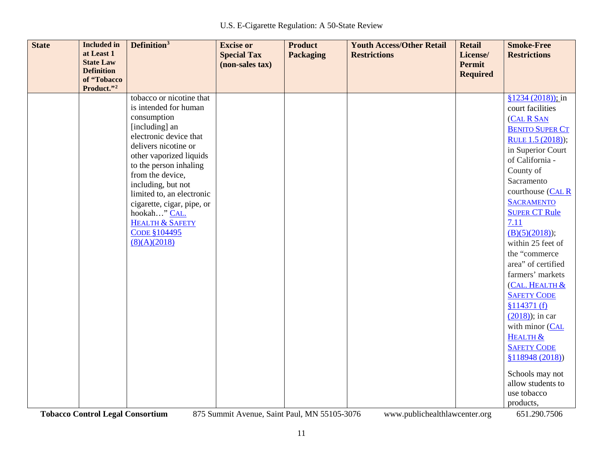| <b>State</b> | <b>Included</b> in<br>at Least 1<br><b>State Law</b><br><b>Definition</b><br>of "Tobacco<br>Product."2 | Definition <sup>3</sup>                         | <b>Excise or</b><br><b>Special Tax</b><br>(non-sales tax) | <b>Product</b><br><b>Packaging</b> | <b>Youth Access/Other Retail</b><br><b>Restrictions</b> | <b>Retail</b><br>License/<br><b>Permit</b><br><b>Required</b> | <b>Smoke-Free</b><br><b>Restrictions</b> |
|--------------|--------------------------------------------------------------------------------------------------------|-------------------------------------------------|-----------------------------------------------------------|------------------------------------|---------------------------------------------------------|---------------------------------------------------------------|------------------------------------------|
|              |                                                                                                        | tobacco or nicotine that                        |                                                           |                                    |                                                         |                                                               | $$1234 (2018)$ ; in                      |
|              |                                                                                                        | is intended for human                           |                                                           |                                    |                                                         |                                                               | court facilities                         |
|              |                                                                                                        | consumption                                     |                                                           |                                    |                                                         |                                                               | (CAL R SAN                               |
|              |                                                                                                        | [including] an                                  |                                                           |                                    |                                                         |                                                               | <b>BENITO SUPER CT</b>                   |
|              |                                                                                                        | electronic device that                          |                                                           |                                    |                                                         |                                                               | RULE 1.5 (2018));                        |
|              |                                                                                                        | delivers nicotine or<br>other vaporized liquids |                                                           |                                    |                                                         |                                                               | in Superior Court                        |
|              |                                                                                                        | to the person inhaling                          |                                                           |                                    |                                                         |                                                               | of California -                          |
|              |                                                                                                        | from the device,                                |                                                           |                                    |                                                         |                                                               | County of                                |
|              |                                                                                                        | including, but not                              |                                                           |                                    |                                                         |                                                               | Sacramento                               |
|              |                                                                                                        | limited to, an electronic                       |                                                           |                                    |                                                         |                                                               | courthouse (CAL R                        |
|              |                                                                                                        | cigarette, cigar, pipe, or                      |                                                           |                                    |                                                         |                                                               | <b>SACRAMENTO</b>                        |
|              |                                                                                                        | hookah" CAL.                                    |                                                           |                                    |                                                         |                                                               | <b>SUPER CT Rule</b>                     |
|              |                                                                                                        | <b>HEALTH &amp; SAFETY</b>                      |                                                           |                                    |                                                         |                                                               | 7.11                                     |
|              |                                                                                                        | <b>CODE §104495</b>                             |                                                           |                                    |                                                         |                                                               | (B)(5)(2018);                            |
|              |                                                                                                        | (8)(A)(2018)                                    |                                                           |                                    |                                                         |                                                               | within 25 feet of                        |
|              |                                                                                                        |                                                 |                                                           |                                    |                                                         |                                                               | the "commerce"<br>area" of certified     |
|              |                                                                                                        |                                                 |                                                           |                                    |                                                         |                                                               | farmers' markets                         |
|              |                                                                                                        |                                                 |                                                           |                                    |                                                         |                                                               | (CAL. HEALTH &                           |
|              |                                                                                                        |                                                 |                                                           |                                    |                                                         |                                                               | <b>SAFETY CODE</b>                       |
|              |                                                                                                        |                                                 |                                                           |                                    |                                                         |                                                               | \$114371(f)                              |
|              |                                                                                                        |                                                 |                                                           |                                    |                                                         |                                                               | $(2018)$ ; in car                        |
|              |                                                                                                        |                                                 |                                                           |                                    |                                                         |                                                               | with minor (CAL                          |
|              |                                                                                                        |                                                 |                                                           |                                    |                                                         |                                                               | HEALTH &                                 |
|              |                                                                                                        |                                                 |                                                           |                                    |                                                         |                                                               | <b>SAFETY CODE</b>                       |
|              |                                                                                                        |                                                 |                                                           |                                    |                                                         |                                                               | \$118948 (2018)                          |
|              |                                                                                                        |                                                 |                                                           |                                    |                                                         |                                                               |                                          |
|              |                                                                                                        |                                                 |                                                           |                                    |                                                         |                                                               | Schools may not                          |
|              |                                                                                                        |                                                 |                                                           |                                    |                                                         |                                                               | allow students to                        |
|              |                                                                                                        |                                                 |                                                           |                                    |                                                         |                                                               | use tobacco                              |
|              |                                                                                                        |                                                 |                                                           |                                    |                                                         |                                                               | products,                                |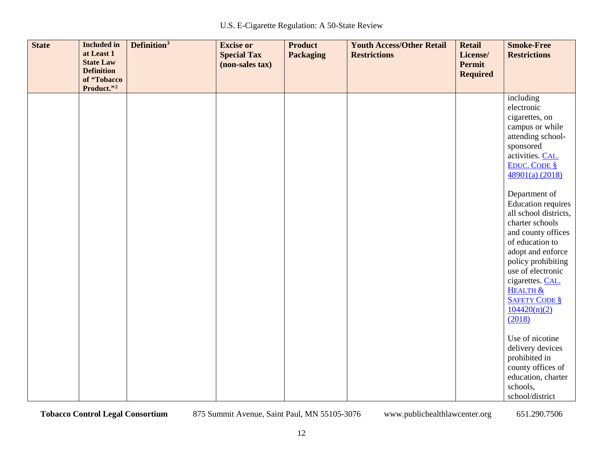| <b>State</b> | <b>Included</b> in<br>at Least 1<br><b>State Law</b><br><b>Definition</b><br>of "Tobacco<br>Product."2 | Definition <sup>3</sup> | <b>Excise or</b><br><b>Special Tax</b><br>(non-sales tax) | <b>Product</b><br><b>Packaging</b> | <b>Youth Access/Other Retail</b><br><b>Restrictions</b> | <b>Retail</b><br>License/<br><b>Permit</b><br><b>Required</b> | <b>Smoke-Free</b><br><b>Restrictions</b>                                                                                                                                                                                                                                          |
|--------------|--------------------------------------------------------------------------------------------------------|-------------------------|-----------------------------------------------------------|------------------------------------|---------------------------------------------------------|---------------------------------------------------------------|-----------------------------------------------------------------------------------------------------------------------------------------------------------------------------------------------------------------------------------------------------------------------------------|
|              |                                                                                                        |                         |                                                           |                                    |                                                         |                                                               | including<br>electronic<br>cigarettes, on<br>campus or while<br>attending school-<br>sponsored<br>activities. CAL.<br><b>EDUC. CODE §</b><br>48901(a) (2018)                                                                                                                      |
|              |                                                                                                        |                         |                                                           |                                    |                                                         |                                                               | Department of<br><b>Education requires</b><br>all school districts,<br>charter schools<br>and county offices<br>of education to<br>adopt and enforce<br>policy prohibiting<br>use of electronic<br>cigarettes. CAL.<br>HEALTH &<br><b>SAFETY CODE §</b><br>104420(n)(2)<br>(2018) |
|              |                                                                                                        |                         |                                                           |                                    |                                                         |                                                               | Use of nicotine<br>delivery devices<br>prohibited in<br>county offices of<br>education, charter<br>schools,<br>school/district                                                                                                                                                    |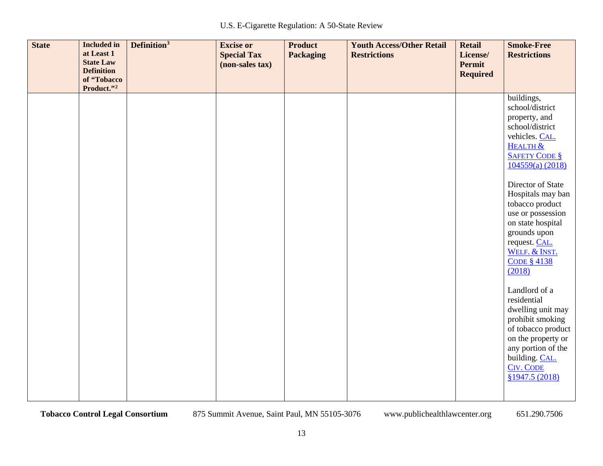| <b>State</b> | <b>Included in</b><br>at Least 1<br><b>State Law</b><br><b>Definition</b><br>of "Tobacco<br>Product."2 | Definition <sup>3</sup> | <b>Excise or</b><br><b>Special Tax</b><br>(non-sales tax) | <b>Product</b><br><b>Packaging</b> | <b>Youth Access/Other Retail</b><br><b>Restrictions</b> | <b>Retail</b><br>License/<br>Permit<br><b>Required</b> | <b>Smoke-Free</b><br><b>Restrictions</b>                                                                                                                                                                                                                                                                                                                                                                                                                             |
|--------------|--------------------------------------------------------------------------------------------------------|-------------------------|-----------------------------------------------------------|------------------------------------|---------------------------------------------------------|--------------------------------------------------------|----------------------------------------------------------------------------------------------------------------------------------------------------------------------------------------------------------------------------------------------------------------------------------------------------------------------------------------------------------------------------------------------------------------------------------------------------------------------|
|              |                                                                                                        |                         |                                                           |                                    |                                                         |                                                        | buildings,<br>school/district<br>property, and<br>school/district<br>vehicles. CAL.<br><b>HEALTH &amp;</b><br><b>SAFETY CODE §</b><br>104559(a) (2018)<br>Director of State<br>Hospitals may ban<br>tobacco product<br>use or possession<br>on state hospital<br>grounds upon<br>request. CAL.<br>WELF. & INST.<br><b>CODE § 4138</b><br>(2018)<br>Landlord of a<br>residential<br>dwelling unit may<br>prohibit smoking<br>of tobacco product<br>on the property or |
|              |                                                                                                        |                         |                                                           |                                    |                                                         |                                                        | any portion of the<br>building. CAL.<br><b>CIV. CODE</b><br>§1947.5 (2018)                                                                                                                                                                                                                                                                                                                                                                                           |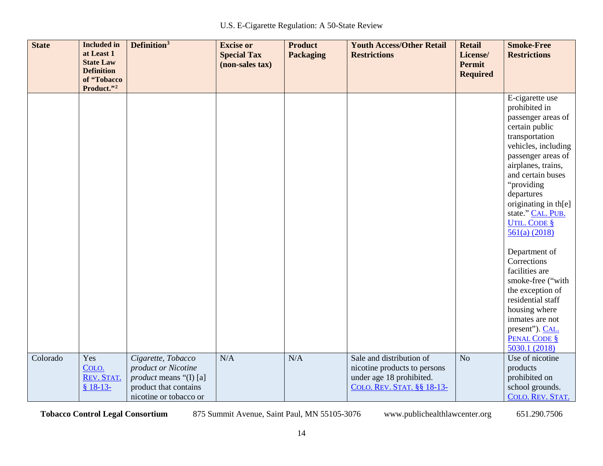| <b>State</b> | <b>Included</b> in<br>at Least 1<br><b>State Law</b><br><b>Definition</b><br>of "Tobacco<br>Product."2 | Definition <sup>3</sup>                                                                                                       | <b>Excise or</b><br><b>Special Tax</b><br>(non-sales tax) | <b>Product</b><br><b>Packaging</b> | <b>Youth Access/Other Retail</b><br><b>Restrictions</b>                                                            | <b>Retail</b><br>License/<br><b>Permit</b><br><b>Required</b> | <b>Smoke-Free</b><br><b>Restrictions</b>                                                                                                                                                                                                                                                                                                                                                                                                                                                                           |
|--------------|--------------------------------------------------------------------------------------------------------|-------------------------------------------------------------------------------------------------------------------------------|-----------------------------------------------------------|------------------------------------|--------------------------------------------------------------------------------------------------------------------|---------------------------------------------------------------|--------------------------------------------------------------------------------------------------------------------------------------------------------------------------------------------------------------------------------------------------------------------------------------------------------------------------------------------------------------------------------------------------------------------------------------------------------------------------------------------------------------------|
|              |                                                                                                        |                                                                                                                               |                                                           |                                    |                                                                                                                    |                                                               | E-cigarette use<br>prohibited in<br>passenger areas of<br>certain public<br>transportation<br>vehicles, including<br>passenger areas of<br>airplanes, trains,<br>and certain buses<br>"providing<br>departures<br>originating in th[e]<br>state." CAL. PUB.<br><b>UTIL. CODE §</b><br>561(a) (2018)<br>Department of<br>Corrections<br>facilities are<br>smoke-free ("with<br>the exception of<br>residential staff<br>housing where<br>inmates are not<br>present"). CAL.<br><b>PENAL CODE §</b><br>5030.1 (2018) |
| Colorado     | Yes<br>COLO.<br>REV. STAT.<br>$$18-13-$                                                                | Cigarette, Tobacco<br>product or Nicotine<br><i>product</i> means "(I) [a]<br>product that contains<br>nicotine or tobacco or | N/A                                                       | N/A                                | Sale and distribution of<br>nicotine products to persons<br>under age 18 prohibited.<br>COLO. REV. STAT. §§ 18-13- | N <sub>o</sub>                                                | Use of nicotine<br>products<br>prohibited on<br>school grounds.<br>COLO. REV. STAT.                                                                                                                                                                                                                                                                                                                                                                                                                                |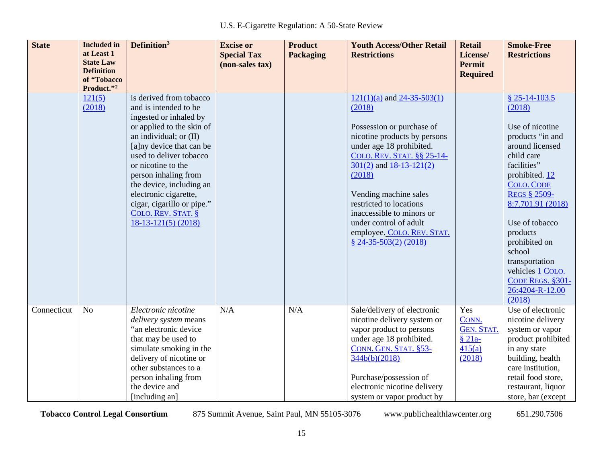| <b>State</b> | <b>Included</b> in<br>at Least 1<br><b>State Law</b><br><b>Definition</b><br>of "Tobacco<br>Product."2 | Definition <sup>3</sup>                                                                                                                                                                                                                                                                                                                                                    | <b>Excise or</b><br><b>Special Tax</b><br>(non-sales tax) | <b>Product</b><br><b>Packaging</b> | <b>Youth Access/Other Retail</b><br><b>Restrictions</b>                                                                                                                                                                                                                                                                                                                     | <b>Retail</b><br>License/<br><b>Permit</b><br><b>Required</b>     | <b>Smoke-Free</b><br><b>Restrictions</b>                                                                                                                                                                                                                                                                                                           |
|--------------|--------------------------------------------------------------------------------------------------------|----------------------------------------------------------------------------------------------------------------------------------------------------------------------------------------------------------------------------------------------------------------------------------------------------------------------------------------------------------------------------|-----------------------------------------------------------|------------------------------------|-----------------------------------------------------------------------------------------------------------------------------------------------------------------------------------------------------------------------------------------------------------------------------------------------------------------------------------------------------------------------------|-------------------------------------------------------------------|----------------------------------------------------------------------------------------------------------------------------------------------------------------------------------------------------------------------------------------------------------------------------------------------------------------------------------------------------|
|              | 121(5)<br>(2018)                                                                                       | is derived from tobacco<br>and is intended to be<br>ingested or inhaled by<br>or applied to the skin of<br>an individual; or $(II)$<br>[a]ny device that can be<br>used to deliver tobacco<br>or nicotine to the<br>person inhaling from<br>the device, including an<br>electronic cigarette,<br>cigar, cigarillo or pipe."<br>COLO. REV. STAT. §<br>$18-13-121(5)$ (2018) |                                                           |                                    | $121(1)(a)$ and $24-35-503(1)$<br>(2018)<br>Possession or purchase of<br>nicotine products by persons<br>under age 18 prohibited.<br>COLO. REV. STAT. §§ 25-14-<br>$301(2)$ and $18-13-121(2)$<br>(2018)<br>Vending machine sales<br>restricted to locations<br>inaccessible to minors or<br>under control of adult<br>employee. COLO. REV. STAT.<br>$$24-35-503(2) (2018)$ |                                                                   | $$25-14-103.5$<br>(2018)<br>Use of nicotine<br>products "in and<br>around licensed<br>child care<br>facilities"<br>prohibited. 12<br><b>COLO. CODE</b><br><b>REGS § 2509-</b><br>8:7.701.91 (2018)<br>Use of tobacco<br>products<br>prohibited on<br>school<br>transportation<br>vehicles 1 COLO.<br>CODE REGS. §301-<br>26:4204-R-12.00<br>(2018) |
| Connecticut  | N <sub>o</sub>                                                                                         | Electronic nicotine<br>delivery system means<br>"an electronic device<br>that may be used to<br>simulate smoking in the<br>delivery of nicotine or<br>other substances to a<br>person inhaling from<br>the device and<br>[including an]                                                                                                                                    | N/A                                                       | N/A                                | Sale/delivery of electronic<br>nicotine delivery system or<br>vapor product to persons<br>under age 18 prohibited.<br>CONN. GEN. STAT. §53-<br>344b(b)(2018)<br>Purchase/possession of<br>electronic nicotine delivery<br>system or vapor product by                                                                                                                        | Yes<br>CONN.<br><b>GEN. STAT.</b><br>$§ 21a-$<br>415(a)<br>(2018) | Use of electronic<br>nicotine delivery<br>system or vapor<br>product prohibited<br>in any state<br>building, health<br>care institution,<br>retail food store,<br>restaurant, liquor<br>store, bar (except                                                                                                                                         |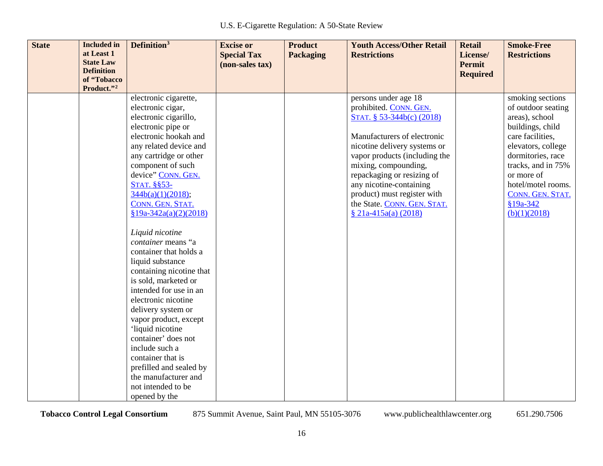| <b>State</b><br><b>Included</b> in<br>at Least 1<br><b>State Law</b><br><b>Definition</b><br>of "Tobacco<br>Product."2 | Definition <sup>3</sup>                                                                                                                                                                                                                                                                                                                                                                                                                                                                                                                                                                                                                                                                                                            | <b>Excise or</b><br><b>Special Tax</b><br>(non-sales tax) | <b>Product</b><br><b>Packaging</b> | <b>Youth Access/Other Retail</b><br><b>Restrictions</b>                                                                                                                                                                                                                                                                                             | <b>Retail</b><br>License/<br>Permit<br><b>Required</b> | <b>Smoke-Free</b><br><b>Restrictions</b>                                                                                                                                                                                                              |
|------------------------------------------------------------------------------------------------------------------------|------------------------------------------------------------------------------------------------------------------------------------------------------------------------------------------------------------------------------------------------------------------------------------------------------------------------------------------------------------------------------------------------------------------------------------------------------------------------------------------------------------------------------------------------------------------------------------------------------------------------------------------------------------------------------------------------------------------------------------|-----------------------------------------------------------|------------------------------------|-----------------------------------------------------------------------------------------------------------------------------------------------------------------------------------------------------------------------------------------------------------------------------------------------------------------------------------------------------|--------------------------------------------------------|-------------------------------------------------------------------------------------------------------------------------------------------------------------------------------------------------------------------------------------------------------|
|                                                                                                                        | electronic cigarette,<br>electronic cigar,<br>electronic cigarillo,<br>electronic pipe or<br>electronic hookah and<br>any related device and<br>any cartridge or other<br>component of such<br>device" CONN. GEN.<br><b>STAT. §§53-</b><br>344b(a)(1)(2018);<br>CONN. GEN. STAT.<br>$§19a-342a(a)(2)(2018)$<br>Liquid nicotine<br>container means "a<br>container that holds a<br>liquid substance<br>containing nicotine that<br>is sold, marketed or<br>intended for use in an<br>electronic nicotine<br>delivery system or<br>vapor product, except<br>'liquid nicotine<br>container' does not<br>include such a<br>container that is<br>prefilled and sealed by<br>the manufacturer and<br>not intended to be<br>opened by the |                                                           |                                    | persons under age 18<br>prohibited. CONN. GEN.<br>STAT. § 53-344b(c) (2018)<br>Manufacturers of electronic<br>nicotine delivery systems or<br>vapor products (including the<br>mixing, compounding,<br>repackaging or resizing of<br>any nicotine-containing<br>product) must register with<br>the State. CONN. GEN. STAT.<br>$$21a-415a(a) (2018)$ |                                                        | smoking sections<br>of outdoor seating<br>areas), school<br>buildings, child<br>care facilities,<br>elevators, college<br>dormitories, race<br>tracks, and in 75%<br>or more of<br>hotel/motel rooms.<br>CONN. GEN. STAT.<br>§19a-342<br>(b)(1)(2018) |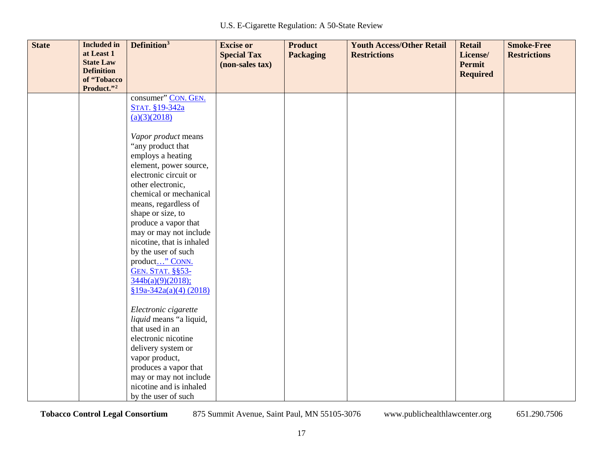| <b>State</b> | <b>Included in</b><br>at Least 1<br><b>State Law</b> | Definition <sup>3</sup>                         | <b>Excise or</b><br><b>Special Tax</b> | <b>Product</b><br><b>Packaging</b> | <b>Youth Access/Other Retail</b><br><b>Restrictions</b> | <b>Retail</b><br>License/        | <b>Smoke-Free</b><br><b>Restrictions</b> |
|--------------|------------------------------------------------------|-------------------------------------------------|----------------------------------------|------------------------------------|---------------------------------------------------------|----------------------------------|------------------------------------------|
|              | <b>Definition</b><br>of "Tobacco                     |                                                 | (non-sales tax)                        |                                    |                                                         | <b>Permit</b><br><b>Required</b> |                                          |
|              | Product."2                                           | consumer" CON. GEN.                             |                                        |                                    |                                                         |                                  |                                          |
|              |                                                      | STAT. §19-342a                                  |                                        |                                    |                                                         |                                  |                                          |
|              |                                                      | (a)(3)(2018)                                    |                                        |                                    |                                                         |                                  |                                          |
|              |                                                      |                                                 |                                        |                                    |                                                         |                                  |                                          |
|              |                                                      | Vapor product means                             |                                        |                                    |                                                         |                                  |                                          |
|              |                                                      | "any product that                               |                                        |                                    |                                                         |                                  |                                          |
|              |                                                      | employs a heating                               |                                        |                                    |                                                         |                                  |                                          |
|              |                                                      | element, power source,<br>electronic circuit or |                                        |                                    |                                                         |                                  |                                          |
|              |                                                      | other electronic,                               |                                        |                                    |                                                         |                                  |                                          |
|              |                                                      | chemical or mechanical                          |                                        |                                    |                                                         |                                  |                                          |
|              |                                                      | means, regardless of                            |                                        |                                    |                                                         |                                  |                                          |
|              |                                                      | shape or size, to                               |                                        |                                    |                                                         |                                  |                                          |
|              |                                                      | produce a vapor that                            |                                        |                                    |                                                         |                                  |                                          |
|              |                                                      | may or may not include                          |                                        |                                    |                                                         |                                  |                                          |
|              |                                                      | nicotine, that is inhaled                       |                                        |                                    |                                                         |                                  |                                          |
|              |                                                      | by the user of such                             |                                        |                                    |                                                         |                                  |                                          |
|              |                                                      | product" CONN.                                  |                                        |                                    |                                                         |                                  |                                          |
|              |                                                      | <b>GEN. STAT. §§53-</b>                         |                                        |                                    |                                                         |                                  |                                          |
|              |                                                      | $\frac{344b(a)(9)(2018)}{2}$                    |                                        |                                    |                                                         |                                  |                                          |
|              |                                                      | $$19a-342a(a)(4) (2018)$                        |                                        |                                    |                                                         |                                  |                                          |
|              |                                                      | Electronic cigarette                            |                                        |                                    |                                                         |                                  |                                          |
|              |                                                      | liquid means "a liquid,                         |                                        |                                    |                                                         |                                  |                                          |
|              |                                                      | that used in an                                 |                                        |                                    |                                                         |                                  |                                          |
|              |                                                      | electronic nicotine                             |                                        |                                    |                                                         |                                  |                                          |
|              |                                                      | delivery system or                              |                                        |                                    |                                                         |                                  |                                          |
|              |                                                      | vapor product,                                  |                                        |                                    |                                                         |                                  |                                          |
|              |                                                      | produces a vapor that                           |                                        |                                    |                                                         |                                  |                                          |
|              |                                                      | may or may not include                          |                                        |                                    |                                                         |                                  |                                          |
|              |                                                      | nicotine and is inhaled                         |                                        |                                    |                                                         |                                  |                                          |
|              |                                                      | by the user of such                             |                                        |                                    |                                                         |                                  |                                          |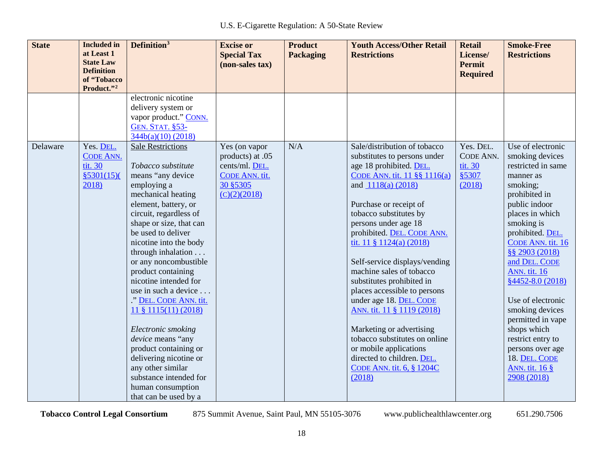| <b>State</b> | <b>Included</b> in<br>at Least 1<br><b>State Law</b><br><b>Definition</b><br>of "Tobacco<br>Product."2 | Definition <sup>3</sup>                                                                                                                                                                                                                                                                                                                                                                                                                                                                                                                                                                                              | <b>Excise or</b><br><b>Special Tax</b><br>(non-sales tax)                                         | <b>Product</b><br><b>Packaging</b> | <b>Youth Access/Other Retail</b><br><b>Restrictions</b>                                                                                                                                                                                                                                                                                                                                                                                                                                                                                                                                                                                  | <b>Retail</b><br>License/<br><b>Permit</b><br><b>Required</b> | <b>Smoke-Free</b><br><b>Restrictions</b>                                                                                                                                                                                                                                                                                                                                                                                                                       |
|--------------|--------------------------------------------------------------------------------------------------------|----------------------------------------------------------------------------------------------------------------------------------------------------------------------------------------------------------------------------------------------------------------------------------------------------------------------------------------------------------------------------------------------------------------------------------------------------------------------------------------------------------------------------------------------------------------------------------------------------------------------|---------------------------------------------------------------------------------------------------|------------------------------------|------------------------------------------------------------------------------------------------------------------------------------------------------------------------------------------------------------------------------------------------------------------------------------------------------------------------------------------------------------------------------------------------------------------------------------------------------------------------------------------------------------------------------------------------------------------------------------------------------------------------------------------|---------------------------------------------------------------|----------------------------------------------------------------------------------------------------------------------------------------------------------------------------------------------------------------------------------------------------------------------------------------------------------------------------------------------------------------------------------------------------------------------------------------------------------------|
|              |                                                                                                        | electronic nicotine<br>delivery system or<br>vapor product." CONN.<br><b>GEN. STAT. §53-</b><br>344b(a)(10)(2018)                                                                                                                                                                                                                                                                                                                                                                                                                                                                                                    |                                                                                                   |                                    |                                                                                                                                                                                                                                                                                                                                                                                                                                                                                                                                                                                                                                          |                                                               |                                                                                                                                                                                                                                                                                                                                                                                                                                                                |
| Delaware     | Yes. DEL.<br><b>CODE ANN.</b><br>tit. 30<br>\$5301(15)<br>2018)                                        | <b>Sale Restrictions</b><br>Tobacco substitute<br>means "any device<br>employing a<br>mechanical heating<br>element, battery, or<br>circuit, regardless of<br>shape or size, that can<br>be used to deliver<br>nicotine into the body<br>through inhalation<br>or any noncombustible<br>product containing<br>nicotine intended for<br>use in such a device<br>." DEL. CODE ANN. tit.<br>$11 \frac{1}{2} 1115(11) (2018)$<br>Electronic smoking<br>device means "any<br>product containing or<br>delivering nicotine or<br>any other similar<br>substance intended for<br>human consumption<br>that can be used by a | Yes (on vapor<br>products) at .05<br>cents/ml. DEL.<br>CODE ANN. tit.<br>30 §5305<br>(C)(2)(2018) | N/A                                | Sale/distribution of tobacco<br>substitutes to persons under<br>age 18 prohibited. DEL.<br>CODE ANN. tit. 11 §§ 1116(a)<br>and 1118(a) (2018)<br>Purchase or receipt of<br>tobacco substitutes by<br>persons under age 18<br>prohibited. DEL. CODE ANN.<br>tit. $11 \t{ } 1124(a) (2018)$<br>Self-service displays/vending<br>machine sales of tobacco<br>substitutes prohibited in<br>places accessible to persons<br>under age 18. DEL. CODE<br>ANN. tit. 11 § 1119 (2018)<br>Marketing or advertising<br>tobacco substitutes on online<br>or mobile applications<br>directed to children. DEL.<br>CODE ANN. tit. 6, § 1204C<br>(2018) | Yes. DEL.<br>CODE ANN.<br>tit. 30<br>§5307<br>(2018)          | Use of electronic<br>smoking devices<br>restricted in same<br>manner as<br>smoking;<br>prohibited in<br>public indoor<br>places in which<br>smoking is<br>prohibited. DEL.<br>CODE ANN. tit. 16<br>§§ 2903 (2018)<br>and DEL. CODE<br><b>ANN.</b> tit. 16<br>$§4452 - 8.0(2018)$<br>Use of electronic<br>smoking devices<br>permitted in vape<br>shops which<br>restrict entry to<br>persons over age<br>18. DEL. CODE<br><b>ANN.</b> tit. 16 §<br>2908 (2018) |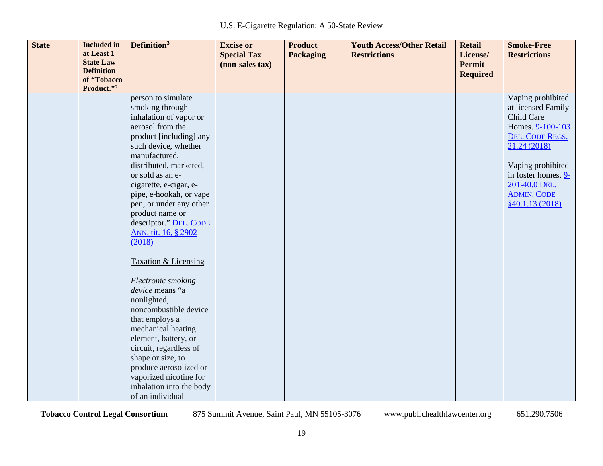| <b>State</b> | <b>Included</b> in<br>at Least 1<br><b>State Law</b><br><b>Definition</b><br>of "Tobacco | <b>Definition</b> <sup>3</sup>                                                                                                                                                                                                                                                                                                      | <b>Excise or</b><br><b>Special Tax</b><br>(non-sales tax) | <b>Product</b><br><b>Packaging</b> | <b>Youth Access/Other Retail</b><br><b>Restrictions</b> | <b>Retail</b><br>License/<br>Permit<br><b>Required</b> | <b>Smoke-Free</b><br><b>Restrictions</b>                                                                     |
|--------------|------------------------------------------------------------------------------------------|-------------------------------------------------------------------------------------------------------------------------------------------------------------------------------------------------------------------------------------------------------------------------------------------------------------------------------------|-----------------------------------------------------------|------------------------------------|---------------------------------------------------------|--------------------------------------------------------|--------------------------------------------------------------------------------------------------------------|
|              | Product."2                                                                               |                                                                                                                                                                                                                                                                                                                                     |                                                           |                                    |                                                         |                                                        |                                                                                                              |
|              |                                                                                          | person to simulate<br>smoking through<br>inhalation of vapor or<br>aerosol from the<br>product [including] any<br>such device, whether<br>manufactured,                                                                                                                                                                             |                                                           |                                    |                                                         |                                                        | Vaping prohibited<br>at licensed Family<br>Child Care<br>Homes. 9-100-103<br>DEL. CODE REGS.<br>21.24 (2018) |
|              |                                                                                          | distributed, marketed,<br>or sold as an e-<br>cigarette, e-cigar, e-<br>pipe, e-hookah, or vape<br>pen, or under any other<br>product name or<br>descriptor." DEL. CODE<br>ANN. tit. 16, § 2902<br>(2018)                                                                                                                           |                                                           |                                    |                                                         |                                                        | Vaping prohibited<br>in foster homes. 9-<br>201-40.0 DEL.<br><b>ADMIN. CODE</b><br>\$40.1.13(2018)           |
|              |                                                                                          | <b>Taxation &amp; Licensing</b><br>Electronic smoking<br>device means "a<br>nonlighted,<br>noncombustible device<br>that employs a<br>mechanical heating<br>element, battery, or<br>circuit, regardless of<br>shape or size, to<br>produce aerosolized or<br>vaporized nicotine for<br>inhalation into the body<br>of an individual |                                                           |                                    |                                                         |                                                        |                                                                                                              |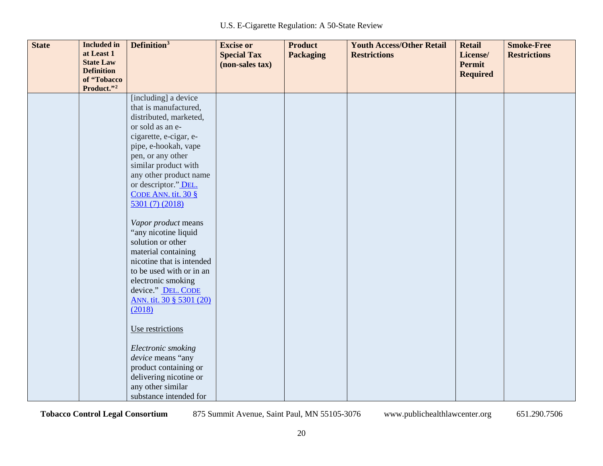| <b>State</b> | <b>Included</b> in<br>at Least 1<br><b>State Law</b><br><b>Definition</b><br>of "Tobacco<br>Product."2 | Definition <sup>3</sup>                                                                                                                                                                                                                                                                                                                                                                                                                                                                                                                                                                                                                                   | <b>Excise or</b><br><b>Special Tax</b><br>(non-sales tax) | <b>Product</b><br><b>Packaging</b> | <b>Youth Access/Other Retail</b><br><b>Restrictions</b> | <b>Retail</b><br>License/<br><b>Permit</b><br><b>Required</b> | <b>Smoke-Free</b><br><b>Restrictions</b> |
|--------------|--------------------------------------------------------------------------------------------------------|-----------------------------------------------------------------------------------------------------------------------------------------------------------------------------------------------------------------------------------------------------------------------------------------------------------------------------------------------------------------------------------------------------------------------------------------------------------------------------------------------------------------------------------------------------------------------------------------------------------------------------------------------------------|-----------------------------------------------------------|------------------------------------|---------------------------------------------------------|---------------------------------------------------------------|------------------------------------------|
|              |                                                                                                        | [including] a device<br>that is manufactured,<br>distributed, marketed,<br>or sold as an e-<br>cigarette, e-cigar, e-<br>pipe, e-hookah, vape<br>pen, or any other<br>similar product with<br>any other product name<br>or descriptor." DEL.<br>CODE ANN. tit. $30 \text{ }$ §<br>5301 (7) (2018)<br>Vapor product means<br>"any nicotine liquid<br>solution or other<br>material containing<br>nicotine that is intended<br>to be used with or in an<br>electronic smoking<br>device." DEL. CODE<br>ANN. tit. 30 § 5301 (20)<br>(2018)<br>Use restrictions<br>Electronic smoking<br>device means "any<br>product containing or<br>delivering nicotine or |                                                           |                                    |                                                         |                                                               |                                          |
|              |                                                                                                        | any other similar<br>substance intended for                                                                                                                                                                                                                                                                                                                                                                                                                                                                                                                                                                                                               |                                                           |                                    |                                                         |                                                               |                                          |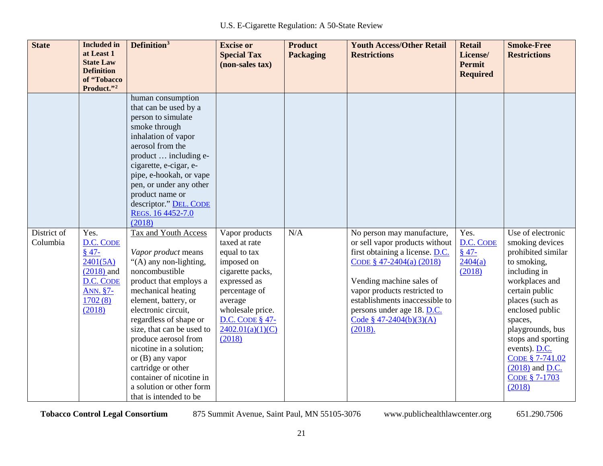| <b>State</b>            | <b>Included</b> in<br>at Least 1<br><b>State Law</b><br><b>Definition</b><br>of "Tobacco<br>Product."2 | Definition <sup>3</sup>                                                                                                                                                                                                                                                                                                                                                                                                      | <b>Excise or</b><br><b>Special Tax</b><br>(non-sales tax)                                                                                                                                                 | <b>Product</b><br><b>Packaging</b> | <b>Youth Access/Other Retail</b><br><b>Restrictions</b>                                                                                                                                                                                                                                          | <b>Retail</b><br>License/<br><b>Permit</b><br><b>Required</b> | <b>Smoke-Free</b><br><b>Restrictions</b>                                                                                                                                                                                                                                                                     |
|-------------------------|--------------------------------------------------------------------------------------------------------|------------------------------------------------------------------------------------------------------------------------------------------------------------------------------------------------------------------------------------------------------------------------------------------------------------------------------------------------------------------------------------------------------------------------------|-----------------------------------------------------------------------------------------------------------------------------------------------------------------------------------------------------------|------------------------------------|--------------------------------------------------------------------------------------------------------------------------------------------------------------------------------------------------------------------------------------------------------------------------------------------------|---------------------------------------------------------------|--------------------------------------------------------------------------------------------------------------------------------------------------------------------------------------------------------------------------------------------------------------------------------------------------------------|
|                         |                                                                                                        | human consumption<br>that can be used by a<br>person to simulate<br>smoke through<br>inhalation of vapor<br>aerosol from the<br>product  including e-<br>cigarette, e-cigar, e-<br>pipe, e-hookah, or vape<br>pen, or under any other<br>product name or<br>descriptor." DEL. CODE<br>REGS. 16 4452-7.0<br>(2018)                                                                                                            |                                                                                                                                                                                                           |                                    |                                                                                                                                                                                                                                                                                                  |                                                               |                                                                                                                                                                                                                                                                                                              |
| District of<br>Columbia | Yes.<br>D.C. CODE<br>$$47-$<br>2401(5A)<br>$(2018)$ and<br>D.C. CODE<br>ANN. §7-<br>1702(8)<br>(2018)  | Tax and Youth Access<br>Vapor product means<br>"(A) any non-lighting,<br>noncombustible<br>product that employs a<br>mechanical heating<br>element, battery, or<br>electronic circuit,<br>regardless of shape or<br>size, that can be used to<br>produce aerosol from<br>nicotine in a solution;<br>or (B) any vapor<br>cartridge or other<br>container of nicotine in<br>a solution or other form<br>that is intended to be | Vapor products<br>taxed at rate<br>equal to tax<br>imposed on<br>cigarette packs,<br>expressed as<br>percentage of<br>average<br>wholesale price.<br><b>D.C. CODE § 47-</b><br>2402.01(a)(1)(C)<br>(2018) | N/A                                | No person may manufacture,<br>or sell vapor products without<br>first obtaining a license. D.C.<br>CODE $$47-2404(a) (2018)$<br>Vending machine sales of<br>vapor products restricted to<br>establishments inaccessible to<br>persons under age 18. D.C.<br>Code § $47-2404(b)(3)(A)$<br>(2018). | Yes.<br>D.C. CODE<br>$$47-$<br>2404(a)<br>(2018)              | Use of electronic<br>smoking devices<br>prohibited similar<br>to smoking,<br>including in<br>workplaces and<br>certain public<br>places (such as<br>enclosed public<br>spaces,<br>playgrounds, bus<br>stops and sporting<br>events). D.C.<br>CODE § 7-741.02<br>$(2018)$ and D.C.<br>CODE § 7-1703<br>(2018) |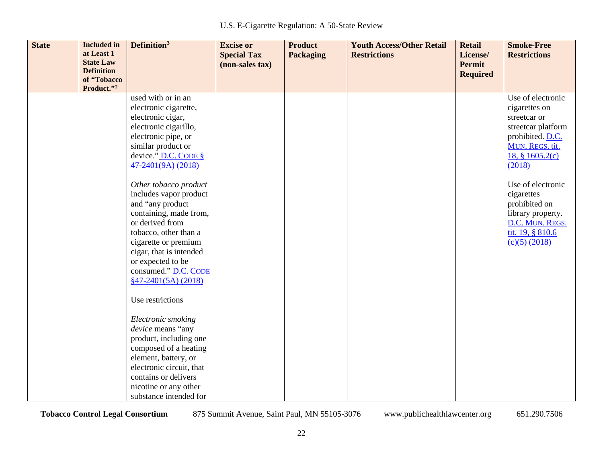| <b>State</b> | <b>Included</b> in<br>at Least 1<br><b>State Law</b><br><b>Definition</b> | Definition <sup>3</sup>                                                                                                                                                                                                                                                                                                                                                                                                                                                                                                                                                                                                                                                                                         | <b>Excise or</b><br><b>Special Tax</b><br>(non-sales tax) | <b>Product</b><br><b>Packaging</b> | <b>Youth Access/Other Retail</b><br><b>Restrictions</b> | <b>Retail</b><br>License/<br>Permit<br><b>Required</b> | <b>Smoke-Free</b><br><b>Restrictions</b>                                                                                                                                                                                                                                        |
|--------------|---------------------------------------------------------------------------|-----------------------------------------------------------------------------------------------------------------------------------------------------------------------------------------------------------------------------------------------------------------------------------------------------------------------------------------------------------------------------------------------------------------------------------------------------------------------------------------------------------------------------------------------------------------------------------------------------------------------------------------------------------------------------------------------------------------|-----------------------------------------------------------|------------------------------------|---------------------------------------------------------|--------------------------------------------------------|---------------------------------------------------------------------------------------------------------------------------------------------------------------------------------------------------------------------------------------------------------------------------------|
|              | of "Tobacco<br>Product."2                                                 |                                                                                                                                                                                                                                                                                                                                                                                                                                                                                                                                                                                                                                                                                                                 |                                                           |                                    |                                                         |                                                        |                                                                                                                                                                                                                                                                                 |
|              |                                                                           | used with or in an<br>electronic cigarette,<br>electronic cigar,<br>electronic cigarillo,<br>electronic pipe, or<br>similar product or<br>device." $D.C.$ CODE $\S$<br>47-2401(9A) (2018)<br>Other tobacco product<br>includes vapor product<br>and "any product<br>containing, made from,<br>or derived from<br>tobacco, other than a<br>cigarette or premium<br>cigar, that is intended<br>or expected to be<br>consumed." D.C. CODE<br>$§47-2401(5A)(2018)$<br>Use restrictions<br>Electronic smoking<br>device means "any<br>product, including one<br>composed of a heating<br>element, battery, or<br>electronic circuit, that<br>contains or delivers<br>nicotine or any other<br>substance intended for |                                                           |                                    |                                                         |                                                        | Use of electronic<br>cigarettes on<br>streetcar or<br>streetcar platform<br>prohibited. D.C.<br>MUN. REGS. tit.<br>18, § 1605.2(c)<br>(2018)<br>Use of electronic<br>cigarettes<br>prohibited on<br>library property.<br>D.C. MUN. REGS.<br>tit. 19, § 810.6<br>$(c)(5)$ (2018) |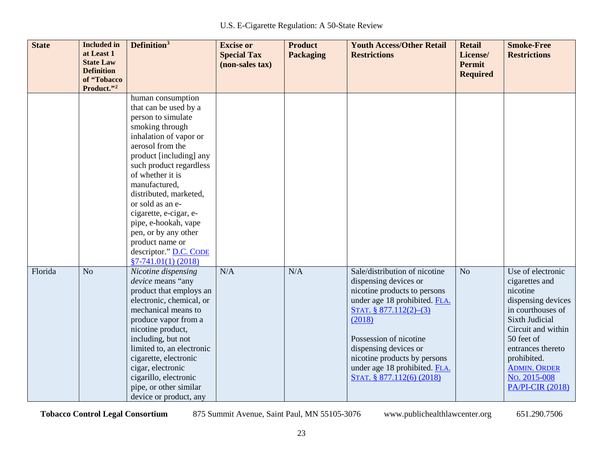| <b>State</b> | <b>Included</b> in<br>at Least 1<br><b>State Law</b><br><b>Definition</b><br>of "Tobacco | Definition <sup>3</sup>                                                                                                                                                                                                                                                                                                                                                                                                    | <b>Excise or</b><br><b>Special Tax</b><br>(non-sales tax) | <b>Product</b><br><b>Packaging</b> | <b>Youth Access/Other Retail</b><br><b>Restrictions</b>                                                                                                                                                                                                                                                      | <b>Retail</b><br>License/<br><b>Permit</b><br><b>Required</b> | <b>Smoke-Free</b><br><b>Restrictions</b>                                                                                                                                                                                                               |
|--------------|------------------------------------------------------------------------------------------|----------------------------------------------------------------------------------------------------------------------------------------------------------------------------------------------------------------------------------------------------------------------------------------------------------------------------------------------------------------------------------------------------------------------------|-----------------------------------------------------------|------------------------------------|--------------------------------------------------------------------------------------------------------------------------------------------------------------------------------------------------------------------------------------------------------------------------------------------------------------|---------------------------------------------------------------|--------------------------------------------------------------------------------------------------------------------------------------------------------------------------------------------------------------------------------------------------------|
|              | Product."2                                                                               |                                                                                                                                                                                                                                                                                                                                                                                                                            |                                                           |                                    |                                                                                                                                                                                                                                                                                                              |                                                               |                                                                                                                                                                                                                                                        |
|              |                                                                                          | human consumption<br>that can be used by a<br>person to simulate<br>smoking through<br>inhalation of vapor or<br>aerosol from the<br>product [including] any<br>such product regardless<br>of whether it is<br>manufactured,<br>distributed, marketed,<br>or sold as an e-<br>cigarette, e-cigar, e-<br>pipe, e-hookah, vape<br>pen, or by any other<br>product name or<br>descriptor." D.C. CODE<br>$§7-741.01(1) (2018)$ |                                                           |                                    |                                                                                                                                                                                                                                                                                                              |                                                               |                                                                                                                                                                                                                                                        |
| Florida      | N <sub>o</sub>                                                                           | Nicotine dispensing<br>device means "any<br>product that employs an<br>electronic, chemical, or<br>mechanical means to<br>produce vapor from a<br>nicotine product,<br>including, but not<br>limited to, an electronic<br>cigarette, electronic<br>cigar, electronic<br>cigarillo, electronic<br>pipe, or other similar<br>device or product, any                                                                          | N/A                                                       | N/A                                | Sale/distribution of nicotine<br>dispensing devices or<br>nicotine products to persons<br>under age 18 prohibited. FLA.<br>STAT. § 877.112(2)-(3)<br>(2018)<br>Possession of nicotine<br>dispensing devices or<br>nicotine products by persons<br>under age 18 prohibited. FLA.<br>STAT. § 877.112(6) (2018) | No                                                            | Use of electronic<br>cigarettes and<br>nicotine<br>dispensing devices<br>in courthouses of<br>Sixth Judicial<br>Circuit and within<br>50 feet of<br>entrances thereto<br>prohibited.<br><b>ADMIN. ORDER</b><br>No. 2015-008<br><b>PA/PI-CIR (2018)</b> |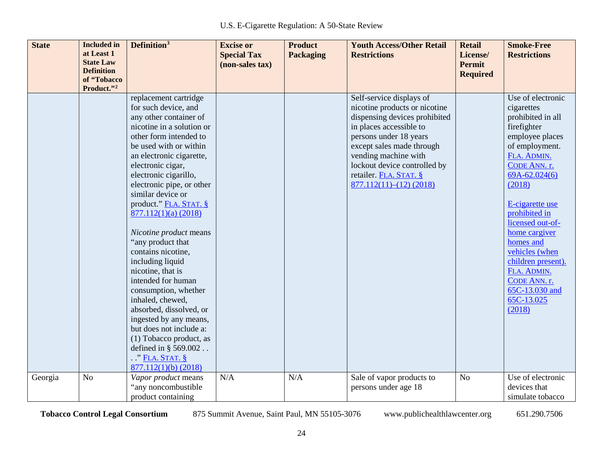| <b>State</b> | <b>Included</b> in             | Definition <sup>3</sup>   | <b>Excise or</b>   | <b>Product</b>   | <b>Youth Access/Other Retail</b> | <b>Retail</b>   | <b>Smoke-Free</b>   |
|--------------|--------------------------------|---------------------------|--------------------|------------------|----------------------------------|-----------------|---------------------|
|              | at Least 1<br><b>State Law</b> |                           | <b>Special Tax</b> | <b>Packaging</b> | <b>Restrictions</b>              | License/        | <b>Restrictions</b> |
|              | <b>Definition</b>              |                           | (non-sales tax)    |                  |                                  | <b>Permit</b>   |                     |
|              | of "Tobacco                    |                           |                    |                  |                                  | <b>Required</b> |                     |
|              | Product."2                     |                           |                    |                  |                                  |                 |                     |
|              |                                | replacement cartridge     |                    |                  | Self-service displays of         |                 | Use of electronic   |
|              |                                | for such device, and      |                    |                  | nicotine products or nicotine    |                 | cigarettes          |
|              |                                | any other container of    |                    |                  | dispensing devices prohibited    |                 | prohibited in all   |
|              |                                | nicotine in a solution or |                    |                  | in places accessible to          |                 | firefighter         |
|              |                                | other form intended to    |                    |                  | persons under 18 years           |                 | employee places     |
|              |                                | be used with or within    |                    |                  | except sales made through        |                 | of employment.      |
|              |                                | an electronic cigarette,  |                    |                  | vending machine with             |                 | FLA. ADMIN.         |
|              |                                | electronic cigar,         |                    |                  | lockout device controlled by     |                 | CODE ANN. r.        |
|              |                                | electronic cigarillo,     |                    |                  | retailer. FLA. STAT. §           |                 | $69A-62.024(6)$     |
|              |                                | electronic pipe, or other |                    |                  | $877.112(11)–(12)$ (2018)        |                 | (2018)              |
|              |                                | similar device or         |                    |                  |                                  |                 |                     |
|              |                                | product." FLA. STAT. §    |                    |                  |                                  |                 | E-cigarette use     |
|              |                                | 877.112(1)(a) (2018)      |                    |                  |                                  |                 | prohibited in       |
|              |                                |                           |                    |                  |                                  |                 | licensed out-of-    |
|              |                                | Nicotine product means    |                    |                  |                                  |                 | home cargiver       |
|              |                                | "any product that         |                    |                  |                                  |                 | homes and           |
|              |                                | contains nicotine,        |                    |                  |                                  |                 | vehicles (when      |
|              |                                | including liquid          |                    |                  |                                  |                 | children present).  |
|              |                                | nicotine, that is         |                    |                  |                                  |                 | FLA. ADMIN.         |
|              |                                | intended for human        |                    |                  |                                  |                 | CODE ANN. r.        |
|              |                                | consumption, whether      |                    |                  |                                  |                 | 65C-13.030 and      |
|              |                                | inhaled, chewed,          |                    |                  |                                  |                 | 65C-13.025          |
|              |                                | absorbed, dissolved, or   |                    |                  |                                  |                 | (2018)              |
|              |                                | ingested by any means,    |                    |                  |                                  |                 |                     |
|              |                                | but does not include a:   |                    |                  |                                  |                 |                     |
|              |                                | (1) Tobacco product, as   |                    |                  |                                  |                 |                     |
|              |                                | defined in § 569.002      |                    |                  |                                  |                 |                     |
|              |                                | $\cdot$ " FLA. STAT. §    |                    |                  |                                  |                 |                     |
|              |                                | $877.112(1)(b)$ (2018)    |                    |                  |                                  |                 |                     |
| Georgia      | N <sub>o</sub>                 | Vapor product means       | N/A                | N/A              | Sale of vapor products to        | N <sub>o</sub>  | Use of electronic   |
|              |                                | "any noncombustible       |                    |                  | persons under age 18             |                 | devices that        |
|              |                                | product containing        |                    |                  |                                  |                 | simulate tobacco    |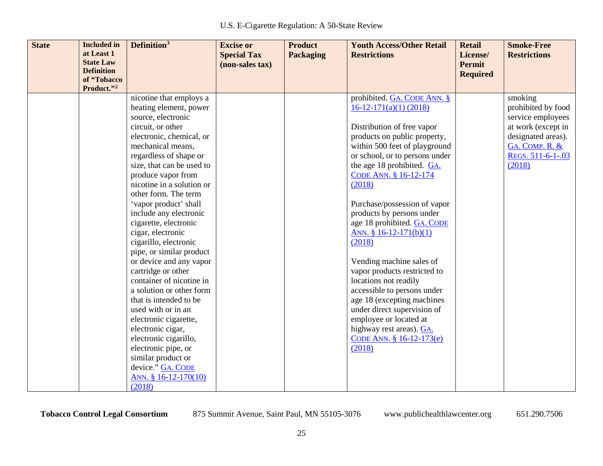| <b>State</b> | <b>Included</b> in<br>at Least 1<br><b>State Law</b> | Definition <sup>3</sup>                         | <b>Excise or</b><br><b>Special Tax</b><br>(non-sales tax) | <b>Product</b><br><b>Packaging</b> | <b>Youth Access/Other Retail</b><br><b>Restrictions</b>  | <b>Retail</b><br>License/<br>Permit | <b>Smoke-Free</b><br><b>Restrictions</b> |
|--------------|------------------------------------------------------|-------------------------------------------------|-----------------------------------------------------------|------------------------------------|----------------------------------------------------------|-------------------------------------|------------------------------------------|
|              | <b>Definition</b>                                    |                                                 |                                                           |                                    |                                                          | <b>Required</b>                     |                                          |
|              | of "Tobacco<br>Product."2                            |                                                 |                                                           |                                    |                                                          |                                     |                                          |
|              |                                                      | nicotine that employs a                         |                                                           |                                    | prohibited. GA. CODE ANN. §                              |                                     | smoking                                  |
|              |                                                      | heating element, power                          |                                                           |                                    | $16-12-171(a)(1) (2018)$                                 |                                     | prohibited by food                       |
|              |                                                      | source, electronic                              |                                                           |                                    |                                                          |                                     | service employees                        |
|              |                                                      | circuit, or other                               |                                                           |                                    | Distribution of free vapor                               |                                     | at work (except in                       |
|              |                                                      | electronic, chemical, or                        |                                                           |                                    | products on public property,                             |                                     | designated areas).                       |
|              |                                                      | mechanical means,                               |                                                           |                                    | within 500 feet of playground                            |                                     | GA. COMP. R. &                           |
|              |                                                      | regardless of shape or                          |                                                           |                                    | or school, or to persons under                           |                                     | REGS. 511-6-1-.03                        |
|              |                                                      | size, that can be used to                       |                                                           |                                    | the age 18 prohibited. GA.                               |                                     | (2018)                                   |
|              |                                                      | produce vapor from                              |                                                           |                                    | CODE ANN. § 16-12-174                                    |                                     |                                          |
|              |                                                      | nicotine in a solution or                       |                                                           |                                    | (2018)                                                   |                                     |                                          |
|              |                                                      | other form. The term                            |                                                           |                                    |                                                          |                                     |                                          |
|              |                                                      | 'vapor product' shall                           |                                                           |                                    | Purchase/possession of vapor                             |                                     |                                          |
|              |                                                      | include any electronic<br>cigarette, electronic |                                                           |                                    | products by persons under<br>age 18 prohibited. GA. CODE |                                     |                                          |
|              |                                                      | cigar, electronic                               |                                                           |                                    | ANN. $§ 16-12-171(b)(1)$                                 |                                     |                                          |
|              |                                                      | cigarillo, electronic                           |                                                           |                                    | (2018)                                                   |                                     |                                          |
|              |                                                      | pipe, or similar product                        |                                                           |                                    |                                                          |                                     |                                          |
|              |                                                      | or device and any vapor                         |                                                           |                                    | Vending machine sales of                                 |                                     |                                          |
|              |                                                      | cartridge or other                              |                                                           |                                    | vapor products restricted to                             |                                     |                                          |
|              |                                                      | container of nicotine in                        |                                                           |                                    | locations not readily                                    |                                     |                                          |
|              |                                                      | a solution or other form                        |                                                           |                                    | accessible to persons under                              |                                     |                                          |
|              |                                                      | that is intended to be                          |                                                           |                                    | age 18 (excepting machines                               |                                     |                                          |
|              |                                                      | used with or in an                              |                                                           |                                    | under direct supervision of                              |                                     |                                          |
|              |                                                      | electronic cigarette,                           |                                                           |                                    | employee or located at                                   |                                     |                                          |
|              |                                                      | electronic cigar,                               |                                                           |                                    | highway rest areas). GA.                                 |                                     |                                          |
|              |                                                      | electronic cigarillo,                           |                                                           |                                    | CODE ANN. § 16-12-173(e)                                 |                                     |                                          |
|              |                                                      | electronic pipe, or                             |                                                           |                                    | (2018)                                                   |                                     |                                          |
|              |                                                      | similar product or                              |                                                           |                                    |                                                          |                                     |                                          |
|              |                                                      | device." GA. CODE                               |                                                           |                                    |                                                          |                                     |                                          |
|              |                                                      | ANN. § 16-12-170(10)                            |                                                           |                                    |                                                          |                                     |                                          |
|              |                                                      | (2018)                                          |                                                           |                                    |                                                          |                                     |                                          |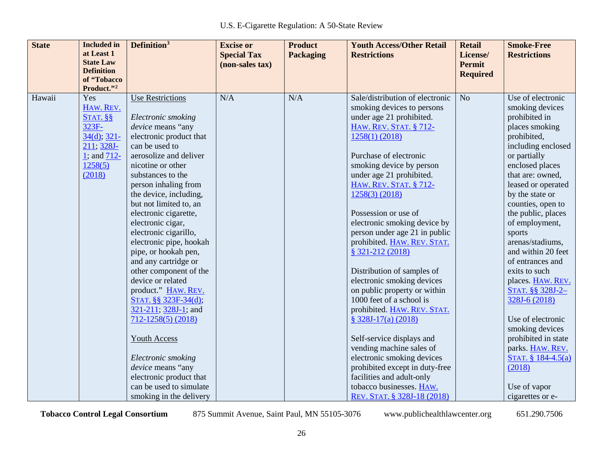| <b>State</b> | <b>Included</b> in               | Definition <sup>3</sup>                 | <b>Excise or</b>   | <b>Product</b>   | <b>Youth Access/Other Retail</b>                            | <b>Retail</b>   | <b>Smoke-Free</b>   |
|--------------|----------------------------------|-----------------------------------------|--------------------|------------------|-------------------------------------------------------------|-----------------|---------------------|
|              | at Least 1                       |                                         | <b>Special Tax</b> | <b>Packaging</b> | <b>Restrictions</b>                                         | License/        | <b>Restrictions</b> |
|              | <b>State Law</b>                 |                                         | (non-sales tax)    |                  |                                                             | <b>Permit</b>   |                     |
|              | <b>Definition</b><br>of "Tobacco |                                         |                    |                  |                                                             | <b>Required</b> |                     |
|              | Product."2                       |                                         |                    |                  |                                                             |                 |                     |
| Hawaii       | Yes                              | <b>Use Restrictions</b>                 | N/A                | N/A              | Sale/distribution of electronic                             | N <sub>o</sub>  | Use of electronic   |
|              | HAW. REV.                        |                                         |                    |                  | smoking devices to persons                                  |                 | smoking devices     |
|              | $STAT.$ §§                       | Electronic smoking                      |                    |                  | under age 21 prohibited.                                    |                 | prohibited in       |
|              | 323F-                            | device means "any                       |                    |                  | HAW. REV. STAT. § 712-                                      |                 | places smoking      |
|              | $34(d)$ ; $321-$                 | electronic product that                 |                    |                  | $1258(1)$ (2018)                                            |                 | prohibited,         |
|              | 211; 328J-                       | can be used to                          |                    |                  |                                                             |                 | including enclosed  |
|              | 1; and $712-$                    | aerosolize and deliver                  |                    |                  | Purchase of electronic                                      |                 | or partially        |
|              | 1258(5)                          | nicotine or other                       |                    |                  | smoking device by person                                    |                 | enclosed places     |
|              | (2018)                           | substances to the                       |                    |                  | under age 21 prohibited.                                    |                 | that are: owned,    |
|              |                                  | person inhaling from                    |                    |                  | <b>HAW. REV. STAT. § 712-</b>                               |                 | leased or operated  |
|              |                                  | the device, including,                  |                    |                  | $1258(3)$ (2018)                                            |                 | by the state or     |
|              |                                  | but not limited to, an                  |                    |                  |                                                             |                 | counties, open to   |
|              |                                  | electronic cigarette,                   |                    |                  | Possession or use of                                        |                 | the public, places  |
|              |                                  | electronic cigar,                       |                    |                  | electronic smoking device by                                |                 | of employment,      |
|              |                                  | electronic cigarillo,                   |                    |                  | person under age 21 in public                               |                 | sports              |
|              |                                  | electronic pipe, hookah                 |                    |                  | prohibited. HAW. REV. STAT.                                 |                 | arenas/stadiums,    |
|              |                                  | pipe, or hookah pen,                    |                    |                  | § 321-212 (2018)                                            |                 | and within 20 feet  |
|              |                                  | and any cartridge or                    |                    |                  |                                                             |                 | of entrances and    |
|              |                                  | other component of the                  |                    |                  | Distribution of samples of                                  |                 | exits to such       |
|              |                                  | device or related                       |                    |                  | electronic smoking devices                                  |                 | places. HAW. REV.   |
|              |                                  | product." HAW. REV.                     |                    |                  | on public property or within                                |                 | STAT. §§ 328J-2-    |
|              |                                  | STAT. §§ 323F-34(d);                    |                    |                  | 1000 feet of a school is                                    |                 | 328J-6 (2018)       |
|              |                                  | $321-211$ ; $328J-1$ ; and              |                    |                  | prohibited. HAW. REV. STAT.                                 |                 |                     |
|              |                                  | $712 - 1258(5) (2018)$                  |                    |                  | $$328J-17(a) (2018)$                                        |                 | Use of electronic   |
|              |                                  |                                         |                    |                  |                                                             |                 | smoking devices     |
|              |                                  | Youth Access                            |                    |                  | Self-service displays and                                   |                 | prohibited in state |
|              |                                  |                                         |                    |                  | vending machine sales of                                    |                 | parks. HAW. REV.    |
|              |                                  | Electronic smoking<br>device means "any |                    |                  | electronic smoking devices                                  |                 | STAT. § 184-4.5(a)  |
|              |                                  | electronic product that                 |                    |                  | prohibited except in duty-free<br>facilities and adult-only |                 | (2018)              |
|              |                                  | can be used to simulate                 |                    |                  | tobacco businesses. HAW.                                    |                 |                     |
|              |                                  |                                         |                    |                  |                                                             |                 | Use of vapor        |
|              |                                  | smoking in the delivery                 |                    |                  | REV. STAT. § 328J-18 (2018)                                 |                 | cigarettes or e-    |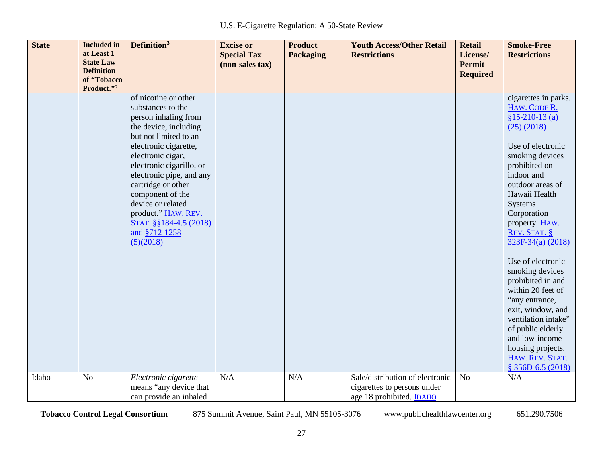| <b>State</b> | <b>Included</b> in             | Definition <sup>3</sup>                        | <b>Excise or</b>   | <b>Product</b>   | <b>Youth Access/Other Retail</b> | <b>Retail</b>             | <b>Smoke-Free</b>                        |
|--------------|--------------------------------|------------------------------------------------|--------------------|------------------|----------------------------------|---------------------------|------------------------------------------|
|              | at Least 1<br><b>State Law</b> |                                                | <b>Special Tax</b> | <b>Packaging</b> | <b>Restrictions</b>              | License/                  | <b>Restrictions</b>                      |
|              | <b>Definition</b>              |                                                | (non-sales tax)    |                  |                                  | Permit<br><b>Required</b> |                                          |
|              | of "Tobacco                    |                                                |                    |                  |                                  |                           |                                          |
|              | Product."2                     |                                                |                    |                  |                                  |                           |                                          |
|              |                                | of nicotine or other                           |                    |                  |                                  |                           | cigarettes in parks.                     |
|              |                                | substances to the                              |                    |                  |                                  |                           | HAW. CODE R.                             |
|              |                                | person inhaling from                           |                    |                  |                                  |                           | $$15-210-13(a)$                          |
|              |                                | the device, including<br>but not limited to an |                    |                  |                                  |                           | $(25)$ $(2018)$                          |
|              |                                | electronic cigarette,                          |                    |                  |                                  |                           | Use of electronic                        |
|              |                                | electronic cigar,                              |                    |                  |                                  |                           | smoking devices                          |
|              |                                | electronic cigarillo, or                       |                    |                  |                                  |                           | prohibited on                            |
|              |                                | electronic pipe, and any                       |                    |                  |                                  |                           | indoor and                               |
|              |                                | cartridge or other                             |                    |                  |                                  |                           | outdoor areas of                         |
|              |                                | component of the                               |                    |                  |                                  |                           | Hawaii Health                            |
|              |                                | device or related                              |                    |                  |                                  |                           | Systems                                  |
|              |                                | product." HAW. REV.                            |                    |                  |                                  |                           | Corporation                              |
|              |                                | STAT. §§184-4.5 (2018)                         |                    |                  |                                  |                           | property. HAW.                           |
|              |                                | and §712-1258                                  |                    |                  |                                  |                           | REV. STAT. §                             |
|              |                                | (5)(2018)                                      |                    |                  |                                  |                           | 323F-34(a) (2018)                        |
|              |                                |                                                |                    |                  |                                  |                           | Use of electronic                        |
|              |                                |                                                |                    |                  |                                  |                           | smoking devices                          |
|              |                                |                                                |                    |                  |                                  |                           | prohibited in and                        |
|              |                                |                                                |                    |                  |                                  |                           | within 20 feet of                        |
|              |                                |                                                |                    |                  |                                  |                           | "any entrance,                           |
|              |                                |                                                |                    |                  |                                  |                           | exit, window, and<br>ventilation intake" |
|              |                                |                                                |                    |                  |                                  |                           | of public elderly                        |
|              |                                |                                                |                    |                  |                                  |                           | and low-income                           |
|              |                                |                                                |                    |                  |                                  |                           | housing projects.                        |
|              |                                |                                                |                    |                  |                                  |                           | HAW. REV. STAT.                          |
|              |                                |                                                |                    |                  |                                  |                           | $$356D-6.5(2018)$                        |
| Idaho        | N <sub>o</sub>                 | Electronic cigarette                           | N/A                | N/A              | Sale/distribution of electronic  | N <sub>o</sub>            | N/A                                      |
|              |                                | means "any device that                         |                    |                  | cigarettes to persons under      |                           |                                          |
|              |                                | can provide an inhaled                         |                    |                  | age 18 prohibited. IDAHO         |                           |                                          |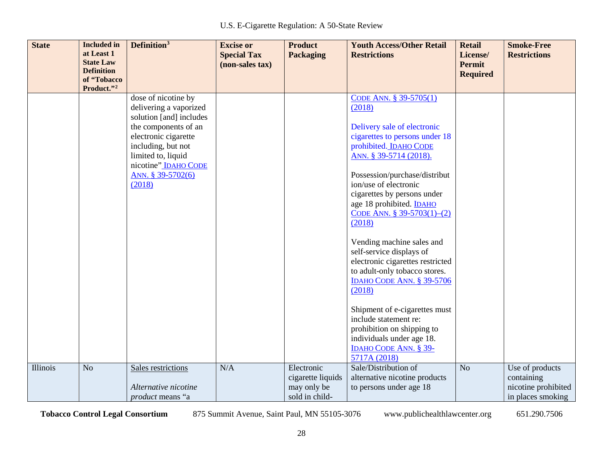| <b>State</b> | <b>Included</b> in<br>at Least 1<br><b>State Law</b> | Definition <sup>3</sup>                                                                                                                                                                                                     | <b>Excise or</b><br><b>Special Tax</b><br>(non-sales tax) | <b>Product</b><br><b>Packaging</b>                               | <b>Youth Access/Other Retail</b><br><b>Restrictions</b>                                                                                                                                                                                                                                                                   | <b>Retail</b><br>License/<br><b>Permit</b> | <b>Smoke-Free</b><br><b>Restrictions</b>                                  |
|--------------|------------------------------------------------------|-----------------------------------------------------------------------------------------------------------------------------------------------------------------------------------------------------------------------------|-----------------------------------------------------------|------------------------------------------------------------------|---------------------------------------------------------------------------------------------------------------------------------------------------------------------------------------------------------------------------------------------------------------------------------------------------------------------------|--------------------------------------------|---------------------------------------------------------------------------|
|              | <b>Definition</b><br>of "Tobacco<br>Product."2       |                                                                                                                                                                                                                             |                                                           |                                                                  |                                                                                                                                                                                                                                                                                                                           | <b>Required</b>                            |                                                                           |
|              |                                                      | dose of nicotine by<br>delivering a vaporized<br>solution [and] includes<br>the components of an<br>electronic cigarette<br>including, but not<br>limited to, liquid<br>nicotine" IDAHO CODE<br>ANN. § 39-5702(6)<br>(2018) |                                                           |                                                                  | CODE ANN. § 39-5705(1)<br>(2018)<br>Delivery sale of electronic<br>cigarettes to persons under 18<br>prohibited. IDAHO CODE<br>ANN. § 39-5714 (2018).<br>Possession/purchase/distribut<br>ion/use of electronic<br>cigarettes by persons under<br>age 18 prohibited. <b>IDAHO</b><br>CODE ANN. § 39-5703(1)-(2)<br>(2018) |                                            |                                                                           |
|              |                                                      |                                                                                                                                                                                                                             |                                                           |                                                                  | Vending machine sales and<br>self-service displays of<br>electronic cigarettes restricted<br>to adult-only tobacco stores.<br>IDAHO CODE ANN. § 39-5706<br>(2018)<br>Shipment of e-cigarettes must<br>include statement re:<br>prohibition on shipping to                                                                 |                                            |                                                                           |
|              |                                                      |                                                                                                                                                                                                                             |                                                           |                                                                  | individuals under age 18.<br>IDAHO CODE ANN. § 39-<br>5717A (2018)                                                                                                                                                                                                                                                        |                                            |                                                                           |
| Illinois     | N <sub>o</sub>                                       | Sales restrictions<br>Alternative nicotine<br><i>product</i> means "a                                                                                                                                                       | N/A                                                       | Electronic<br>cigarette liquids<br>may only be<br>sold in child- | Sale/Distribution of<br>alternative nicotine products<br>to persons under age 18                                                                                                                                                                                                                                          | N <sub>o</sub>                             | Use of products<br>containing<br>nicotine prohibited<br>in places smoking |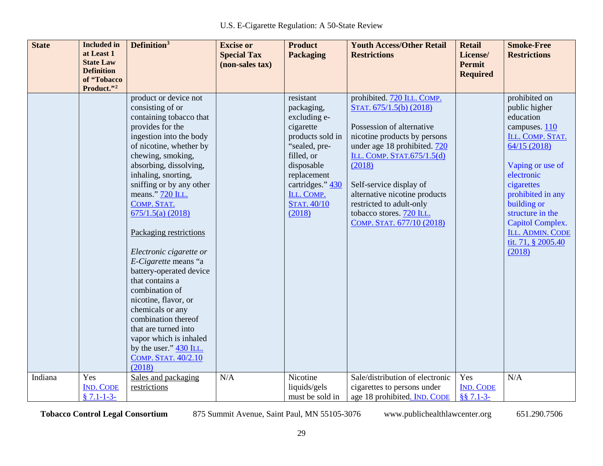| <b>State</b> | <b>Included</b> in<br>at Least 1<br><b>State Law</b><br><b>Definition</b><br>of "Tobacco<br>Product."2 | Definition <sup>3</sup>                                                                                                                                                                                                                                                                                                                                                                                                                                                                                                                                                                                                               | <b>Excise or</b><br><b>Special Tax</b><br>(non-sales tax) | <b>Product</b><br><b>Packaging</b>                                                                                                                                                                     | <b>Youth Access/Other Retail</b><br><b>Restrictions</b>                                                                                                                                                                                                                                                                                     | <b>Retail</b><br>License/<br><b>Permit</b><br><b>Required</b> | <b>Smoke-Free</b><br><b>Restrictions</b>                                                                                                                                                                                                                                        |
|--------------|--------------------------------------------------------------------------------------------------------|---------------------------------------------------------------------------------------------------------------------------------------------------------------------------------------------------------------------------------------------------------------------------------------------------------------------------------------------------------------------------------------------------------------------------------------------------------------------------------------------------------------------------------------------------------------------------------------------------------------------------------------|-----------------------------------------------------------|--------------------------------------------------------------------------------------------------------------------------------------------------------------------------------------------------------|---------------------------------------------------------------------------------------------------------------------------------------------------------------------------------------------------------------------------------------------------------------------------------------------------------------------------------------------|---------------------------------------------------------------|---------------------------------------------------------------------------------------------------------------------------------------------------------------------------------------------------------------------------------------------------------------------------------|
|              |                                                                                                        | product or device not<br>consisting of or<br>containing tobacco that<br>provides for the<br>ingestion into the body<br>of nicotine, whether by<br>chewing, smoking,<br>absorbing, dissolving,<br>inhaling, snorting,<br>sniffing or by any other<br>means." 720 ILL.<br>COMP. STAT.<br>675/1.5(a) (2018)<br>Packaging restrictions<br>Electronic cigarette or<br>E-Cigarette means "a<br>battery-operated device<br>that contains a<br>combination of<br>nicotine, flavor, or<br>chemicals or any<br>combination thereof<br>that are turned into<br>vapor which is inhaled<br>by the user." 430 ILL.<br>COMP. STAT. 40/2.10<br>(2018) |                                                           | resistant<br>packaging,<br>excluding e-<br>cigarette<br>products sold in<br>"sealed, pre-<br>filled, or<br>disposable<br>replacement<br>cartridges." 430<br>ILL. COMP.<br><b>STAT. 40/10</b><br>(2018) | prohibited. 720 ILL. COMP.<br>STAT. 675/1.5(b) (2018)<br>Possession of alternative<br>nicotine products by persons<br>under age 18 prohibited. 720<br>ILL. COMP. STAT.675/1.5(d)<br>(2018)<br>Self-service display of<br>alternative nicotine products<br>restricted to adult-only<br>tobacco stores. 720 ILL.<br>COMP. STAT. 677/10 (2018) |                                                               | prohibited on<br>public higher<br>education<br>campuses. 110<br>ILL. COMP. STAT.<br>64/15(2018)<br>Vaping or use of<br>electronic<br>cigarettes<br>prohibited in any<br>building or<br>structure in the<br>Capitol Complex.<br>ILL. ADMIN. CODE<br>tit. 71, § 2005.40<br>(2018) |
| Indiana      | Yes<br><b>IND. CODE</b><br>$$7.1-1-3-$                                                                 | Sales and packaging<br>restrictions                                                                                                                                                                                                                                                                                                                                                                                                                                                                                                                                                                                                   | N/A                                                       | Nicotine<br>liquids/gels<br>must be sold in                                                                                                                                                            | Sale/distribution of electronic<br>cigarettes to persons under<br>age 18 prohibited. IND. CODE                                                                                                                                                                                                                                              | Yes<br><b>IND. CODE</b><br>$§$ § 7.1-3-                       | N/A                                                                                                                                                                                                                                                                             |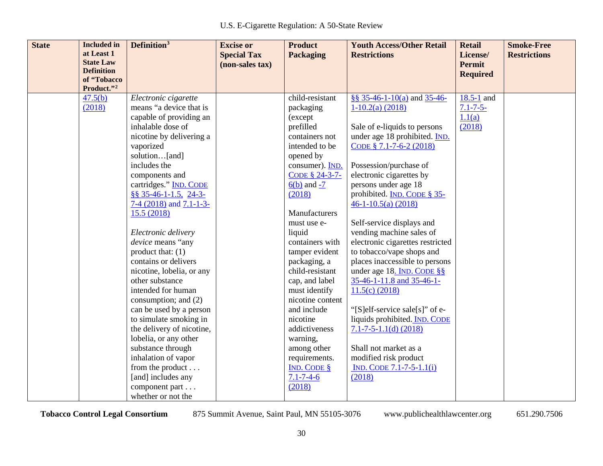| <b>State</b> | <b>Included</b> in<br>at Least 1 | Definition <sup>3</sup>                         | <b>Excise or</b>                      | <b>Product</b>       | <b>Youth Access/Other Retail</b>                      | <b>Retail</b>                     | <b>Smoke-Free</b>   |
|--------------|----------------------------------|-------------------------------------------------|---------------------------------------|----------------------|-------------------------------------------------------|-----------------------------------|---------------------|
|              | <b>State Law</b>                 |                                                 | <b>Special Tax</b><br>(non-sales tax) | <b>Packaging</b>     | <b>Restrictions</b>                                   | License/<br><b>Permit</b>         | <b>Restrictions</b> |
|              | <b>Definition</b>                |                                                 |                                       |                      |                                                       | <b>Required</b>                   |                     |
|              | of "Tobacco                      |                                                 |                                       |                      |                                                       |                                   |                     |
|              | Product."2                       |                                                 |                                       | child-resistant      |                                                       |                                   |                     |
|              | 47.5(b)<br>(2018)                | Electronic cigarette<br>means "a device that is |                                       |                      | §§ $35-46-1-10(a)$ and $35-46-$<br>$1-10.2(a)$ (2018) | $18.5 - 1$ and<br>$7.1 - 7 - 5 -$ |                     |
|              |                                  | capable of providing an                         |                                       | packaging<br>(except |                                                       | 1.1(a)                            |                     |
|              |                                  | inhalable dose of                               |                                       | prefilled            | Sale of e-liquids to persons                          | (2018)                            |                     |
|              |                                  | nicotine by delivering a                        |                                       | containers not       | under age 18 prohibited. IND.                         |                                   |                     |
|              |                                  | vaporized                                       |                                       | intended to be       | CODE § 7.1-7-6-2 (2018)                               |                                   |                     |
|              |                                  | solution[and]                                   |                                       | opened by            |                                                       |                                   |                     |
|              |                                  | includes the                                    |                                       | consumer). IND.      | Possession/purchase of                                |                                   |                     |
|              |                                  | components and                                  |                                       | CODE § 24-3-7-       | electronic cigarettes by                              |                                   |                     |
|              |                                  | cartridges." IND. CODE                          |                                       | $6(b)$ and $-7$      | persons under age 18                                  |                                   |                     |
|              |                                  | $8835-46-1-1.5$ , 24-3-                         |                                       | (2018)               | prohibited. <b>IND. CODE § 35-</b>                    |                                   |                     |
|              |                                  | 7-4 $(2018)$ and 7.1-1-3-                       |                                       |                      | $46-1-10.5(a)$ (2018)                                 |                                   |                     |
|              |                                  | 15.5 (2018)                                     |                                       | Manufacturers        |                                                       |                                   |                     |
|              |                                  |                                                 |                                       | must use e-          | Self-service displays and                             |                                   |                     |
|              |                                  | Electronic delivery                             |                                       | liquid               | vending machine sales of                              |                                   |                     |
|              |                                  | device means "any                               |                                       | containers with      | electronic cigarettes restricted                      |                                   |                     |
|              |                                  | product that: $(1)$                             |                                       | tamper evident       | to tobacco/vape shops and                             |                                   |                     |
|              |                                  | contains or delivers                            |                                       | packaging, a         | places inaccessible to persons                        |                                   |                     |
|              |                                  | nicotine, lobelia, or any                       |                                       | child-resistant      | under age 18. IND. CODE §§                            |                                   |                     |
|              |                                  | other substance                                 |                                       | cap, and label       | $35-46-1-11.8$ and $35-46-1-$                         |                                   |                     |
|              |                                  | intended for human                              |                                       | must identify        | $11.5(c)$ (2018)                                      |                                   |                     |
|              |                                  | consumption; and (2)                            |                                       | nicotine content     |                                                       |                                   |                     |
|              |                                  | can be used by a person                         |                                       | and include          | "[S]elf-service sale[s]" of e-                        |                                   |                     |
|              |                                  | to simulate smoking in                          |                                       | nicotine             | liquids prohibited. IND. CODE                         |                                   |                     |
|              |                                  | the delivery of nicotine,                       |                                       | addictiveness        | $7.1 - 7 - 5 - 1.1(d)$ (2018)                         |                                   |                     |
|              |                                  | lobelia, or any other                           |                                       | warning,             |                                                       |                                   |                     |
|              |                                  | substance through                               |                                       | among other          | Shall not market as a                                 |                                   |                     |
|              |                                  | inhalation of vapor                             |                                       | requirements.        | modified risk product                                 |                                   |                     |
|              |                                  | from the product                                |                                       | IND. CODE $§$        | $IND. CODE 7.1-7-5-1.1(i)$                            |                                   |                     |
|              |                                  | [and] includes any                              |                                       | $7.1 - 7 - 4 - 6$    | (2018)                                                |                                   |                     |
|              |                                  | component part                                  |                                       | (2018)               |                                                       |                                   |                     |
|              |                                  | whether or not the                              |                                       |                      |                                                       |                                   |                     |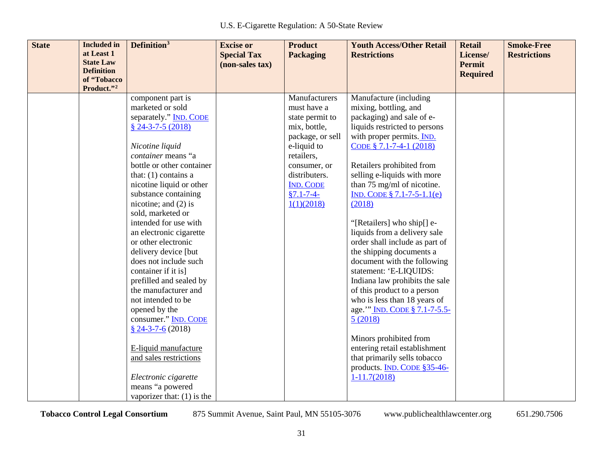| <b>State</b> | <b>Included</b> in             | Definition <sup>3</sup>       | <b>Excise or</b>   | <b>Product</b>   | <b>Youth Access/Other Retail</b> | <b>Retail</b>                    | <b>Smoke-Free</b>   |
|--------------|--------------------------------|-------------------------------|--------------------|------------------|----------------------------------|----------------------------------|---------------------|
|              | at Least 1<br><b>State Law</b> |                               | <b>Special Tax</b> | <b>Packaging</b> | <b>Restrictions</b>              | License/                         | <b>Restrictions</b> |
|              | <b>Definition</b>              |                               | (non-sales tax)    |                  |                                  | <b>Permit</b><br><b>Required</b> |                     |
|              | of "Tobacco                    |                               |                    |                  |                                  |                                  |                     |
|              | Product."2                     |                               |                    |                  |                                  |                                  |                     |
|              |                                | component part is             |                    | Manufacturers    | Manufacture (including           |                                  |                     |
|              |                                | marketed or sold              |                    | must have a      | mixing, bottling, and            |                                  |                     |
|              |                                | separately." <b>IND. CODE</b> |                    | state permit to  | packaging) and sale of e-        |                                  |                     |
|              |                                | $$24-3-7-5(2018)$             |                    | mix, bottle,     | liquids restricted to persons    |                                  |                     |
|              |                                |                               |                    | package, or sell | with proper permits. IND.        |                                  |                     |
|              |                                | Nicotine liquid               |                    | e-liquid to      | CODE § 7.1-7-4-1 (2018)          |                                  |                     |
|              |                                | container means "a            |                    | retailers,       |                                  |                                  |                     |
|              |                                | bottle or other container     |                    | consumer, or     | Retailers prohibited from        |                                  |                     |
|              |                                | that: $(1)$ contains a        |                    | distributers.    | selling e-liquids with more      |                                  |                     |
|              |                                | nicotine liquid or other      |                    | <b>IND. CODE</b> | than 75 mg/ml of nicotine.       |                                  |                     |
|              |                                | substance containing          |                    | $§7.1 - 7 - 4 -$ | IND. CODE $\S$ 7.1-7-5-1.1(e)    |                                  |                     |
|              |                                | nicotine; and $(2)$ is        |                    | 1(1)(2018)       | (2018)                           |                                  |                     |
|              |                                | sold, marketed or             |                    |                  |                                  |                                  |                     |
|              |                                | intended for use with         |                    |                  | "[Retailers] who ship[] e-       |                                  |                     |
|              |                                | an electronic cigarette       |                    |                  | liquids from a delivery sale     |                                  |                     |
|              |                                | or other electronic           |                    |                  | order shall include as part of   |                                  |                     |
|              |                                | delivery device [but          |                    |                  | the shipping documents a         |                                  |                     |
|              |                                | does not include such         |                    |                  | document with the following      |                                  |                     |
|              |                                | container if it is]           |                    |                  | statement: 'E-LIQUIDS:           |                                  |                     |
|              |                                | prefilled and sealed by       |                    |                  | Indiana law prohibits the sale   |                                  |                     |
|              |                                | the manufacturer and          |                    |                  | of this product to a person      |                                  |                     |
|              |                                | not intended to be            |                    |                  | who is less than 18 years of     |                                  |                     |
|              |                                | opened by the                 |                    |                  | age."" IND. CODE § 7.1-7-5.5-    |                                  |                     |
|              |                                | consumer." IND. CODE          |                    |                  | 5(2018)                          |                                  |                     |
|              |                                | $§$ 24-3-7-6 (2018)           |                    |                  |                                  |                                  |                     |
|              |                                |                               |                    |                  | Minors prohibited from           |                                  |                     |
|              |                                | E-liquid manufacture          |                    |                  | entering retail establishment    |                                  |                     |
|              |                                | and sales restrictions        |                    |                  | that primarily sells tobacco     |                                  |                     |
|              |                                |                               |                    |                  | products. IND. CODE §35-46-      |                                  |                     |
|              |                                | Electronic cigarette          |                    |                  | $1-11.7(2018)$                   |                                  |                     |
|              |                                | means "a powered              |                    |                  |                                  |                                  |                     |
|              |                                | vaporizer that: $(1)$ is the  |                    |                  |                                  |                                  |                     |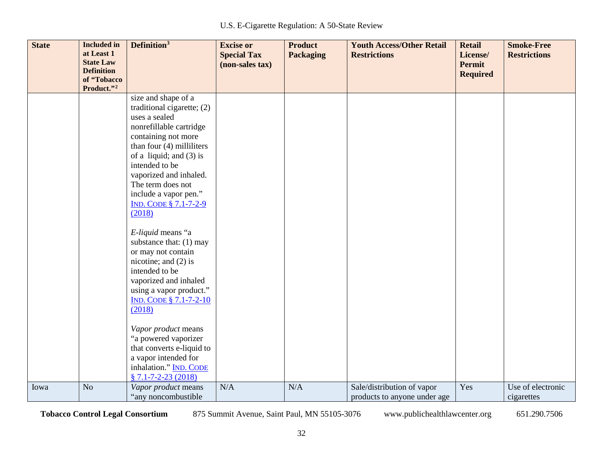| <b>State</b> | <b>Included in</b><br>at Least 1<br><b>State Law</b><br><b>Definition</b><br>of "Tobacco<br>Product."2 | Definition <sup>3</sup>                                                                                                                                                                                                                                                                                              | <b>Excise or</b><br><b>Special Tax</b><br>(non-sales tax) | <b>Product</b><br><b>Packaging</b> | <b>Youth Access/Other Retail</b><br><b>Restrictions</b>    | <b>Retail</b><br>License/<br><b>Permit</b><br><b>Required</b> | <b>Smoke-Free</b><br><b>Restrictions</b> |
|--------------|--------------------------------------------------------------------------------------------------------|----------------------------------------------------------------------------------------------------------------------------------------------------------------------------------------------------------------------------------------------------------------------------------------------------------------------|-----------------------------------------------------------|------------------------------------|------------------------------------------------------------|---------------------------------------------------------------|------------------------------------------|
|              |                                                                                                        | size and shape of a<br>traditional cigarette; (2)<br>uses a sealed<br>nonrefillable cartridge<br>containing not more<br>than four $(4)$ milliliters<br>of a liquid; and $(3)$ is<br>intended to be<br>vaporized and inhaled.<br>The term does not<br>include a vapor pen."<br><b>IND. CODE § 7.1-7-2-9</b><br>(2018) |                                                           |                                    |                                                            |                                                               |                                          |
|              |                                                                                                        | E-liquid means "a<br>substance that: (1) may<br>or may not contain<br>nicotine; and $(2)$ is<br>intended to be<br>vaporized and inhaled<br>using a vapor product."<br><b>IND. CODE § 7.1-7-2-10</b><br>(2018)                                                                                                        |                                                           |                                    |                                                            |                                                               |                                          |
|              |                                                                                                        | Vapor product means<br>"a powered vaporizer<br>that converts e-liquid to<br>a vapor intended for<br>inhalation." IND. CODE<br>$§ 7.1 - 7 - 2 - 23(2018)$                                                                                                                                                             |                                                           |                                    |                                                            |                                                               |                                          |
| Iowa         | N <sub>o</sub>                                                                                         | Vapor product means<br>"any noncombustible"                                                                                                                                                                                                                                                                          | N/A                                                       | N/A                                | Sale/distribution of vapor<br>products to anyone under age | Yes                                                           | Use of electronic<br>cigarettes          |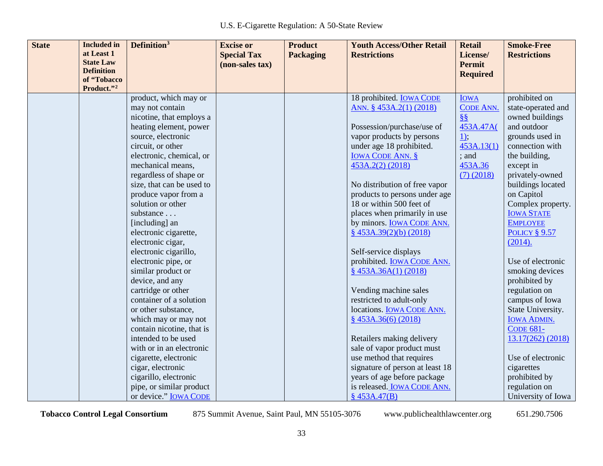| <b>State</b><br>Definition <sup>3</sup><br><b>Included</b> in<br><b>Product</b><br><b>Excise or</b> | <b>Youth Access/Other Retail</b><br><b>Retail</b>       | <b>Smoke-Free</b>                      |
|-----------------------------------------------------------------------------------------------------|---------------------------------------------------------|----------------------------------------|
| at Least 1<br><b>Special Tax</b><br><b>Packaging</b><br><b>Restrictions</b><br><b>State Law</b>     | License/<br><b>Permit</b>                               | <b>Restrictions</b>                    |
| (non-sales tax)<br><b>Definition</b>                                                                | <b>Required</b>                                         |                                        |
| of "Tobacco                                                                                         |                                                         |                                        |
| Product."2                                                                                          |                                                         |                                        |
| product, which may or                                                                               | 18 prohibited. <b>IOWA CODE</b><br><b>IOWA</b>          | prohibited on                          |
| may not contain                                                                                     | ANN. § 453A.2(1) (2018)<br><b>CODE ANN.</b>             | state-operated and                     |
| nicotine, that employs a                                                                            | 88                                                      | owned buildings                        |
| heating element, power                                                                              | Possession/purchase/use of<br>453A.47A(                 | and outdoor                            |
| source, electronic                                                                                  | vapor products by persons<br>$\underline{1},$           | grounds used in                        |
| circuit, or other                                                                                   | under age 18 prohibited.<br>453A.13(1)                  | connection with                        |
| electronic, chemical, or                                                                            | <b>IOWA CODE ANN. §</b><br>; and                        | the building,                          |
| mechanical means,<br>453A.2(2) (2018)                                                               | 453A.36                                                 | except in                              |
| regardless of shape or                                                                              | $(7)$ (2018)                                            | privately-owned                        |
| size, that can be used to                                                                           | No distribution of free vapor                           | buildings located                      |
| produce vapor from a                                                                                | products to persons under age                           | on Capitol                             |
| solution or other                                                                                   | 18 or within 500 feet of                                | Complex property.                      |
| substance                                                                                           | places when primarily in use                            | <b>IOWA STATE</b>                      |
| [including] an                                                                                      | by minors. <b>IOWA CODE ANN.</b>                        | <b>EMPLOYEE</b>                        |
| electronic cigarette,                                                                               | $\frac{8}{9}$ 453A.39(2)(b) (2018)                      | <b>POLICY § 9.57</b>                   |
| electronic cigar,                                                                                   |                                                         | (2014).                                |
| electronic cigarillo,                                                                               | Self-service displays                                   |                                        |
| electronic pipe, or                                                                                 | prohibited. <b>IOWA CODE ANN.</b>                       | Use of electronic                      |
| similar product or                                                                                  | \$453A.36A(1) (2018)                                    | smoking devices                        |
| device, and any                                                                                     |                                                         | prohibited by                          |
| cartridge or other                                                                                  | Vending machine sales                                   | regulation on                          |
| container of a solution                                                                             | restricted to adult-only                                | campus of Iowa                         |
| or other substance,                                                                                 | locations. IOWA CODE ANN.                               | State University.                      |
| which may or may not                                                                                | \$453A.36(6) (2018)                                     | <b>IOWA ADMIN.</b><br><b>CODE 681-</b> |
| contain nicotine, that is<br>intended to be used                                                    |                                                         |                                        |
| with or in an electronic                                                                            | Retailers making delivery<br>sale of vapor product must | 13.17(262) (2018)                      |
| cigarette, electronic                                                                               | use method that requires                                | Use of electronic                      |
| cigar, electronic                                                                                   | signature of person at least 18                         | cigarettes                             |
| cigarillo, electronic                                                                               | years of age before package                             | prohibited by                          |
| pipe, or similar product                                                                            | is released. IOWA CODE ANN.                             | regulation on                          |
| or device." IOWA CODE<br>\$453A.47(B)                                                               |                                                         | University of Iowa                     |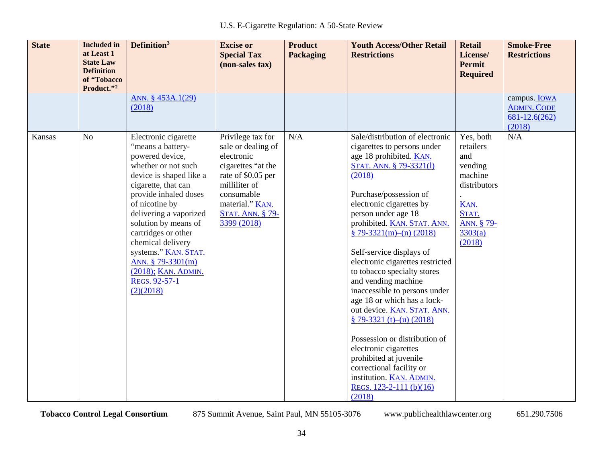| <b>State</b> | <b>Included</b> in<br>at Least 1<br><b>State Law</b><br><b>Definition</b><br>of "Tobacco<br>Product."2 | Definition <sup>3</sup>                                                                                                                                                                                                                                                                                                                                                          | <b>Excise or</b><br><b>Special Tax</b><br>(non-sales tax)                                                                                                                                     | <b>Product</b><br><b>Packaging</b> | <b>Youth Access/Other Retail</b><br><b>Restrictions</b>                                                                                                                                                                                                                                                                                                                                                                                                                                                                                                                                                                                                                                                    | <b>Retail</b><br>License/<br><b>Permit</b><br><b>Required</b>                                                           | <b>Smoke-Free</b><br><b>Restrictions</b>                                 |
|--------------|--------------------------------------------------------------------------------------------------------|----------------------------------------------------------------------------------------------------------------------------------------------------------------------------------------------------------------------------------------------------------------------------------------------------------------------------------------------------------------------------------|-----------------------------------------------------------------------------------------------------------------------------------------------------------------------------------------------|------------------------------------|------------------------------------------------------------------------------------------------------------------------------------------------------------------------------------------------------------------------------------------------------------------------------------------------------------------------------------------------------------------------------------------------------------------------------------------------------------------------------------------------------------------------------------------------------------------------------------------------------------------------------------------------------------------------------------------------------------|-------------------------------------------------------------------------------------------------------------------------|--------------------------------------------------------------------------|
|              |                                                                                                        | ANN. § 453A.1(29)<br>(2018)                                                                                                                                                                                                                                                                                                                                                      |                                                                                                                                                                                               |                                    |                                                                                                                                                                                                                                                                                                                                                                                                                                                                                                                                                                                                                                                                                                            |                                                                                                                         | campus. <b>IOWA</b><br><b>ADMIN. CODE</b><br>$681 - 12.6(262)$<br>(2018) |
| Kansas       | N <sub>o</sub>                                                                                         | Electronic cigarette<br>"means a battery-<br>powered device,<br>whether or not such<br>device is shaped like a<br>cigarette, that can<br>provide inhaled doses<br>of nicotine by<br>delivering a vaporized<br>solution by means of<br>cartridges or other<br>chemical delivery<br>systems." KAN. STAT.<br>ANN. § 79-3301(m)<br>(2018); KAN. ADMIN.<br>REGS. 92-57-1<br>(2)(2018) | Privilege tax for<br>sale or dealing of<br>electronic<br>cigarettes "at the<br>rate of \$0.05 per<br>milliliter of<br>consumable<br>material." KAN.<br><b>STAT. ANN. § 79-</b><br>3399 (2018) | N/A                                | Sale/distribution of electronic<br>cigarettes to persons under<br>age 18 prohibited. KAN.<br>STAT. ANN. § 79-3321(1)<br>(2018)<br>Purchase/possession of<br>electronic cigarettes by<br>person under age 18<br>prohibited. KAN. STAT. ANN.<br>$$79-3321(m)-(n) (2018)$<br>Self-service displays of<br>electronic cigarettes restricted<br>to tobacco specialty stores<br>and vending machine<br>inaccessible to persons under<br>age 18 or which has a lock-<br>out device. KAN. STAT. ANN.<br>$$79-3321(t)-(u) (2018)$<br>Possession or distribution of<br>electronic cigarettes<br>prohibited at juvenile<br>correctional facility or<br>institution. KAN. ADMIN.<br>REGS. $123-2-111$ (b)(16)<br>(2018) | Yes, both<br>retailers<br>and<br>vending<br>machine<br>distributors<br>KAN.<br>STAT.<br>ANN. § 79-<br>3303(a)<br>(2018) | N/A                                                                      |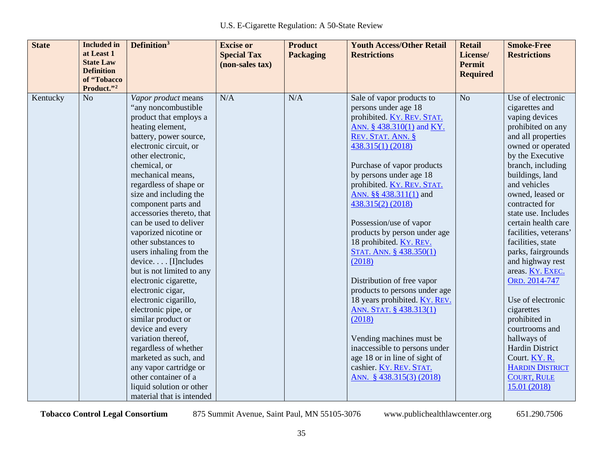| <b>State</b> | <b>Included</b> in<br>at Least 1<br><b>State Law</b><br><b>Definition</b> | Definition <sup>3</sup>                                                                                                                                                                                                                                                                                                                                                                                                                                                                                                                                                                                                                                                                                                                                                                          | <b>Excise or</b><br><b>Special Tax</b><br>(non-sales tax) | <b>Product</b><br><b>Packaging</b> | <b>Youth Access/Other Retail</b><br><b>Restrictions</b>                                                                                                                                                                                                                                                                                                                                                                                                                                                                                                                                                                                                                                                           | <b>Retail</b><br>License/<br><b>Permit</b> | <b>Smoke-Free</b><br><b>Restrictions</b>                                                                                                                                                                                                                                                                                                                                                                                                                                                                                                                                                                           |
|--------------|---------------------------------------------------------------------------|--------------------------------------------------------------------------------------------------------------------------------------------------------------------------------------------------------------------------------------------------------------------------------------------------------------------------------------------------------------------------------------------------------------------------------------------------------------------------------------------------------------------------------------------------------------------------------------------------------------------------------------------------------------------------------------------------------------------------------------------------------------------------------------------------|-----------------------------------------------------------|------------------------------------|-------------------------------------------------------------------------------------------------------------------------------------------------------------------------------------------------------------------------------------------------------------------------------------------------------------------------------------------------------------------------------------------------------------------------------------------------------------------------------------------------------------------------------------------------------------------------------------------------------------------------------------------------------------------------------------------------------------------|--------------------------------------------|--------------------------------------------------------------------------------------------------------------------------------------------------------------------------------------------------------------------------------------------------------------------------------------------------------------------------------------------------------------------------------------------------------------------------------------------------------------------------------------------------------------------------------------------------------------------------------------------------------------------|
|              | of "Tobacco<br>Product."2                                                 |                                                                                                                                                                                                                                                                                                                                                                                                                                                                                                                                                                                                                                                                                                                                                                                                  |                                                           |                                    |                                                                                                                                                                                                                                                                                                                                                                                                                                                                                                                                                                                                                                                                                                                   | <b>Required</b>                            |                                                                                                                                                                                                                                                                                                                                                                                                                                                                                                                                                                                                                    |
| Kentucky     | N <sub>o</sub>                                                            | Vapor product means<br>"any noncombustible<br>product that employs a<br>heating element,<br>battery, power source,<br>electronic circuit, or<br>other electronic,<br>chemical, or<br>mechanical means,<br>regardless of shape or<br>size and including the<br>component parts and<br>accessories thereto, that<br>can be used to deliver<br>vaporized nicotine or<br>other substances to<br>users inhaling from the<br>device [I]ncludes<br>but is not limited to any<br>electronic cigarette,<br>electronic cigar,<br>electronic cigarillo,<br>electronic pipe, or<br>similar product or<br>device and every<br>variation thereof,<br>regardless of whether<br>marketed as such, and<br>any vapor cartridge or<br>other container of a<br>liquid solution or other<br>material that is intended | N/A                                                       | N/A                                | Sale of vapor products to<br>persons under age 18<br>prohibited. KY. REV. STAT.<br>ANN. § 438.310(1) and KY.<br>REV. STAT. ANN. §<br>438.315(1) (2018)<br>Purchase of vapor products<br>by persons under age 18<br>prohibited. KY. REV. STAT.<br>ANN. §§ 438.311(1) and<br>438.315(2) (2018)<br>Possession/use of vapor<br>products by person under age<br>18 prohibited. KY. REV.<br>STAT. ANN. § 438.350(1)<br>(2018)<br>Distribution of free vapor<br>products to persons under age<br>18 years prohibited. KY. REV.<br>ANN. STAT. § 438.313(1)<br>(2018)<br>Vending machines must be<br>inaccessible to persons under<br>age 18 or in line of sight of<br>cashier. KY. REV. STAT.<br>ANN. § 438.315(3) (2018) | N <sub>o</sub>                             | Use of electronic<br>cigarettes and<br>vaping devices<br>prohibited on any<br>and all properties<br>owned or operated<br>by the Executive<br>branch, including<br>buildings, land<br>and vehicles<br>owned, leased or<br>contracted for<br>state use. Includes<br>certain health care<br>facilities, veterans'<br>facilities, state<br>parks, fairgrounds<br>and highway rest<br>areas. KY. EXEC.<br>ORD. 2014-747<br>Use of electronic<br>cigarettes<br>prohibited in<br>courtrooms and<br>hallways of<br><b>Hardin District</b><br>Court. KY. R.<br><b>HARDIN DISTRICT</b><br><b>COURT, RULE</b><br>15.01 (2018) |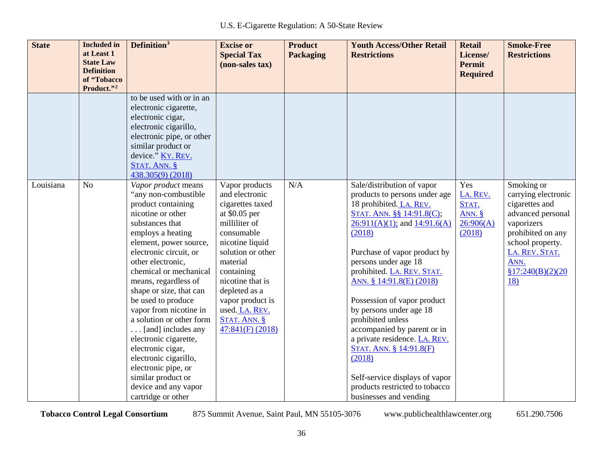| <b>State</b> | <b>Included</b> in<br>at Least 1<br><b>State Law</b><br><b>Definition</b><br>of "Tobacco | Definition <sup>3</sup>                                                                                                                                                                                                                                                                                                                                                                                                                                                                                                                                   | <b>Excise or</b><br><b>Special Tax</b><br>(non-sales tax)                                                                                                                                                                                                                                   | <b>Product</b><br><b>Packaging</b> | <b>Youth Access/Other Retail</b><br><b>Restrictions</b>                                                                                                                                                                                                                                                                                                                                                                                                                                                                                                                | <b>Retail</b><br>License/<br><b>Permit</b><br><b>Required</b> | <b>Smoke-Free</b><br><b>Restrictions</b>                                                                                                                                                      |
|--------------|------------------------------------------------------------------------------------------|-----------------------------------------------------------------------------------------------------------------------------------------------------------------------------------------------------------------------------------------------------------------------------------------------------------------------------------------------------------------------------------------------------------------------------------------------------------------------------------------------------------------------------------------------------------|---------------------------------------------------------------------------------------------------------------------------------------------------------------------------------------------------------------------------------------------------------------------------------------------|------------------------------------|------------------------------------------------------------------------------------------------------------------------------------------------------------------------------------------------------------------------------------------------------------------------------------------------------------------------------------------------------------------------------------------------------------------------------------------------------------------------------------------------------------------------------------------------------------------------|---------------------------------------------------------------|-----------------------------------------------------------------------------------------------------------------------------------------------------------------------------------------------|
|              | Product."2                                                                               | to be used with or in an<br>electronic cigarette,<br>electronic cigar,<br>electronic cigarillo,<br>electronic pipe, or other                                                                                                                                                                                                                                                                                                                                                                                                                              |                                                                                                                                                                                                                                                                                             |                                    |                                                                                                                                                                                                                                                                                                                                                                                                                                                                                                                                                                        |                                                               |                                                                                                                                                                                               |
|              |                                                                                          | similar product or<br>device." KY. REV.<br>STAT. ANN. §<br>438.305(9) (2018)                                                                                                                                                                                                                                                                                                                                                                                                                                                                              |                                                                                                                                                                                                                                                                                             |                                    |                                                                                                                                                                                                                                                                                                                                                                                                                                                                                                                                                                        |                                                               |                                                                                                                                                                                               |
| Louisiana    | N <sub>o</sub>                                                                           | Vapor product means<br>"any non-combustible"<br>product containing<br>nicotine or other<br>substances that<br>employs a heating<br>element, power source,<br>electronic circuit, or<br>other electronic,<br>chemical or mechanical<br>means, regardless of<br>shape or size, that can<br>be used to produce<br>vapor from nicotine in<br>a solution or other form<br>[and] includes any<br>electronic cigarette,<br>electronic cigar,<br>electronic cigarillo,<br>electronic pipe, or<br>similar product or<br>device and any vapor<br>cartridge or other | Vapor products<br>and electronic<br>cigarettes taxed<br>at \$0.05 per<br>milliliter of<br>consumable<br>nicotine liquid<br>solution or other<br>material<br>containing<br>nicotine that is<br>depleted as a<br>vapor product is<br>used. LA. REV.<br>$STAT.$ ANN. $§$<br>$47:841(F)$ (2018) | N/A                                | Sale/distribution of vapor<br>products to persons under age<br>18 prohibited. LA. REV.<br>STAT. ANN. §§ 14:91.8(C);<br>$26:911(A)(1)$ ; and $14:91.6(A)$<br>(2018)<br>Purchase of vapor product by<br>persons under age 18<br>prohibited. LA. REV. STAT.<br>ANN. § 14:91.8(E) (2018)<br>Possession of vapor product<br>by persons under age 18<br>prohibited unless<br>accompanied by parent or in<br>a private residence. LA. REV.<br>STAT. ANN. § 14:91.8(F)<br>(2018)<br>Self-service displays of vapor<br>products restricted to tobacco<br>businesses and vending | Yes<br>LA. REV.<br>STAT.<br>ANN. $§$<br>26:906(A)<br>(2018)   | Smoking or<br>carrying electronic<br>cigarettes and<br>advanced personal<br>vaporizers<br>prohibited on any<br>school property.<br>LA. REV. STAT.<br>ANN.<br>\$17:240(B)(2)(20)<br><u>18)</u> |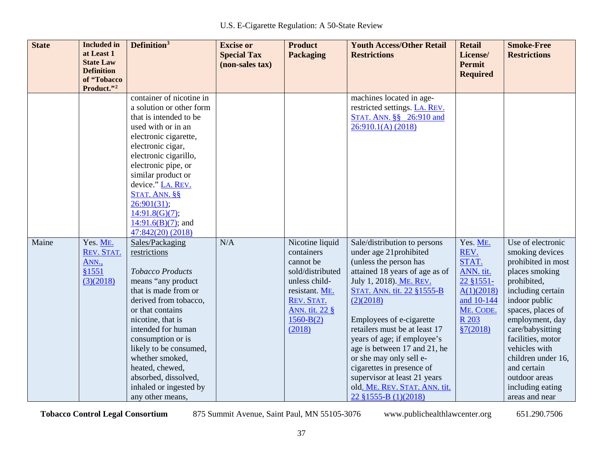| <b>State</b> | <b>Included</b> in<br>at Least 1<br><b>State Law</b><br><b>Definition</b> | Definition <sup>3</sup>                                                                                                                                                                                                                                                                                                                                     | <b>Excise or</b><br><b>Special Tax</b><br>(non-sales tax) | <b>Product</b><br><b>Packaging</b>                                                                                                                                  | <b>Youth Access/Other Retail</b><br><b>Restrictions</b>                                                                                                                                                                                                                                                                                                                                                                                                               | <b>Retail</b><br>License/<br><b>Permit</b><br><b>Required</b>                                                      | <b>Smoke-Free</b><br><b>Restrictions</b>                                                                                                                                                                                                                                                                                        |
|--------------|---------------------------------------------------------------------------|-------------------------------------------------------------------------------------------------------------------------------------------------------------------------------------------------------------------------------------------------------------------------------------------------------------------------------------------------------------|-----------------------------------------------------------|---------------------------------------------------------------------------------------------------------------------------------------------------------------------|-----------------------------------------------------------------------------------------------------------------------------------------------------------------------------------------------------------------------------------------------------------------------------------------------------------------------------------------------------------------------------------------------------------------------------------------------------------------------|--------------------------------------------------------------------------------------------------------------------|---------------------------------------------------------------------------------------------------------------------------------------------------------------------------------------------------------------------------------------------------------------------------------------------------------------------------------|
|              | of "Tobacco<br>Product."2                                                 |                                                                                                                                                                                                                                                                                                                                                             |                                                           |                                                                                                                                                                     |                                                                                                                                                                                                                                                                                                                                                                                                                                                                       |                                                                                                                    |                                                                                                                                                                                                                                                                                                                                 |
|              |                                                                           | container of nicotine in<br>a solution or other form<br>that is intended to be<br>used with or in an<br>electronic cigarette,<br>electronic cigar,<br>electronic cigarillo,<br>electronic pipe, or<br>similar product or<br>device." LA. REV.<br>STAT. ANN. §§<br>26:901(31);<br>14:91.8(G)(7);<br>$14:91.6(B)(7)$ ; and<br>47:842(20) (2018)               |                                                           |                                                                                                                                                                     | machines located in age-<br>restricted settings. LA. REV.<br>STAT. ANN. §§ 26:910 and<br>26:910.1(A) (2018)                                                                                                                                                                                                                                                                                                                                                           |                                                                                                                    |                                                                                                                                                                                                                                                                                                                                 |
| Maine        | Yes. ME.<br>REV. STAT.<br>ANN.,<br>\$1551<br>(3)(2018)                    | Sales/Packaging<br>restrictions<br><b>Tobacco Products</b><br>means "any product<br>that is made from or<br>derived from tobacco,<br>or that contains<br>nicotine, that is<br>intended for human<br>consumption or is<br>likely to be consumed,<br>whether smoked,<br>heated, chewed,<br>absorbed, dissolved,<br>inhaled or ingested by<br>any other means, | N/A                                                       | Nicotine liquid<br>containers<br>cannot be<br>sold/distributed<br>unless child-<br>resistant. ME.<br>REV. STAT.<br><u>ANN. tit. 22 §</u><br>$1560 - B(2)$<br>(2018) | Sale/distribution to persons<br>under age 21prohibited<br>(unless the person has<br>attained 18 years of age as of<br>July 1, 2018). ME. REV.<br>STAT. ANN. tit. 22 §1555-B<br>(2)(2018)<br>Employees of e-cigarette<br>retailers must be at least 17<br>years of age; if employee's<br>age is between 17 and 21, he<br>or she may only sell e-<br>cigarettes in presence of<br>supervisor at least 21 years<br>old. ME. REV. STAT. ANN. tit.<br>22 §1555-B (1)(2018) | Yes. ME.<br>REV.<br>STAT.<br>ANN. tit.<br>22 §1551-<br>A(1)(2018)<br>and 10-144<br>ME. CODE.<br>R 203<br>\$7(2018) | Use of electronic<br>smoking devices<br>prohibited in most<br>places smoking<br>prohibited,<br>including certain<br>indoor public<br>spaces, places of<br>employment, day<br>care/babysitting<br>facilities, motor<br>vehicles with<br>children under 16,<br>and certain<br>outdoor areas<br>including eating<br>areas and near |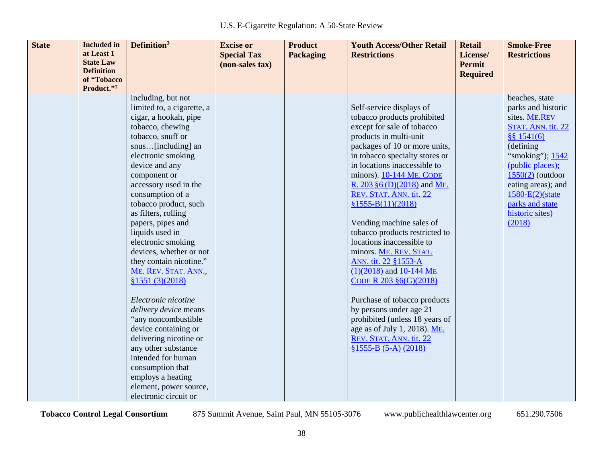| <b>State</b> | <b>Included</b> in<br>at Least 1 | Definition <sup>3</sup>    | <b>Excise or</b><br><b>Special Tax</b> | <b>Product</b><br><b>Packaging</b> | <b>Youth Access/Other Retail</b><br><b>Restrictions</b> | <b>Retail</b><br>License/ | <b>Smoke-Free</b><br><b>Restrictions</b> |
|--------------|----------------------------------|----------------------------|----------------------------------------|------------------------------------|---------------------------------------------------------|---------------------------|------------------------------------------|
|              | <b>State Law</b>                 |                            | (non-sales tax)                        |                                    |                                                         | Permit                    |                                          |
|              | <b>Definition</b><br>of "Tobacco |                            |                                        |                                    |                                                         | <b>Required</b>           |                                          |
|              | Product."2                       |                            |                                        |                                    |                                                         |                           |                                          |
|              |                                  | including, but not         |                                        |                                    |                                                         |                           | beaches, state                           |
|              |                                  | limited to, a cigarette, a |                                        |                                    | Self-service displays of                                |                           | parks and historic                       |
|              |                                  | cigar, a hookah, pipe      |                                        |                                    | tobacco products prohibited                             |                           | sites. ME.REV                            |
|              |                                  | tobacco, chewing           |                                        |                                    | except for sale of tobacco                              |                           | STAT. ANN. tit. 22                       |
|              |                                  | tobacco, snuff or          |                                        |                                    | products in multi-unit                                  |                           | \$841(6)                                 |
|              |                                  | snus[including] an         |                                        |                                    | packages of 10 or more units,                           |                           | (defining)                               |
|              |                                  | electronic smoking         |                                        |                                    | in tobacco specialty stores or                          |                           | "smoking"); 1542                         |
|              |                                  | device and any             |                                        |                                    | in locations inaccessible to                            |                           | (public places);                         |
|              |                                  | component or               |                                        |                                    | minors). 10-144 ME. CODE                                |                           | $1550(2)$ (outdoor                       |
|              |                                  | accessory used in the      |                                        |                                    | R. 203 §6 (D)(2018) and ME.                             |                           | eating areas); and                       |
|              |                                  | consumption of a           |                                        |                                    | REV. STAT. ANN. tit. 22                                 |                           | 1580-E(2)(state                          |
|              |                                  | tobacco product, such      |                                        |                                    | $$1555-B(11)(2018)$                                     |                           | parks and state                          |
|              |                                  | as filters, rolling        |                                        |                                    |                                                         |                           | historic sites)                          |
|              |                                  | papers, pipes and          |                                        |                                    | Vending machine sales of                                |                           | (2018)                                   |
|              |                                  | liquids used in            |                                        |                                    | tobacco products restricted to                          |                           |                                          |
|              |                                  | electronic smoking         |                                        |                                    | locations inaccessible to                               |                           |                                          |
|              |                                  | devices, whether or not    |                                        |                                    | minors. ME. REV. STAT.                                  |                           |                                          |
|              |                                  | they contain nicotine."    |                                        |                                    | ANN. tit. 22 §1553-A                                    |                           |                                          |
|              |                                  | ME. REV. STAT. ANN.,       |                                        |                                    | $(1)(2018)$ and $10-144$ ME                             |                           |                                          |
|              |                                  | \$1551(3)(2018)            |                                        |                                    | CODE R $203 \, \text{§}6(G)(2018)$                      |                           |                                          |
|              |                                  | Electronic nicotine        |                                        |                                    | Purchase of tobacco products                            |                           |                                          |
|              |                                  | delivery device means      |                                        |                                    | by persons under age 21                                 |                           |                                          |
|              |                                  | "any noncombustible        |                                        |                                    | prohibited (unless 18 years of                          |                           |                                          |
|              |                                  | device containing or       |                                        |                                    | age as of July 1, 2018). ME.                            |                           |                                          |
|              |                                  | delivering nicotine or     |                                        |                                    | REV. STAT. ANN. tit. 22                                 |                           |                                          |
|              |                                  | any other substance        |                                        |                                    | $$1555-B (5-A) (2018)$                                  |                           |                                          |
|              |                                  | intended for human         |                                        |                                    |                                                         |                           |                                          |
|              |                                  | consumption that           |                                        |                                    |                                                         |                           |                                          |
|              |                                  | employs a heating          |                                        |                                    |                                                         |                           |                                          |
|              |                                  | element, power source,     |                                        |                                    |                                                         |                           |                                          |
|              |                                  | electronic circuit or      |                                        |                                    |                                                         |                           |                                          |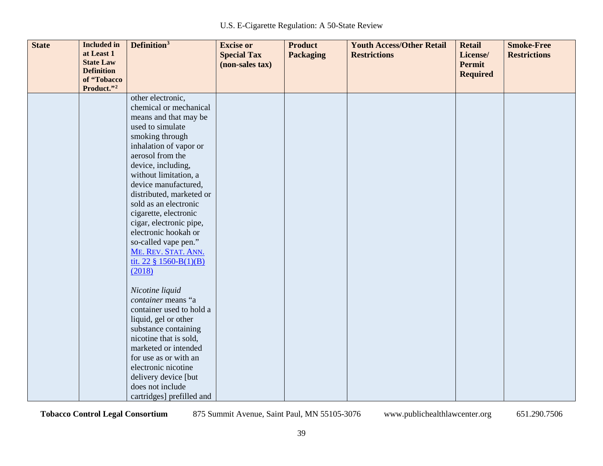| <b>State</b> | <b>Included</b> in<br>at Least 1<br><b>State Law</b><br><b>Definition</b> | Definition <sup>3</sup>                     | <b>Excise or</b><br><b>Special Tax</b><br>(non-sales tax) | <b>Product</b><br><b>Packaging</b> | <b>Youth Access/Other Retail</b><br><b>Restrictions</b> | <b>Retail</b><br>License/<br><b>Permit</b><br><b>Required</b> | <b>Smoke-Free</b><br><b>Restrictions</b> |
|--------------|---------------------------------------------------------------------------|---------------------------------------------|-----------------------------------------------------------|------------------------------------|---------------------------------------------------------|---------------------------------------------------------------|------------------------------------------|
|              | of "Tobacco<br>Product."2                                                 |                                             |                                                           |                                    |                                                         |                                                               |                                          |
|              |                                                                           | other electronic,                           |                                                           |                                    |                                                         |                                                               |                                          |
|              |                                                                           | chemical or mechanical                      |                                                           |                                    |                                                         |                                                               |                                          |
|              |                                                                           | means and that may be                       |                                                           |                                    |                                                         |                                                               |                                          |
|              |                                                                           | used to simulate                            |                                                           |                                    |                                                         |                                                               |                                          |
|              |                                                                           | smoking through                             |                                                           |                                    |                                                         |                                                               |                                          |
|              |                                                                           | inhalation of vapor or                      |                                                           |                                    |                                                         |                                                               |                                          |
|              |                                                                           | aerosol from the                            |                                                           |                                    |                                                         |                                                               |                                          |
|              |                                                                           | device, including,<br>without limitation, a |                                                           |                                    |                                                         |                                                               |                                          |
|              |                                                                           | device manufactured,                        |                                                           |                                    |                                                         |                                                               |                                          |
|              |                                                                           | distributed, marketed or                    |                                                           |                                    |                                                         |                                                               |                                          |
|              |                                                                           | sold as an electronic                       |                                                           |                                    |                                                         |                                                               |                                          |
|              |                                                                           | cigarette, electronic                       |                                                           |                                    |                                                         |                                                               |                                          |
|              |                                                                           | cigar, electronic pipe,                     |                                                           |                                    |                                                         |                                                               |                                          |
|              |                                                                           | electronic hookah or                        |                                                           |                                    |                                                         |                                                               |                                          |
|              |                                                                           | so-called vape pen."                        |                                                           |                                    |                                                         |                                                               |                                          |
|              |                                                                           | ME. REV. STAT. ANN.                         |                                                           |                                    |                                                         |                                                               |                                          |
|              |                                                                           | tit. 22 $\S$ 1560-B(1)(B)                   |                                                           |                                    |                                                         |                                                               |                                          |
|              |                                                                           | (2018)                                      |                                                           |                                    |                                                         |                                                               |                                          |
|              |                                                                           | Nicotine liquid                             |                                                           |                                    |                                                         |                                                               |                                          |
|              |                                                                           | container means "a                          |                                                           |                                    |                                                         |                                                               |                                          |
|              |                                                                           | container used to hold a                    |                                                           |                                    |                                                         |                                                               |                                          |
|              |                                                                           | liquid, gel or other                        |                                                           |                                    |                                                         |                                                               |                                          |
|              |                                                                           | substance containing                        |                                                           |                                    |                                                         |                                                               |                                          |
|              |                                                                           | nicotine that is sold,                      |                                                           |                                    |                                                         |                                                               |                                          |
|              |                                                                           | marketed or intended                        |                                                           |                                    |                                                         |                                                               |                                          |
|              |                                                                           | for use as or with an                       |                                                           |                                    |                                                         |                                                               |                                          |
|              |                                                                           | electronic nicotine                         |                                                           |                                    |                                                         |                                                               |                                          |
|              |                                                                           | delivery device [but                        |                                                           |                                    |                                                         |                                                               |                                          |
|              |                                                                           | does not include                            |                                                           |                                    |                                                         |                                                               |                                          |
|              |                                                                           | cartridges] prefilled and                   |                                                           |                                    |                                                         |                                                               |                                          |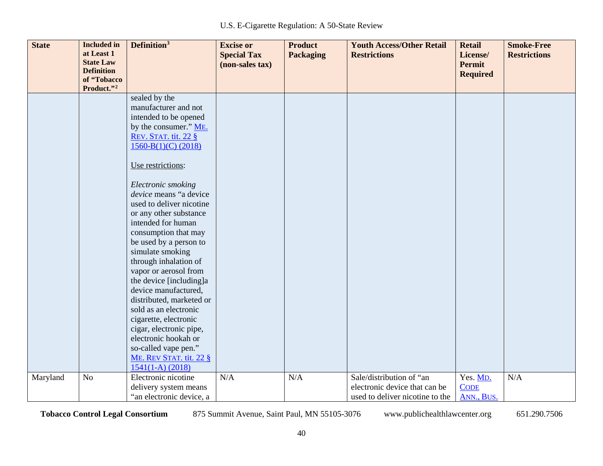| <b>State</b> | <b>Included</b> in<br>at Least 1      | Definition <sup>3</sup>                          | <b>Excise or</b><br><b>Special Tax</b> | <b>Product</b><br><b>Packaging</b> | <b>Youth Access/Other Retail</b><br><b>Restrictions</b> | <b>Retail</b><br>License/ | <b>Smoke-Free</b><br><b>Restrictions</b> |
|--------------|---------------------------------------|--------------------------------------------------|----------------------------------------|------------------------------------|---------------------------------------------------------|---------------------------|------------------------------------------|
|              | <b>State Law</b><br><b>Definition</b> |                                                  | (non-sales tax)                        |                                    |                                                         | <b>Permit</b>             |                                          |
|              | of "Tobacco                           |                                                  |                                        |                                    |                                                         | <b>Required</b>           |                                          |
|              | Product."2                            |                                                  |                                        |                                    |                                                         |                           |                                          |
|              |                                       | sealed by the<br>manufacturer and not            |                                        |                                    |                                                         |                           |                                          |
|              |                                       | intended to be opened                            |                                        |                                    |                                                         |                           |                                          |
|              |                                       | by the consumer." ME.                            |                                        |                                    |                                                         |                           |                                          |
|              |                                       | <b>REV. STAT. tit. 22 §</b>                      |                                        |                                    |                                                         |                           |                                          |
|              |                                       | $1560-B(1)(C)$ (2018)                            |                                        |                                    |                                                         |                           |                                          |
|              |                                       | Use restrictions:                                |                                        |                                    |                                                         |                           |                                          |
|              |                                       | Electronic smoking                               |                                        |                                    |                                                         |                           |                                          |
|              |                                       | device means "a device                           |                                        |                                    |                                                         |                           |                                          |
|              |                                       | used to deliver nicotine                         |                                        |                                    |                                                         |                           |                                          |
|              |                                       | or any other substance                           |                                        |                                    |                                                         |                           |                                          |
|              |                                       | intended for human                               |                                        |                                    |                                                         |                           |                                          |
|              |                                       | consumption that may                             |                                        |                                    |                                                         |                           |                                          |
|              |                                       | be used by a person to                           |                                        |                                    |                                                         |                           |                                          |
|              |                                       | simulate smoking                                 |                                        |                                    |                                                         |                           |                                          |
|              |                                       | through inhalation of                            |                                        |                                    |                                                         |                           |                                          |
|              |                                       | vapor or aerosol from<br>the device [including]a |                                        |                                    |                                                         |                           |                                          |
|              |                                       | device manufactured,                             |                                        |                                    |                                                         |                           |                                          |
|              |                                       | distributed, marketed or                         |                                        |                                    |                                                         |                           |                                          |
|              |                                       | sold as an electronic                            |                                        |                                    |                                                         |                           |                                          |
|              |                                       | cigarette, electronic                            |                                        |                                    |                                                         |                           |                                          |
|              |                                       | cigar, electronic pipe,                          |                                        |                                    |                                                         |                           |                                          |
|              |                                       | electronic hookah or                             |                                        |                                    |                                                         |                           |                                          |
|              |                                       | so-called vape pen."                             |                                        |                                    |                                                         |                           |                                          |
|              |                                       | ME. REV STAT. tit. 22 §                          |                                        |                                    |                                                         |                           |                                          |
|              |                                       | $1541(1-A) (2018)$                               |                                        |                                    |                                                         |                           |                                          |
| Maryland     | N <sub>o</sub>                        | Electronic nicotine                              | N/A                                    | N/A                                | Sale/distribution of "an                                | Yes. MD.                  | N/A                                      |
|              |                                       | delivery system means                            |                                        |                                    | electronic device that can be                           | <b>CODE</b>               |                                          |
|              |                                       | "an electronic device, a                         |                                        |                                    | used to deliver nicotine to the                         | ANN., BUS.                |                                          |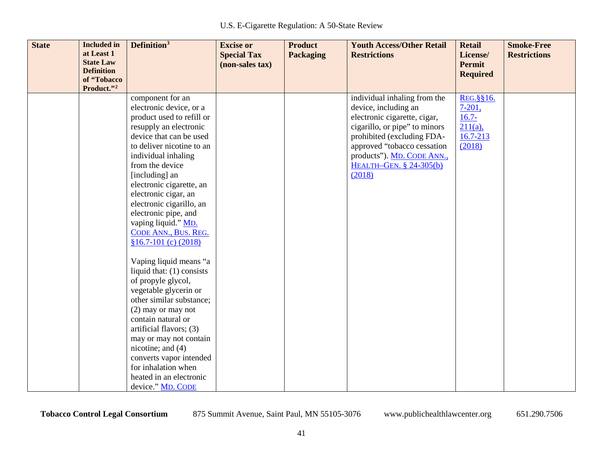| <b>State</b> | <b>Included</b> in<br>at Least 1<br><b>State Law</b><br><b>Definition</b> | Definition <sup>3</sup>                                                                                                                                                                                                                                                                                                                                                                                                                                                                                                                                                                                                                                                                                                                                               | <b>Excise or</b><br><b>Special Tax</b><br>(non-sales tax) | <b>Product</b><br><b>Packaging</b> | <b>Youth Access/Other Retail</b><br><b>Restrictions</b>                                                                                                                                                                                               | <b>Retail</b><br>License/<br><b>Permit</b><br><b>Required</b>                 | <b>Smoke-Free</b><br><b>Restrictions</b> |
|--------------|---------------------------------------------------------------------------|-----------------------------------------------------------------------------------------------------------------------------------------------------------------------------------------------------------------------------------------------------------------------------------------------------------------------------------------------------------------------------------------------------------------------------------------------------------------------------------------------------------------------------------------------------------------------------------------------------------------------------------------------------------------------------------------------------------------------------------------------------------------------|-----------------------------------------------------------|------------------------------------|-------------------------------------------------------------------------------------------------------------------------------------------------------------------------------------------------------------------------------------------------------|-------------------------------------------------------------------------------|------------------------------------------|
|              | of "Tobacco<br>Product."2                                                 |                                                                                                                                                                                                                                                                                                                                                                                                                                                                                                                                                                                                                                                                                                                                                                       |                                                           |                                    |                                                                                                                                                                                                                                                       |                                                                               |                                          |
|              |                                                                           | component for an<br>electronic device, or a<br>product used to refill or<br>resupply an electronic<br>device that can be used<br>to deliver nicotine to an<br>individual inhaling<br>from the device<br>[including] an<br>electronic cigarette, an<br>electronic cigar, an<br>electronic cigarillo, an<br>electronic pipe, and<br>vaping liquid." MD.<br>CODE ANN., BUS. REG.<br>$$16.7-101$ (c) (2018)<br>Vaping liquid means "a<br>liquid that: $(1)$ consists<br>of propyle glycol,<br>vegetable glycerin or<br>other similar substance;<br>$(2)$ may or may not<br>contain natural or<br>artificial flavors; (3)<br>may or may not contain<br>nicotine; and (4)<br>converts vapor intended<br>for inhalation when<br>heated in an electronic<br>device." MD. CODE |                                                           |                                    | individual inhaling from the<br>device, including an<br>electronic cigarette, cigar,<br>cigarillo, or pipe" to minors<br>prohibited (excluding FDA-<br>approved "tobacco cessation<br>products"). MD. CODE ANN.,<br>HEALTH-GEN. § 24-305(b)<br>(2018) | REG. §§16.<br>$7 - 201$ ,<br>$16.7 -$<br>$211(a)$ ,<br>$16.7 - 213$<br>(2018) |                                          |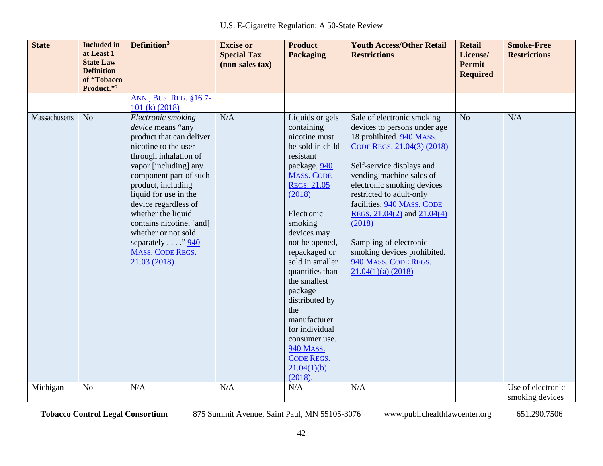| <b>State</b>  | <b>Included</b> in<br>at Least 1<br><b>State Law</b><br><b>Definition</b><br>of "Tobacco<br>Product."2 | Definition <sup>3</sup>                                                                                                                                                                                                                                                                                                                                                                 | <b>Excise or</b><br><b>Special Tax</b><br>(non-sales tax) | <b>Product</b><br><b>Packaging</b>                                                                                                                                                                                                                                                                                                                                                                                                               | <b>Youth Access/Other Retail</b><br><b>Restrictions</b>                                                                                                                                                                                                                                                                                                                                                                     | <b>Retail</b><br>License/<br><b>Permit</b><br><b>Required</b> | <b>Smoke-Free</b><br><b>Restrictions</b> |
|---------------|--------------------------------------------------------------------------------------------------------|-----------------------------------------------------------------------------------------------------------------------------------------------------------------------------------------------------------------------------------------------------------------------------------------------------------------------------------------------------------------------------------------|-----------------------------------------------------------|--------------------------------------------------------------------------------------------------------------------------------------------------------------------------------------------------------------------------------------------------------------------------------------------------------------------------------------------------------------------------------------------------------------------------------------------------|-----------------------------------------------------------------------------------------------------------------------------------------------------------------------------------------------------------------------------------------------------------------------------------------------------------------------------------------------------------------------------------------------------------------------------|---------------------------------------------------------------|------------------------------------------|
|               |                                                                                                        | ANN., BUS. REG. §16.7-<br>101 (k) (2018)                                                                                                                                                                                                                                                                                                                                                |                                                           |                                                                                                                                                                                                                                                                                                                                                                                                                                                  |                                                                                                                                                                                                                                                                                                                                                                                                                             |                                                               |                                          |
| Massachusetts | N <sub>o</sub>                                                                                         | Electronic smoking<br>device means "any<br>product that can deliver<br>nicotine to the user<br>through inhalation of<br>vapor [including] any<br>component part of such<br>product, including<br>liquid for use in the<br>device regardless of<br>whether the liquid<br>contains nicotine, [and]<br>whether or not sold<br>separately $\ldots$ "940<br>MASS. CODE REGS.<br>21.03 (2018) | N/A                                                       | Liquids or gels<br>containing<br>nicotine must<br>be sold in child-<br>resistant<br>package. 940<br><b>MASS. CODE</b><br><b>REGS. 21.05</b><br>(2018)<br>Electronic<br>smoking<br>devices may<br>not be opened,<br>repackaged or<br>sold in smaller<br>quantities than<br>the smallest<br>package<br>distributed by<br>the<br>manufacturer<br>for individual<br>consumer use.<br><b>940 MASS.</b><br><b>CODE REGS.</b><br>21.04(1)(b)<br>(2018). | Sale of electronic smoking<br>devices to persons under age<br>18 prohibited. 940 MASS.<br>CODE REGS. 21.04(3) (2018)<br>Self-service displays and<br>vending machine sales of<br>electronic smoking devices<br>restricted to adult-only<br>facilities. 940 MASS. CODE<br>REGS. $21.04(2)$ and $21.04(4)$<br>(2018)<br>Sampling of electronic<br>smoking devices prohibited.<br>940 MASS. CODE REGS.<br>$21.04(1)(a)$ (2018) | N <sub>o</sub>                                                | N/A                                      |
| Michigan      | N <sub>o</sub>                                                                                         | N/A                                                                                                                                                                                                                                                                                                                                                                                     | N/A                                                       | N/A                                                                                                                                                                                                                                                                                                                                                                                                                                              | N/A                                                                                                                                                                                                                                                                                                                                                                                                                         |                                                               | Use of electronic<br>smoking devices     |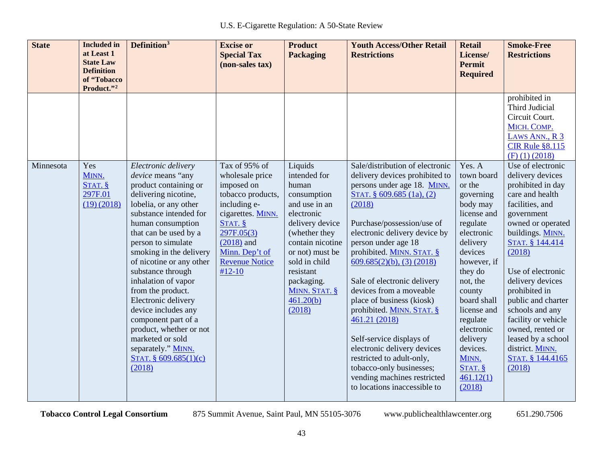| <b>State</b> | <b>Included</b> in<br>at Least 1<br><b>State Law</b><br><b>Definition</b><br>of "Tobacco | Definition <sup>3</sup>                                                                                                                                                                                                                                                                                                                                                                                                                                                     | <b>Excise or</b><br><b>Special Tax</b><br>(non-sales tax)                                                                                                            | <b>Product</b><br><b>Packaging</b>                                                                                                                                                                                 | <b>Youth Access/Other Retail</b><br><b>Restrictions</b>                                                                                                                                                                                                                                                                                                                                                                                                                                                                                         | <b>Retail</b><br>License/<br><b>Permit</b><br><b>Required</b>                                                                                                                                                                                                            | <b>Smoke-Free</b><br><b>Restrictions</b>                                                                                                                                                                                                                                                                                                                         |
|--------------|------------------------------------------------------------------------------------------|-----------------------------------------------------------------------------------------------------------------------------------------------------------------------------------------------------------------------------------------------------------------------------------------------------------------------------------------------------------------------------------------------------------------------------------------------------------------------------|----------------------------------------------------------------------------------------------------------------------------------------------------------------------|--------------------------------------------------------------------------------------------------------------------------------------------------------------------------------------------------------------------|-------------------------------------------------------------------------------------------------------------------------------------------------------------------------------------------------------------------------------------------------------------------------------------------------------------------------------------------------------------------------------------------------------------------------------------------------------------------------------------------------------------------------------------------------|--------------------------------------------------------------------------------------------------------------------------------------------------------------------------------------------------------------------------------------------------------------------------|------------------------------------------------------------------------------------------------------------------------------------------------------------------------------------------------------------------------------------------------------------------------------------------------------------------------------------------------------------------|
| Minnesota    | Product."2<br>Yes<br>MINN.                                                               | Electronic delivery<br>device means "any                                                                                                                                                                                                                                                                                                                                                                                                                                    | Tax of 95% of<br>wholesale price                                                                                                                                     | Liquids<br>intended for                                                                                                                                                                                            | Sale/distribution of electronic<br>delivery devices prohibited to                                                                                                                                                                                                                                                                                                                                                                                                                                                                               | Yes. A<br>town board                                                                                                                                                                                                                                                     | prohibited in<br>Third Judicial<br>Circuit Court.<br>MICH. COMP.<br>LAWS ANN., R 3<br><b>CIR Rule §8.115</b><br>$(F)$ (1) (2018)<br>Use of electronic<br>delivery devices                                                                                                                                                                                        |
|              | STAT. §<br>297F.01<br>(19)(2018)                                                         | product containing or<br>delivering nicotine,<br>lobelia, or any other<br>substance intended for<br>human consumption<br>that can be used by a<br>person to simulate<br>smoking in the delivery<br>of nicotine or any other<br>substance through<br>inhalation of vapor<br>from the product.<br>Electronic delivery<br>device includes any<br>component part of a<br>product, whether or not<br>marketed or sold<br>separately." MINN.<br>STAT. $§$ 609.685(1)(c)<br>(2018) | imposed on<br>tobacco products,<br>including e-<br>cigarettes. MINN.<br>STAT. §<br>297F.05(3)<br>$(2018)$ and<br>Minn. Dep't of<br><b>Revenue Notice</b><br>$#12-10$ | human<br>consumption<br>and use in an<br>electronic<br>delivery device<br>(whether they<br>contain nicotine<br>or not) must be<br>sold in child<br>resistant<br>packaging.<br>MINN. STAT. §<br>461.20(b)<br>(2018) | persons under age 18. MINN.<br>STAT. $§$ 609.685 (1a), (2)<br>(2018)<br>Purchase/possession/use of<br>electronic delivery device by<br>person under age 18<br>prohibited. MINN. STAT. §<br>$609.685(2)(b)$ , (3) (2018)<br>Sale of electronic delivery<br>devices from a moveable<br>place of business (kiosk)<br>prohibited. MINN. STAT. §<br>461.21 (2018)<br>Self-service displays of<br>electronic delivery devices<br>restricted to adult-only,<br>tobacco-only businesses;<br>vending machines restricted<br>to locations inaccessible to | or the<br>governing<br>body may<br>license and<br>regulate<br>electronic<br>delivery<br>devices<br>however, if<br>they do<br>not, the<br>county<br>board shall<br>license and<br>regulate<br>electronic<br>delivery<br>devices.<br>MINN.<br>STAT.<br>461.12(1)<br>(2018) | prohibited in day<br>care and health<br>facilities, and<br>government<br>owned or operated<br>buildings. MINN.<br>STAT. § 144.414<br>(2018)<br>Use of electronic<br>delivery devices<br>prohibited in<br>public and charter<br>schools and any<br>facility or vehicle<br>owned, rented or<br>leased by a school<br>district. MINN.<br>STAT. § 144.4165<br>(2018) |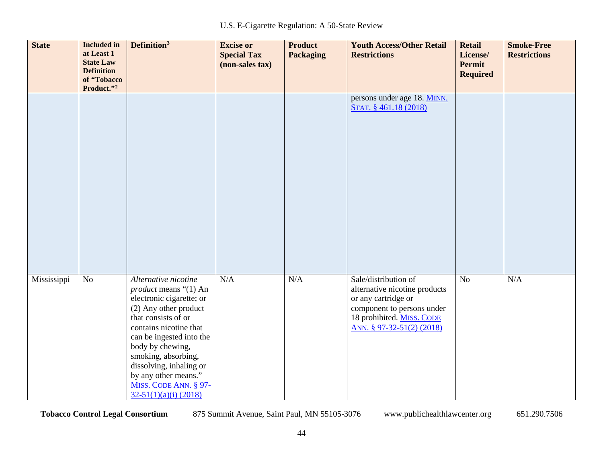| <b>State</b> | <b>Included in</b><br>at Least 1<br><b>State Law</b><br><b>Definition</b><br>of "Tobacco<br>Product."2 | Definition <sup>3</sup>                                                                                                                                                                                                                                                                                                                  | <b>Excise or</b><br><b>Special Tax</b><br>(non-sales tax) | <b>Product</b><br><b>Packaging</b> | <b>Youth Access/Other Retail</b><br><b>Restrictions</b>                                                                                                              | <b>Retail</b><br>License/<br><b>Permit</b><br><b>Required</b> | <b>Smoke-Free</b><br><b>Restrictions</b> |
|--------------|--------------------------------------------------------------------------------------------------------|------------------------------------------------------------------------------------------------------------------------------------------------------------------------------------------------------------------------------------------------------------------------------------------------------------------------------------------|-----------------------------------------------------------|------------------------------------|----------------------------------------------------------------------------------------------------------------------------------------------------------------------|---------------------------------------------------------------|------------------------------------------|
|              |                                                                                                        |                                                                                                                                                                                                                                                                                                                                          |                                                           |                                    | persons under age 18. MINN.<br>STAT. § 461.18 (2018)                                                                                                                 |                                                               |                                          |
| Mississippi  | N <sub>o</sub>                                                                                         | Alternative nicotine<br><i>product</i> means "(1) An<br>electronic cigarette; or<br>(2) Any other product<br>that consists of or<br>contains nicotine that<br>can be ingested into the<br>body by chewing,<br>smoking, absorbing,<br>dissolving, inhaling or<br>by any other means."<br>MISS. CODE ANN. § 97-<br>$32-51(1)(a)(i)$ (2018) | N/A                                                       | N/A                                | Sale/distribution of<br>alternative nicotine products<br>or any cartridge or<br>component to persons under<br>18 prohibited. MISS. CODE<br>ANN. § 97-32-51(2) (2018) | No                                                            | N/A                                      |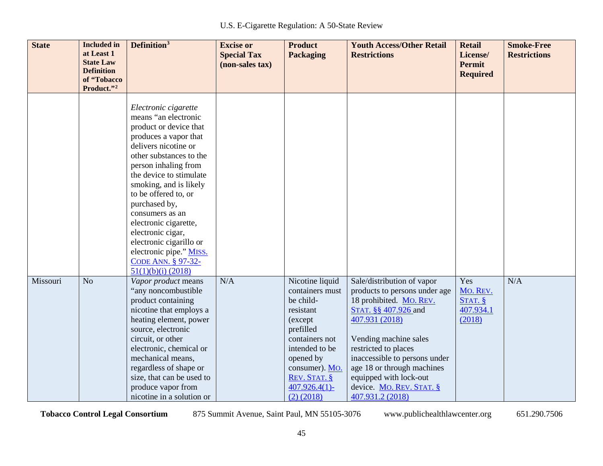| <b>State</b> | <b>Included</b> in<br>at Least 1<br><b>State Law</b><br><b>Definition</b><br>of "Tobacco<br>Product."2 | Definition <sup>3</sup>                                                                                                                                                                                                                                                                                                                                                                                                                       | <b>Excise or</b><br><b>Special Tax</b><br>(non-sales tax) | <b>Product</b><br><b>Packaging</b>                                                                                                                                                                            | <b>Youth Access/Other Retail</b><br><b>Restrictions</b>                                                                                                                                                                                                                                                                    | <b>Retail</b><br>License/<br><b>Permit</b><br><b>Required</b> | <b>Smoke-Free</b><br><b>Restrictions</b> |
|--------------|--------------------------------------------------------------------------------------------------------|-----------------------------------------------------------------------------------------------------------------------------------------------------------------------------------------------------------------------------------------------------------------------------------------------------------------------------------------------------------------------------------------------------------------------------------------------|-----------------------------------------------------------|---------------------------------------------------------------------------------------------------------------------------------------------------------------------------------------------------------------|----------------------------------------------------------------------------------------------------------------------------------------------------------------------------------------------------------------------------------------------------------------------------------------------------------------------------|---------------------------------------------------------------|------------------------------------------|
|              |                                                                                                        | Electronic cigarette<br>means "an electronic<br>product or device that<br>produces a vapor that<br>delivers nicotine or<br>other substances to the<br>person inhaling from<br>the device to stimulate<br>smoking, and is likely<br>to be offered to, or<br>purchased by,<br>consumers as an<br>electronic cigarette,<br>electronic cigar,<br>electronic cigarillo or<br>electronic pipe." MISS.<br>CODE ANN. § 97-32-<br>$51(1)(b)(i)$ (2018) |                                                           |                                                                                                                                                                                                               |                                                                                                                                                                                                                                                                                                                            |                                                               |                                          |
| Missouri     | N <sub>o</sub>                                                                                         | Vapor product means<br>"any noncombustible<br>product containing<br>nicotine that employs a<br>heating element, power<br>source, electronic<br>circuit, or other<br>electronic, chemical or<br>mechanical means,<br>regardless of shape or<br>size, that can be used to<br>produce vapor from<br>nicotine in a solution or                                                                                                                    | N/A                                                       | Nicotine liquid<br>containers must<br>be child-<br>resistant<br>(except<br>prefilled<br>containers not<br>intended to be<br>opened by<br>consumer). Mo.<br>REV. STAT. §<br>$407.926.4(1)$ -<br>$(2)$ $(2018)$ | Sale/distribution of vapor<br>products to persons under age<br>18 prohibited. MO. REV.<br>STAT. §§ 407.926 and<br>407.931 (2018)<br>Vending machine sales<br>restricted to places<br>inaccessible to persons under<br>age 18 or through machines<br>equipped with lock-out<br>device. MO. REV. STAT. §<br>407.931.2 (2018) | Yes<br>Mo. REV.<br>STAT. $§$<br>407.934.1<br>(2018)           | N/A                                      |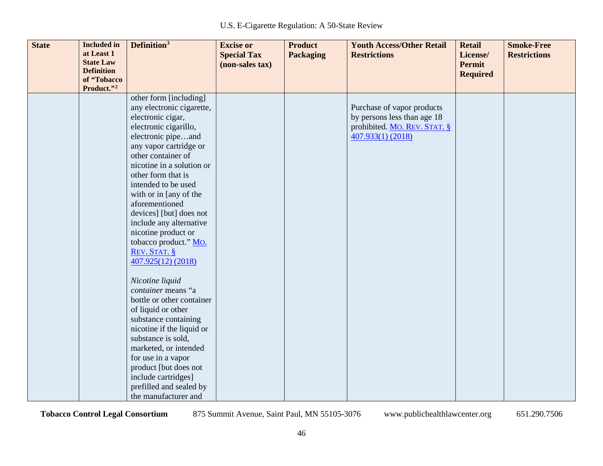| <b>State</b> | <b>Included</b> in               | Definition <sup>3</sup>   | <b>Excise or</b>   | <b>Product</b>   | <b>Youth Access/Other Retail</b> | <b>Retail</b>   | <b>Smoke-Free</b>   |
|--------------|----------------------------------|---------------------------|--------------------|------------------|----------------------------------|-----------------|---------------------|
|              | at Least 1                       |                           | <b>Special Tax</b> | <b>Packaging</b> | <b>Restrictions</b>              | License/        | <b>Restrictions</b> |
|              | <b>State Law</b>                 |                           | (non-sales tax)    |                  |                                  | <b>Permit</b>   |                     |
|              | <b>Definition</b><br>of "Tobacco |                           |                    |                  |                                  | <b>Required</b> |                     |
|              | Product."2                       |                           |                    |                  |                                  |                 |                     |
|              |                                  | other form [including]    |                    |                  |                                  |                 |                     |
|              |                                  | any electronic cigarette, |                    |                  | Purchase of vapor products       |                 |                     |
|              |                                  | electronic cigar,         |                    |                  | by persons less than age 18      |                 |                     |
|              |                                  | electronic cigarillo,     |                    |                  | prohibited. MO. REV. STAT. §     |                 |                     |
|              |                                  | electronic pipeand        |                    |                  | 407.933(1) (2018)                |                 |                     |
|              |                                  | any vapor cartridge or    |                    |                  |                                  |                 |                     |
|              |                                  | other container of        |                    |                  |                                  |                 |                     |
|              |                                  | nicotine in a solution or |                    |                  |                                  |                 |                     |
|              |                                  | other form that is        |                    |                  |                                  |                 |                     |
|              |                                  | intended to be used       |                    |                  |                                  |                 |                     |
|              |                                  | with or in [any of the    |                    |                  |                                  |                 |                     |
|              |                                  | aforementioned            |                    |                  |                                  |                 |                     |
|              |                                  | devices] [but] does not   |                    |                  |                                  |                 |                     |
|              |                                  | include any alternative   |                    |                  |                                  |                 |                     |
|              |                                  | nicotine product or       |                    |                  |                                  |                 |                     |
|              |                                  | tobacco product." Mo.     |                    |                  |                                  |                 |                     |
|              |                                  | REV. STAT. §              |                    |                  |                                  |                 |                     |
|              |                                  | 407.925(12) (2018)        |                    |                  |                                  |                 |                     |
|              |                                  |                           |                    |                  |                                  |                 |                     |
|              |                                  | Nicotine liquid           |                    |                  |                                  |                 |                     |
|              |                                  | container means "a        |                    |                  |                                  |                 |                     |
|              |                                  | bottle or other container |                    |                  |                                  |                 |                     |
|              |                                  | of liquid or other        |                    |                  |                                  |                 |                     |
|              |                                  | substance containing      |                    |                  |                                  |                 |                     |
|              |                                  | nicotine if the liquid or |                    |                  |                                  |                 |                     |
|              |                                  | substance is sold,        |                    |                  |                                  |                 |                     |
|              |                                  | marketed, or intended     |                    |                  |                                  |                 |                     |
|              |                                  | for use in a vapor        |                    |                  |                                  |                 |                     |
|              |                                  | product [but does not     |                    |                  |                                  |                 |                     |
|              |                                  | include cartridges]       |                    |                  |                                  |                 |                     |
|              |                                  | prefilled and sealed by   |                    |                  |                                  |                 |                     |
|              |                                  | the manufacturer and      |                    |                  |                                  |                 |                     |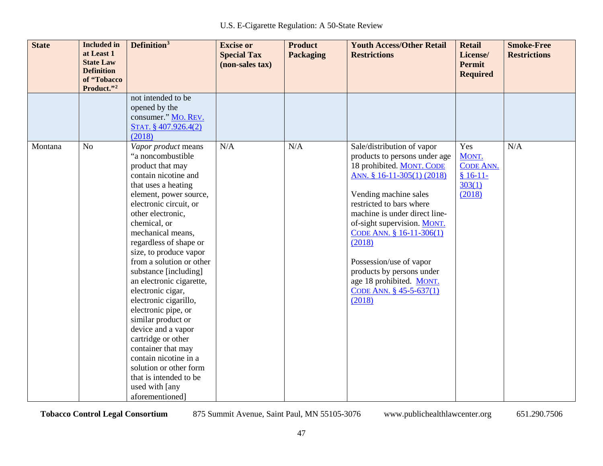| <b>State</b> | <b>Included</b> in<br>at Least 1<br><b>State Law</b><br><b>Definition</b><br>of "Tobacco<br>Product."2 | Definition <sup>3</sup>                                                                                                                                                                                                                                                                                                                                                                                                                                                                                                                                                                                                                       | <b>Excise or</b><br><b>Special Tax</b><br>(non-sales tax) | <b>Product</b><br><b>Packaging</b> | <b>Youth Access/Other Retail</b><br><b>Restrictions</b>                                                                                                                                                                                                                                                                                                                                                    | <b>Retail</b><br>License/<br><b>Permit</b><br><b>Required</b>     | <b>Smoke-Free</b><br><b>Restrictions</b> |
|--------------|--------------------------------------------------------------------------------------------------------|-----------------------------------------------------------------------------------------------------------------------------------------------------------------------------------------------------------------------------------------------------------------------------------------------------------------------------------------------------------------------------------------------------------------------------------------------------------------------------------------------------------------------------------------------------------------------------------------------------------------------------------------------|-----------------------------------------------------------|------------------------------------|------------------------------------------------------------------------------------------------------------------------------------------------------------------------------------------------------------------------------------------------------------------------------------------------------------------------------------------------------------------------------------------------------------|-------------------------------------------------------------------|------------------------------------------|
|              |                                                                                                        | not intended to be<br>opened by the<br>consumer." MO. REV.<br>STAT. § 407.926.4(2)<br>(2018)                                                                                                                                                                                                                                                                                                                                                                                                                                                                                                                                                  |                                                           |                                    |                                                                                                                                                                                                                                                                                                                                                                                                            |                                                                   |                                          |
| Montana      | N <sub>o</sub>                                                                                         | Vapor product means<br>"a noncombustible<br>product that may<br>contain nicotine and<br>that uses a heating<br>element, power source,<br>electronic circuit, or<br>other electronic,<br>chemical, or<br>mechanical means,<br>regardless of shape or<br>size, to produce vapor<br>from a solution or other<br>substance [including]<br>an electronic cigarette,<br>electronic cigar,<br>electronic cigarillo,<br>electronic pipe, or<br>similar product or<br>device and a vapor<br>cartridge or other<br>container that may<br>contain nicotine in a<br>solution or other form<br>that is intended to be<br>used with [any<br>aforementioned] | N/A                                                       | N/A                                | Sale/distribution of vapor<br>products to persons under age<br>18 prohibited. MONT. CODE<br>ANN. § 16-11-305(1) (2018)<br>Vending machine sales<br>restricted to bars where<br>machine is under direct line-<br>of-sight supervision. MONT.<br>CODE ANN. § 16-11-306(1)<br>(2018)<br>Possession/use of vapor<br>products by persons under<br>age 18 prohibited. MONT.<br>CODE ANN. § 45-5-637(1)<br>(2018) | Yes<br>MONT.<br><b>CODE ANN.</b><br>$$16-11-$<br>303(1)<br>(2018) | N/A                                      |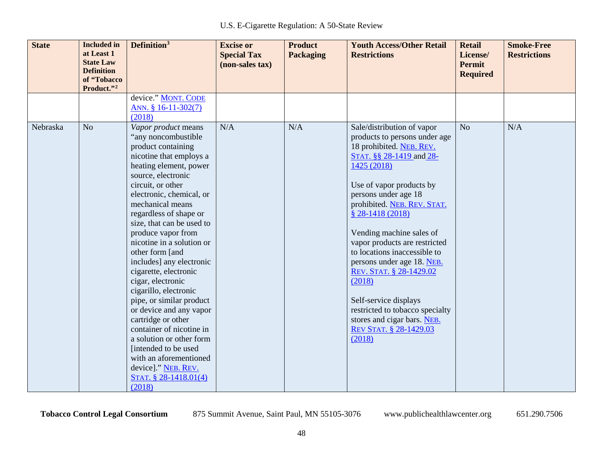| <b>State</b> | <b>Included</b> in<br>at Least 1<br><b>State Law</b><br><b>Definition</b><br>of "Tobacco<br>Product."2 | Definition <sup>3</sup>                                                                                                                                                                                                                                                                                                                                                                                                                                                                                                                                                                                                                                                                           | <b>Excise or</b><br><b>Special Tax</b><br>(non-sales tax) | <b>Product</b><br><b>Packaging</b> | <b>Youth Access/Other Retail</b><br><b>Restrictions</b>                                                                                                                                                                                                                                                                                                                                                                                                                                                                                         | <b>Retail</b><br>License/<br>Permit<br><b>Required</b> | <b>Smoke-Free</b><br><b>Restrictions</b> |
|--------------|--------------------------------------------------------------------------------------------------------|---------------------------------------------------------------------------------------------------------------------------------------------------------------------------------------------------------------------------------------------------------------------------------------------------------------------------------------------------------------------------------------------------------------------------------------------------------------------------------------------------------------------------------------------------------------------------------------------------------------------------------------------------------------------------------------------------|-----------------------------------------------------------|------------------------------------|-------------------------------------------------------------------------------------------------------------------------------------------------------------------------------------------------------------------------------------------------------------------------------------------------------------------------------------------------------------------------------------------------------------------------------------------------------------------------------------------------------------------------------------------------|--------------------------------------------------------|------------------------------------------|
|              |                                                                                                        | device." MONT. CODE<br>ANN. § 16-11-302(7)<br>(2018)                                                                                                                                                                                                                                                                                                                                                                                                                                                                                                                                                                                                                                              |                                                           |                                    |                                                                                                                                                                                                                                                                                                                                                                                                                                                                                                                                                 |                                                        |                                          |
| Nebraska     | N <sub>o</sub>                                                                                         | Vapor product means<br>"any noncombustible<br>product containing<br>nicotine that employs a<br>heating element, power<br>source, electronic<br>circuit, or other<br>electronic, chemical, or<br>mechanical means<br>regardless of shape or<br>size, that can be used to<br>produce vapor from<br>nicotine in a solution or<br>other form [and<br>includes] any electronic<br>cigarette, electronic<br>cigar, electronic<br>cigarillo, electronic<br>pipe, or similar product<br>or device and any vapor<br>cartridge or other<br>container of nicotine in<br>a solution or other form<br>[intended to be used<br>with an aforementioned<br>device]." NEB. REV.<br>STAT. § 28-1418.01(4)<br>(2018) | N/A                                                       | N/A                                | Sale/distribution of vapor<br>products to persons under age<br>18 prohibited. NEB. REV.<br>STAT. §§ 28-1419 and 28-<br>1425 (2018)<br>Use of vapor products by<br>persons under age 18<br>prohibited. NEB. REV. STAT.<br>$$28-1418(2018)$<br>Vending machine sales of<br>vapor products are restricted<br>to locations inaccessible to<br>persons under age 18. NEB.<br>REV. STAT. § 28-1429.02<br>(2018)<br>Self-service displays<br>restricted to tobacco specialty<br>stores and cigar bars. NEB.<br><b>REV STAT. § 28-1429.03</b><br>(2018) | N <sub>o</sub>                                         | N/A                                      |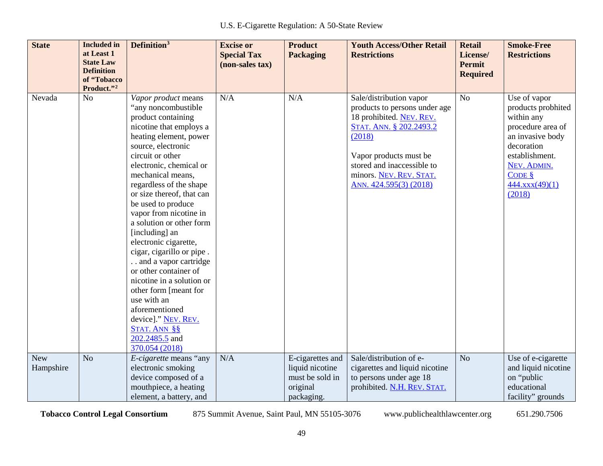| <b>State</b>            | <b>Included</b> in<br>at Least 1<br><b>State Law</b><br><b>Definition</b> | Definition <sup>3</sup>                                                                                                                                                                                                                                                                                                                                                                                                                                                                                                                                                                                                                                 | <b>Excise or</b><br><b>Special Tax</b><br>(non-sales tax) | <b>Product</b><br><b>Packaging</b>                                               | <b>Youth Access/Other Retail</b><br><b>Restrictions</b>                                                                                                                                                                                | <b>Retail</b><br>License/<br><b>Permit</b><br><b>Required</b> | <b>Smoke-Free</b><br><b>Restrictions</b>                                                                                                                                                     |
|-------------------------|---------------------------------------------------------------------------|---------------------------------------------------------------------------------------------------------------------------------------------------------------------------------------------------------------------------------------------------------------------------------------------------------------------------------------------------------------------------------------------------------------------------------------------------------------------------------------------------------------------------------------------------------------------------------------------------------------------------------------------------------|-----------------------------------------------------------|----------------------------------------------------------------------------------|----------------------------------------------------------------------------------------------------------------------------------------------------------------------------------------------------------------------------------------|---------------------------------------------------------------|----------------------------------------------------------------------------------------------------------------------------------------------------------------------------------------------|
|                         | of "Tobacco<br>Product."2                                                 |                                                                                                                                                                                                                                                                                                                                                                                                                                                                                                                                                                                                                                                         |                                                           |                                                                                  |                                                                                                                                                                                                                                        |                                                               |                                                                                                                                                                                              |
| Nevada                  | N <sub>o</sub>                                                            | Vapor product means<br>"any noncombustible"<br>product containing<br>nicotine that employs a<br>heating element, power<br>source, electronic<br>circuit or other<br>electronic, chemical or<br>mechanical means,<br>regardless of the shape<br>or size thereof, that can<br>be used to produce<br>vapor from nicotine in<br>a solution or other form<br>[including] an<br>electronic cigarette,<br>cigar, cigarillo or pipe.<br>and a vapor cartridge<br>or other container of<br>nicotine in a solution or<br>other form [meant for<br>use with an<br>aforementioned<br>device]." NEV. REV.<br><b>STAT. ANN §§</b><br>202.2485.5 and<br>370.054 (2018) | N/A                                                       | N/A                                                                              | Sale/distribution vapor<br>products to persons under age<br>18 prohibited. NEV. REV.<br>STAT. ANN. § 202.2493.2<br>(2018)<br>Vapor products must be<br>stored and inaccessible to<br>minors. NEV. REV. STAT.<br>ANN. 424.595(3) (2018) | N <sub>o</sub>                                                | Use of vapor<br>products probhited<br>within any<br>procedure area of<br>an invasive body<br>decoration<br>establishment.<br>NEV. ADMIN.<br>$CODE$ $\frac{8}{5}$<br>444.xxx(49)(1)<br>(2018) |
| <b>New</b><br>Hampshire | N <sub>o</sub>                                                            | E-cigarette means "any<br>electronic smoking<br>device composed of a<br>mouthpiece, a heating<br>element, a battery, and                                                                                                                                                                                                                                                                                                                                                                                                                                                                                                                                | N/A                                                       | E-cigarettes and<br>liquid nicotine<br>must be sold in<br>original<br>packaging. | Sale/distribution of e-<br>cigarettes and liquid nicotine<br>to persons under age 18<br>prohibited. N.H. REV. STAT.                                                                                                                    | N <sub>o</sub>                                                | Use of e-cigarette<br>and liquid nicotine<br>on "public<br>educational<br>facility" grounds                                                                                                  |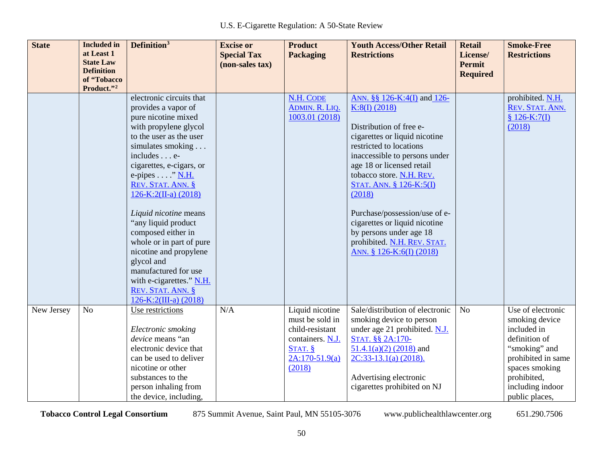| <b>State</b> | <b>Included</b> in<br>at Least 1<br><b>State Law</b><br><b>Definition</b><br>of "Tobacco<br>Product."2 | Definition <sup>3</sup>                                                                                                                                                                                                                                                                                                                                                                                                                                                                                            | <b>Excise or</b><br><b>Special Tax</b><br>(non-sales tax) | <b>Product</b><br><b>Packaging</b>                                                                                 | <b>Youth Access/Other Retail</b><br><b>Restrictions</b>                                                                                                                                                                                                                                                                                                                                                                    | <b>Retail</b><br>License/<br><b>Permit</b><br><b>Required</b> | <b>Smoke-Free</b><br><b>Restrictions</b>                                                                                                                                          |
|--------------|--------------------------------------------------------------------------------------------------------|--------------------------------------------------------------------------------------------------------------------------------------------------------------------------------------------------------------------------------------------------------------------------------------------------------------------------------------------------------------------------------------------------------------------------------------------------------------------------------------------------------------------|-----------------------------------------------------------|--------------------------------------------------------------------------------------------------------------------|----------------------------------------------------------------------------------------------------------------------------------------------------------------------------------------------------------------------------------------------------------------------------------------------------------------------------------------------------------------------------------------------------------------------------|---------------------------------------------------------------|-----------------------------------------------------------------------------------------------------------------------------------------------------------------------------------|
|              |                                                                                                        | electronic circuits that<br>provides a vapor of<br>pure nicotine mixed<br>with propylene glycol<br>to the user as the user<br>simulates smoking<br>includes e-<br>cigarettes, e-cigars, or<br>e-pipes $\dots$ ." N.H.<br>REV. STAT. ANN. §<br>$126-K:2(II-a) (2018)$<br>Liquid nicotine means<br>"any liquid product<br>composed either in<br>whole or in part of pure<br>nicotine and propylene<br>glycol and<br>manufactured for use<br>with e-cigarettes." N.H.<br>REV. STAT. ANN. §<br>$126-K:2(III-a) (2018)$ |                                                           | <b>N.H. CODE</b><br>ADMIN. R. LIQ.<br>1003.01 (2018)                                                               | ANN. §§ 126-K:4(I) and 126-<br>K:8(I) (2018)<br>Distribution of free e-<br>cigarettes or liquid nicotine<br>restricted to locations<br>inaccessible to persons under<br>age 18 or licensed retail<br>tobacco store. N.H. REV.<br>STAT. ANN. § 126-K:5(I)<br>(2018)<br>Purchase/possession/use of e-<br>cigarettes or liquid nicotine<br>by persons under age 18<br>prohibited. N.H. REV. STAT.<br>ANN. § 126-K:6(I) (2018) |                                                               | prohibited. N.H.<br>REV. STAT. ANN.<br>$$126-K:7(I)$<br>(2018)                                                                                                                    |
| New Jersey   | N <sub>o</sub>                                                                                         | Use restrictions<br>Electronic smoking<br>device means "an<br>electronic device that<br>can be used to deliver<br>nicotine or other<br>substances to the<br>person inhaling from<br>the device, including,                                                                                                                                                                                                                                                                                                         | N/A                                                       | Liquid nicotine<br>must be sold in<br>child-resistant<br>containers. N.J.<br>STAT. §<br>$2A:170-51.9(a)$<br>(2018) | Sale/distribution of electronic<br>smoking device to person<br>under age 21 prohibited. N.J.<br>STAT. §§ 2A:170-<br>$51.4.1(a)(2)$ (2018) and<br>$2C:33-13.1(a)$ (2018).<br>Advertising electronic<br>cigarettes prohibited on NJ                                                                                                                                                                                          | No                                                            | Use of electronic<br>smoking device<br>included in<br>definition of<br>"smoking" and<br>prohibited in same<br>spaces smoking<br>prohibited,<br>including indoor<br>public places, |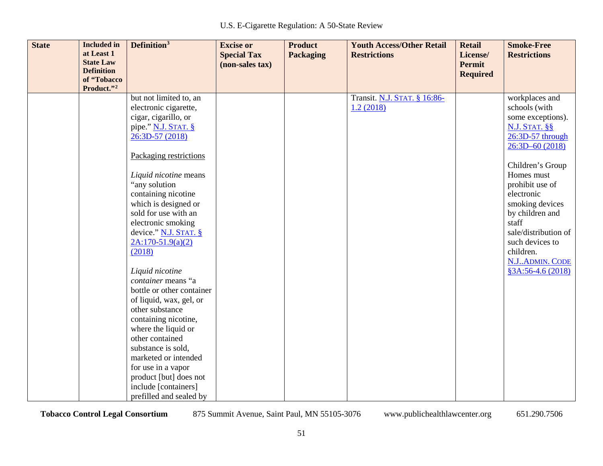| <b>State</b> | <b>Included</b> in<br>at Least 1<br><b>State Law</b><br><b>Definition</b><br>of "Tobacco<br>Product."2 | Definition <sup>3</sup>                                                                                                                                                                                                                                                                                                                                                                                                                                                                                                                                                                                     | <b>Excise or</b><br><b>Special Tax</b><br>(non-sales tax) | <b>Product</b><br><b>Packaging</b> | <b>Youth Access/Other Retail</b><br><b>Restrictions</b> | <b>Retail</b><br>License/<br>Permit<br><b>Required</b> | <b>Smoke-Free</b><br><b>Restrictions</b>                                                                                                                                                                                                                                                                                                 |
|--------------|--------------------------------------------------------------------------------------------------------|-------------------------------------------------------------------------------------------------------------------------------------------------------------------------------------------------------------------------------------------------------------------------------------------------------------------------------------------------------------------------------------------------------------------------------------------------------------------------------------------------------------------------------------------------------------------------------------------------------------|-----------------------------------------------------------|------------------------------------|---------------------------------------------------------|--------------------------------------------------------|------------------------------------------------------------------------------------------------------------------------------------------------------------------------------------------------------------------------------------------------------------------------------------------------------------------------------------------|
|              |                                                                                                        | but not limited to, an<br>electronic cigarette,<br>cigar, cigarillo, or<br>pipe." N.J. STAT. §<br>26:3D-57 (2018)<br>Packaging restrictions<br>Liquid nicotine means<br>"any solution<br>containing nicotine<br>which is designed or<br>sold for use with an<br>electronic smoking<br>device." $N.J.$ STAT. $\S$<br>$2A:170-51.9(a)(2)$<br>(2018)<br>Liquid nicotine<br>container means "a<br>bottle or other container<br>of liquid, wax, gel, or<br>other substance<br>containing nicotine,<br>where the liquid or<br>other contained<br>substance is sold,<br>marketed or intended<br>for use in a vapor |                                                           |                                    | Transit. N.J. STAT. § 16:86-<br>1.2(2018)               |                                                        | workplaces and<br>schools (with<br>some exceptions).<br><b>N.J. STAT. §§</b><br>26:3D-57 through<br>$26:3D-60(2018)$<br>Children's Group<br>Homes must<br>prohibit use of<br>electronic<br>smoking devices<br>by children and<br>staff<br>sale/distribution of<br>such devices to<br>children.<br>N.J., ADMIN. CODE<br>§3A:56-4.6 (2018) |
|              |                                                                                                        | product [but] does not<br>include [containers]<br>prefilled and sealed by                                                                                                                                                                                                                                                                                                                                                                                                                                                                                                                                   |                                                           |                                    |                                                         |                                                        |                                                                                                                                                                                                                                                                                                                                          |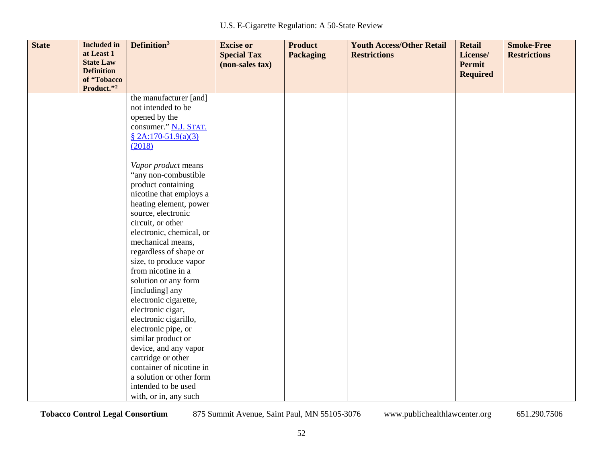| <b>State</b> | <b>Included</b> in<br>at Least 1 | Definition <sup>3</sup>                              | <b>Excise or</b><br><b>Special Tax</b> | <b>Product</b><br><b>Packaging</b> | <b>Youth Access/Other Retail</b><br><b>Restrictions</b> | <b>Retail</b><br>License/ | <b>Smoke-Free</b><br><b>Restrictions</b> |
|--------------|----------------------------------|------------------------------------------------------|----------------------------------------|------------------------------------|---------------------------------------------------------|---------------------------|------------------------------------------|
|              | <b>State Law</b>                 |                                                      | (non-sales tax)                        |                                    |                                                         | <b>Permit</b>             |                                          |
|              | <b>Definition</b><br>of "Tobacco |                                                      |                                        |                                    |                                                         | <b>Required</b>           |                                          |
|              | Product."2                       |                                                      |                                        |                                    |                                                         |                           |                                          |
|              |                                  | the manufacturer [and]                               |                                        |                                    |                                                         |                           |                                          |
|              |                                  | not intended to be                                   |                                        |                                    |                                                         |                           |                                          |
|              |                                  | opened by the                                        |                                        |                                    |                                                         |                           |                                          |
|              |                                  | consumer." N.J. STAT.                                |                                        |                                    |                                                         |                           |                                          |
|              |                                  | § 2A:170-51.9(a)(3)                                  |                                        |                                    |                                                         |                           |                                          |
|              |                                  | (2018)                                               |                                        |                                    |                                                         |                           |                                          |
|              |                                  |                                                      |                                        |                                    |                                                         |                           |                                          |
|              |                                  | Vapor product means<br>"any non-combustible          |                                        |                                    |                                                         |                           |                                          |
|              |                                  | product containing                                   |                                        |                                    |                                                         |                           |                                          |
|              |                                  | nicotine that employs a                              |                                        |                                    |                                                         |                           |                                          |
|              |                                  | heating element, power                               |                                        |                                    |                                                         |                           |                                          |
|              |                                  | source, electronic                                   |                                        |                                    |                                                         |                           |                                          |
|              |                                  | circuit, or other                                    |                                        |                                    |                                                         |                           |                                          |
|              |                                  | electronic, chemical, or                             |                                        |                                    |                                                         |                           |                                          |
|              |                                  | mechanical means,                                    |                                        |                                    |                                                         |                           |                                          |
|              |                                  | regardless of shape or                               |                                        |                                    |                                                         |                           |                                          |
|              |                                  | size, to produce vapor                               |                                        |                                    |                                                         |                           |                                          |
|              |                                  | from nicotine in a                                   |                                        |                                    |                                                         |                           |                                          |
|              |                                  | solution or any form                                 |                                        |                                    |                                                         |                           |                                          |
|              |                                  | [including] any                                      |                                        |                                    |                                                         |                           |                                          |
|              |                                  | electronic cigarette,                                |                                        |                                    |                                                         |                           |                                          |
|              |                                  | electronic cigar,                                    |                                        |                                    |                                                         |                           |                                          |
|              |                                  | electronic cigarillo,                                |                                        |                                    |                                                         |                           |                                          |
|              |                                  | electronic pipe, or                                  |                                        |                                    |                                                         |                           |                                          |
|              |                                  | similar product or                                   |                                        |                                    |                                                         |                           |                                          |
|              |                                  | device, and any vapor                                |                                        |                                    |                                                         |                           |                                          |
|              |                                  | cartridge or other                                   |                                        |                                    |                                                         |                           |                                          |
|              |                                  | container of nicotine in<br>a solution or other form |                                        |                                    |                                                         |                           |                                          |
|              |                                  | intended to be used                                  |                                        |                                    |                                                         |                           |                                          |
|              |                                  | with, or in, any such                                |                                        |                                    |                                                         |                           |                                          |

52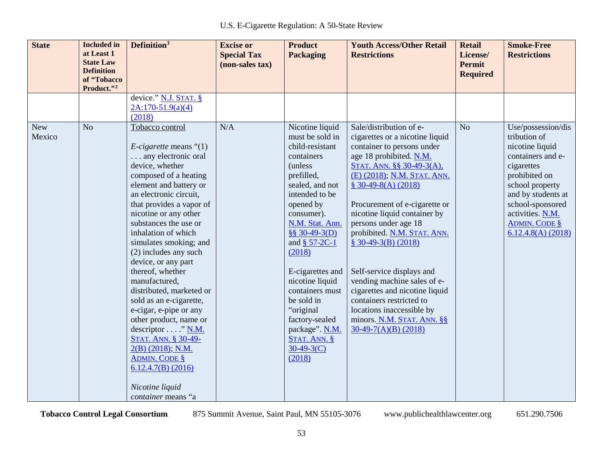| <b>State</b>         | <b>Included</b> in<br>at Least 1<br><b>State Law</b><br><b>Definition</b><br>of "Tobacco<br>Product."2 | Definition <sup>3</sup>                                                                                                                                                                                                                                                                                                                                                                                                                                                                                                                                                                                                                                                              | <b>Excise or</b><br><b>Special Tax</b><br>(non-sales tax) | <b>Product</b><br><b>Packaging</b>                                                                                                                                                                                                                                                                                                                                                                 | <b>Youth Access/Other Retail</b><br><b>Restrictions</b>                                                                                                                                                                                                                                                                                                                                                                                                                                                                                                              | <b>Retail</b><br>License/<br><b>Permit</b><br><b>Required</b> | <b>Smoke-Free</b><br><b>Restrictions</b>                                                                                                                                                                                                   |
|----------------------|--------------------------------------------------------------------------------------------------------|--------------------------------------------------------------------------------------------------------------------------------------------------------------------------------------------------------------------------------------------------------------------------------------------------------------------------------------------------------------------------------------------------------------------------------------------------------------------------------------------------------------------------------------------------------------------------------------------------------------------------------------------------------------------------------------|-----------------------------------------------------------|----------------------------------------------------------------------------------------------------------------------------------------------------------------------------------------------------------------------------------------------------------------------------------------------------------------------------------------------------------------------------------------------------|----------------------------------------------------------------------------------------------------------------------------------------------------------------------------------------------------------------------------------------------------------------------------------------------------------------------------------------------------------------------------------------------------------------------------------------------------------------------------------------------------------------------------------------------------------------------|---------------------------------------------------------------|--------------------------------------------------------------------------------------------------------------------------------------------------------------------------------------------------------------------------------------------|
|                      |                                                                                                        | device." N.J. STAT. §<br>$2A:170-51.9(a)(4)$<br>(2018)                                                                                                                                                                                                                                                                                                                                                                                                                                                                                                                                                                                                                               |                                                           |                                                                                                                                                                                                                                                                                                                                                                                                    |                                                                                                                                                                                                                                                                                                                                                                                                                                                                                                                                                                      |                                                               |                                                                                                                                                                                                                                            |
| <b>New</b><br>Mexico | N <sub>o</sub>                                                                                         | Tobacco control<br><i>E-cigarette</i> means $\degree$ (1)<br>any electronic oral<br>device, whether<br>composed of a heating<br>element and battery or<br>an electronic circuit,<br>that provides a vapor of<br>nicotine or any other<br>substances the use or<br>inhalation of which<br>simulates smoking; and<br>(2) includes any such<br>device, or any part<br>thereof, whether<br>manufactured,<br>distributed, marketed or<br>sold as an e-cigarette,<br>e-cigar, e-pipe or any<br>other product, name or<br>descriptor " $N.M.$<br><b>STAT. ANN. § 30-49-</b><br>$2(B)$ (2018); N.M.<br><b>ADMIN. CODE §</b><br>$6.12.4.7(B)$ (2016)<br>Nicotine liquid<br>container means "a | N/A                                                       | Nicotine liquid<br>must be sold in<br>child-resistant<br>containers<br>(unless)<br>prefilled,<br>sealed, and not<br>intended to be<br>opened by<br>consumer).<br>N.M. Stat. Ann.<br>§§ 30-49-3(D)<br>and $§$ 57-2C-1<br>(2018)<br>E-cigarettes and<br>nicotine liquid<br>containers must<br>be sold in<br>"original"<br>factory-sealed<br>package". N.M.<br>STAT. ANN. §<br>$30-49-3(C)$<br>(2018) | Sale/distribution of e-<br>cigarettes or a nicotine liquid<br>container to persons under<br>age 18 prohibited. N.M.<br>STAT. ANN. §§ 30-49-3(A),<br>(E) (2018); N.M. STAT. ANN.<br>$$30-49-8(A)(2018)$<br>Procurement of e-cigarette or<br>nicotine liquid container by<br>persons under age 18<br>prohibited. N.M. STAT. ANN.<br>$$30-49-3(B)(2018)$<br>Self-service displays and<br>vending machine sales of e-<br>cigarettes and nicotine liquid<br>containers restricted to<br>locations inaccessible by<br>minors. N.M. STAT. ANN. §§<br>$30-49-7(A)(B)$ (2018) | N <sub>o</sub>                                                | Use/possession/dis<br>tribution of<br>nicotine liquid<br>containers and e-<br>cigarettes<br>prohibited on<br>school property<br>and by students at<br>school-sponsored<br>activities. N.M.<br><b>ADMIN. CODE §</b><br>$6.12.4.8(A)$ (2018) |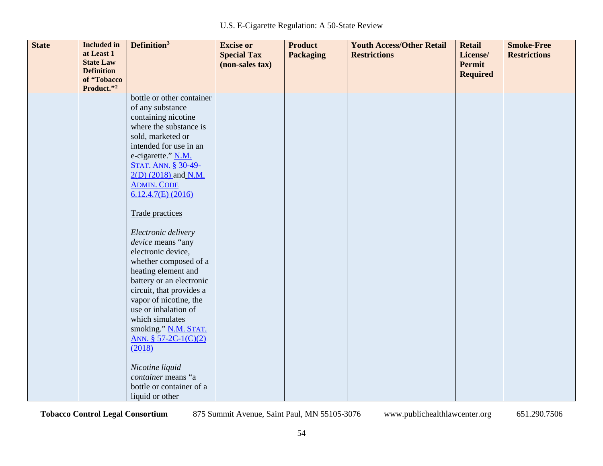| <b>State</b> | <b>Included</b> in                    | Definition <sup>3</sup>    | <b>Excise or</b>   | <b>Product</b>   | <b>Youth Access/Other Retail</b> | <b>Retail</b>   | <b>Smoke-Free</b>   |
|--------------|---------------------------------------|----------------------------|--------------------|------------------|----------------------------------|-----------------|---------------------|
|              | at Least 1                            |                            | <b>Special Tax</b> | <b>Packaging</b> | <b>Restrictions</b>              | License/        | <b>Restrictions</b> |
|              | <b>State Law</b><br><b>Definition</b> |                            | (non-sales tax)    |                  |                                  | <b>Permit</b>   |                     |
|              | of "Tobacco                           |                            |                    |                  |                                  | <b>Required</b> |                     |
|              | Product."2                            |                            |                    |                  |                                  |                 |                     |
|              |                                       | bottle or other container  |                    |                  |                                  |                 |                     |
|              |                                       | of any substance           |                    |                  |                                  |                 |                     |
|              |                                       | containing nicotine        |                    |                  |                                  |                 |                     |
|              |                                       | where the substance is     |                    |                  |                                  |                 |                     |
|              |                                       | sold, marketed or          |                    |                  |                                  |                 |                     |
|              |                                       | intended for use in an     |                    |                  |                                  |                 |                     |
|              |                                       | e-cigarette." N.M.         |                    |                  |                                  |                 |                     |
|              |                                       | <b>STAT. ANN. § 30-49-</b> |                    |                  |                                  |                 |                     |
|              |                                       | 2(D) (2018) and N.M.       |                    |                  |                                  |                 |                     |
|              |                                       | <b>ADMIN. CODE</b>         |                    |                  |                                  |                 |                     |
|              |                                       | $6.12.4.7(E)$ (2016)       |                    |                  |                                  |                 |                     |
|              |                                       | Trade practices            |                    |                  |                                  |                 |                     |
|              |                                       |                            |                    |                  |                                  |                 |                     |
|              |                                       | Electronic delivery        |                    |                  |                                  |                 |                     |
|              |                                       | device means "any          |                    |                  |                                  |                 |                     |
|              |                                       | electronic device,         |                    |                  |                                  |                 |                     |
|              |                                       | whether composed of a      |                    |                  |                                  |                 |                     |
|              |                                       | heating element and        |                    |                  |                                  |                 |                     |
|              |                                       | battery or an electronic   |                    |                  |                                  |                 |                     |
|              |                                       | circuit, that provides a   |                    |                  |                                  |                 |                     |
|              |                                       | vapor of nicotine, the     |                    |                  |                                  |                 |                     |
|              |                                       | use or inhalation of       |                    |                  |                                  |                 |                     |
|              |                                       | which simulates            |                    |                  |                                  |                 |                     |
|              |                                       | smoking." N.M. STAT.       |                    |                  |                                  |                 |                     |
|              |                                       | ANN. $$57-2C-1(C)(2)$      |                    |                  |                                  |                 |                     |
|              |                                       | (2018)                     |                    |                  |                                  |                 |                     |
|              |                                       | Nicotine liquid            |                    |                  |                                  |                 |                     |
|              |                                       | container means "a         |                    |                  |                                  |                 |                     |
|              |                                       | bottle or container of a   |                    |                  |                                  |                 |                     |
|              |                                       | liquid or other            |                    |                  |                                  |                 |                     |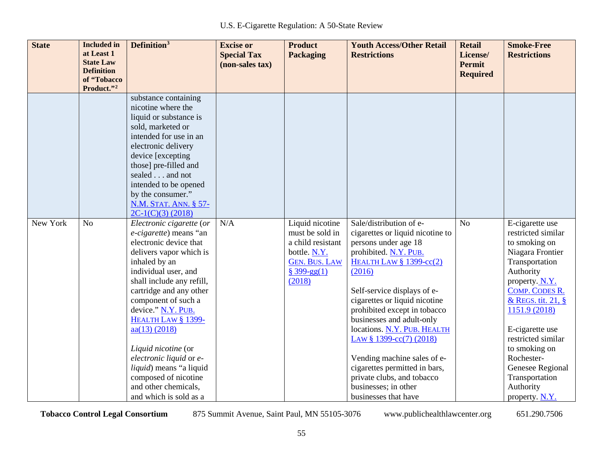| <b>State</b> | <b>Included</b> in<br>at Least 1<br><b>State Law</b><br><b>Definition</b><br>of "Tobacco | Definition <sup>3</sup>                        | <b>Excise or</b><br><b>Special Tax</b><br>(non-sales tax) | <b>Product</b><br><b>Packaging</b> | <b>Youth Access/Other Retail</b><br><b>Restrictions</b> | <b>Retail</b><br>License/<br><b>Permit</b><br><b>Required</b> | <b>Smoke-Free</b><br><b>Restrictions</b> |
|--------------|------------------------------------------------------------------------------------------|------------------------------------------------|-----------------------------------------------------------|------------------------------------|---------------------------------------------------------|---------------------------------------------------------------|------------------------------------------|
|              | Product."2                                                                               |                                                |                                                           |                                    |                                                         |                                                               |                                          |
|              |                                                                                          | substance containing                           |                                                           |                                    |                                                         |                                                               |                                          |
|              |                                                                                          | nicotine where the                             |                                                           |                                    |                                                         |                                                               |                                          |
|              |                                                                                          | liquid or substance is                         |                                                           |                                    |                                                         |                                                               |                                          |
|              |                                                                                          | sold, marketed or                              |                                                           |                                    |                                                         |                                                               |                                          |
|              |                                                                                          | intended for use in an                         |                                                           |                                    |                                                         |                                                               |                                          |
|              |                                                                                          | electronic delivery<br>device [excepting]      |                                                           |                                    |                                                         |                                                               |                                          |
|              |                                                                                          | those] pre-filled and                          |                                                           |                                    |                                                         |                                                               |                                          |
|              |                                                                                          | sealed and not                                 |                                                           |                                    |                                                         |                                                               |                                          |
|              |                                                                                          | intended to be opened                          |                                                           |                                    |                                                         |                                                               |                                          |
|              |                                                                                          | by the consumer."                              |                                                           |                                    |                                                         |                                                               |                                          |
|              |                                                                                          | N.M. STAT. ANN. § 57-                          |                                                           |                                    |                                                         |                                                               |                                          |
|              |                                                                                          | $2C-1(C)(3)$ (2018)                            |                                                           |                                    |                                                         |                                                               |                                          |
| New York     | N <sub>o</sub>                                                                           | Electronic cigarette (or                       | N/A                                                       | Liquid nicotine                    | Sale/distribution of e-                                 | N <sub>o</sub>                                                | E-cigarette use                          |
|              |                                                                                          | e-cigarette) means "an                         |                                                           | must be sold in                    | cigarettes or liquid nicotine to                        |                                                               | restricted similar                       |
|              |                                                                                          | electronic device that                         |                                                           | a child resistant                  | persons under age 18                                    |                                                               | to smoking on                            |
|              |                                                                                          | delivers vapor which is                        |                                                           | bottle. N.Y.                       | prohibited. N.Y. PUB.                                   |                                                               | Niagara Frontier                         |
|              |                                                                                          | inhaled by an                                  |                                                           | <b>GEN. BUS. LAW</b>               | <b>HEALTH LAW § 1399-cc(2)</b>                          |                                                               | Transportation                           |
|              |                                                                                          | individual user, and                           |                                                           | $$399-gg(1)$                       | (2016)                                                  |                                                               | Authority                                |
|              |                                                                                          | shall include any refill,                      |                                                           | (2018)                             |                                                         |                                                               | property. N.Y.                           |
|              |                                                                                          | cartridge and any other                        |                                                           |                                    | Self-service displays of e-                             |                                                               | COMP. CODES R.                           |
|              |                                                                                          | component of such a                            |                                                           |                                    | cigarettes or liquid nicotine                           |                                                               | & REGS. tit. 21, §                       |
|              |                                                                                          | device." N.Y. PUB.                             |                                                           |                                    | prohibited except in tobacco                            |                                                               | 1151.9 (2018)                            |
|              |                                                                                          | HEALTH LAW § 1399-                             |                                                           |                                    | businesses and adult-only                               |                                                               |                                          |
|              |                                                                                          | $\frac{aa(13)(2018)}{2018}$                    |                                                           |                                    | locations. N.Y. PUB. HEALTH                             |                                                               | E-cigarette use                          |
|              |                                                                                          |                                                |                                                           |                                    | LAW § 1399-cc(7) (2018)                                 |                                                               | restricted similar                       |
|              |                                                                                          | Liquid nicotine (or<br>electronic liquid or e- |                                                           |                                    | Vending machine sales of e-                             |                                                               | to smoking on<br>Rochester-              |
|              |                                                                                          | liquid) means "a liquid                        |                                                           |                                    | cigarettes permitted in bars,                           |                                                               | Genesee Regional                         |
|              |                                                                                          | composed of nicotine                           |                                                           |                                    | private clubs, and tobacco                              |                                                               | Transportation                           |
|              |                                                                                          | and other chemicals,                           |                                                           |                                    | businesses; in other                                    |                                                               | Authority                                |
|              |                                                                                          | and which is sold as a                         |                                                           |                                    | businesses that have                                    |                                                               | property. $N.Y.$                         |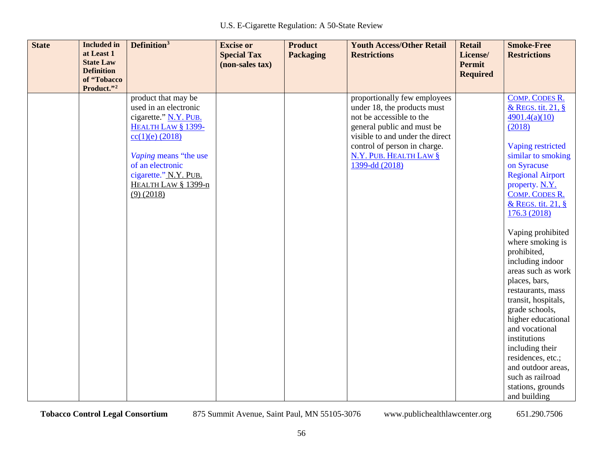| <b>State</b> | <b>Included</b> in<br>at Least 1<br><b>State Law</b><br><b>Definition</b><br>of "Tobacco<br>Product."2 | Definition <sup>3</sup>                                                                                                                                                                                                       | <b>Excise or</b><br><b>Special Tax</b><br>(non-sales tax) | <b>Product</b><br><b>Packaging</b> | <b>Youth Access/Other Retail</b><br><b>Restrictions</b>                                                                                                                                                                              | <b>Retail</b><br>License/<br><b>Permit</b><br><b>Required</b> | <b>Smoke-Free</b><br><b>Restrictions</b>                                                                                                                                                                                                                                                                                                                                                                                                                                                                                                                                              |
|--------------|--------------------------------------------------------------------------------------------------------|-------------------------------------------------------------------------------------------------------------------------------------------------------------------------------------------------------------------------------|-----------------------------------------------------------|------------------------------------|--------------------------------------------------------------------------------------------------------------------------------------------------------------------------------------------------------------------------------------|---------------------------------------------------------------|---------------------------------------------------------------------------------------------------------------------------------------------------------------------------------------------------------------------------------------------------------------------------------------------------------------------------------------------------------------------------------------------------------------------------------------------------------------------------------------------------------------------------------------------------------------------------------------|
|              |                                                                                                        | product that may be<br>used in an electronic<br>cigarette." N.Y. PUB.<br>HEALTH LAW § 1399-<br>$cc(1)(e)$ (2018)<br>Vaping means "the use<br>of an electronic<br>cigarette." N.Y. PUB.<br>HEALTH LAW § 1399-n<br>$(9)$ (2018) |                                                           |                                    | proportionally few employees<br>under 18, the products must<br>not be accessible to the<br>general public and must be<br>visible to and under the direct<br>control of person in charge.<br>N.Y. PUB. HEALTH LAW §<br>1399-dd (2018) |                                                               | <b>COMP. CODES R.</b><br>& REGS. tit. 21, §<br>4901.4(a)(10)<br>(2018)<br>Vaping restricted<br>similar to smoking<br>on Syracuse<br><b>Regional Airport</b><br>property. N.Y.<br>COMP. CODES R.<br>& REGS. tit. 21, §<br>176.3 (2018)<br>Vaping prohibited<br>where smoking is<br>prohibited,<br>including indoor<br>areas such as work<br>places, bars,<br>restaurants, mass<br>transit, hospitals,<br>grade schools,<br>higher educational<br>and vocational<br>institutions<br>including their<br>residences, etc.;<br>and outdoor areas,<br>such as railroad<br>stations, grounds |
|              |                                                                                                        |                                                                                                                                                                                                                               |                                                           |                                    |                                                                                                                                                                                                                                      |                                                               | and building                                                                                                                                                                                                                                                                                                                                                                                                                                                                                                                                                                          |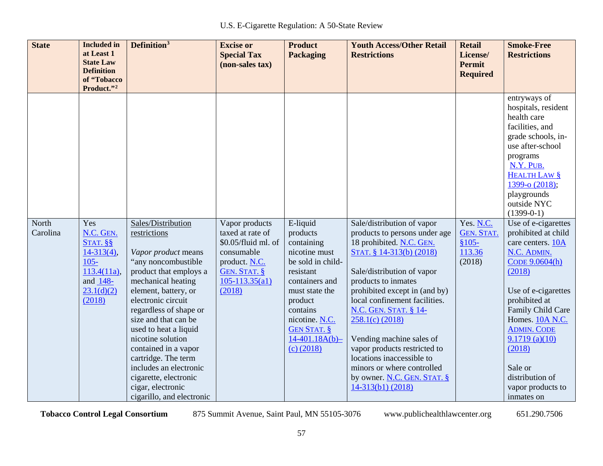| <b>State</b>      | <b>Included</b> in<br>at Least 1<br><b>State Law</b><br><b>Definition</b><br>of "Tobacco<br>Product."2           | Definition <sup>3</sup>                                                                                                                                                                                                                                                                                                                                                                                                            | <b>Excise or</b><br><b>Special Tax</b><br>(non-sales tax)                                                                                | <b>Product</b><br><b>Packaging</b>                                                                                                                                                                                          | <b>Youth Access/Other Retail</b><br><b>Restrictions</b>                                                                                                                                                                                                                                                                                                                                                                                                             | <b>Retail</b><br>License/<br><b>Permit</b><br><b>Required</b> | <b>Smoke-Free</b><br><b>Restrictions</b>                                                                                                                                                                                                                                                                     |
|-------------------|------------------------------------------------------------------------------------------------------------------|------------------------------------------------------------------------------------------------------------------------------------------------------------------------------------------------------------------------------------------------------------------------------------------------------------------------------------------------------------------------------------------------------------------------------------|------------------------------------------------------------------------------------------------------------------------------------------|-----------------------------------------------------------------------------------------------------------------------------------------------------------------------------------------------------------------------------|---------------------------------------------------------------------------------------------------------------------------------------------------------------------------------------------------------------------------------------------------------------------------------------------------------------------------------------------------------------------------------------------------------------------------------------------------------------------|---------------------------------------------------------------|--------------------------------------------------------------------------------------------------------------------------------------------------------------------------------------------------------------------------------------------------------------------------------------------------------------|
|                   |                                                                                                                  |                                                                                                                                                                                                                                                                                                                                                                                                                                    |                                                                                                                                          |                                                                                                                                                                                                                             |                                                                                                                                                                                                                                                                                                                                                                                                                                                                     |                                                               | entryways of<br>hospitals, resident<br>health care<br>facilities, and<br>grade schools, in-<br>use after-school<br>programs<br>N.Y. PUB.<br><b>HEALTH LAW §</b><br>1399-0 (2018);<br>playgrounds<br>outside NYC<br>$(1399-0-1)$                                                                              |
| North<br>Carolina | Yes<br>N.C. GEN.<br>$STAT.$ §§<br>$14-313(4)$ ,<br>$105 -$<br>$113.4(11a)$ ,<br>and 148-<br>23.1(d)(2)<br>(2018) | Sales/Distribution<br>restrictions<br>Vapor product means<br>"any noncombustible<br>product that employs a<br>mechanical heating<br>element, battery, or<br>electronic circuit<br>regardless of shape or<br>size and that can be<br>used to heat a liquid<br>nicotine solution<br>contained in a vapor<br>cartridge. The term<br>includes an electronic<br>cigarette, electronic<br>cigar, electronic<br>cigarillo, and electronic | Vapor products<br>taxed at rate of<br>\$0.05/fluid ml. of<br>consumable<br>product. N.C.<br>GEN. STAT. §<br>$105 - 113.35(a1)$<br>(2018) | E-liquid<br>products<br>containing<br>nicotine must<br>be sold in child-<br>resistant<br>containers and<br>must state the<br>product<br>contains<br>nicotine. N.C.<br><b>GEN STAT. §</b><br>$14-401.18A(b)$<br>$(c)$ (2018) | Sale/distribution of vapor<br>products to persons under age<br>18 prohibited. N.C. GEN.<br>STAT. § 14-313(b) (2018)<br>Sale/distribution of vapor<br>products to inmates<br>prohibited except in (and by)<br>local confinement facilities.<br>N.C. GEN. STAT. § 14-<br>$258.1(c)$ (2018)<br>Vending machine sales of<br>vapor products restricted to<br>locations inaccessible to<br>minors or where controlled<br>by owner. N.C. GEN. STAT. §<br>14-313(b1) (2018) | Yes. N.C.<br><b>GEN. STAT.</b><br>$$105-$<br>113.36<br>(2018) | Use of e-cigarettes<br>prohibited at child<br>care centers. 10A<br>N.C. ADMIN.<br>CODE 9.0604(h)<br>(2018)<br>Use of e-cigarettes<br>prohibited at<br>Family Child Care<br>Homes. 10A N.C.<br><b>ADMIN. CODE</b><br>9.1719(a)(10)<br>(2018)<br>Sale or<br>distribution of<br>vapor products to<br>inmates on |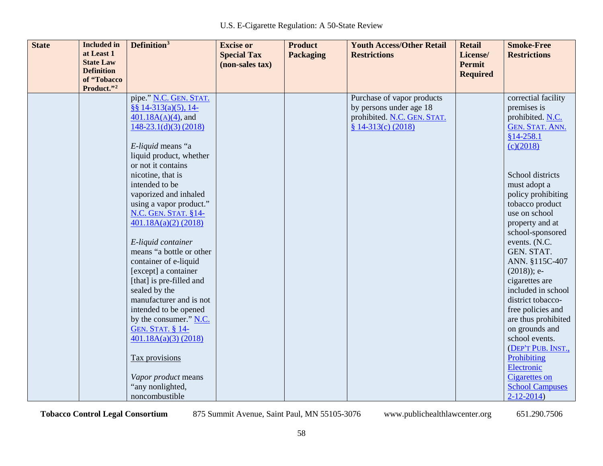| <b>State</b> | <b>Included</b> in<br>at Least 1<br><b>State Law</b> | Definition <sup>3</sup>                                                                                                                                                     | <b>Excise or</b><br><b>Special Tax</b> | <b>Product</b><br><b>Packaging</b> | <b>Youth Access/Other Retail</b><br><b>Restrictions</b>                                                     | <b>Retail</b><br>License/        | <b>Smoke-Free</b><br><b>Restrictions</b>                                                                                          |
|--------------|------------------------------------------------------|-----------------------------------------------------------------------------------------------------------------------------------------------------------------------------|----------------------------------------|------------------------------------|-------------------------------------------------------------------------------------------------------------|----------------------------------|-----------------------------------------------------------------------------------------------------------------------------------|
|              | <b>Definition</b><br>of "Tobacco                     |                                                                                                                                                                             | (non-sales tax)                        |                                    |                                                                                                             | <b>Permit</b><br><b>Required</b> |                                                                                                                                   |
|              | Product."2                                           | pipe." N.C. GEN. STAT.<br>$§$ § 14-313(a)(5), 14-<br>$401.18A(A)(4)$ , and<br>$148-23.1(d)(3) (2018)$<br>E-liquid means "a<br>liquid product, whether<br>or not it contains |                                        |                                    | Purchase of vapor products<br>by persons under age 18<br>prohibited. N.C. GEN. STAT.<br>$$14-313(c) (2018)$ |                                  | correctial facility<br>premises is<br>prohibited. N.C.<br><b>GEN. STAT. ANN.</b><br>$§14-258.1$<br>(c)(2018)                      |
|              |                                                      | nicotine, that is<br>intended to be<br>vaporized and inhaled<br>using a vapor product."<br><b>N.C. GEN. STAT. §14-</b><br>$401.18A(a)(2)$ (2018)                            |                                        |                                    |                                                                                                             |                                  | School districts<br>must adopt a<br>policy prohibiting<br>tobacco product<br>use on school<br>property and at<br>school-sponsored |
|              |                                                      | E-liquid container<br>means "a bottle or other<br>container of e-liquid<br>[except] a container<br>[that] is pre-filled and<br>sealed by the                                |                                        |                                    |                                                                                                             |                                  | events. (N.C.<br>GEN. STAT.<br>ANN. §115C-407<br>$(2018)$ ; e-<br>cigarettes are<br>included in school                            |
|              |                                                      | manufacturer and is not<br>intended to be opened<br>by the consumer." N.C.<br><b>GEN. STAT. § 14-</b><br>$401.18A(a)(3)$ (2018)                                             |                                        |                                    |                                                                                                             |                                  | district tobacco-<br>free policies and<br>are thus prohibited<br>on grounds and<br>school events.<br>(DEP'T PUB. INST.,           |
|              |                                                      | Tax provisions<br>Vapor product means<br>"any nonlighted,<br>noncombustible                                                                                                 |                                        |                                    |                                                                                                             |                                  | Prohibiting<br>Electronic<br>Cigarettes on<br><b>School Campuses</b><br>$2 - 12 - 2014$                                           |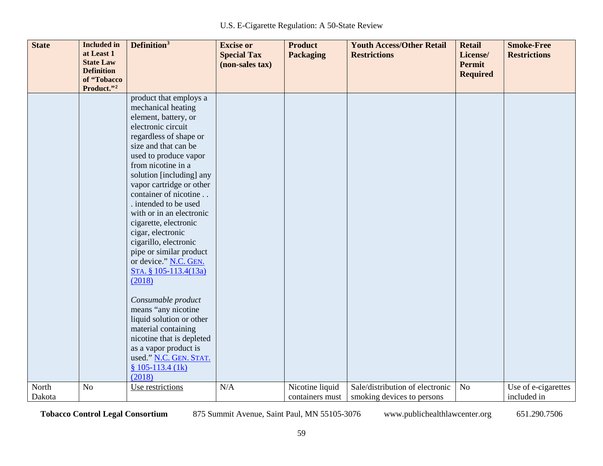| <b>State</b>    | <b>Included</b> in<br>at Least 1<br><b>State Law</b><br><b>Definition</b> | Definition <sup>3</sup>                                                                                                                                                                                                                                                                                                                                                                                                                                                                                                                                                                                                                                                                                       | <b>Excise or</b><br><b>Special Tax</b><br>(non-sales tax) | <b>Product</b><br><b>Packaging</b> | <b>Youth Access/Other Retail</b><br><b>Restrictions</b>       | <b>Retail</b><br>License/<br><b>Permit</b><br><b>Required</b> | <b>Smoke-Free</b><br><b>Restrictions</b> |
|-----------------|---------------------------------------------------------------------------|---------------------------------------------------------------------------------------------------------------------------------------------------------------------------------------------------------------------------------------------------------------------------------------------------------------------------------------------------------------------------------------------------------------------------------------------------------------------------------------------------------------------------------------------------------------------------------------------------------------------------------------------------------------------------------------------------------------|-----------------------------------------------------------|------------------------------------|---------------------------------------------------------------|---------------------------------------------------------------|------------------------------------------|
|                 | of "Tobacco<br>Product."2                                                 |                                                                                                                                                                                                                                                                                                                                                                                                                                                                                                                                                                                                                                                                                                               |                                                           |                                    |                                                               |                                                               |                                          |
|                 |                                                                           | product that employs a<br>mechanical heating<br>element, battery, or<br>electronic circuit<br>regardless of shape or<br>size and that can be<br>used to produce vapor<br>from nicotine in a<br>solution [including] any<br>vapor cartridge or other<br>container of nicotine<br>. intended to be used<br>with or in an electronic<br>cigarette, electronic<br>cigar, electronic<br>cigarillo, electronic<br>pipe or similar product<br>or device." N.C. GEN.<br>STA. § 105-113.4(13a)<br>(2018)<br>Consumable product<br>means "any nicotine<br>liquid solution or other<br>material containing<br>nicotine that is depleted<br>as a vapor product is<br>used." N.C. GEN. STAT.<br>$$105-113.4(lk)$<br>(2018) |                                                           |                                    |                                                               |                                                               |                                          |
| North<br>Dakota | No                                                                        | Use restrictions                                                                                                                                                                                                                                                                                                                                                                                                                                                                                                                                                                                                                                                                                              | N/A                                                       | Nicotine liquid<br>containers must | Sale/distribution of electronic<br>smoking devices to persons | No                                                            | Use of e-cigarettes<br>included in       |
|                 |                                                                           |                                                                                                                                                                                                                                                                                                                                                                                                                                                                                                                                                                                                                                                                                                               |                                                           |                                    |                                                               |                                                               |                                          |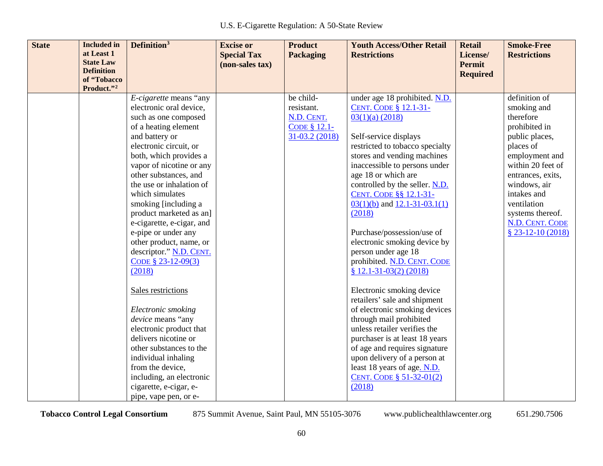| <b>State</b> | <b>Included</b> in<br>at Least 1<br><b>State Law</b><br><b>Definition</b><br>of "Tobacco<br>Product."2 | Definition <sup>3</sup>                                                                                                                                                                                                                                                                                                                                                                                                                                        | <b>Excise or</b><br><b>Special Tax</b><br>(non-sales tax) | <b>Product</b><br><b>Packaging</b>                                      | <b>Youth Access/Other Retail</b><br><b>Restrictions</b>                                                                                                                                                                                                                                                                                                                                                                                                             | <b>Retail</b><br>License/<br><b>Permit</b><br><b>Required</b> | <b>Smoke-Free</b><br><b>Restrictions</b>                                                                                                                                                                                                                        |
|--------------|--------------------------------------------------------------------------------------------------------|----------------------------------------------------------------------------------------------------------------------------------------------------------------------------------------------------------------------------------------------------------------------------------------------------------------------------------------------------------------------------------------------------------------------------------------------------------------|-----------------------------------------------------------|-------------------------------------------------------------------------|---------------------------------------------------------------------------------------------------------------------------------------------------------------------------------------------------------------------------------------------------------------------------------------------------------------------------------------------------------------------------------------------------------------------------------------------------------------------|---------------------------------------------------------------|-----------------------------------------------------------------------------------------------------------------------------------------------------------------------------------------------------------------------------------------------------------------|
|              |                                                                                                        | E-cigarette means "any<br>electronic oral device,<br>such as one composed<br>of a heating element<br>and battery or<br>electronic circuit, or<br>both, which provides a<br>vapor of nicotine or any<br>other substances, and<br>the use or inhalation of<br>which simulates<br>smoking [including a<br>product marketed as an]<br>e-cigarette, e-cigar, and<br>e-pipe or under any<br>other product, name, or<br>descriptor." N.D. CENT.<br>CODE § 23-12-09(3) |                                                           | be child-<br>resistant.<br>N.D. CENT.<br>CODE § 12.1-<br>31-03.2 (2018) | under age 18 prohibited. N.D.<br><b>CENT. CODE § 12.1-31-</b><br>$03(1)(a)$ (2018)<br>Self-service displays<br>restricted to tobacco specialty<br>stores and vending machines<br>inaccessible to persons under<br>age 18 or which are<br>controlled by the seller. N.D.<br>CENT. CODE §§ 12.1-31-<br>$03(1)(b)$ and $12.1-31-03.1(1)$<br>(2018)<br>Purchase/possession/use of<br>electronic smoking device by<br>person under age 18<br>prohibited. N.D. CENT. CODE |                                                               | definition of<br>smoking and<br>therefore<br>prohibited in<br>public places,<br>places of<br>employment and<br>within 20 feet of<br>entrances, exits,<br>windows, air<br>intakes and<br>ventilation<br>systems thereof.<br>N.D. CENT. CODE<br>$$23-12-10(2018)$ |
|              |                                                                                                        | (2018)<br>Sales restrictions<br>Electronic smoking<br>device means "any<br>electronic product that<br>delivers nicotine or<br>other substances to the<br>individual inhaling<br>from the device,<br>including, an electronic<br>cigarette, e-cigar, e-<br>pipe, vape pen, or e-                                                                                                                                                                                |                                                           |                                                                         | $$12.1-31-03(2) (2018)$<br>Electronic smoking device<br>retailers' sale and shipment<br>of electronic smoking devices<br>through mail prohibited<br>unless retailer verifies the<br>purchaser is at least 18 years<br>of age and requires signature<br>upon delivery of a person at<br>least 18 years of age. N.D.<br>CENT. CODE § 51-32-01(2)<br>(2018)                                                                                                            |                                                               |                                                                                                                                                                                                                                                                 |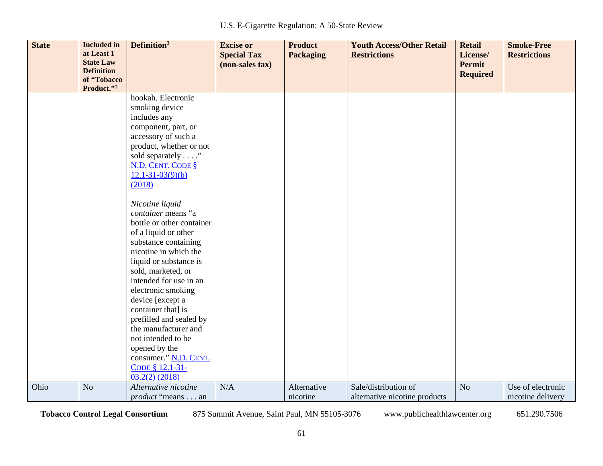| <b>State</b> | <b>Included</b> in<br>at Least 1<br><b>State Law</b> | Definition <sup>3</sup>                                                                                                                                                                                                                                                                                                                                                                                                                                                                                                                                                                                                                                              | <b>Excise or</b><br><b>Special Tax</b><br>(non-sales tax) | <b>Product</b><br><b>Packaging</b> | <b>Youth Access/Other Retail</b><br><b>Restrictions</b> | <b>Retail</b><br>License/<br><b>Permit</b> | <b>Smoke-Free</b><br><b>Restrictions</b> |
|--------------|------------------------------------------------------|----------------------------------------------------------------------------------------------------------------------------------------------------------------------------------------------------------------------------------------------------------------------------------------------------------------------------------------------------------------------------------------------------------------------------------------------------------------------------------------------------------------------------------------------------------------------------------------------------------------------------------------------------------------------|-----------------------------------------------------------|------------------------------------|---------------------------------------------------------|--------------------------------------------|------------------------------------------|
|              | <b>Definition</b><br>of "Tobacco<br>Product."2       |                                                                                                                                                                                                                                                                                                                                                                                                                                                                                                                                                                                                                                                                      |                                                           |                                    |                                                         | <b>Required</b>                            |                                          |
|              |                                                      | hookah. Electronic<br>smoking device<br>includes any<br>component, part, or<br>accessory of such a<br>product, whether or not<br>sold separately"<br><b>N.D. CENT. CODE §</b><br>$12.1 - 31 - 03(9)(b)$<br>(2018)<br>Nicotine liquid<br>container means "a<br>bottle or other container<br>of a liquid or other<br>substance containing<br>nicotine in which the<br>liquid or substance is<br>sold, marketed, or<br>intended for use in an<br>electronic smoking<br>device [except a<br>container that] is<br>prefilled and sealed by<br>the manufacturer and<br>not intended to be<br>opened by the<br>consumer." N.D. CENT.<br>CODE § 12.1-31-<br>$03.2(2)$ (2018) |                                                           |                                    |                                                         |                                            |                                          |
| Ohio         | N <sub>o</sub>                                       | Alternative nicotine<br><i>product</i> "means an                                                                                                                                                                                                                                                                                                                                                                                                                                                                                                                                                                                                                     | N/A                                                       | Alternative<br>nicotine            | Sale/distribution of<br>alternative nicotine products   | N <sub>o</sub>                             | Use of electronic<br>nicotine delivery   |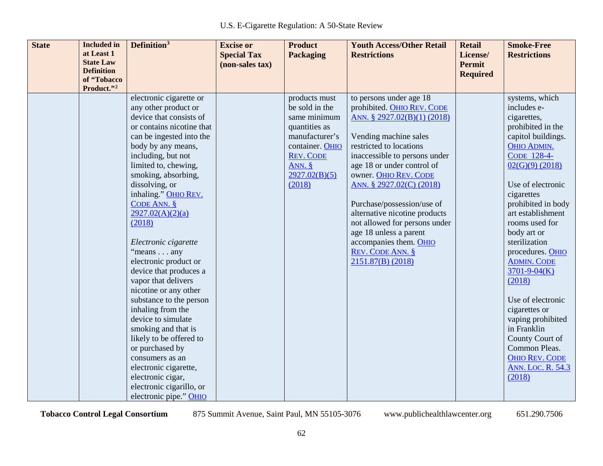| <b>State</b><br><b>Included</b> in<br>at Least 1<br><b>State Law</b><br><b>Definition</b><br>of "Tobacco<br>Product."2 | Definition <sup>3</sup>                                                                                                                                                                                                                                                                                                                                                                                                                                                                                                                                                                                                                                                                                                            | <b>Excise or</b><br><b>Special Tax</b><br>(non-sales tax) | <b>Product</b><br><b>Packaging</b>                                                                                                                           | <b>Youth Access/Other Retail</b><br><b>Restrictions</b>                                                                                                                                                                                                                                                                                                                                                                                                          | <b>Retail</b><br>License/<br><b>Permit</b><br><b>Required</b> | <b>Smoke-Free</b><br><b>Restrictions</b>                                                                                                                                                                                                                                                                                                                                                                                                                                                                                                 |
|------------------------------------------------------------------------------------------------------------------------|------------------------------------------------------------------------------------------------------------------------------------------------------------------------------------------------------------------------------------------------------------------------------------------------------------------------------------------------------------------------------------------------------------------------------------------------------------------------------------------------------------------------------------------------------------------------------------------------------------------------------------------------------------------------------------------------------------------------------------|-----------------------------------------------------------|--------------------------------------------------------------------------------------------------------------------------------------------------------------|------------------------------------------------------------------------------------------------------------------------------------------------------------------------------------------------------------------------------------------------------------------------------------------------------------------------------------------------------------------------------------------------------------------------------------------------------------------|---------------------------------------------------------------|------------------------------------------------------------------------------------------------------------------------------------------------------------------------------------------------------------------------------------------------------------------------------------------------------------------------------------------------------------------------------------------------------------------------------------------------------------------------------------------------------------------------------------------|
|                                                                                                                        | electronic cigarette or<br>any other product or<br>device that consists of<br>or contains nicotine that<br>can be ingested into the<br>body by any means,<br>including, but not<br>limited to, chewing,<br>smoking, absorbing,<br>dissolving, or<br>inhaling." OHIO REV.<br>CODE ANN. $§$<br>2927.02(A)(2)(a)<br>(2018)<br>Electronic cigarette<br>"means any<br>electronic product or<br>device that produces a<br>vapor that delivers<br>nicotine or any other<br>substance to the person<br>inhaling from the<br>device to simulate<br>smoking and that is<br>likely to be offered to<br>or purchased by<br>consumers as an<br>electronic cigarette,<br>electronic cigar,<br>electronic cigarillo, or<br>electronic pipe." OHIO |                                                           | products must<br>be sold in the<br>same minimum<br>quantities as<br>manufacturer's<br>container. OHIO<br><b>REV. CODE</b><br>ANN.<br>2927.02(B)(5)<br>(2018) | to persons under age 18<br>prohibited. OHIO REV. CODE<br>ANN. § 2927.02(B)(1) (2018)<br>Vending machine sales<br>restricted to locations<br>inaccessible to persons under<br>age 18 or under control of<br>owner. OHIO REV. CODE<br>ANN. § 2927.02(C) (2018)<br>Purchase/possession/use of<br>alternative nicotine products<br>not allowed for persons under<br>age 18 unless a parent<br>accompanies them. OHIO<br><b>REV. CODE ANN. §</b><br>2151.87(B) (2018) |                                                               | systems, which<br>includes e-<br>cigarettes,<br>prohibited in the<br>capitol buildings.<br><b>OHIO ADMIN.</b><br>CODE 128-4-<br>$02(G)(9)$ (2018)<br>Use of electronic<br>cigarettes<br>prohibited in body<br>art establishment<br>rooms used for<br>body art or<br>sterilization<br>procedures. OHIO<br><b>ADMIN. CODE</b><br>$3701 - 9 - 04(K)$<br>(2018)<br>Use of electronic<br>cigarettes or<br>vaping prohibited<br>in Franklin<br>County Court of<br>Common Pleas.<br><b>OHIO REV. CODE</b><br><b>ANN. LOC. R. 54.3</b><br>(2018) |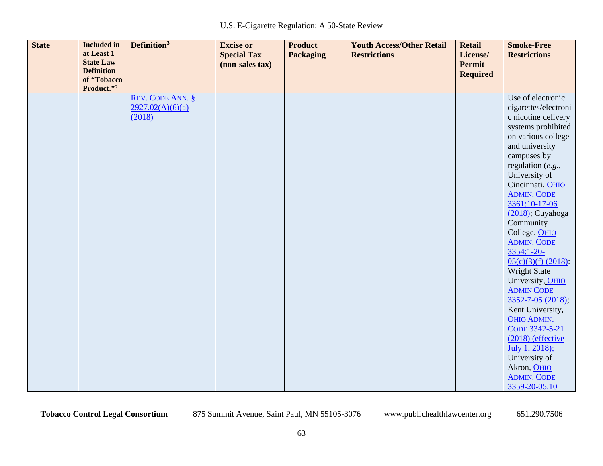| <b>State</b> | <b>Included</b> in<br>at Least 1<br><b>State Law</b><br><b>Definition</b> | Definition <sup>3</sup>                               | <b>Excise or</b><br><b>Special Tax</b><br>(non-sales tax) | <b>Product</b><br>Packaging | <b>Youth Access/Other Retail</b><br><b>Restrictions</b> | <b>Retail</b><br>License/<br><b>Permit</b><br><b>Required</b> | <b>Smoke-Free</b><br><b>Restrictions</b>                                                                                                                                                                                                                                                                                                                                                                                                                                                                                                                                                                                         |
|--------------|---------------------------------------------------------------------------|-------------------------------------------------------|-----------------------------------------------------------|-----------------------------|---------------------------------------------------------|---------------------------------------------------------------|----------------------------------------------------------------------------------------------------------------------------------------------------------------------------------------------------------------------------------------------------------------------------------------------------------------------------------------------------------------------------------------------------------------------------------------------------------------------------------------------------------------------------------------------------------------------------------------------------------------------------------|
|              | of "Tobacco<br>Product."2                                                 |                                                       |                                                           |                             |                                                         |                                                               |                                                                                                                                                                                                                                                                                                                                                                                                                                                                                                                                                                                                                                  |
|              |                                                                           | <b>REV. CODE ANN. §</b><br>2927.02(A)(6)(a)<br>(2018) |                                                           |                             |                                                         |                                                               | Use of electronic<br>cigarettes/electroni<br>c nicotine delivery<br>systems prohibited<br>on various college<br>and university<br>campuses by<br>regulation (e.g.,<br>University of<br>Cincinnati, OHIO<br><b>ADMIN. CODE</b><br>3361:10-17-06<br>$(2018)$ ; Cuyahoga<br>Community<br>College. OHIO<br><b>ADMIN. CODE</b><br>3354:1-20-<br>$05(c)(3)(f)$ (2018):<br>Wright State<br>University, OHIO<br><b>ADMIN CODE</b><br>$3352 - 7 - 05$ (2018);<br>Kent University,<br><b>OHIO ADMIN.</b><br>CODE 3342-5-21<br>$(2018)$ (effective<br>July 1, 2018);<br>University of<br>Akron, OHIO<br><b>ADMIN. CODE</b><br>3359-20-05.10 |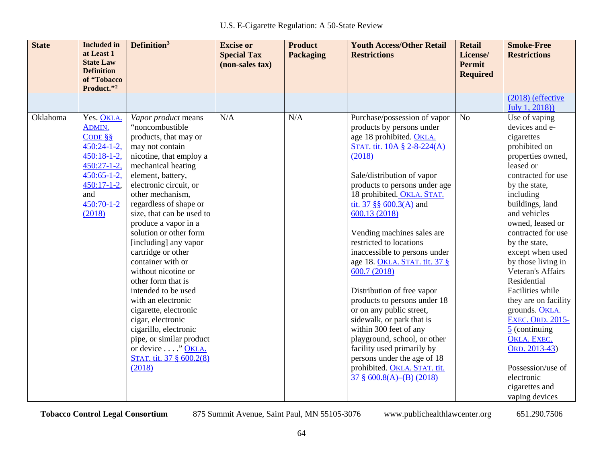| <b>State</b> | <b>Included</b> in<br>at Least 1<br><b>State Law</b><br><b>Definition</b><br>of "Tobacco                                                                   | Definition <sup>3</sup>                                                                                                                                                                                                                                                                                                                                                                                                                                                                                                                                                                                                                     | <b>Excise or</b><br><b>Special Tax</b><br>(non-sales tax) | <b>Product</b><br><b>Packaging</b> | <b>Youth Access/Other Retail</b><br><b>Restrictions</b>                                                                                                                                                                                                                                                                                                                                                                                                                                                                                                                                                                                                                                                                                    | <b>Retail</b><br>License/<br><b>Permit</b><br><b>Required</b> | <b>Smoke-Free</b><br><b>Restrictions</b>                                                                                                                                                                                                                                                                                                                                                                                                                                                                                                                      |
|--------------|------------------------------------------------------------------------------------------------------------------------------------------------------------|---------------------------------------------------------------------------------------------------------------------------------------------------------------------------------------------------------------------------------------------------------------------------------------------------------------------------------------------------------------------------------------------------------------------------------------------------------------------------------------------------------------------------------------------------------------------------------------------------------------------------------------------|-----------------------------------------------------------|------------------------------------|--------------------------------------------------------------------------------------------------------------------------------------------------------------------------------------------------------------------------------------------------------------------------------------------------------------------------------------------------------------------------------------------------------------------------------------------------------------------------------------------------------------------------------------------------------------------------------------------------------------------------------------------------------------------------------------------------------------------------------------------|---------------------------------------------------------------|---------------------------------------------------------------------------------------------------------------------------------------------------------------------------------------------------------------------------------------------------------------------------------------------------------------------------------------------------------------------------------------------------------------------------------------------------------------------------------------------------------------------------------------------------------------|
|              | Product."2                                                                                                                                                 |                                                                                                                                                                                                                                                                                                                                                                                                                                                                                                                                                                                                                                             |                                                           |                                    |                                                                                                                                                                                                                                                                                                                                                                                                                                                                                                                                                                                                                                                                                                                                            |                                                               |                                                                                                                                                                                                                                                                                                                                                                                                                                                                                                                                                               |
|              |                                                                                                                                                            |                                                                                                                                                                                                                                                                                                                                                                                                                                                                                                                                                                                                                                             |                                                           |                                    |                                                                                                                                                                                                                                                                                                                                                                                                                                                                                                                                                                                                                                                                                                                                            |                                                               | $(2018)$ (effective)<br>July 1, 2018))                                                                                                                                                                                                                                                                                                                                                                                                                                                                                                                        |
| Oklahoma     | Yes. OKLA.<br>ADMIN.<br>CODE $\S$<br>$450:24-1-2$ ,<br>$450:18-1-2$ ,<br>$450:27-1-2$ ,<br>$450:65-1-2$ ,<br>$450:17-1-2$ ,<br>and<br>450:70-1-2<br>(2018) | Vapor product means<br>"noncombustible<br>products, that may or<br>may not contain<br>nicotine, that employ a<br>mechanical heating<br>element, battery,<br>electronic circuit, or<br>other mechanism,<br>regardless of shape or<br>size, that can be used to<br>produce a vapor in a<br>solution or other form<br>[including] any vapor<br>cartridge or other<br>container with or<br>without nicotine or<br>other form that is<br>intended to be used<br>with an electronic<br>cigarette, electronic<br>cigar, electronic<br>cigarillo, electronic<br>pipe, or similar product<br>or device " OKLA.<br>STAT. tit. 37 § 600.2(8)<br>(2018) | N/A                                                       | N/A                                | Purchase/possession of vapor<br>products by persons under<br>age 18 prohibited. OKLA.<br>STAT. tit. 10A § 2-8-224(A)<br>(2018)<br>Sale/distribution of vapor<br>products to persons under age<br>18 prohibited. OKLA. STAT.<br>tit. 37 §§ $600.3(A)$ and<br>600.13 (2018)<br>Vending machines sales are<br>restricted to locations<br>inaccessible to persons under<br>age 18. OKLA. STAT. tit. 37 §<br>600.7 (2018)<br>Distribution of free vapor<br>products to persons under 18<br>or on any public street,<br>sidewalk, or park that is<br>within 300 feet of any<br>playground, school, or other<br>facility used primarily by<br>persons under the age of 18<br>prohibited. OKLA. STAT. tit.<br>$37 \frac{8}{9}$ 600.8(A)–(B) (2018) | N <sub>o</sub>                                                | Use of vaping<br>devices and e-<br>cigarettes<br>prohibited on<br>properties owned,<br>leased or<br>contracted for use<br>by the state,<br>including<br>buildings, land<br>and vehicles<br>owned, leased or<br>contracted for use<br>by the state,<br>except when used<br>by those living in<br>Veteran's Affairs<br>Residential<br>Facilities while<br>they are on facility<br>grounds. OKLA.<br><b>EXEC. ORD. 2015-</b><br>$\frac{5}{2}$ (continuing<br>OKLA. EXEC.<br>ORD. 2013-43)<br>Possession/use of<br>electronic<br>cigarettes and<br>vaping devices |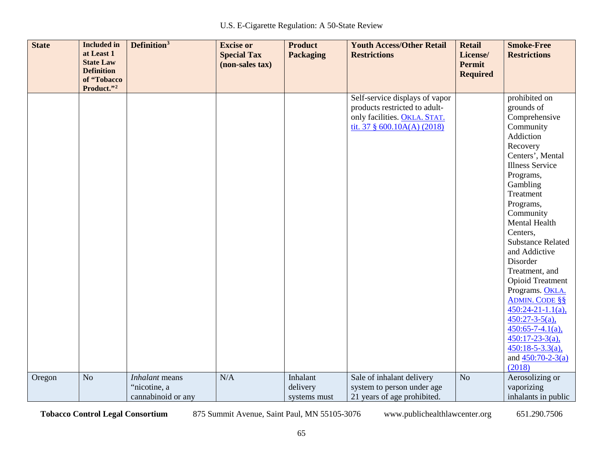| <b>State</b> | <b>Included</b> in<br>at Least 1<br><b>State Law</b><br><b>Definition</b> | Definition <sup>3</sup> | <b>Excise or</b><br><b>Special Tax</b><br>(non-sales tax) | <b>Product</b><br><b>Packaging</b> | <b>Youth Access/Other Retail</b><br><b>Restrictions</b> | <b>Retail</b><br>License/<br>Permit<br><b>Required</b> | <b>Smoke-Free</b><br><b>Restrictions</b> |
|--------------|---------------------------------------------------------------------------|-------------------------|-----------------------------------------------------------|------------------------------------|---------------------------------------------------------|--------------------------------------------------------|------------------------------------------|
|              | of "Tobacco<br>Product."2                                                 |                         |                                                           |                                    |                                                         |                                                        |                                          |
|              |                                                                           |                         |                                                           |                                    | Self-service displays of vapor                          |                                                        | prohibited on                            |
|              |                                                                           |                         |                                                           |                                    | products restricted to adult-                           |                                                        | grounds of                               |
|              |                                                                           |                         |                                                           |                                    | only facilities. OKLA. STAT.                            |                                                        | Comprehensive                            |
|              |                                                                           |                         |                                                           |                                    | tit. 37 $\S$ 600.10A(A) (2018)                          |                                                        | Community                                |
|              |                                                                           |                         |                                                           |                                    |                                                         |                                                        | Addiction                                |
|              |                                                                           |                         |                                                           |                                    |                                                         |                                                        | Recovery                                 |
|              |                                                                           |                         |                                                           |                                    |                                                         |                                                        | Centers', Mental                         |
|              |                                                                           |                         |                                                           |                                    |                                                         |                                                        | <b>Illness Service</b>                   |
|              |                                                                           |                         |                                                           |                                    |                                                         |                                                        | Programs,                                |
|              |                                                                           |                         |                                                           |                                    |                                                         |                                                        | Gambling                                 |
|              |                                                                           |                         |                                                           |                                    |                                                         |                                                        | Treatment                                |
|              |                                                                           |                         |                                                           |                                    |                                                         |                                                        | Programs,                                |
|              |                                                                           |                         |                                                           |                                    |                                                         |                                                        | Community                                |
|              |                                                                           |                         |                                                           |                                    |                                                         |                                                        | Mental Health                            |
|              |                                                                           |                         |                                                           |                                    |                                                         |                                                        | Centers,                                 |
|              |                                                                           |                         |                                                           |                                    |                                                         |                                                        | <b>Substance Related</b>                 |
|              |                                                                           |                         |                                                           |                                    |                                                         |                                                        | and Addictive                            |
|              |                                                                           |                         |                                                           |                                    |                                                         |                                                        | Disorder                                 |
|              |                                                                           |                         |                                                           |                                    |                                                         |                                                        | Treatment, and                           |
|              |                                                                           |                         |                                                           |                                    |                                                         |                                                        | <b>Opioid Treatment</b>                  |
|              |                                                                           |                         |                                                           |                                    |                                                         |                                                        | Programs. OKLA.                          |
|              |                                                                           |                         |                                                           |                                    |                                                         |                                                        | <b>ADMIN. CODE §§</b>                    |
|              |                                                                           |                         |                                                           |                                    |                                                         |                                                        | $450:24-21-1.1(a),$                      |
|              |                                                                           |                         |                                                           |                                    |                                                         |                                                        | $450:27-3-5(a)$ ,                        |
|              |                                                                           |                         |                                                           |                                    |                                                         |                                                        | $450:65 - 7 - 4.1(a)$ ,                  |
|              |                                                                           |                         |                                                           |                                    |                                                         |                                                        | $450:17-23-3(a)$ ,                       |
|              |                                                                           |                         |                                                           |                                    |                                                         |                                                        | $450:18 - 5 - 3.3(a)$ ,                  |
|              |                                                                           |                         |                                                           |                                    |                                                         |                                                        | and $450:70-2-3(a)$                      |
|              |                                                                           |                         |                                                           |                                    |                                                         |                                                        | (2018)                                   |
| Oregon       | N <sub>o</sub>                                                            | Inhalant means          | N/A                                                       | Inhalant                           | Sale of inhalant delivery                               | No                                                     | Aerosolizing or                          |
|              |                                                                           | "nicotine, a            |                                                           | delivery                           | system to person under age                              |                                                        | vaporizing                               |
|              |                                                                           | cannabinoid or any      |                                                           | systems must                       | 21 years of age prohibited.                             |                                                        | inhalants in public                      |

65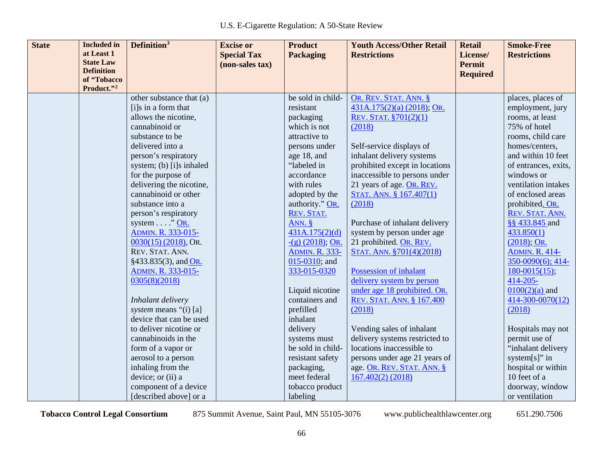| <b>State</b> | <b>Included</b> in             | Definition <sup>3</sup>  | <b>Excise or</b>   | <b>Product</b>           | <b>Youth Access/Other Retail</b> | <b>Retail</b>                    | <b>Smoke-Free</b>     |
|--------------|--------------------------------|--------------------------|--------------------|--------------------------|----------------------------------|----------------------------------|-----------------------|
|              | at Least 1<br><b>State Law</b> |                          | <b>Special Tax</b> | <b>Packaging</b>         | <b>Restrictions</b>              | License/                         | <b>Restrictions</b>   |
|              | <b>Definition</b>              |                          | (non-sales tax)    |                          |                                  | <b>Permit</b><br><b>Required</b> |                       |
|              | of "Tobacco                    |                          |                    |                          |                                  |                                  |                       |
|              | Product."2                     |                          |                    |                          |                                  |                                  |                       |
|              |                                | other substance that (a) |                    | be sold in child-        | OR. REV. STAT. ANN. §            |                                  | places, places of     |
|              |                                | [i]s in a form that      |                    | resistant                | $431A.175(2)(a)$ (2018); OR.     |                                  | employment, jury      |
|              |                                | allows the nicotine,     |                    | packaging                | REV. STAT. §701(2)(1)            |                                  | rooms, at least       |
|              |                                | cannabinoid or           |                    | which is not             | (2018)                           |                                  | 75% of hotel          |
|              |                                | substance to be          |                    | attractive to            |                                  |                                  | rooms, child care     |
|              |                                | delivered into a         |                    | persons under            | Self-service displays of         |                                  | homes/centers,        |
|              |                                | person's respiratory     |                    | age 18, and              | inhalant delivery systems        |                                  | and within 10 feet    |
|              |                                | system; (b) [i]s inhaled |                    | "labeled in              | prohibited except in locations   |                                  | of entrances, exits,  |
|              |                                | for the purpose of       |                    | accordance               | inaccessible to persons under    |                                  | windows or            |
|              |                                | delivering the nicotine, |                    | with rules               | 21 years of age. OR. REV.        |                                  | ventilation intakes   |
|              |                                | cannabinoid or other     |                    | adopted by the           | STAT. ANN. § 167.407(1)          |                                  | of enclosed areas     |
|              |                                | substance into a         |                    | authority." OR.          | (2018)                           |                                  | prohibited. OR.       |
|              |                                | person's respiratory     |                    | REV. STAT.               |                                  |                                  | REV. STAT. ANN.       |
|              |                                | system $\dots$ ." OR.    |                    | ANN. §                   | Purchase of inhalant delivery    |                                  | §§ 433.845 and        |
|              |                                | ADMIN. R. 333-015-       |                    | 431A.175(2)(d)           | system by person under age       |                                  | 433.850(1)            |
|              |                                | $0030(15)$ (2018), OR.   |                    | $-({\rm g})$ (2018); OR. | 21 prohibited. OR. REV.          |                                  | $(2018)$ ; OR.        |
|              |                                | REV. STAT. ANN.          |                    | <b>ADMIN. R. 333-</b>    | STAT. ANN. §701(4)(2018)         |                                  | <b>ADMIN. R. 414-</b> |
|              |                                | §433.835(3), and OR.     |                    | $015-0310$ ; and         |                                  |                                  | 350-0090(6); 414-     |
|              |                                | ADMIN. R. 333-015-       |                    | 333-015-0320             | Possession of inhalant           |                                  | $180-0015(15);$       |
|              |                                | 0305(8)(2018)            |                    |                          | delivery system by person        |                                  | $414 - 205 -$         |
|              |                                |                          |                    | Liquid nicotine          | under age 18 prohibited. OR.     |                                  | $0100(2)(a)$ and      |
|              |                                | Inhalant delivery        |                    | containers and           | REV. STAT. ANN. § 167.400        |                                  | 414-300-0070(12)      |
|              |                                | system means "(i) [a]    |                    | prefilled                | (2018)                           |                                  | (2018)                |
|              |                                | device that can be used  |                    | inhalant                 |                                  |                                  |                       |
|              |                                | to deliver nicotine or   |                    | delivery                 | Vending sales of inhalant        |                                  | Hospitals may not     |
|              |                                | cannabinoids in the      |                    | systems must             | delivery systems restricted to   |                                  | permit use of         |
|              |                                | form of a vapor or       |                    | be sold in child-        | locations inaccessible to        |                                  | "inhalant delivery    |
|              |                                | aerosol to a person      |                    | resistant safety         | persons under age 21 years of    |                                  | system[s]" in         |
|              |                                | inhaling from the        |                    | packaging,               | age. OR. REV. STAT. ANN. §       |                                  | hospital or within    |
|              |                                | device; or (ii) a        |                    | meet federal             | $167.402(2)$ (2018)              |                                  | 10 feet of a          |
|              |                                | component of a device    |                    | tobacco product          |                                  |                                  | doorway, window       |
|              |                                | [described above] or a   |                    | labeling                 |                                  |                                  | or ventilation        |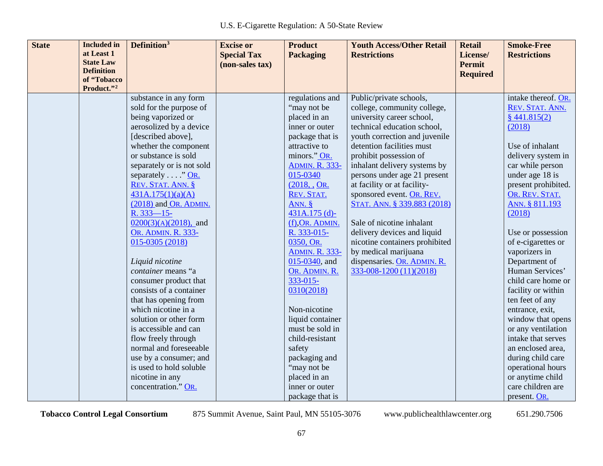| <b>State</b> | <b>Included</b> in               | Definition <sup>3</sup>                                                                                                                                                                                                                                                                                                                                                                                                             | <b>Excise or</b>   | <b>Product</b>                                                                                                                                                                                                                                                                                                                     | <b>Youth Access/Other Retail</b>                                                                                                                                             | <b>Retail</b>   | <b>Smoke-Free</b>                                                                                                                                                                                                                                                                                                                                                                 |
|--------------|----------------------------------|-------------------------------------------------------------------------------------------------------------------------------------------------------------------------------------------------------------------------------------------------------------------------------------------------------------------------------------------------------------------------------------------------------------------------------------|--------------------|------------------------------------------------------------------------------------------------------------------------------------------------------------------------------------------------------------------------------------------------------------------------------------------------------------------------------------|------------------------------------------------------------------------------------------------------------------------------------------------------------------------------|-----------------|-----------------------------------------------------------------------------------------------------------------------------------------------------------------------------------------------------------------------------------------------------------------------------------------------------------------------------------------------------------------------------------|
|              | at Least 1                       |                                                                                                                                                                                                                                                                                                                                                                                                                                     | <b>Special Tax</b> | <b>Packaging</b>                                                                                                                                                                                                                                                                                                                   | <b>Restrictions</b>                                                                                                                                                          | License/        | <b>Restrictions</b>                                                                                                                                                                                                                                                                                                                                                               |
|              | <b>State Law</b>                 |                                                                                                                                                                                                                                                                                                                                                                                                                                     | (non-sales tax)    |                                                                                                                                                                                                                                                                                                                                    |                                                                                                                                                                              | <b>Permit</b>   |                                                                                                                                                                                                                                                                                                                                                                                   |
|              | <b>Definition</b><br>of "Tobacco |                                                                                                                                                                                                                                                                                                                                                                                                                                     |                    |                                                                                                                                                                                                                                                                                                                                    |                                                                                                                                                                              | <b>Required</b> |                                                                                                                                                                                                                                                                                                                                                                                   |
|              | Product."2                       |                                                                                                                                                                                                                                                                                                                                                                                                                                     |                    |                                                                                                                                                                                                                                                                                                                                    |                                                                                                                                                                              |                 |                                                                                                                                                                                                                                                                                                                                                                                   |
|              |                                  | substance in any form                                                                                                                                                                                                                                                                                                                                                                                                               |                    | regulations and                                                                                                                                                                                                                                                                                                                    | Public/private schools,                                                                                                                                                      |                 | intake thereof. OR.                                                                                                                                                                                                                                                                                                                                                               |
|              |                                  | sold for the purpose of                                                                                                                                                                                                                                                                                                                                                                                                             |                    | "may not be                                                                                                                                                                                                                                                                                                                        | college, community college,                                                                                                                                                  |                 | REV. STAT. ANN.                                                                                                                                                                                                                                                                                                                                                                   |
|              |                                  | being vaporized or                                                                                                                                                                                                                                                                                                                                                                                                                  |                    | placed in an                                                                                                                                                                                                                                                                                                                       | university career school,                                                                                                                                                    |                 | $§$ 441.815(2)                                                                                                                                                                                                                                                                                                                                                                    |
|              |                                  | aerosolized by a device                                                                                                                                                                                                                                                                                                                                                                                                             |                    | inner or outer                                                                                                                                                                                                                                                                                                                     | technical education school,                                                                                                                                                  |                 | (2018)                                                                                                                                                                                                                                                                                                                                                                            |
|              |                                  | [described above],                                                                                                                                                                                                                                                                                                                                                                                                                  |                    | package that is                                                                                                                                                                                                                                                                                                                    | youth correction and juvenile                                                                                                                                                |                 |                                                                                                                                                                                                                                                                                                                                                                                   |
|              |                                  | whether the component                                                                                                                                                                                                                                                                                                                                                                                                               |                    | attractive to                                                                                                                                                                                                                                                                                                                      | detention facilities must                                                                                                                                                    |                 | Use of inhalant                                                                                                                                                                                                                                                                                                                                                                   |
|              |                                  | or substance is sold                                                                                                                                                                                                                                                                                                                                                                                                                |                    | minors." OR.                                                                                                                                                                                                                                                                                                                       | prohibit possession of                                                                                                                                                       |                 | delivery system in                                                                                                                                                                                                                                                                                                                                                                |
|              |                                  | separately or is not sold                                                                                                                                                                                                                                                                                                                                                                                                           |                    | <b>ADMIN. R. 333-</b>                                                                                                                                                                                                                                                                                                              | inhalant delivery systems by                                                                                                                                                 |                 | car while person                                                                                                                                                                                                                                                                                                                                                                  |
|              |                                  | separately "OR.                                                                                                                                                                                                                                                                                                                                                                                                                     |                    | 015-0340                                                                                                                                                                                                                                                                                                                           | persons under age 21 present                                                                                                                                                 |                 | under age 18 is                                                                                                                                                                                                                                                                                                                                                                   |
|              |                                  | REV. STAT. ANN. §                                                                                                                                                                                                                                                                                                                                                                                                                   |                    | (2018, , OR.                                                                                                                                                                                                                                                                                                                       | at facility or at facility-                                                                                                                                                  |                 | present prohibited.                                                                                                                                                                                                                                                                                                                                                               |
|              |                                  | 431A.175(1)(a)(A)                                                                                                                                                                                                                                                                                                                                                                                                                   |                    | REV. STAT.                                                                                                                                                                                                                                                                                                                         | sponsored event. OR. REV.                                                                                                                                                    |                 | OR. REV. STAT.                                                                                                                                                                                                                                                                                                                                                                    |
|              |                                  | (2018) and OR. ADMIN.                                                                                                                                                                                                                                                                                                                                                                                                               |                    | ANN. $§$                                                                                                                                                                                                                                                                                                                           | STAT. ANN. § 339.883 (2018)                                                                                                                                                  |                 | ANN. § 811.193                                                                                                                                                                                                                                                                                                                                                                    |
|              |                                  |                                                                                                                                                                                                                                                                                                                                                                                                                                     |                    |                                                                                                                                                                                                                                                                                                                                    |                                                                                                                                                                              |                 |                                                                                                                                                                                                                                                                                                                                                                                   |
|              |                                  |                                                                                                                                                                                                                                                                                                                                                                                                                                     |                    |                                                                                                                                                                                                                                                                                                                                    |                                                                                                                                                                              |                 |                                                                                                                                                                                                                                                                                                                                                                                   |
|              |                                  |                                                                                                                                                                                                                                                                                                                                                                                                                                     |                    |                                                                                                                                                                                                                                                                                                                                    |                                                                                                                                                                              |                 |                                                                                                                                                                                                                                                                                                                                                                                   |
|              |                                  |                                                                                                                                                                                                                                                                                                                                                                                                                                     |                    |                                                                                                                                                                                                                                                                                                                                    |                                                                                                                                                                              |                 |                                                                                                                                                                                                                                                                                                                                                                                   |
|              |                                  |                                                                                                                                                                                                                                                                                                                                                                                                                                     |                    |                                                                                                                                                                                                                                                                                                                                    |                                                                                                                                                                              |                 |                                                                                                                                                                                                                                                                                                                                                                                   |
|              |                                  |                                                                                                                                                                                                                                                                                                                                                                                                                                     |                    |                                                                                                                                                                                                                                                                                                                                    |                                                                                                                                                                              |                 |                                                                                                                                                                                                                                                                                                                                                                                   |
|              |                                  |                                                                                                                                                                                                                                                                                                                                                                                                                                     |                    |                                                                                                                                                                                                                                                                                                                                    |                                                                                                                                                                              |                 |                                                                                                                                                                                                                                                                                                                                                                                   |
|              |                                  |                                                                                                                                                                                                                                                                                                                                                                                                                                     |                    |                                                                                                                                                                                                                                                                                                                                    |                                                                                                                                                                              |                 |                                                                                                                                                                                                                                                                                                                                                                                   |
|              |                                  |                                                                                                                                                                                                                                                                                                                                                                                                                                     |                    |                                                                                                                                                                                                                                                                                                                                    |                                                                                                                                                                              |                 |                                                                                                                                                                                                                                                                                                                                                                                   |
|              |                                  |                                                                                                                                                                                                                                                                                                                                                                                                                                     |                    |                                                                                                                                                                                                                                                                                                                                    |                                                                                                                                                                              |                 |                                                                                                                                                                                                                                                                                                                                                                                   |
|              |                                  |                                                                                                                                                                                                                                                                                                                                                                                                                                     |                    |                                                                                                                                                                                                                                                                                                                                    |                                                                                                                                                                              |                 |                                                                                                                                                                                                                                                                                                                                                                                   |
|              |                                  |                                                                                                                                                                                                                                                                                                                                                                                                                                     |                    |                                                                                                                                                                                                                                                                                                                                    |                                                                                                                                                                              |                 |                                                                                                                                                                                                                                                                                                                                                                                   |
|              |                                  |                                                                                                                                                                                                                                                                                                                                                                                                                                     |                    |                                                                                                                                                                                                                                                                                                                                    |                                                                                                                                                                              |                 |                                                                                                                                                                                                                                                                                                                                                                                   |
|              |                                  |                                                                                                                                                                                                                                                                                                                                                                                                                                     |                    |                                                                                                                                                                                                                                                                                                                                    |                                                                                                                                                                              |                 |                                                                                                                                                                                                                                                                                                                                                                                   |
|              |                                  |                                                                                                                                                                                                                                                                                                                                                                                                                                     |                    |                                                                                                                                                                                                                                                                                                                                    |                                                                                                                                                                              |                 |                                                                                                                                                                                                                                                                                                                                                                                   |
|              |                                  |                                                                                                                                                                                                                                                                                                                                                                                                                                     |                    |                                                                                                                                                                                                                                                                                                                                    |                                                                                                                                                                              |                 |                                                                                                                                                                                                                                                                                                                                                                                   |
|              |                                  |                                                                                                                                                                                                                                                                                                                                                                                                                                     |                    |                                                                                                                                                                                                                                                                                                                                    |                                                                                                                                                                              |                 |                                                                                                                                                                                                                                                                                                                                                                                   |
|              |                                  |                                                                                                                                                                                                                                                                                                                                                                                                                                     |                    |                                                                                                                                                                                                                                                                                                                                    |                                                                                                                                                                              |                 |                                                                                                                                                                                                                                                                                                                                                                                   |
|              |                                  |                                                                                                                                                                                                                                                                                                                                                                                                                                     |                    |                                                                                                                                                                                                                                                                                                                                    |                                                                                                                                                                              |                 |                                                                                                                                                                                                                                                                                                                                                                                   |
|              |                                  | $R.333 - 15 -$<br>$0200(3)(A)(2018)$ , and<br>OR. ADMIN. R. 333-<br>015-0305 (2018)<br>Liquid nicotine<br>container means "a<br>consumer product that<br>consists of a container<br>that has opening from<br>which nicotine in a<br>solution or other form<br>is accessible and can<br>flow freely through<br>normal and foreseeable<br>use by a consumer; and<br>is used to hold soluble<br>nicotine in any<br>concentration." OR. |                    | $431A.175$ (d)-<br>$(f)$ , OR. ADMIN.<br>R. 333-015-<br>0350, OR.<br><b>ADMIN. R. 333-</b><br>015-0340, and<br>OR. ADMIN. R.<br>$333 - 015$<br>0310(2018)<br>Non-nicotine<br>liquid container<br>must be sold in<br>child-resistant<br>safety<br>packaging and<br>"may not be<br>placed in an<br>inner or outer<br>package that is | Sale of nicotine inhalant<br>delivery devices and liquid<br>nicotine containers prohibited<br>by medical marijuana<br>dispensaries. OR. ADMIN. R.<br>333-008-1200 (11)(2018) |                 | (2018)<br>Use or possession<br>of e-cigarettes or<br>vaporizers in<br>Department of<br>Human Services'<br>child care home or<br>facility or within<br>ten feet of any<br>entrance, exit,<br>window that opens<br>or any ventilation<br>intake that serves<br>an enclosed area,<br>during child care<br>operational hours<br>or anytime child<br>care children are<br>present. OR. |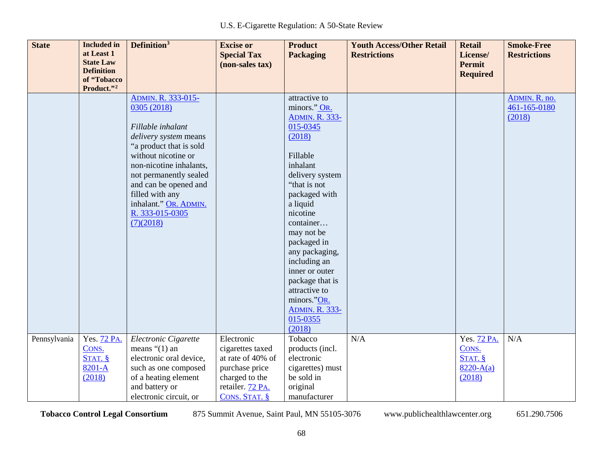| <b>State</b> | <b>Included</b> in<br>at Least 1<br><b>State Law</b><br><b>Definition</b> | Definition <sup>3</sup>                                                    | <b>Excise or</b><br><b>Special Tax</b><br>(non-sales tax) | <b>Product</b><br><b>Packaging</b>                     | <b>Youth Access/Other Retail</b><br><b>Restrictions</b> | <b>Retail</b><br>License/<br><b>Permit</b> | <b>Smoke-Free</b><br><b>Restrictions</b> |
|--------------|---------------------------------------------------------------------------|----------------------------------------------------------------------------|-----------------------------------------------------------|--------------------------------------------------------|---------------------------------------------------------|--------------------------------------------|------------------------------------------|
|              | of "Tobacco<br>Product."2                                                 |                                                                            |                                                           |                                                        |                                                         | <b>Required</b>                            |                                          |
|              |                                                                           | ADMIN. R. 333-015-<br>0305 (2018)                                          |                                                           | attractive to<br>minors." OR.<br><b>ADMIN. R. 333-</b> |                                                         |                                            | ADMIN. R. no.<br>461-165-0180<br>(2018)  |
|              |                                                                           | Fillable inhalant<br>delivery system means                                 |                                                           | 015-0345<br>(2018)                                     |                                                         |                                            |                                          |
|              |                                                                           | "a product that is sold<br>without nicotine or                             |                                                           | Fillable                                               |                                                         |                                            |                                          |
|              |                                                                           | non-nicotine inhalants,<br>not permanently sealed<br>and can be opened and |                                                           | inhalant<br>delivery system<br>"that is not            |                                                         |                                            |                                          |
|              |                                                                           | filled with any<br>inhalant." OR. ADMIN.                                   |                                                           | packaged with<br>a liquid                              |                                                         |                                            |                                          |
|              |                                                                           | R. 333-015-0305<br>(7)(2018)                                               |                                                           | nicotine<br>container                                  |                                                         |                                            |                                          |
|              |                                                                           |                                                                            |                                                           | may not be<br>packaged in                              |                                                         |                                            |                                          |
|              |                                                                           |                                                                            |                                                           | any packaging,<br>including an<br>inner or outer       |                                                         |                                            |                                          |
|              |                                                                           |                                                                            |                                                           | package that is<br>attractive to                       |                                                         |                                            |                                          |
|              |                                                                           |                                                                            |                                                           | minors."OR.<br><b>ADMIN. R. 333-</b>                   |                                                         |                                            |                                          |
|              |                                                                           |                                                                            |                                                           | 015-0355<br>(2018)                                     |                                                         |                                            |                                          |
| Pennsylvania | Yes. 72 PA.                                                               | Electronic Cigarette                                                       | Electronic                                                | Tobacco                                                | N/A                                                     | Yes. 72 PA.                                | N/A                                      |
|              | CONS.<br>STAT.                                                            | means $\degree$ (1) an<br>electronic oral device,                          | cigarettes taxed<br>at rate of 40% of                     | products (incl.<br>electronic                          |                                                         | CONS.<br>STAT.                             |                                          |
|              | 8201-A                                                                    | such as one composed                                                       | purchase price                                            | cigarettes) must                                       |                                                         | $8220 - A(a)$                              |                                          |
|              | (2018)                                                                    | of a heating element                                                       | charged to the                                            | be sold in                                             |                                                         | (2018)                                     |                                          |
|              |                                                                           | and battery or                                                             | retailer. 72 PA.                                          | original                                               |                                                         |                                            |                                          |
|              |                                                                           | electronic circuit, or                                                     | CONS. STAT. §                                             | manufacturer                                           |                                                         |                                            |                                          |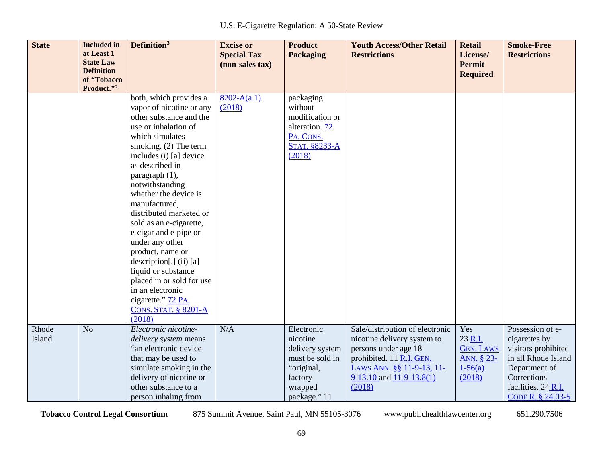| <b>State</b>    | <b>Included</b> in<br>at Least 1<br><b>State Law</b><br><b>Definition</b> | Definition <sup>3</sup>                                                                                                                                                                                                                                                                                                                                                                                                                                                                                   | <b>Excise or</b><br><b>Special Tax</b><br>(non-sales tax) | <b>Product</b><br><b>Packaging</b>                                                                                | <b>Youth Access/Other Retail</b><br><b>Restrictions</b>                                                                                                                                   | <b>Retail</b><br>License/<br><b>Permit</b><br><b>Required</b>             | <b>Smoke-Free</b><br><b>Restrictions</b>                                                                                                                    |
|-----------------|---------------------------------------------------------------------------|-----------------------------------------------------------------------------------------------------------------------------------------------------------------------------------------------------------------------------------------------------------------------------------------------------------------------------------------------------------------------------------------------------------------------------------------------------------------------------------------------------------|-----------------------------------------------------------|-------------------------------------------------------------------------------------------------------------------|-------------------------------------------------------------------------------------------------------------------------------------------------------------------------------------------|---------------------------------------------------------------------------|-------------------------------------------------------------------------------------------------------------------------------------------------------------|
|                 | of "Tobacco<br>Product."2                                                 |                                                                                                                                                                                                                                                                                                                                                                                                                                                                                                           |                                                           |                                                                                                                   |                                                                                                                                                                                           |                                                                           |                                                                                                                                                             |
|                 |                                                                           | both, which provides a<br>vapor of nicotine or any<br>other substance and the<br>use or inhalation of<br>which simulates<br>smoking. (2) The term<br>includes (i) [a] device<br>as described in<br>paragraph (1),<br>notwithstanding<br>whether the device is<br>manufactured,<br>distributed marketed or<br>sold as an e-cigarette,<br>e-cigar and e-pipe or<br>under any other<br>product, name or<br>$description[,]$ (ii) [a]<br>liquid or substance<br>placed in or sold for use<br>in an electronic | $8202 - A(a.1)$<br>(2018)                                 | packaging<br>without<br>modification or<br>alteration. 72<br>PA. CONS.<br><b>STAT. §8233-A</b><br>(2018)          |                                                                                                                                                                                           |                                                                           |                                                                                                                                                             |
|                 |                                                                           | cigarette." 72 PA.<br><b>CONS. STAT. § 8201-A</b><br>(2018)                                                                                                                                                                                                                                                                                                                                                                                                                                               |                                                           |                                                                                                                   |                                                                                                                                                                                           |                                                                           |                                                                                                                                                             |
| Rhode<br>Island | N <sub>o</sub>                                                            | Electronic nicotine-<br>delivery system means<br>"an electronic device<br>that may be used to<br>simulate smoking in the<br>delivery of nicotine or<br>other substance to a<br>person inhaling from                                                                                                                                                                                                                                                                                                       | N/A                                                       | Electronic<br>nicotine<br>delivery system<br>must be sold in<br>"original,<br>factory-<br>wrapped<br>package." 11 | Sale/distribution of electronic<br>nicotine delivery system to<br>persons under age 18<br>prohibited. 11 R.I. GEN.<br>LAWS ANN. §§ 11-9-13, 11-<br>$9-13.10$ and $11-9-13.8(1)$<br>(2018) | Yes<br>23 R.I.<br><b>GEN. LAWS</b><br>ANN. § 23-<br>$1 - 56(a)$<br>(2018) | Possession of e-<br>cigarettes by<br>visitors prohibited<br>in all Rhode Island<br>Department of<br>Corrections<br>facilities. 24 R.I.<br>CODE R. § 24.03-5 |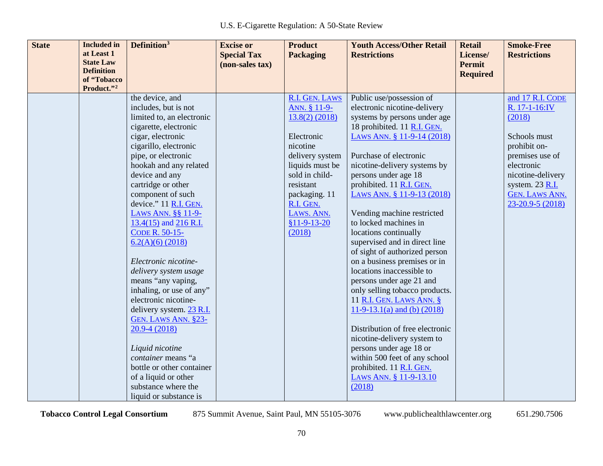| <b>State</b> | <b>Included</b> in<br>at Least 1      | Definition <sup>3</sup>                           | <b>Excise or</b><br><b>Special Tax</b> | <b>Product</b><br><b>Packaging</b> | <b>Youth Access/Other Retail</b><br><b>Restrictions</b>     | <b>Retail</b><br>License/ | <b>Smoke-Free</b><br><b>Restrictions</b> |
|--------------|---------------------------------------|---------------------------------------------------|----------------------------------------|------------------------------------|-------------------------------------------------------------|---------------------------|------------------------------------------|
|              | <b>State Law</b><br><b>Definition</b> |                                                   | (non-sales tax)                        |                                    |                                                             | Permit                    |                                          |
|              | of "Tobacco                           |                                                   |                                        |                                    |                                                             | <b>Required</b>           |                                          |
|              | Product."2                            |                                                   |                                        |                                    |                                                             |                           | and 17 R.I. CODE                         |
|              |                                       | the device, and                                   |                                        | R.I. GEN. LAWS                     | Public use/possession of                                    |                           |                                          |
|              |                                       | includes, but is not<br>limited to, an electronic |                                        | ANN. § 11-9-                       | electronic nicotine-delivery                                |                           | R. 17-1-16:IV                            |
|              |                                       |                                                   |                                        | $13.8(2)$ (2018)                   | systems by persons under age<br>18 prohibited. 11 R.I. GEN. |                           | (2018)                                   |
|              |                                       | cigarette, electronic<br>cigar, electronic        |                                        | Electronic                         | LAWS ANN. § 11-9-14 (2018)                                  |                           | Schools must                             |
|              |                                       | cigarillo, electronic                             |                                        | nicotine                           |                                                             |                           | prohibit on-                             |
|              |                                       | pipe, or electronic                               |                                        | delivery system                    | Purchase of electronic                                      |                           | premises use of                          |
|              |                                       | hookah and any related                            |                                        | liquids must be                    | nicotine-delivery systems by                                |                           | electronic                               |
|              |                                       | device and any                                    |                                        | sold in child-                     | persons under age 18                                        |                           | nicotine-delivery                        |
|              |                                       | cartridge or other                                |                                        | resistant                          | prohibited. 11 R.I. GEN.                                    |                           | system. 23 R.I.                          |
|              |                                       | component of such                                 |                                        | packaging. 11                      | LAWS ANN. § 11-9-13 (2018)                                  |                           | <b>GEN. LAWS ANN.</b>                    |
|              |                                       | device." 11 R.I. GEN.                             |                                        | R.I. GEN.                          |                                                             |                           | 23-20.9-5 (2018)                         |
|              |                                       | LAWS ANN. §§ 11-9-                                |                                        | LAWS. ANN.                         | Vending machine restricted                                  |                           |                                          |
|              |                                       | 13.4(15) and 216 R.I.                             |                                        | $$11-9-13-20$                      | to locked machines in                                       |                           |                                          |
|              |                                       | CODE R. 50-15-                                    |                                        | (2018)                             | locations continually                                       |                           |                                          |
|              |                                       | $6.2(A)(6)$ (2018)                                |                                        |                                    | supervised and in direct line                               |                           |                                          |
|              |                                       |                                                   |                                        |                                    | of sight of authorized person                               |                           |                                          |
|              |                                       | Electronic nicotine-                              |                                        |                                    | on a business premises or in                                |                           |                                          |
|              |                                       | delivery system usage                             |                                        |                                    | locations inaccessible to                                   |                           |                                          |
|              |                                       | means "any vaping,                                |                                        |                                    | persons under age 21 and                                    |                           |                                          |
|              |                                       | inhaling, or use of any"                          |                                        |                                    | only selling tobacco products.                              |                           |                                          |
|              |                                       | electronic nicotine-                              |                                        |                                    | 11 R.I. GEN. LAWS ANN. §                                    |                           |                                          |
|              |                                       | delivery system. 23 R.I.                          |                                        |                                    | $11-9-13.1(a)$ and (b) (2018)                               |                           |                                          |
|              |                                       | GEN. LAWS ANN. §23-                               |                                        |                                    |                                                             |                           |                                          |
|              |                                       | $20.9 - 4(2018)$                                  |                                        |                                    | Distribution of free electronic                             |                           |                                          |
|              |                                       |                                                   |                                        |                                    | nicotine-delivery system to                                 |                           |                                          |
|              |                                       | Liquid nicotine<br>container means "a             |                                        |                                    | persons under age 18 or<br>within 500 feet of any school    |                           |                                          |
|              |                                       | bottle or other container                         |                                        |                                    | prohibited. 11 R.I. GEN.                                    |                           |                                          |
|              |                                       | of a liquid or other                              |                                        |                                    | LAWS ANN. § 11-9-13.10                                      |                           |                                          |
|              |                                       | substance where the                               |                                        |                                    | (2018)                                                      |                           |                                          |
|              |                                       | liquid or substance is                            |                                        |                                    |                                                             |                           |                                          |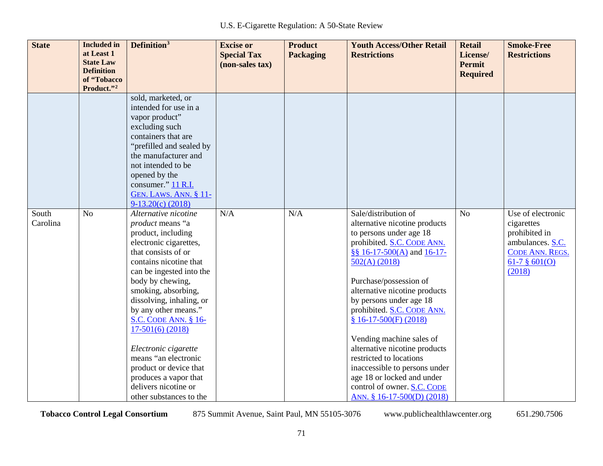| <b>State</b>      | <b>Included</b> in<br>at Least 1<br><b>State Law</b><br><b>Definition</b><br>of "Tobacco<br>Product."2 | Definition <sup>3</sup>                                                                                                                                                                                                                                                                                                                                                                                                                                                         | <b>Excise or</b><br><b>Special Tax</b><br>(non-sales tax) | <b>Product</b><br><b>Packaging</b> | <b>Youth Access/Other Retail</b><br><b>Restrictions</b>                                                                                                                                                                                                                                                                                                                                                                                                                                                                            | <b>Retail</b><br>License/<br><b>Permit</b><br><b>Required</b> | <b>Smoke-Free</b><br><b>Restrictions</b>                                                                               |
|-------------------|--------------------------------------------------------------------------------------------------------|---------------------------------------------------------------------------------------------------------------------------------------------------------------------------------------------------------------------------------------------------------------------------------------------------------------------------------------------------------------------------------------------------------------------------------------------------------------------------------|-----------------------------------------------------------|------------------------------------|------------------------------------------------------------------------------------------------------------------------------------------------------------------------------------------------------------------------------------------------------------------------------------------------------------------------------------------------------------------------------------------------------------------------------------------------------------------------------------------------------------------------------------|---------------------------------------------------------------|------------------------------------------------------------------------------------------------------------------------|
|                   |                                                                                                        | sold, marketed, or<br>intended for use in a<br>vapor product"<br>excluding such<br>containers that are<br>"prefilled and sealed by<br>the manufacturer and<br>not intended to be<br>opened by the<br>consumer." 11 R.I.<br><b>GEN. LAWS. ANN. § 11-</b><br>$9-13.20(c)$ (2018)                                                                                                                                                                                                  |                                                           |                                    |                                                                                                                                                                                                                                                                                                                                                                                                                                                                                                                                    |                                                               |                                                                                                                        |
| South<br>Carolina | N <sub>o</sub>                                                                                         | Alternative nicotine<br>product means "a<br>product, including<br>electronic cigarettes,<br>that consists of or<br>contains nicotine that<br>can be ingested into the<br>body by chewing,<br>smoking, absorbing,<br>dissolving, inhaling, or<br>by any other means."<br><b>S.C. CODE ANN. § 16-</b><br>$17-501(6)$ (2018)<br>Electronic cigarette<br>means "an electronic<br>product or device that<br>produces a vapor that<br>delivers nicotine or<br>other substances to the | N/A                                                       | N/A                                | Sale/distribution of<br>alternative nicotine products<br>to persons under age 18<br>prohibited. S.C. CODE ANN.<br>§§ $16-17-500(A)$ and $16-17-$<br>502(A) (2018)<br>Purchase/possession of<br>alternative nicotine products<br>by persons under age 18<br>prohibited. S.C. CODE ANN.<br>$$16-17-500(F)(2018)$<br>Vending machine sales of<br>alternative nicotine products<br>restricted to locations<br>inaccessible to persons under<br>age 18 or locked and under<br>control of owner. S.C. CODE<br>ANN. § 16-17-500(D) (2018) | N <sub>o</sub>                                                | Use of electronic<br>cigarettes<br>prohibited in<br>ambulances. S.C.<br>CODE ANN. REGS.<br>$61-7$ $8$ 601(O)<br>(2018) |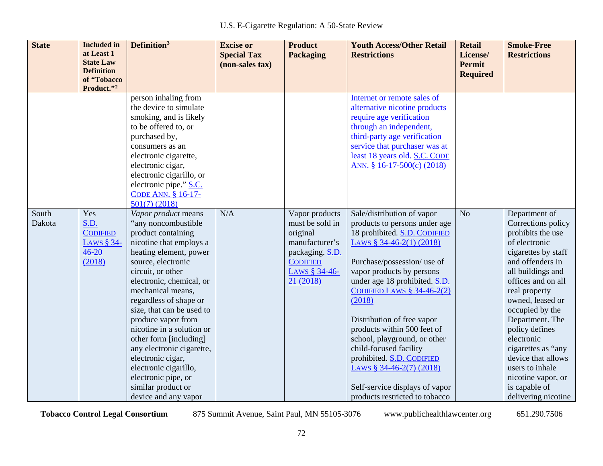| <b>State</b>    | <b>Included</b> in<br>at Least 1<br><b>State Law</b><br><b>Definition</b><br>of "Tobacco<br>Product."2 | Definition <sup>3</sup>                                                                                                                                                                                                                                                                                                                                                                                                                                                                               | <b>Excise or</b><br><b>Special Tax</b><br>(non-sales tax) | <b>Product</b><br><b>Packaging</b>                                                                                                  | <b>Youth Access/Other Retail</b><br><b>Restrictions</b>                                                                                                                                                                                                                                                                                                                                                                                                                                                            | <b>Retail</b><br>License/<br><b>Permit</b><br><b>Required</b> | <b>Smoke-Free</b><br><b>Restrictions</b>                                                                                                                                                                                                                                                                                                                                                                |
|-----------------|--------------------------------------------------------------------------------------------------------|-------------------------------------------------------------------------------------------------------------------------------------------------------------------------------------------------------------------------------------------------------------------------------------------------------------------------------------------------------------------------------------------------------------------------------------------------------------------------------------------------------|-----------------------------------------------------------|-------------------------------------------------------------------------------------------------------------------------------------|--------------------------------------------------------------------------------------------------------------------------------------------------------------------------------------------------------------------------------------------------------------------------------------------------------------------------------------------------------------------------------------------------------------------------------------------------------------------------------------------------------------------|---------------------------------------------------------------|---------------------------------------------------------------------------------------------------------------------------------------------------------------------------------------------------------------------------------------------------------------------------------------------------------------------------------------------------------------------------------------------------------|
|                 |                                                                                                        | person inhaling from<br>the device to simulate<br>smoking, and is likely<br>to be offered to, or<br>purchased by,<br>consumers as an<br>electronic cigarette,<br>electronic cigar,<br>electronic cigarillo, or<br>electronic pipe." S.C.<br>CODE ANN. § 16-17-<br>$501(7)$ (2018)                                                                                                                                                                                                                     |                                                           |                                                                                                                                     | Internet or remote sales of<br>alternative nicotine products<br>require age verification<br>through an independent,<br>third-party age verification<br>service that purchaser was at<br>least 18 years old. S.C. CODE<br>ANN. § 16-17-500(c) (2018)                                                                                                                                                                                                                                                                |                                                               |                                                                                                                                                                                                                                                                                                                                                                                                         |
| South<br>Dakota | Yes<br>S.D.<br><b>CODIFIED</b><br>LAWS § 34-<br>$46 - 20$<br>(2018)                                    | Vapor product means<br>"any noncombustible<br>product containing<br>nicotine that employs a<br>heating element, power<br>source, electronic<br>circuit, or other<br>electronic, chemical, or<br>mechanical means,<br>regardless of shape or<br>size, that can be used to<br>produce vapor from<br>nicotine in a solution or<br>other form [including]<br>any electronic cigarette,<br>electronic cigar,<br>electronic cigarillo,<br>electronic pipe, or<br>similar product or<br>device and any vapor | N/A                                                       | Vapor products<br>must be sold in<br>original<br>manufacturer's<br>packaging. S.D.<br><b>CODIFIED</b><br>LAWS § 34-46-<br>21 (2018) | Sale/distribution of vapor<br>products to persons under age<br>18 prohibited. S.D. CODIFIED<br>LAWS $$34-46-2(1)(2018)$<br>Purchase/possession/ use of<br>vapor products by persons<br>under age 18 prohibited. S.D.<br>CODIFIED LAWS $§$ 34-46-2(2)<br>(2018)<br>Distribution of free vapor<br>products within 500 feet of<br>school, playground, or other<br>child-focused facility<br>prohibited. S.D. CODIFIED<br>LAWS $$34-46-2(7)(2018)$<br>Self-service displays of vapor<br>products restricted to tobacco | N <sub>o</sub>                                                | Department of<br>Corrections policy<br>prohibits the use<br>of electronic<br>cigarettes by staff<br>and offenders in<br>all buildings and<br>offices and on all<br>real property<br>owned, leased or<br>occupied by the<br>Department. The<br>policy defines<br>electronic<br>cigarettes as "any<br>device that allows<br>users to inhale<br>nicotine vapor, or<br>is capable of<br>delivering nicotine |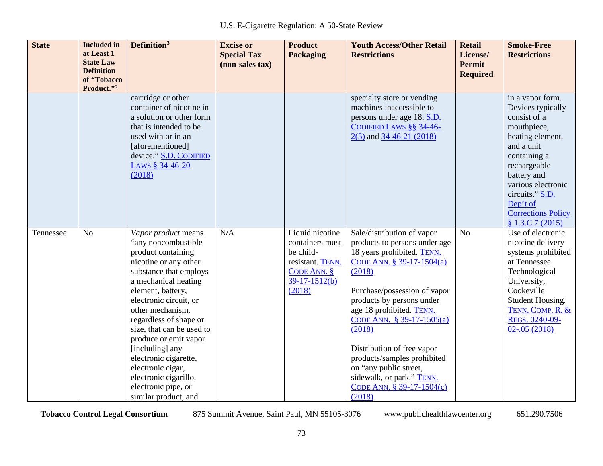| <b>State</b> | <b>Included</b> in<br>at Least 1<br><b>State Law</b><br><b>Definition</b><br>of "Tobacco<br>Product."2 | Definition <sup>3</sup>                                                                                                                                                                                                                                                                                                                                                                                                                 | <b>Excise or</b><br><b>Special Tax</b><br>(non-sales tax) | <b>Product</b><br><b>Packaging</b>                                                                                | <b>Youth Access/Other Retail</b><br><b>Restrictions</b>                                                                                                                                                                                                                                                                                                                                                                     | <b>Retail</b><br>License/<br>Permit<br><b>Required</b> | <b>Smoke-Free</b><br><b>Restrictions</b>                                                                                                                                                                                                                   |
|--------------|--------------------------------------------------------------------------------------------------------|-----------------------------------------------------------------------------------------------------------------------------------------------------------------------------------------------------------------------------------------------------------------------------------------------------------------------------------------------------------------------------------------------------------------------------------------|-----------------------------------------------------------|-------------------------------------------------------------------------------------------------------------------|-----------------------------------------------------------------------------------------------------------------------------------------------------------------------------------------------------------------------------------------------------------------------------------------------------------------------------------------------------------------------------------------------------------------------------|--------------------------------------------------------|------------------------------------------------------------------------------------------------------------------------------------------------------------------------------------------------------------------------------------------------------------|
|              |                                                                                                        | cartridge or other<br>container of nicotine in<br>a solution or other form<br>that is intended to be<br>used with or in an<br>[aforementioned]<br>device." S.D. CODIFIED<br>LAWS § 34-46-20<br>(2018)                                                                                                                                                                                                                                   |                                                           |                                                                                                                   | specialty store or vending<br>machines inaccessible to<br>persons under age 18. S.D.<br>CODIFIED LAWS §§ 34-46-<br>$2(5)$ and 34-46-21 (2018)                                                                                                                                                                                                                                                                               |                                                        | in a vapor form.<br>Devices typically<br>consist of a<br>mouthpiece,<br>heating element,<br>and a unit<br>containing a<br>rechargeable<br>battery and<br>various electronic<br>circuits." S.D.<br>Dep't of<br><b>Corrections Policy</b><br>\$1.3.C.7(2015) |
| Tennessee    | N <sub>o</sub>                                                                                         | Vapor product means<br>"any noncombustible<br>product containing<br>nicotine or any other<br>substance that employs<br>a mechanical heating<br>element, battery,<br>electronic circuit, or<br>other mechanism,<br>regardless of shape or<br>size, that can be used to<br>produce or emit vapor<br>[including] any<br>electronic cigarette,<br>electronic cigar,<br>electronic cigarillo,<br>electronic pipe, or<br>similar product, and | N/A                                                       | Liquid nicotine<br>containers must<br>be child-<br>resistant. TENN.<br>CODE ANN. $§$<br>$39-17-1512(b)$<br>(2018) | Sale/distribution of vapor<br>products to persons under age<br>18 years prohibited. TENN.<br>CODE ANN. § 39-17-1504(a)<br>(2018)<br>Purchase/possession of vapor<br>products by persons under<br>age 18 prohibited. TENN.<br>CODE ANN. § 39-17-1505(a)<br>(2018)<br>Distribution of free vapor<br>products/samples prohibited<br>on "any public street,<br>sidewalk, or park." TENN.<br>CODE ANN. § 39-17-1504(c)<br>(2018) | $\overline{No}$                                        | Use of electronic<br>nicotine delivery<br>systems prohibited<br>at Tennessee<br>Technological<br>University,<br>Cookeville<br>Student Housing.<br>TENN. COMP. R. &<br>REGS. 0240-09-<br>$02 - .05(2018)$                                                   |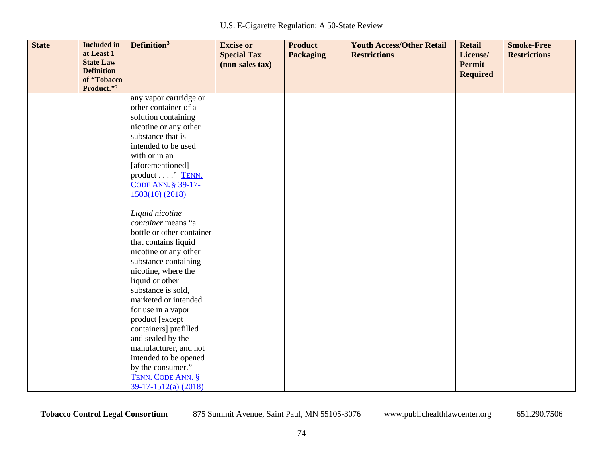| <b>State</b> | <b>Included</b> in<br>at Least 1<br><b>State Law</b><br><b>Definition</b> | Definition <sup>3</sup>                                                                                                                                                                                                                                                                                                                                                                                                                                                                                                                                                                                                                            | <b>Excise or</b><br><b>Special Tax</b><br>(non-sales tax) | <b>Product</b><br><b>Packaging</b> | <b>Youth Access/Other Retail</b><br><b>Restrictions</b> | <b>Retail</b><br>License/<br><b>Permit</b><br><b>Required</b> | <b>Smoke-Free</b><br><b>Restrictions</b> |
|--------------|---------------------------------------------------------------------------|----------------------------------------------------------------------------------------------------------------------------------------------------------------------------------------------------------------------------------------------------------------------------------------------------------------------------------------------------------------------------------------------------------------------------------------------------------------------------------------------------------------------------------------------------------------------------------------------------------------------------------------------------|-----------------------------------------------------------|------------------------------------|---------------------------------------------------------|---------------------------------------------------------------|------------------------------------------|
|              | of "Tobacco                                                               |                                                                                                                                                                                                                                                                                                                                                                                                                                                                                                                                                                                                                                                    |                                                           |                                    |                                                         |                                                               |                                          |
|              | Product."2                                                                | any vapor cartridge or<br>other container of a<br>solution containing<br>nicotine or any other<br>substance that is<br>intended to be used<br>with or in an<br>[aforementioned]<br>product " TENN.<br>CODE ANN. § 39-17-<br>$1503(10)$ (2018)<br>Liquid nicotine<br>container means "a<br>bottle or other container<br>that contains liquid<br>nicotine or any other<br>substance containing<br>nicotine, where the<br>liquid or other<br>substance is sold,<br>marketed or intended<br>for use in a vapor<br>product [except<br>containers] prefilled<br>and sealed by the<br>manufacturer, and not<br>intended to be opened<br>by the consumer." |                                                           |                                    |                                                         |                                                               |                                          |
|              |                                                                           | TENN. CODE ANN. §<br>$39-17-1512(a) (2018)$                                                                                                                                                                                                                                                                                                                                                                                                                                                                                                                                                                                                        |                                                           |                                    |                                                         |                                                               |                                          |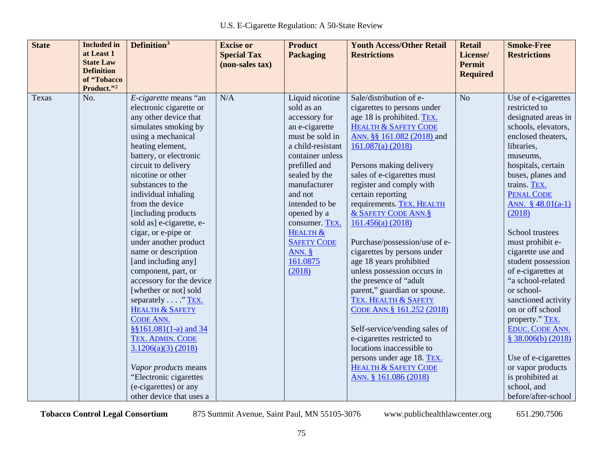| <b>State</b><br><b>Included</b> in<br>at Least 1<br><b>State Law</b> | Definition <sup>3</sup>                                                                                                                                                                                                                                                                                                                                                                                                                                                                                                                                                                                                                                                                                                                                         | <b>Excise or</b><br><b>Special Tax</b> | <b>Product</b><br><b>Packaging</b>                                                                                                                                                                                                                                                                               | <b>Youth Access/Other Retail</b><br><b>Restrictions</b>                                                                                                                                                                                                                                                                                                                                                                                                                                                                                                                                                                                                                                                                                                                                         | <b>Retail</b><br>License/<br><b>Permit</b> | <b>Smoke-Free</b><br><b>Restrictions</b>                                                                                                                                                                                                                                                                                                                                                                                                                                                                                                                                                                   |
|----------------------------------------------------------------------|-----------------------------------------------------------------------------------------------------------------------------------------------------------------------------------------------------------------------------------------------------------------------------------------------------------------------------------------------------------------------------------------------------------------------------------------------------------------------------------------------------------------------------------------------------------------------------------------------------------------------------------------------------------------------------------------------------------------------------------------------------------------|----------------------------------------|------------------------------------------------------------------------------------------------------------------------------------------------------------------------------------------------------------------------------------------------------------------------------------------------------------------|-------------------------------------------------------------------------------------------------------------------------------------------------------------------------------------------------------------------------------------------------------------------------------------------------------------------------------------------------------------------------------------------------------------------------------------------------------------------------------------------------------------------------------------------------------------------------------------------------------------------------------------------------------------------------------------------------------------------------------------------------------------------------------------------------|--------------------------------------------|------------------------------------------------------------------------------------------------------------------------------------------------------------------------------------------------------------------------------------------------------------------------------------------------------------------------------------------------------------------------------------------------------------------------------------------------------------------------------------------------------------------------------------------------------------------------------------------------------------|
| <b>Definition</b><br>of "Tobacco<br>Product."2                       |                                                                                                                                                                                                                                                                                                                                                                                                                                                                                                                                                                                                                                                                                                                                                                 | (non-sales tax)                        |                                                                                                                                                                                                                                                                                                                  |                                                                                                                                                                                                                                                                                                                                                                                                                                                                                                                                                                                                                                                                                                                                                                                                 | <b>Required</b>                            |                                                                                                                                                                                                                                                                                                                                                                                                                                                                                                                                                                                                            |
| No.<br>Texas                                                         | E-cigarette means "an<br>electronic cigarette or<br>any other device that<br>simulates smoking by<br>using a mechanical<br>heating element,<br>battery, or electronic<br>circuit to delivery<br>nicotine or other<br>substances to the<br>individual inhaling<br>from the device<br>[including products]<br>sold as] e-cigarette, e-<br>cigar, or e-pipe or<br>under another product<br>name or description<br>[and including any]<br>component, part, or<br>accessory for the device<br>[whether or not] sold<br>separately "TEX.<br><b>HEALTH &amp; SAFETY</b><br><b>CODE ANN.</b><br>§§161.081(1-a) and 34<br>TEX. ADMIN. CODE<br>3.1206(a)(3) (2018)<br>Vapor products means<br>"Electronic cigarettes<br>(e-cigarettes) or any<br>other device that uses a | N/A                                    | Liquid nicotine<br>sold as an<br>accessory for<br>an e-cigarette<br>must be sold in<br>a child-resistant<br>container unless<br>prefilled and<br>sealed by the<br>manufacturer<br>and not<br>intended to be<br>opened by a<br>consumer. TEX.<br>HEALTH &<br><b>SAFETY CODE</b><br>ANN. $§$<br>161.0875<br>(2018) | Sale/distribution of e-<br>cigarettes to persons under<br>age 18 is prohibited. TEX.<br><b>HEALTH &amp; SAFETY CODE</b><br>ANN. §§ 161.082 (2018) and<br>161.087(a) (2018)<br>Persons making delivery<br>sales of e-cigarettes must<br>register and comply with<br>certain reporting<br>requirements. TEX. HEALTH<br>& SAFETY CODE ANN. §<br>161.456(a) (2018)<br>Purchase/possession/use of e-<br>cigarettes by persons under<br>age 18 years prohibited<br>unless possession occurs in<br>the presence of "adult"<br>parent," guardian or spouse.<br>TEX. HEALTH & SAFETY<br>CODE ANN. § 161.252 (2018)<br>Self-service/vending sales of<br>e-cigarettes restricted to<br>locations inaccessible to<br>persons under age 18. TEX.<br><b>HEALTH &amp; SAFETY CODE</b><br>ANN. § 161.086 (2018) | N <sub>o</sub>                             | Use of e-cigarettes<br>restricted to<br>designated areas in<br>schools, elevators,<br>enclosed theaters,<br>libraries,<br>museums,<br>hospitals, certain<br>buses, planes and<br>trains. TEX.<br><b>PENAL CODE</b><br>ANN. $$48.01(a-1)$<br>(2018)<br>School trustees<br>must prohibit e-<br>cigarette use and<br>student possession<br>of e-cigarettes at<br>"a school-related<br>or school-<br>sanctioned activity<br>on or off school<br>property." TEX.<br>EDUC. CODE ANN.<br>\$38.006(b) (2018)<br>Use of e-cigarettes<br>or vapor products<br>is prohibited at<br>school, and<br>before/after-school |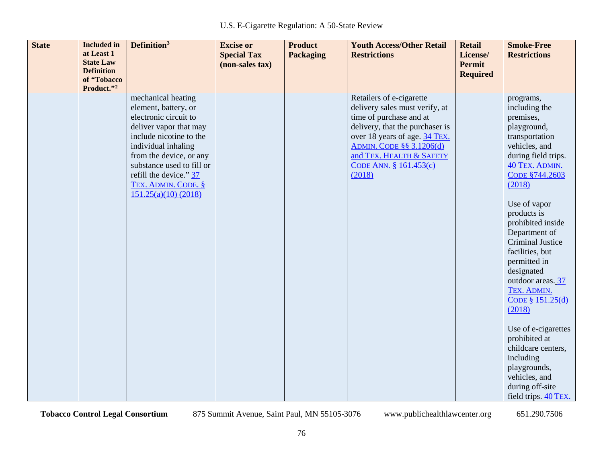| <b>State</b><br><b>Included</b> in<br>at Least 1<br><b>State Law</b><br><b>Definition</b><br>of "Tobacco<br>Product."2 | Definition <sup>3</sup>                                                                                                                                                                                                                                                         | <b>Excise or</b><br><b>Special Tax</b><br>(non-sales tax) | <b>Product</b><br><b>Packaging</b> | <b>Youth Access/Other Retail</b><br><b>Restrictions</b>                                                                                                                                                                                                      | <b>Retail</b><br>License/<br><b>Permit</b><br><b>Required</b> | <b>Smoke-Free</b><br><b>Restrictions</b>                                                                                                                                                                                                                                                                                                                                                                                                                                                                                                   |
|------------------------------------------------------------------------------------------------------------------------|---------------------------------------------------------------------------------------------------------------------------------------------------------------------------------------------------------------------------------------------------------------------------------|-----------------------------------------------------------|------------------------------------|--------------------------------------------------------------------------------------------------------------------------------------------------------------------------------------------------------------------------------------------------------------|---------------------------------------------------------------|--------------------------------------------------------------------------------------------------------------------------------------------------------------------------------------------------------------------------------------------------------------------------------------------------------------------------------------------------------------------------------------------------------------------------------------------------------------------------------------------------------------------------------------------|
|                                                                                                                        | mechanical heating<br>element, battery, or<br>electronic circuit to<br>deliver vapor that may<br>include nicotine to the<br>individual inhaling<br>from the device, or any<br>substance used to fill or<br>refill the device." 37<br>TEX. ADMIN. CODE. §<br>151.25(a)(10)(2018) |                                                           |                                    | Retailers of e-cigarette<br>delivery sales must verify, at<br>time of purchase and at<br>delivery, that the purchaser is<br>over 18 years of age. 34 TEX.<br><b>ADMIN. CODE §§ 3.1206(d)</b><br>and TEX. HEALTH & SAFETY<br>CODE ANN. § 161.453(c)<br>(2018) |                                                               | programs,<br>including the<br>premises,<br>playground,<br>transportation<br>vehicles, and<br>during field trips.<br>40 TEX. ADMIN.<br>CODE §744.2603<br>(2018)<br>Use of vapor<br>products is<br>prohibited inside<br>Department of<br><b>Criminal Justice</b><br>facilities, but<br>permitted in<br>designated<br>outdoor areas. 37<br>TEX. ADMIN.<br>CODE § $151.25(d)$<br>(2018)<br>Use of e-cigarettes<br>prohibited at<br>childcare centers,<br>including<br>playgrounds,<br>vehicles, and<br>during off-site<br>field trips. 40 TEX. |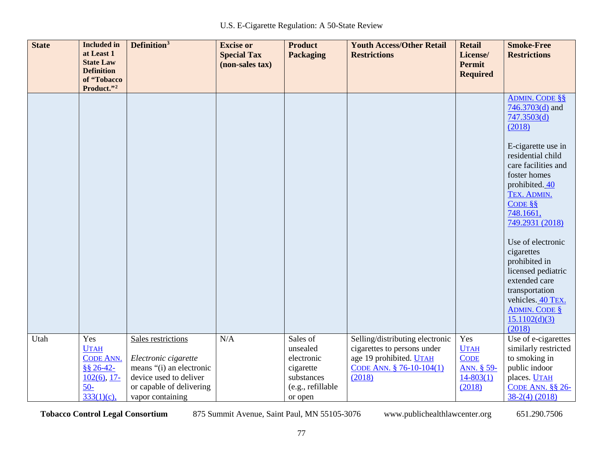| <b>State</b> | <b>Included</b> in<br>at Least 1<br><b>State Law</b><br><b>Definition</b><br>of "Tobacco<br>Product."2 | Definition <sup>3</sup>                                                                                                                          | <b>Excise or</b><br><b>Special Tax</b><br>(non-sales tax) | <b>Product</b><br><b>Packaging</b>                                                            | <b>Youth Access/Other Retail</b><br><b>Restrictions</b>                                                                         | <b>Retail</b><br>License/<br><b>Permit</b><br><b>Required</b>              | <b>Smoke-Free</b><br><b>Restrictions</b>                                                                                                                                                                                                                                                                                                                                                                                 |
|--------------|--------------------------------------------------------------------------------------------------------|--------------------------------------------------------------------------------------------------------------------------------------------------|-----------------------------------------------------------|-----------------------------------------------------------------------------------------------|---------------------------------------------------------------------------------------------------------------------------------|----------------------------------------------------------------------------|--------------------------------------------------------------------------------------------------------------------------------------------------------------------------------------------------------------------------------------------------------------------------------------------------------------------------------------------------------------------------------------------------------------------------|
|              |                                                                                                        |                                                                                                                                                  |                                                           |                                                                                               |                                                                                                                                 |                                                                            | <b>ADMIN. CODE §§</b><br>$746.3703(d)$ and<br>747.3503(d)<br>(2018)<br>E-cigarette use in<br>residential child<br>care facilities and<br>foster homes<br>prohibited. 40<br>TEX. ADMIN.<br>CODE $\S$<br>748.1661,<br>749.2931 (2018)<br>Use of electronic<br>cigarettes<br>prohibited in<br>licensed pediatric<br>extended care<br>transportation<br>vehicles. 40 TEX.<br><b>ADMIN. CODE §</b><br>15.1102(d)(3)<br>(2018) |
| Utah         | Yes<br><b>UTAH</b><br><b>CODE ANN.</b><br>$$8 26 - 42$<br>$102(6)$ , 17-<br>$50-$<br>333(1)(c)         | Sales restrictions<br>Electronic cigarette<br>means "(i) an electronic<br>device used to deliver<br>or capable of delivering<br>vapor containing | N/A                                                       | Sales of<br>unsealed<br>electronic<br>cigarette<br>substances<br>(e.g., refillable<br>or open | Selling/distributing electronic<br>cigarettes to persons under<br>age 19 prohibited. UTAH<br>CODE ANN. § 76-10-104(1)<br>(2018) | Yes<br><b>UTAH</b><br><b>CODE</b><br>ANN. § 59-<br>$14 - 803(1)$<br>(2018) | Use of e-cigarettes<br>similarly restricted<br>to smoking in<br>public indoor<br>places. <b>UTAH</b><br>CODE ANN. $\S$ § 26-<br>$38-2(4)$ (2018)                                                                                                                                                                                                                                                                         |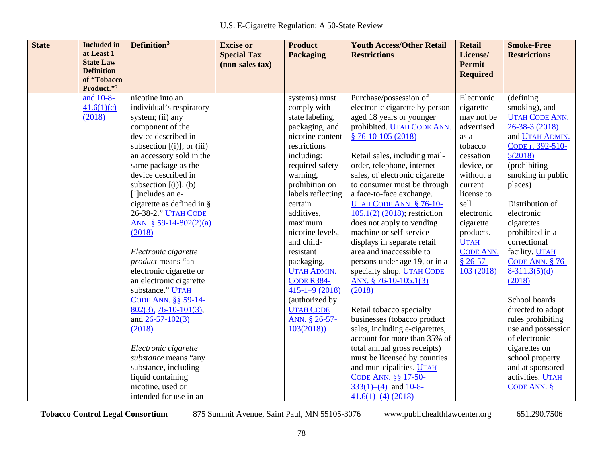| <b>State</b> | <b>Included</b> in                    | Definition <sup>3</sup>         | <b>Excise or</b>   | <b>Product</b>      | <b>Youth Access/Other Retail</b> | <b>Retail</b>    | <b>Smoke-Free</b>      |
|--------------|---------------------------------------|---------------------------------|--------------------|---------------------|----------------------------------|------------------|------------------------|
|              | at Least 1                            |                                 | <b>Special Tax</b> | Packaging           | <b>Restrictions</b>              | License/         | <b>Restrictions</b>    |
|              | <b>State Law</b><br><b>Definition</b> |                                 | (non-sales tax)    |                     |                                  | <b>Permit</b>    |                        |
|              | of "Tobacco                           |                                 |                    |                     |                                  | <b>Required</b>  |                        |
|              | Product."2                            |                                 |                    |                     |                                  |                  |                        |
|              | and 10-8-                             | nicotine into an                |                    | systems) must       | Purchase/possession of           | Electronic       | (defining              |
|              | 41.6(1)(c)                            | individual's respiratory        |                    | comply with         | electronic cigarette by person   | cigarette        | smoking), and          |
|              | (2018)                                | system; (ii) any                |                    | state labeling,     | aged 18 years or younger         | may not be       | <b>UTAH CODE ANN.</b>  |
|              |                                       | component of the                |                    | packaging, and      | prohibited. UTAH CODE ANN.       | advertised       | 26-38-3 (2018)         |
|              |                                       | device described in             |                    | nicotine content    | $$76-10-105(2018)$               | as a             | and UTAH ADMIN.        |
|              |                                       | subsection $[(i)]$ ; or $(iii)$ |                    | restrictions        |                                  | tobacco          | CODE r. 392-510-       |
|              |                                       | an accessory sold in the        |                    | including:          | Retail sales, including mail-    | cessation        | 5(2018)                |
|              |                                       | same package as the             |                    | required safety     | order, telephone, internet       | device, or       | (prohibiting           |
|              |                                       | device described in             |                    | warning,            | sales, of electronic cigarette   | without a        | smoking in public      |
|              |                                       | subsection $[(i)]$ . (b)        |                    | prohibition on      | to consumer must be through      | current          | places)                |
|              |                                       | [I] ncludes an e-               |                    | labels reflecting   | a face-to-face exchange.         | license to       |                        |
|              |                                       | cigarette as defined in §       |                    | certain             | UTAH CODE ANN. § 76-10-          | sell             | Distribution of        |
|              |                                       | 26-38-2." <b>UTAH CODE</b>      |                    | additives,          | $105.1(2)$ (2018); restriction   | electronic       | electronic             |
|              |                                       | ANN. $$ 59-14-802(2)(a)$        |                    | maximum             | does not apply to vending        | cigarette        | cigarettes             |
|              |                                       | (2018)                          |                    | nicotine levels,    | machine or self-service          | products.        | prohibited in a        |
|              |                                       |                                 |                    | and child-          | displays in separate retail      | <b>UTAH</b>      | correctional           |
|              |                                       | Electronic cigarette            |                    | resistant           | area and inaccessible to         | <b>CODE ANN.</b> | facility. <b>UTAH</b>  |
|              |                                       | product means "an               |                    | packaging,          | persons under age 19, or in a    | $$26-57-$        | <b>CODE ANN. § 76-</b> |
|              |                                       | electronic cigarette or         |                    | <b>UTAH ADMIN.</b>  | specialty shop. <b>UTAH CODE</b> | 103 (2018)       | $8-311.3(5)(d)$        |
|              |                                       | an electronic cigarette         |                    | <b>CODE R384-</b>   | ANN. § 76-10-105.1(3)            |                  | (2018)                 |
|              |                                       | substance." UTAH                |                    | $415 - 1 - 9(2018)$ | (2018)                           |                  |                        |
|              |                                       | CODE ANN. §§ 59-14-             |                    | (authorized by      |                                  |                  | School boards          |
|              |                                       | $802(3), 76-10-101(3),$         |                    | <b>UTAH CODE</b>    | Retail tobacco specialty         |                  | directed to adopt      |
|              |                                       | and $26 - 57 - 102(3)$          |                    | ANN. § 26-57-       | businesses (tobacco product      |                  | rules prohibiting      |
|              |                                       | (2018)                          |                    | 103(2018)           | sales, including e-cigarettes,   |                  | use and possession     |
|              |                                       |                                 |                    |                     | account for more than 35% of     |                  | of electronic          |
|              |                                       | Electronic cigarette            |                    |                     | total annual gross receipts)     |                  | cigarettes on          |
|              |                                       | substance means "any            |                    |                     | must be licensed by counties     |                  | school property        |
|              |                                       | substance, including            |                    |                     | and municipalities. UTAH         |                  | and at sponsored       |
|              |                                       | liquid containing               |                    |                     | CODE ANN. §§ 17-50-              |                  | activities. UTAH       |
|              |                                       | nicotine, used or               |                    |                     | $333(1)$ –(4) and $10-8$ –       |                  | CODE ANN. $§$          |
|              |                                       | intended for use in an          |                    |                     | $41.6(1)–(4)$ (2018)             |                  |                        |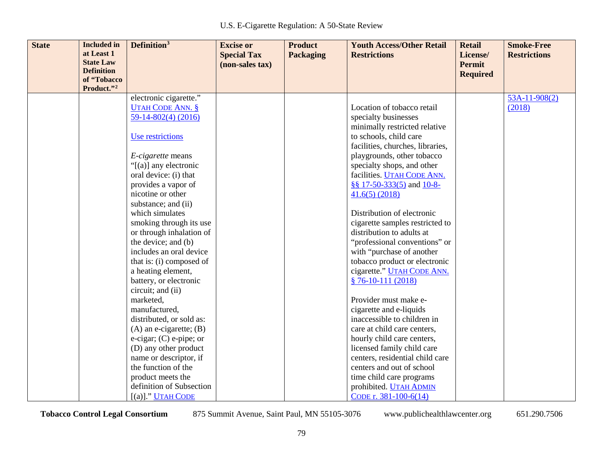| <b>State</b> | <b>Included</b> in<br>at Least 1 | Definition <sup>3</sup>                                                                                                                                                                                                                                                                                                  | <b>Excise or</b>                      | <b>Product</b>   | <b>Youth Access/Other Retail</b>                                                                                                                                                                                                                                                                                                                  | <b>Retail</b>             | <b>Smoke-Free</b>   |
|--------------|----------------------------------|--------------------------------------------------------------------------------------------------------------------------------------------------------------------------------------------------------------------------------------------------------------------------------------------------------------------------|---------------------------------------|------------------|---------------------------------------------------------------------------------------------------------------------------------------------------------------------------------------------------------------------------------------------------------------------------------------------------------------------------------------------------|---------------------------|---------------------|
|              | <b>State Law</b>                 |                                                                                                                                                                                                                                                                                                                          | <b>Special Tax</b><br>(non-sales tax) | <b>Packaging</b> | <b>Restrictions</b>                                                                                                                                                                                                                                                                                                                               | License/<br><b>Permit</b> | <b>Restrictions</b> |
|              | <b>Definition</b>                |                                                                                                                                                                                                                                                                                                                          |                                       |                  |                                                                                                                                                                                                                                                                                                                                                   | <b>Required</b>           |                     |
|              | of "Tobacco                      |                                                                                                                                                                                                                                                                                                                          |                                       |                  |                                                                                                                                                                                                                                                                                                                                                   |                           |                     |
|              | Product."2                       | electronic cigarette."                                                                                                                                                                                                                                                                                                   |                                       |                  |                                                                                                                                                                                                                                                                                                                                                   |                           | $53A-11-908(2)$     |
|              |                                  | <b>UTAH CODE ANN. §</b>                                                                                                                                                                                                                                                                                                  |                                       |                  | Location of tobacco retail                                                                                                                                                                                                                                                                                                                        |                           | (2018)              |
|              |                                  | 59-14-802(4) (2016)                                                                                                                                                                                                                                                                                                      |                                       |                  | specialty businesses                                                                                                                                                                                                                                                                                                                              |                           |                     |
|              |                                  |                                                                                                                                                                                                                                                                                                                          |                                       |                  | minimally restricted relative                                                                                                                                                                                                                                                                                                                     |                           |                     |
|              |                                  | Use restrictions                                                                                                                                                                                                                                                                                                         |                                       |                  | to schools, child care                                                                                                                                                                                                                                                                                                                            |                           |                     |
|              |                                  |                                                                                                                                                                                                                                                                                                                          |                                       |                  | facilities, churches, libraries,                                                                                                                                                                                                                                                                                                                  |                           |                     |
|              |                                  | <i>E-cigarette</i> means                                                                                                                                                                                                                                                                                                 |                                       |                  | playgrounds, other tobacco                                                                                                                                                                                                                                                                                                                        |                           |                     |
|              |                                  | " $[(a)]$ any electronic                                                                                                                                                                                                                                                                                                 |                                       |                  | specialty shops, and other                                                                                                                                                                                                                                                                                                                        |                           |                     |
|              |                                  | oral device: (i) that                                                                                                                                                                                                                                                                                                    |                                       |                  | facilities. UTAH CODE ANN.                                                                                                                                                                                                                                                                                                                        |                           |                     |
|              |                                  | provides a vapor of                                                                                                                                                                                                                                                                                                      |                                       |                  | §§ 17-50-333(5) and 10-8-                                                                                                                                                                                                                                                                                                                         |                           |                     |
|              |                                  | nicotine or other                                                                                                                                                                                                                                                                                                        |                                       |                  | 41.6(5) (2018)                                                                                                                                                                                                                                                                                                                                    |                           |                     |
|              |                                  | substance; and (ii)                                                                                                                                                                                                                                                                                                      |                                       |                  |                                                                                                                                                                                                                                                                                                                                                   |                           |                     |
|              |                                  | which simulates                                                                                                                                                                                                                                                                                                          |                                       |                  | Distribution of electronic                                                                                                                                                                                                                                                                                                                        |                           |                     |
|              |                                  | smoking through its use                                                                                                                                                                                                                                                                                                  |                                       |                  | cigarette samples restricted to                                                                                                                                                                                                                                                                                                                   |                           |                     |
|              |                                  | or through inhalation of                                                                                                                                                                                                                                                                                                 |                                       |                  | distribution to adults at                                                                                                                                                                                                                                                                                                                         |                           |                     |
|              |                                  | the device; and (b)                                                                                                                                                                                                                                                                                                      |                                       |                  | "professional conventions" or                                                                                                                                                                                                                                                                                                                     |                           |                     |
|              |                                  | includes an oral device                                                                                                                                                                                                                                                                                                  |                                       |                  | with "purchase of another                                                                                                                                                                                                                                                                                                                         |                           |                     |
|              |                                  | that is: (i) composed of                                                                                                                                                                                                                                                                                                 |                                       |                  | tobacco product or electronic                                                                                                                                                                                                                                                                                                                     |                           |                     |
|              |                                  | a heating element,                                                                                                                                                                                                                                                                                                       |                                       |                  | cigarette." UTAH CODE ANN.                                                                                                                                                                                                                                                                                                                        |                           |                     |
|              |                                  |                                                                                                                                                                                                                                                                                                                          |                                       |                  |                                                                                                                                                                                                                                                                                                                                                   |                           |                     |
|              |                                  |                                                                                                                                                                                                                                                                                                                          |                                       |                  |                                                                                                                                                                                                                                                                                                                                                   |                           |                     |
|              |                                  |                                                                                                                                                                                                                                                                                                                          |                                       |                  |                                                                                                                                                                                                                                                                                                                                                   |                           |                     |
|              |                                  |                                                                                                                                                                                                                                                                                                                          |                                       |                  |                                                                                                                                                                                                                                                                                                                                                   |                           |                     |
|              |                                  |                                                                                                                                                                                                                                                                                                                          |                                       |                  |                                                                                                                                                                                                                                                                                                                                                   |                           |                     |
|              |                                  |                                                                                                                                                                                                                                                                                                                          |                                       |                  |                                                                                                                                                                                                                                                                                                                                                   |                           |                     |
|              |                                  |                                                                                                                                                                                                                                                                                                                          |                                       |                  |                                                                                                                                                                                                                                                                                                                                                   |                           |                     |
|              |                                  |                                                                                                                                                                                                                                                                                                                          |                                       |                  |                                                                                                                                                                                                                                                                                                                                                   |                           |                     |
|              |                                  |                                                                                                                                                                                                                                                                                                                          |                                       |                  |                                                                                                                                                                                                                                                                                                                                                   |                           |                     |
|              |                                  |                                                                                                                                                                                                                                                                                                                          |                                       |                  |                                                                                                                                                                                                                                                                                                                                                   |                           |                     |
|              |                                  |                                                                                                                                                                                                                                                                                                                          |                                       |                  |                                                                                                                                                                                                                                                                                                                                                   |                           |                     |
|              |                                  |                                                                                                                                                                                                                                                                                                                          |                                       |                  |                                                                                                                                                                                                                                                                                                                                                   |                           |                     |
|              |                                  | battery, or electronic<br>circuit; and (ii)<br>marketed,<br>manufactured,<br>distributed, or sold as:<br>$(A)$ an e-cigarette; $(B)$<br>$e$ -cigar; (C) $e$ -pipe; or<br>(D) any other product<br>name or descriptor, if<br>the function of the<br>product meets the<br>definition of Subsection<br>$[(a)]$ ." UTAH CODE |                                       |                  | $$76-10-111(2018)$<br>Provider must make e-<br>cigarette and e-liquids<br>inaccessible to children in<br>care at child care centers,<br>hourly child care centers,<br>licensed family child care<br>centers, residential child care<br>centers and out of school<br>time child care programs<br>prohibited. UTAH ADMIN<br>CODE r. $381-100-6(14)$ |                           |                     |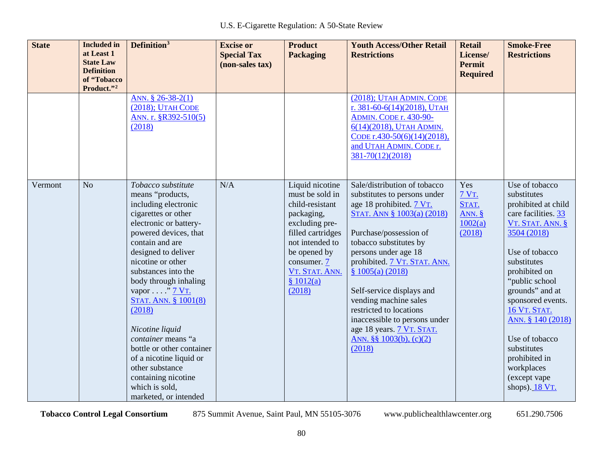| <b>State</b> | <b>Included</b> in<br>at Least 1<br><b>State Law</b><br><b>Definition</b><br>of "Tobacco<br>Product."2 | Definition <sup>3</sup>                                                                                                                                                                                                                                                                                                                                                                                                                                                                                 | <b>Excise or</b><br><b>Special Tax</b><br>(non-sales tax) | <b>Product</b><br>Packaging                                                                                                                                                                           | <b>Youth Access/Other Retail</b><br><b>Restrictions</b>                                                                                                                                                                                                                                                                                                                                                                                     | <b>Retail</b><br>License/<br><b>Permit</b><br><b>Required</b> | <b>Smoke-Free</b><br><b>Restrictions</b>                                                                                                                                                                                                                                                                                                                                            |
|--------------|--------------------------------------------------------------------------------------------------------|---------------------------------------------------------------------------------------------------------------------------------------------------------------------------------------------------------------------------------------------------------------------------------------------------------------------------------------------------------------------------------------------------------------------------------------------------------------------------------------------------------|-----------------------------------------------------------|-------------------------------------------------------------------------------------------------------------------------------------------------------------------------------------------------------|---------------------------------------------------------------------------------------------------------------------------------------------------------------------------------------------------------------------------------------------------------------------------------------------------------------------------------------------------------------------------------------------------------------------------------------------|---------------------------------------------------------------|-------------------------------------------------------------------------------------------------------------------------------------------------------------------------------------------------------------------------------------------------------------------------------------------------------------------------------------------------------------------------------------|
|              |                                                                                                        | ANN. $$26-38-2(1)$<br>$(2018)$ ; UTAH CODE<br>ANN. r. §R392-510(5)<br>(2018)                                                                                                                                                                                                                                                                                                                                                                                                                            |                                                           |                                                                                                                                                                                                       | (2018); UTAH ADMIN. CODE<br>r. 381-60-6(14)(2018), UTAH<br><b>ADMIN. CODE r. 430-90-</b><br>6(14)(2018), UTAH ADMIN.<br>CODE r.430-50(6)(14)(2018),<br>and UTAH ADMIN. CODE r.<br>381-70(12)(2018)                                                                                                                                                                                                                                          |                                                               |                                                                                                                                                                                                                                                                                                                                                                                     |
| Vermont      | N <sub>o</sub>                                                                                         | Tobacco substitute<br>means "products,<br>including electronic<br>cigarettes or other<br>electronic or battery-<br>powered devices, that<br>contain and are<br>designed to deliver<br>nicotine or other<br>substances into the<br>body through inhaling<br>vapor " <u>7 VT.</u><br>STAT. ANN. § 1001(8)<br>(2018)<br>Nicotine liquid<br>container means "a<br>bottle or other container<br>of a nicotine liquid or<br>other substance<br>containing nicotine<br>which is sold,<br>marketed, or intended | N/A                                                       | Liquid nicotine<br>must be sold in<br>child-resistant<br>packaging,<br>excluding pre-<br>filled cartridges<br>not intended to<br>be opened by<br>consumer. 7<br>VT. STAT. ANN.<br>\$1012(a)<br>(2018) | Sale/distribution of tobacco<br>substitutes to persons under<br>age 18 prohibited. 7 VT.<br>STAT. ANN § 1003(a) (2018)<br>Purchase/possession of<br>tobacco substitutes by<br>persons under age 18<br>prohibited. 7 VT. STAT. ANN.<br>\$1005(a)(2018)<br>Self-service displays and<br>vending machine sales<br>restricted to locations<br>inaccessible to persons under<br>age 18 years. 7 VT. STAT.<br>ANN. §§ 1003(b), $(c)(2)$<br>(2018) | Yes<br><b>7 VT.</b><br>STAT.<br>ANN. $§$<br>1002(a)<br>(2018) | Use of tobacco<br>substitutes<br>prohibited at child<br>care facilities. 33<br>VT. STAT. ANN. §<br>3504 (2018)<br>Use of tobacco<br>substitutes<br>prohibited on<br>"public school<br>grounds" and at<br>sponsored events.<br><b>16 VT. STAT.</b><br>ANN. § 140 (2018)<br>Use of tobacco<br>substitutes<br>prohibited in<br>workplaces<br>(except vape<br>shops). $18 \text{ VT}$ . |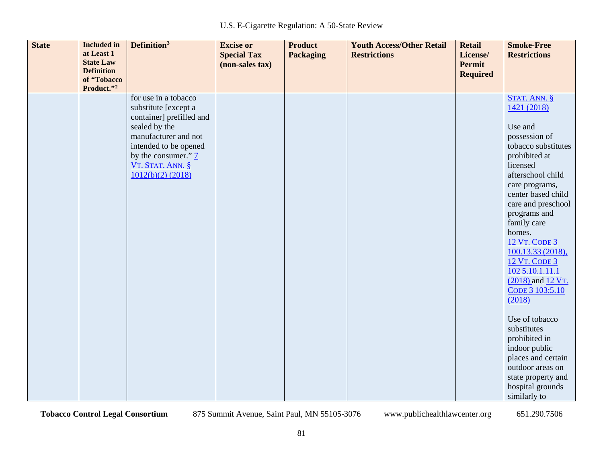| <b>State</b><br><b>Included</b> in<br>at Least 1<br><b>State Law</b><br><b>Definition</b><br>of "Tobacco<br>Product."2 | Definition <sup>3</sup>                                                                                                                                                                                                | <b>Excise or</b><br><b>Special Tax</b><br>(non-sales tax) | <b>Product</b><br><b>Packaging</b> | <b>Youth Access/Other Retail</b><br><b>Restrictions</b> | <b>Retail</b><br>License/<br><b>Permit</b><br><b>Required</b> | <b>Smoke-Free</b><br><b>Restrictions</b>                                                                                                                                                                                                                                                                                                                                                                                                                                                                                                                |
|------------------------------------------------------------------------------------------------------------------------|------------------------------------------------------------------------------------------------------------------------------------------------------------------------------------------------------------------------|-----------------------------------------------------------|------------------------------------|---------------------------------------------------------|---------------------------------------------------------------|---------------------------------------------------------------------------------------------------------------------------------------------------------------------------------------------------------------------------------------------------------------------------------------------------------------------------------------------------------------------------------------------------------------------------------------------------------------------------------------------------------------------------------------------------------|
|                                                                                                                        | for use in a tobacco<br>substitute [except a<br>container] prefilled and<br>sealed by the<br>manufacturer and not<br>intended to be opened<br>by the consumer." $\frac{7}{2}$<br>VT. STAT. ANN. §<br>1012(b)(2) (2018) |                                                           |                                    |                                                         |                                                               | STAT. ANN. §<br>1421 (2018)<br>Use and<br>possession of<br>tobacco substitutes<br>prohibited at<br>licensed<br>afterschool child<br>care programs,<br>center based child<br>care and preschool<br>programs and<br>family care<br>homes.<br><b>12 VT. CODE 3</b><br>100.13.33 (2018),<br><b>12 VT. CODE 3</b><br>1025.10.1.11.1<br>(2018) and 12 VT.<br>CODE 3 103:5.10<br>(2018)<br>Use of tobacco<br>substitutes<br>prohibited in<br>indoor public<br>places and certain<br>outdoor areas on<br>state property and<br>hospital grounds<br>similarly to |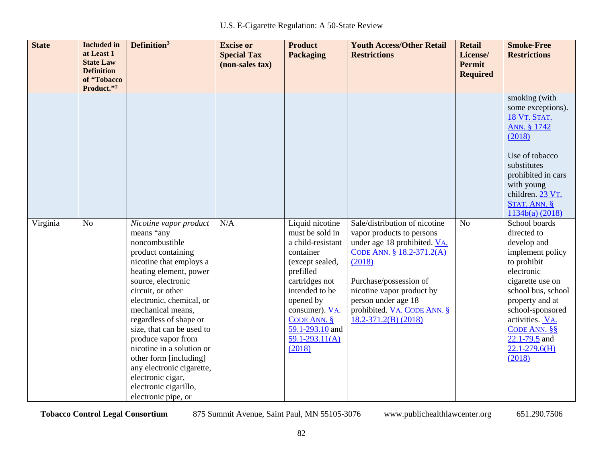| <b>State</b> | <b>Included</b> in<br>at Least 1<br><b>State Law</b><br><b>Definition</b><br>of "Tobacco<br>Product."2 | Definition <sup>3</sup>                                                                                                                                                                                                                                                                                                                                                                                                                                             | <b>Excise or</b><br><b>Special Tax</b><br>(non-sales tax) | <b>Product</b><br><b>Packaging</b>                                                                                                                                                                                                          | <b>Youth Access/Other Retail</b><br><b>Restrictions</b>                                                                                                                                                                                                                    | <b>Retail</b><br>License/<br><b>Permit</b><br><b>Required</b> | <b>Smoke-Free</b><br><b>Restrictions</b>                                                                                                                                                                                                                             |
|--------------|--------------------------------------------------------------------------------------------------------|---------------------------------------------------------------------------------------------------------------------------------------------------------------------------------------------------------------------------------------------------------------------------------------------------------------------------------------------------------------------------------------------------------------------------------------------------------------------|-----------------------------------------------------------|---------------------------------------------------------------------------------------------------------------------------------------------------------------------------------------------------------------------------------------------|----------------------------------------------------------------------------------------------------------------------------------------------------------------------------------------------------------------------------------------------------------------------------|---------------------------------------------------------------|----------------------------------------------------------------------------------------------------------------------------------------------------------------------------------------------------------------------------------------------------------------------|
|              |                                                                                                        |                                                                                                                                                                                                                                                                                                                                                                                                                                                                     |                                                           |                                                                                                                                                                                                                                             |                                                                                                                                                                                                                                                                            |                                                               | smoking (with<br>some exceptions).<br>18 VT. STAT.<br>ANN. § 1742<br>(2018)<br>Use of tobacco<br>substitutes<br>prohibited in cars<br>with young<br>children. 23 VT.<br>STAT. ANN. §<br>1134b(a) (2018)                                                              |
| Virginia     | N <sub>o</sub>                                                                                         | Nicotine vapor product<br>means "any<br>noncombustible<br>product containing<br>nicotine that employs a<br>heating element, power<br>source, electronic<br>circuit, or other<br>electronic, chemical, or<br>mechanical means,<br>regardless of shape or<br>size, that can be used to<br>produce vapor from<br>nicotine in a solution or<br>other form [including]<br>any electronic cigarette,<br>electronic cigar,<br>electronic cigarillo,<br>electronic pipe, or | N/A                                                       | Liquid nicotine<br>must be sold in<br>a child-resistant<br>container<br>(except sealed,<br>prefilled<br>cartridges not<br>intended to be<br>opened by<br>consumer). VA.<br>CODE ANN. $§$<br>59.1-293.10 and<br>$59.1 - 293.11(A)$<br>(2018) | Sale/distribution of nicotine<br>vapor products to persons<br>under age 18 prohibited. VA.<br>CODE ANN. § 18.2-371.2(A)<br>(2018)<br>Purchase/possession of<br>nicotine vapor product by<br>person under age 18<br>prohibited. VA. CODE ANN. §<br>$18.2 - 371.2(B) (2018)$ | N <sub>o</sub>                                                | School boards<br>directed to<br>develop and<br>implement policy<br>to prohibit<br>electronic<br>cigarette use on<br>school bus, school<br>property and at<br>school-sponsored<br>activities. VA.<br>CODE ANN. §§<br>$22.1 - 79.5$ and<br>$22.1 - 279.6(H)$<br>(2018) |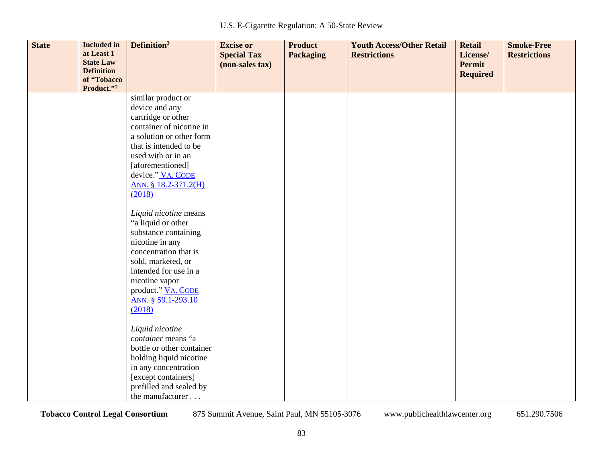| <b>State</b> | <b>Included in</b><br>at Least 1<br><b>State Law</b><br><b>Definition</b><br>of "Tobacco | Definition <sup>3</sup>                        | <b>Excise or</b><br><b>Special Tax</b><br>(non-sales tax) | <b>Product</b><br><b>Packaging</b> | <b>Youth Access/Other Retail</b><br><b>Restrictions</b> | <b>Retail</b><br>License/<br>Permit<br><b>Required</b> | <b>Smoke-Free</b><br><b>Restrictions</b> |
|--------------|------------------------------------------------------------------------------------------|------------------------------------------------|-----------------------------------------------------------|------------------------------------|---------------------------------------------------------|--------------------------------------------------------|------------------------------------------|
|              | Product."2                                                                               |                                                |                                                           |                                    |                                                         |                                                        |                                          |
|              |                                                                                          | similar product or                             |                                                           |                                    |                                                         |                                                        |                                          |
|              |                                                                                          | device and any                                 |                                                           |                                    |                                                         |                                                        |                                          |
|              |                                                                                          | cartridge or other<br>container of nicotine in |                                                           |                                    |                                                         |                                                        |                                          |
|              |                                                                                          | a solution or other form                       |                                                           |                                    |                                                         |                                                        |                                          |
|              |                                                                                          | that is intended to be                         |                                                           |                                    |                                                         |                                                        |                                          |
|              |                                                                                          | used with or in an                             |                                                           |                                    |                                                         |                                                        |                                          |
|              |                                                                                          | [aforementioned]                               |                                                           |                                    |                                                         |                                                        |                                          |
|              |                                                                                          | device." VA. CODE                              |                                                           |                                    |                                                         |                                                        |                                          |
|              |                                                                                          | ANN. § 18.2-371.2(H)                           |                                                           |                                    |                                                         |                                                        |                                          |
|              |                                                                                          | (2018)                                         |                                                           |                                    |                                                         |                                                        |                                          |
|              |                                                                                          | Liquid nicotine means                          |                                                           |                                    |                                                         |                                                        |                                          |
|              |                                                                                          | "a liquid or other                             |                                                           |                                    |                                                         |                                                        |                                          |
|              |                                                                                          | substance containing                           |                                                           |                                    |                                                         |                                                        |                                          |
|              |                                                                                          | nicotine in any                                |                                                           |                                    |                                                         |                                                        |                                          |
|              |                                                                                          | concentration that is                          |                                                           |                                    |                                                         |                                                        |                                          |
|              |                                                                                          | sold, marketed, or                             |                                                           |                                    |                                                         |                                                        |                                          |
|              |                                                                                          | intended for use in a                          |                                                           |                                    |                                                         |                                                        |                                          |
|              |                                                                                          | nicotine vapor                                 |                                                           |                                    |                                                         |                                                        |                                          |
|              |                                                                                          | product." VA. CODE                             |                                                           |                                    |                                                         |                                                        |                                          |
|              |                                                                                          | ANN. § 59.1-293.10                             |                                                           |                                    |                                                         |                                                        |                                          |
|              |                                                                                          | (2018)                                         |                                                           |                                    |                                                         |                                                        |                                          |
|              |                                                                                          | Liquid nicotine                                |                                                           |                                    |                                                         |                                                        |                                          |
|              |                                                                                          | container means "a                             |                                                           |                                    |                                                         |                                                        |                                          |
|              |                                                                                          | bottle or other container                      |                                                           |                                    |                                                         |                                                        |                                          |
|              |                                                                                          | holding liquid nicotine                        |                                                           |                                    |                                                         |                                                        |                                          |
|              |                                                                                          | in any concentration                           |                                                           |                                    |                                                         |                                                        |                                          |
|              |                                                                                          | [except containers]                            |                                                           |                                    |                                                         |                                                        |                                          |
|              |                                                                                          | prefilled and sealed by                        |                                                           |                                    |                                                         |                                                        |                                          |
|              |                                                                                          | the manufacturer                               |                                                           |                                    |                                                         |                                                        |                                          |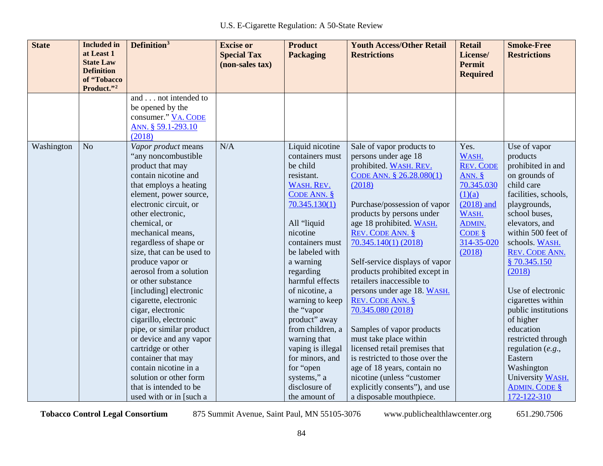| <b>State</b> | <b>Included</b> in<br>at Least 1<br><b>State Law</b><br><b>Definition</b> | Definition <sup>3</sup>                                                                                                                                                                                                                                                                                                                                                                                                                                                                                                                                                                                                                                                | <b>Excise or</b><br><b>Special Tax</b><br>(non-sales tax) | <b>Product</b><br><b>Packaging</b>                                                                                                                                                                                                                                                                                                                                                                                                       | <b>Youth Access/Other Retail</b><br><b>Restrictions</b>                                                                                                                                                                                                                                                                                                                                                                                                                                                                                                                                                                                                                                       | <b>Retail</b><br>License/<br><b>Permit</b><br><b>Required</b>                                                                                                      | <b>Smoke-Free</b><br><b>Restrictions</b>                                                                                                                                                                                                                                                                                                                                                                                                                               |
|--------------|---------------------------------------------------------------------------|------------------------------------------------------------------------------------------------------------------------------------------------------------------------------------------------------------------------------------------------------------------------------------------------------------------------------------------------------------------------------------------------------------------------------------------------------------------------------------------------------------------------------------------------------------------------------------------------------------------------------------------------------------------------|-----------------------------------------------------------|------------------------------------------------------------------------------------------------------------------------------------------------------------------------------------------------------------------------------------------------------------------------------------------------------------------------------------------------------------------------------------------------------------------------------------------|-----------------------------------------------------------------------------------------------------------------------------------------------------------------------------------------------------------------------------------------------------------------------------------------------------------------------------------------------------------------------------------------------------------------------------------------------------------------------------------------------------------------------------------------------------------------------------------------------------------------------------------------------------------------------------------------------|--------------------------------------------------------------------------------------------------------------------------------------------------------------------|------------------------------------------------------------------------------------------------------------------------------------------------------------------------------------------------------------------------------------------------------------------------------------------------------------------------------------------------------------------------------------------------------------------------------------------------------------------------|
|              | of "Tobacco<br>Product."2                                                 |                                                                                                                                                                                                                                                                                                                                                                                                                                                                                                                                                                                                                                                                        |                                                           |                                                                                                                                                                                                                                                                                                                                                                                                                                          |                                                                                                                                                                                                                                                                                                                                                                                                                                                                                                                                                                                                                                                                                               |                                                                                                                                                                    |                                                                                                                                                                                                                                                                                                                                                                                                                                                                        |
|              |                                                                           | and not intended to<br>be opened by the<br>consumer." VA. CODE<br>ANN. § 59.1-293.10<br>(2018)                                                                                                                                                                                                                                                                                                                                                                                                                                                                                                                                                                         |                                                           |                                                                                                                                                                                                                                                                                                                                                                                                                                          |                                                                                                                                                                                                                                                                                                                                                                                                                                                                                                                                                                                                                                                                                               |                                                                                                                                                                    |                                                                                                                                                                                                                                                                                                                                                                                                                                                                        |
| Washington   | N <sub>o</sub>                                                            | Vapor product means<br>"any noncombustible<br>product that may<br>contain nicotine and<br>that employs a heating<br>element, power source,<br>electronic circuit, or<br>other electronic,<br>chemical, or<br>mechanical means,<br>regardless of shape or<br>size, that can be used to<br>produce vapor or<br>aerosol from a solution<br>or other substance<br>[including] electronic<br>cigarette, electronic<br>cigar, electronic<br>cigarillo, electronic<br>pipe, or similar product<br>or device and any vapor<br>cartridge or other<br>container that may<br>contain nicotine in a<br>solution or other form<br>that is intended to be<br>used with or in [such a | N/A                                                       | Liquid nicotine<br>containers must<br>be child<br>resistant.<br>WASH. REV.<br>CODE ANN. $§$<br>70.345.130(1)<br>All "liquid<br>nicotine<br>containers must<br>be labeled with<br>a warning<br>regarding<br>harmful effects<br>of nicotine, a<br>warning to keep<br>the "vapor<br>product" away<br>from children, a<br>warning that<br>vaping is illegal<br>for minors, and<br>for "open<br>systems," a<br>disclosure of<br>the amount of | Sale of vapor products to<br>persons under age 18<br>prohibited. WASH. REV.<br>CODE ANN. § 26.28.080(1)<br>(2018)<br>Purchase/possession of vapor<br>products by persons under<br>age 18 prohibited. WASH.<br>REV. CODE ANN. §<br>$70.345.140(1)$ (2018)<br>Self-service displays of vapor<br>products prohibited except in<br>retailers inaccessible to<br>persons under age 18. WASH.<br><b>REV. CODE ANN. §</b><br>70.345.080 (2018)<br>Samples of vapor products<br>must take place within<br>licensed retail premises that<br>is restricted to those over the<br>age of 18 years, contain no<br>nicotine (unless "customer<br>explicitly consents"), and use<br>a disposable mouthpiece. | Yes.<br>WASH.<br><b>REV. CODE</b><br>ANN. $\frac{8}{5}$<br>70.345.030<br>(1)(a)<br>$(2018)$ and<br>WASH.<br>ADMIN.<br>$CODE$ $\frac{8}{5}$<br>314-35-020<br>(2018) | Use of vapor<br>products<br>prohibited in and<br>on grounds of<br>child care<br>facilities, schools,<br>playgrounds,<br>school buses,<br>elevators, and<br>within 500 feet of<br>schools. WASH.<br>REV. CODE ANN.<br>§70.345.150<br>(2018)<br>Use of electronic<br>cigarettes within<br>public institutions<br>of higher<br>education<br>restricted through<br>regulation $(e.g.,$<br>Eastern<br>Washington<br>University WASH.<br><b>ADMIN. CODE §</b><br>172-122-310 |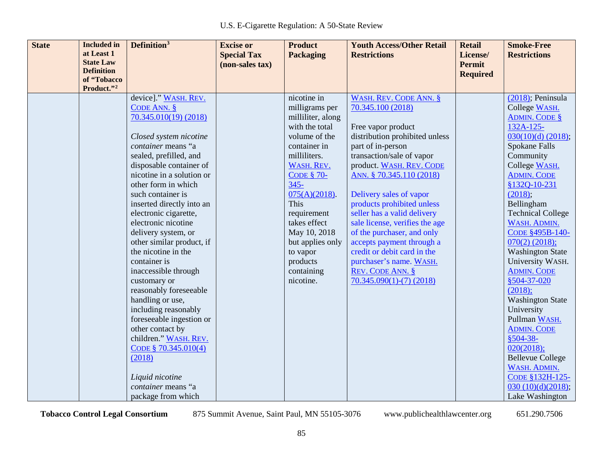| <b>State</b> | <b>Included</b> in<br>at Least 1      | Definition <sup>3</sup>                   | <b>Excise or</b><br><b>Special Tax</b> | <b>Product</b><br><b>Packaging</b>  | <b>Youth Access/Other Retail</b><br><b>Restrictions</b> | <b>Retail</b><br>License/ | <b>Smoke-Free</b><br><b>Restrictions</b> |
|--------------|---------------------------------------|-------------------------------------------|----------------------------------------|-------------------------------------|---------------------------------------------------------|---------------------------|------------------------------------------|
|              | <b>State Law</b><br><b>Definition</b> |                                           | (non-sales tax)                        |                                     |                                                         | <b>Permit</b>             |                                          |
|              | of "Tobacco                           |                                           |                                        |                                     |                                                         | <b>Required</b>           |                                          |
|              | Product."2                            |                                           |                                        |                                     |                                                         |                           |                                          |
|              |                                       | device]." WASH. REV.<br>CODE ANN. $§$     |                                        | nicotine in                         | <b>WASH. REV. CODE ANN. §</b><br>70.345.100 (2018)      |                           | $(2018)$ ; Peninsula                     |
|              |                                       | 70.345.010(19) (2018)                     |                                        | milligrams per<br>milliliter, along |                                                         |                           | College WASH.<br><b>ADMIN. CODE §</b>    |
|              |                                       |                                           |                                        | with the total                      | Free vapor product                                      |                           | 132A-125-                                |
|              |                                       | Closed system nicotine                    |                                        | volume of the                       | distribution prohibited unless                          |                           | $030(10)(d)$ (2018);                     |
|              |                                       | container means "a                        |                                        | container in                        | part of in-person                                       |                           | Spokane Falls                            |
|              |                                       | sealed, prefilled, and                    |                                        | milliliters.                        | transaction/sale of vapor                               |                           | Community                                |
|              |                                       | disposable container of                   |                                        | WASH. REV.                          | product. WASH. REV. CODE                                |                           | College WASH.                            |
|              |                                       | nicotine in a solution or                 |                                        | <b>CODE § 70-</b>                   | ANN. § 70.345.110 (2018)                                |                           | <b>ADMIN. CODE</b>                       |
|              |                                       | other form in which                       |                                        | $345 -$                             |                                                         |                           | §132Q-10-231                             |
|              |                                       | such container is                         |                                        | $075(A)(2018)$ .                    | Delivery sales of vapor                                 |                           | (2018);                                  |
|              |                                       | inserted directly into an                 |                                        | This                                | products prohibited unless                              |                           | Bellingham                               |
|              |                                       | electronic cigarette,                     |                                        | requirement                         | seller has a valid delivery                             |                           | <b>Technical College</b>                 |
|              |                                       | electronic nicotine                       |                                        | takes effect                        | sale license, verifies the age                          |                           | WASH. ADMIN.                             |
|              |                                       | delivery system, or                       |                                        | May 10, 2018                        | of the purchaser, and only                              |                           | CODE §495B-140-                          |
|              |                                       | other similar product, if                 |                                        | but applies only                    | accepts payment through a                               |                           | $070(2)$ (2018);                         |
|              |                                       | the nicotine in the                       |                                        | to vapor                            | credit or debit card in the                             |                           | <b>Washington State</b>                  |
|              |                                       | container is                              |                                        | products                            | purchaser's name. WASH.                                 |                           | University WASH.                         |
|              |                                       | inaccessible through                      |                                        | containing                          | REV. CODE ANN. §                                        |                           | <b>ADMIN. CODE</b>                       |
|              |                                       | customary or                              |                                        | nicotine.                           | $70.345.090(1)-(7)(2018)$                               |                           | \$504-37-020                             |
|              |                                       | reasonably foreseeable                    |                                        |                                     |                                                         |                           | (2018);                                  |
|              |                                       | handling or use,                          |                                        |                                     |                                                         |                           | <b>Washington State</b>                  |
|              |                                       | including reasonably                      |                                        |                                     |                                                         |                           | University                               |
|              |                                       | foreseeable ingestion or                  |                                        |                                     |                                                         |                           | Pullman WASH.                            |
|              |                                       | other contact by<br>children." WASH. REV. |                                        |                                     |                                                         |                           | <b>ADMIN. CODE</b><br>$$504-38-$         |
|              |                                       | CODE § $70.345.010(4)$                    |                                        |                                     |                                                         |                           | 020(2018);                               |
|              |                                       | (2018)                                    |                                        |                                     |                                                         |                           | <b>Bellevue College</b>                  |
|              |                                       |                                           |                                        |                                     |                                                         |                           | WASH. ADMIN.                             |
|              |                                       | Liquid nicotine                           |                                        |                                     |                                                         |                           | CODE §132H-125-                          |
|              |                                       | container means "a                        |                                        |                                     |                                                         |                           | 030(10)(d)(2018);                        |
|              |                                       | package from which                        |                                        |                                     |                                                         |                           | Lake Washington                          |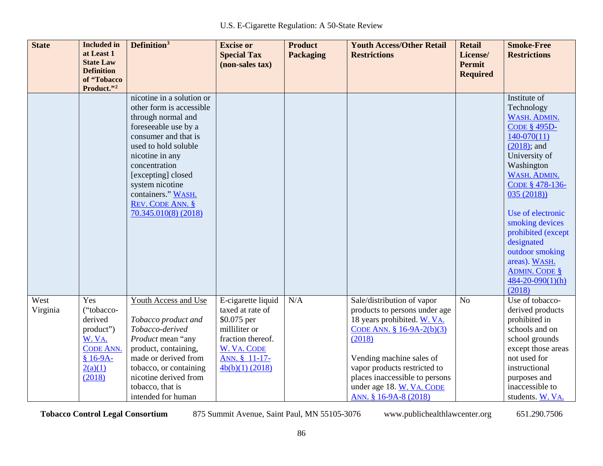| <b>State</b>     | <b>Included</b> in<br>at Least 1<br><b>State Law</b><br><b>Definition</b><br>of "Tobacco<br>Product."2    | Definition <sup>3</sup>                                                                                                                                                                                                                                                                            | <b>Excise or</b><br><b>Special Tax</b><br>(non-sales tax)                                                                                        | <b>Product</b><br><b>Packaging</b> | <b>Youth Access/Other Retail</b><br><b>Restrictions</b>                                                                                                                                                                                                                                | <b>Retail</b><br>License/<br><b>Permit</b><br><b>Required</b> | <b>Smoke-Free</b><br><b>Restrictions</b>                                                                                                                                                                                                                                                                                                                        |
|------------------|-----------------------------------------------------------------------------------------------------------|----------------------------------------------------------------------------------------------------------------------------------------------------------------------------------------------------------------------------------------------------------------------------------------------------|--------------------------------------------------------------------------------------------------------------------------------------------------|------------------------------------|----------------------------------------------------------------------------------------------------------------------------------------------------------------------------------------------------------------------------------------------------------------------------------------|---------------------------------------------------------------|-----------------------------------------------------------------------------------------------------------------------------------------------------------------------------------------------------------------------------------------------------------------------------------------------------------------------------------------------------------------|
|                  |                                                                                                           | nicotine in a solution or<br>other form is accessible<br>through normal and<br>foreseeable use by a<br>consumer and that is<br>used to hold soluble<br>nicotine in any<br>concentration<br>[excepting] closed<br>system nicotine<br>containers." WASH.<br>REV. CODE ANN. §<br>70.345.010(8) (2018) |                                                                                                                                                  |                                    |                                                                                                                                                                                                                                                                                        |                                                               | Institute of<br>Technology<br>WASH. ADMIN.<br><b>CODE § 495D-</b><br>$140-070(11)$<br>$(2018)$ ; and<br>University of<br>Washington<br>WASH. ADMIN.<br>CODE § 478-136-<br>035(2018)<br>Use of electronic<br>smoking devices<br>prohibited (except<br>designated<br>outdoor smoking<br>areas). WASH.<br><b>ADMIN. CODE §</b><br>$484 - 20 - 090(1)(h)$<br>(2018) |
| West<br>Virginia | Yes<br>("tobacco-<br>derived<br>product")<br>W. VA.<br><b>CODE ANN.</b><br>$$16-9A-$<br>2(a)(1)<br>(2018) | Youth Access and Use<br>Tobacco product and<br>Tobacco-derived<br>Product mean "any<br>product, containing,<br>made or derived from<br>tobacco, or containing<br>nicotine derived from<br>tobacco, that is<br>intended for human                                                                   | E-cigarette liquid<br>taxed at rate of<br>\$0.075 per<br>milliliter or<br>fraction thereof.<br>W. VA. CODE<br>ANN. § 11-17-<br>$4b(b)(1)$ (2018) | N/A                                | Sale/distribution of vapor<br>products to persons under age<br>18 years prohibited. W. VA.<br>CODE ANN. $$16-9A-2(b)(3)$<br>(2018)<br>Vending machine sales of<br>vapor products restricted to<br>places inaccessible to persons<br>under age 18. W. VA. CODE<br>ANN. § 16-9A-8 (2018) | N <sub>o</sub>                                                | Use of tobacco-<br>derived products<br>prohibited in<br>schools and on<br>school grounds<br>except those areas<br>not used for<br>instructional<br>purposes and<br>inaccessible to<br>students. W. VA.                                                                                                                                                          |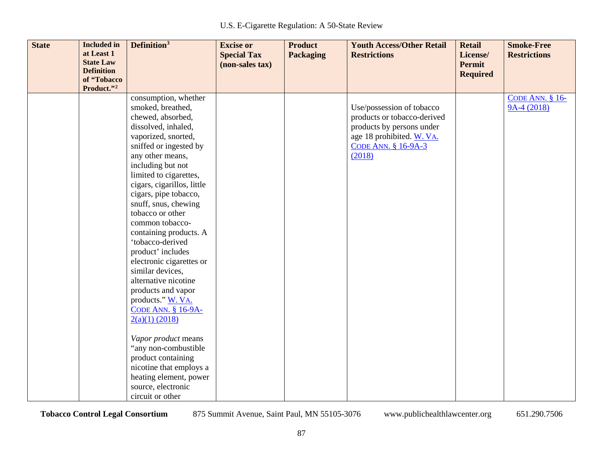| <b>State</b> | <b>Included</b> in<br>at Least 1<br><b>State Law</b><br><b>Definition</b><br>of "Tobacco<br>Product."2 | Definition <sup>3</sup>                                                                                                                                                                                                                                                                                                                                                                                                                                                                                                                                              | <b>Excise or</b><br><b>Special Tax</b><br>(non-sales tax) | <b>Product</b><br><b>Packaging</b> | <b>Youth Access/Other Retail</b><br><b>Restrictions</b>                                                                                                    | <b>Retail</b><br>License/<br><b>Permit</b><br><b>Required</b> | <b>Smoke-Free</b><br><b>Restrictions</b> |
|--------------|--------------------------------------------------------------------------------------------------------|----------------------------------------------------------------------------------------------------------------------------------------------------------------------------------------------------------------------------------------------------------------------------------------------------------------------------------------------------------------------------------------------------------------------------------------------------------------------------------------------------------------------------------------------------------------------|-----------------------------------------------------------|------------------------------------|------------------------------------------------------------------------------------------------------------------------------------------------------------|---------------------------------------------------------------|------------------------------------------|
|              |                                                                                                        | consumption, whether<br>smoked, breathed,<br>chewed, absorbed,<br>dissolved, inhaled,<br>vaporized, snorted,<br>sniffed or ingested by<br>any other means,<br>including but not<br>limited to cigarettes,<br>cigars, cigarillos, little<br>cigars, pipe tobacco,<br>snuff, snus, chewing<br>tobacco or other<br>common tobacco-<br>containing products. A<br>'tobacco-derived<br>product' includes<br>electronic cigarettes or<br>similar devices,<br>alternative nicotine<br>products and vapor<br>products." W. VA.<br><b>CODE ANN. § 16-9A-</b><br>2(a)(1) (2018) |                                                           |                                    | Use/possession of tobacco<br>products or tobacco-derived<br>products by persons under<br>age 18 prohibited. W. VA.<br><b>CODE ANN. § 16-9A-3</b><br>(2018) |                                                               | <b>CODE ANN. § 16-</b><br>$9A-4(2018)$   |
|              |                                                                                                        | Vapor product means<br>"any non-combustible<br>product containing<br>nicotine that employs a<br>heating element, power<br>source, electronic<br>circuit or other                                                                                                                                                                                                                                                                                                                                                                                                     |                                                           |                                    |                                                                                                                                                            |                                                               |                                          |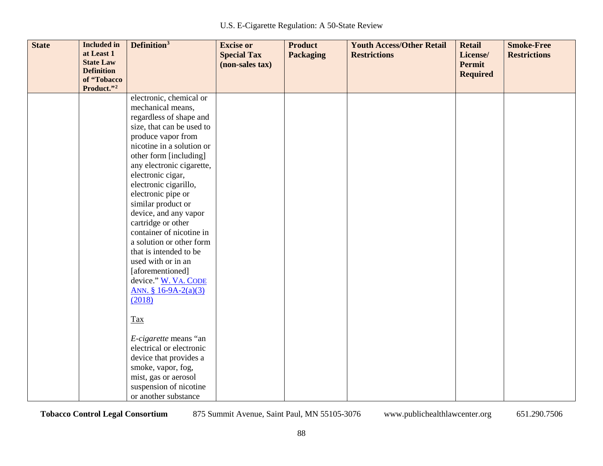| <b>State</b> | <b>Included</b> in<br>at Least 1<br><b>State Law</b><br><b>Definition</b> | Definition <sup>3</sup>                      | <b>Excise or</b><br><b>Special Tax</b><br>(non-sales tax) | <b>Product</b><br><b>Packaging</b> | <b>Youth Access/Other Retail</b><br><b>Restrictions</b> | <b>Retail</b><br>License/<br>Permit<br><b>Required</b> | <b>Smoke-Free</b><br><b>Restrictions</b> |
|--------------|---------------------------------------------------------------------------|----------------------------------------------|-----------------------------------------------------------|------------------------------------|---------------------------------------------------------|--------------------------------------------------------|------------------------------------------|
|              | of "Tobacco<br>Product."2                                                 |                                              |                                                           |                                    |                                                         |                                                        |                                          |
|              |                                                                           | electronic, chemical or                      |                                                           |                                    |                                                         |                                                        |                                          |
|              |                                                                           | mechanical means,<br>regardless of shape and |                                                           |                                    |                                                         |                                                        |                                          |
|              |                                                                           | size, that can be used to                    |                                                           |                                    |                                                         |                                                        |                                          |
|              |                                                                           | produce vapor from                           |                                                           |                                    |                                                         |                                                        |                                          |
|              |                                                                           | nicotine in a solution or                    |                                                           |                                    |                                                         |                                                        |                                          |
|              |                                                                           | other form [including]                       |                                                           |                                    |                                                         |                                                        |                                          |
|              |                                                                           | any electronic cigarette,                    |                                                           |                                    |                                                         |                                                        |                                          |
|              |                                                                           | electronic cigar,                            |                                                           |                                    |                                                         |                                                        |                                          |
|              |                                                                           | electronic cigarillo,                        |                                                           |                                    |                                                         |                                                        |                                          |
|              |                                                                           | electronic pipe or                           |                                                           |                                    |                                                         |                                                        |                                          |
|              |                                                                           | similar product or                           |                                                           |                                    |                                                         |                                                        |                                          |
|              |                                                                           | device, and any vapor<br>cartridge or other  |                                                           |                                    |                                                         |                                                        |                                          |
|              |                                                                           | container of nicotine in                     |                                                           |                                    |                                                         |                                                        |                                          |
|              |                                                                           | a solution or other form                     |                                                           |                                    |                                                         |                                                        |                                          |
|              |                                                                           | that is intended to be                       |                                                           |                                    |                                                         |                                                        |                                          |
|              |                                                                           | used with or in an                           |                                                           |                                    |                                                         |                                                        |                                          |
|              |                                                                           | [aforementioned]                             |                                                           |                                    |                                                         |                                                        |                                          |
|              |                                                                           | device." W. VA. CODE                         |                                                           |                                    |                                                         |                                                        |                                          |
|              |                                                                           | ANN. § 16-9A-2(a)(3)                         |                                                           |                                    |                                                         |                                                        |                                          |
|              |                                                                           | (2018)                                       |                                                           |                                    |                                                         |                                                        |                                          |
|              |                                                                           | Tax                                          |                                                           |                                    |                                                         |                                                        |                                          |
|              |                                                                           | E-cigarette means "an                        |                                                           |                                    |                                                         |                                                        |                                          |
|              |                                                                           | electrical or electronic                     |                                                           |                                    |                                                         |                                                        |                                          |
|              |                                                                           | device that provides a                       |                                                           |                                    |                                                         |                                                        |                                          |
|              |                                                                           | smoke, vapor, fog,                           |                                                           |                                    |                                                         |                                                        |                                          |
|              |                                                                           | mist, gas or aerosol                         |                                                           |                                    |                                                         |                                                        |                                          |
|              |                                                                           | suspension of nicotine                       |                                                           |                                    |                                                         |                                                        |                                          |
|              |                                                                           | or another substance                         |                                                           |                                    |                                                         |                                                        |                                          |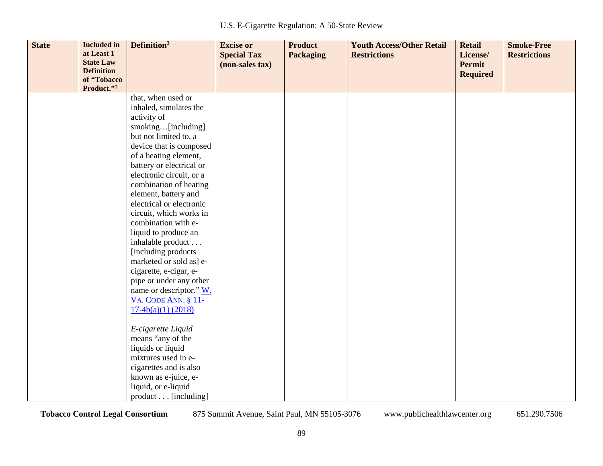| <b>State</b> | <b>Included</b> in<br>at Least 1<br><b>State Law</b><br><b>Definition</b><br>of "Tobacco<br>Product."2 | Definition <sup>3</sup>                            | <b>Excise or</b><br><b>Special Tax</b><br>(non-sales tax) | <b>Product</b><br><b>Packaging</b> | <b>Youth Access/Other Retail</b><br><b>Restrictions</b> | <b>Retail</b><br>License/<br><b>Permit</b><br><b>Required</b> | <b>Smoke-Free</b><br><b>Restrictions</b> |
|--------------|--------------------------------------------------------------------------------------------------------|----------------------------------------------------|-----------------------------------------------------------|------------------------------------|---------------------------------------------------------|---------------------------------------------------------------|------------------------------------------|
|              |                                                                                                        | that, when used or                                 |                                                           |                                    |                                                         |                                                               |                                          |
|              |                                                                                                        | inhaled, simulates the                             |                                                           |                                    |                                                         |                                                               |                                          |
|              |                                                                                                        | activity of                                        |                                                           |                                    |                                                         |                                                               |                                          |
|              |                                                                                                        | smoking[including]                                 |                                                           |                                    |                                                         |                                                               |                                          |
|              |                                                                                                        | but not limited to, a                              |                                                           |                                    |                                                         |                                                               |                                          |
|              |                                                                                                        | device that is composed<br>of a heating element,   |                                                           |                                    |                                                         |                                                               |                                          |
|              |                                                                                                        | battery or electrical or                           |                                                           |                                    |                                                         |                                                               |                                          |
|              |                                                                                                        | electronic circuit, or a                           |                                                           |                                    |                                                         |                                                               |                                          |
|              |                                                                                                        | combination of heating                             |                                                           |                                    |                                                         |                                                               |                                          |
|              |                                                                                                        | element, battery and                               |                                                           |                                    |                                                         |                                                               |                                          |
|              |                                                                                                        | electrical or electronic                           |                                                           |                                    |                                                         |                                                               |                                          |
|              |                                                                                                        | circuit, which works in                            |                                                           |                                    |                                                         |                                                               |                                          |
|              |                                                                                                        | combination with e-                                |                                                           |                                    |                                                         |                                                               |                                          |
|              |                                                                                                        | liquid to produce an                               |                                                           |                                    |                                                         |                                                               |                                          |
|              |                                                                                                        | inhalable product                                  |                                                           |                                    |                                                         |                                                               |                                          |
|              |                                                                                                        | [including products]                               |                                                           |                                    |                                                         |                                                               |                                          |
|              |                                                                                                        | marketed or sold as] e-                            |                                                           |                                    |                                                         |                                                               |                                          |
|              |                                                                                                        | cigarette, e-cigar, e-                             |                                                           |                                    |                                                         |                                                               |                                          |
|              |                                                                                                        | pipe or under any other                            |                                                           |                                    |                                                         |                                                               |                                          |
|              |                                                                                                        | name or descriptor." W.                            |                                                           |                                    |                                                         |                                                               |                                          |
|              |                                                                                                        | <b>VA. CODE ANN. § 11-</b><br>$17-4b(a)(1)$ (2018) |                                                           |                                    |                                                         |                                                               |                                          |
|              |                                                                                                        |                                                    |                                                           |                                    |                                                         |                                                               |                                          |
|              |                                                                                                        | E-cigarette Liquid                                 |                                                           |                                    |                                                         |                                                               |                                          |
|              |                                                                                                        | means "any of the                                  |                                                           |                                    |                                                         |                                                               |                                          |
|              |                                                                                                        | liquids or liquid                                  |                                                           |                                    |                                                         |                                                               |                                          |
|              |                                                                                                        | mixtures used in e-                                |                                                           |                                    |                                                         |                                                               |                                          |
|              |                                                                                                        | cigarettes and is also                             |                                                           |                                    |                                                         |                                                               |                                          |
|              |                                                                                                        | known as e-juice, e-                               |                                                           |                                    |                                                         |                                                               |                                          |
|              |                                                                                                        | liquid, or e-liquid                                |                                                           |                                    |                                                         |                                                               |                                          |
|              |                                                                                                        | product [including]                                |                                                           |                                    |                                                         |                                                               |                                          |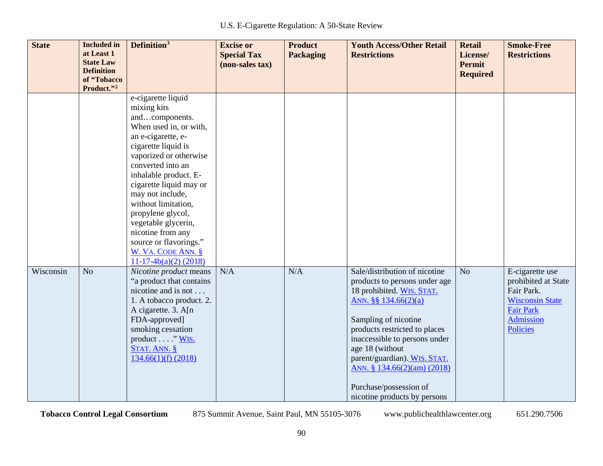| <b>State</b> | <b>Included</b> in<br>at Least 1<br><b>State Law</b><br><b>Definition</b><br>of "Tobacco<br>Product."2 | Definition <sup>3</sup>                                                                                                                                                                                                                                                                                                                                                                                              | <b>Excise or</b><br><b>Special Tax</b><br>(non-sales tax) | <b>Product</b><br><b>Packaging</b> | <b>Youth Access/Other Retail</b><br><b>Restrictions</b>                                                                                                                                                                                                                                                                                                       | <b>Retail</b><br>License/<br><b>Permit</b><br><b>Required</b> | <b>Smoke-Free</b><br><b>Restrictions</b>                                                                                           |
|--------------|--------------------------------------------------------------------------------------------------------|----------------------------------------------------------------------------------------------------------------------------------------------------------------------------------------------------------------------------------------------------------------------------------------------------------------------------------------------------------------------------------------------------------------------|-----------------------------------------------------------|------------------------------------|---------------------------------------------------------------------------------------------------------------------------------------------------------------------------------------------------------------------------------------------------------------------------------------------------------------------------------------------------------------|---------------------------------------------------------------|------------------------------------------------------------------------------------------------------------------------------------|
|              |                                                                                                        | e-cigarette liquid<br>mixing kits<br>andcomponents.<br>When used in, or with,<br>an e-cigarette, e-<br>cigarette liquid is<br>vaporized or otherwise<br>converted into an<br>inhalable product. E-<br>cigarette liquid may or<br>may not include,<br>without limitation,<br>propylene glycol,<br>vegetable glycerin,<br>nicotine from any<br>source or flavorings."<br>W. VA. CODE ANN. §<br>$11-17-4b(a)(2)$ (2018) |                                                           |                                    |                                                                                                                                                                                                                                                                                                                                                               |                                                               |                                                                                                                                    |
| Wisconsin    | N <sub>o</sub>                                                                                         | Nicotine product means<br>"a product that contains<br>nicotine and is not<br>1. A tobacco product. 2.<br>A cigarette. 3. A[n]<br>FDA-approved]<br>smoking cessation<br>product $\dots$ "WIS.<br>STAT. ANN. §<br>134.66(1)(f) (2018)                                                                                                                                                                                  | N/A                                                       | N/A                                | Sale/distribution of nicotine<br>products to persons under age<br>18 prohibited. WIS. STAT.<br>ANN. $\S$ § 134.66(2)(a)<br>Sampling of nicotine<br>products restricted to places<br>inaccessible to persons under<br>age 18 (without<br>parent/guardian). WIS. STAT.<br>ANN. § 134.66(2)(am) (2018)<br>Purchase/possession of<br>nicotine products by persons | N <sub>o</sub>                                                | E-cigarette use<br>prohibited at State<br>Fair Park.<br><b>Wisconsin State</b><br><b>Fair Park</b><br>Admission<br><b>Policies</b> |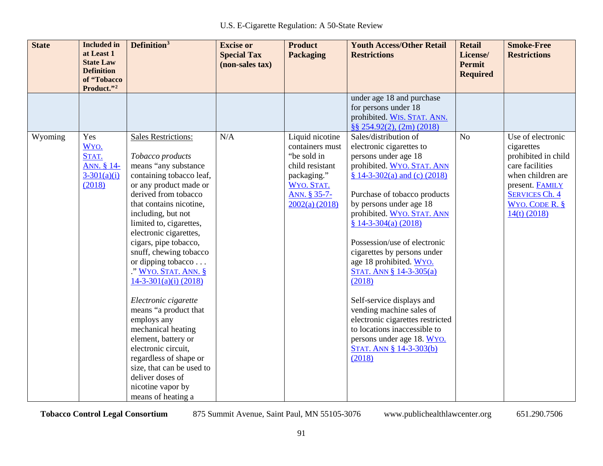| <b>State</b> | <b>Included</b> in<br>at Least 1<br><b>State Law</b><br><b>Definition</b><br>of "Tobacco | Definition <sup>3</sup>                                                                                                                                                                                                                                                                                                                                                                                                                                                                                                                                                                                                                          | <b>Excise or</b><br><b>Special Tax</b><br>(non-sales tax) | <b>Product</b><br><b>Packaging</b>                                                                                                  | <b>Youth Access/Other Retail</b><br><b>Restrictions</b>                                                                                                                                                                                                                                                                                                                                                                                                                                                                                                                                                      | <b>Retail</b><br>License/<br><b>Permit</b><br><b>Required</b> | <b>Smoke-Free</b><br><b>Restrictions</b>                                                                                                                                         |
|--------------|------------------------------------------------------------------------------------------|--------------------------------------------------------------------------------------------------------------------------------------------------------------------------------------------------------------------------------------------------------------------------------------------------------------------------------------------------------------------------------------------------------------------------------------------------------------------------------------------------------------------------------------------------------------------------------------------------------------------------------------------------|-----------------------------------------------------------|-------------------------------------------------------------------------------------------------------------------------------------|--------------------------------------------------------------------------------------------------------------------------------------------------------------------------------------------------------------------------------------------------------------------------------------------------------------------------------------------------------------------------------------------------------------------------------------------------------------------------------------------------------------------------------------------------------------------------------------------------------------|---------------------------------------------------------------|----------------------------------------------------------------------------------------------------------------------------------------------------------------------------------|
|              | Product."2                                                                               |                                                                                                                                                                                                                                                                                                                                                                                                                                                                                                                                                                                                                                                  |                                                           |                                                                                                                                     | under age 18 and purchase<br>for persons under 18<br>prohibited. WIS. STAT. ANN.<br>§§ 254.92(2), (2m) (2018)                                                                                                                                                                                                                                                                                                                                                                                                                                                                                                |                                                               |                                                                                                                                                                                  |
| Wyoming      | Yes<br>WYO.<br>STAT.<br>ANN. § 14-<br>$3-301(a)(i)$<br>(2018)                            | <b>Sales Restrictions:</b><br>Tobacco products<br>means "any substance<br>containing tobacco leaf,<br>or any product made or<br>derived from tobacco<br>that contains nicotine,<br>including, but not<br>limited to, cigarettes,<br>electronic cigarettes,<br>cigars, pipe tobacco,<br>snuff, chewing tobacco<br>or dipping tobacco<br>." WYO. STAT. ANN. §<br>$14-3-301(a)(i)$ (2018)<br>Electronic cigarette<br>means "a product that<br>employs any<br>mechanical heating<br>element, battery or<br>electronic circuit,<br>regardless of shape or<br>size, that can be used to<br>deliver doses of<br>nicotine vapor by<br>means of heating a | N/A                                                       | Liquid nicotine<br>containers must<br>"be sold in<br>child resistant<br>packaging."<br>WYO. STAT.<br>ANN. § 35-7-<br>2002(a) (2018) | Sales/distribution of<br>electronic cigarettes to<br>persons under age 18<br>prohibited. WYO. STAT. ANN<br>§ 14-3-302(a) and (c) $(2018)$<br>Purchase of tobacco products<br>by persons under age 18<br>prohibited. WYO. STAT. ANN<br>$\frac{8}{9}$ 14-3-304(a) (2018)<br>Possession/use of electronic<br>cigarettes by persons under<br>age 18 prohibited. WYO.<br>STAT. ANN § 14-3-305(a)<br>(2018)<br>Self-service displays and<br>vending machine sales of<br>electronic cigarettes restricted<br>to locations inaccessible to<br>persons under age 18. WYO.<br><b>STAT. ANN § 14-3-303(b)</b><br>(2018) | No                                                            | Use of electronic<br>cigarettes<br>prohibited in child<br>care facilities<br>when children are<br>present. FAMILY<br><b>SERVICES Ch. 4</b><br>WYO. CODE $R.$ §<br>$14(t)$ (2018) |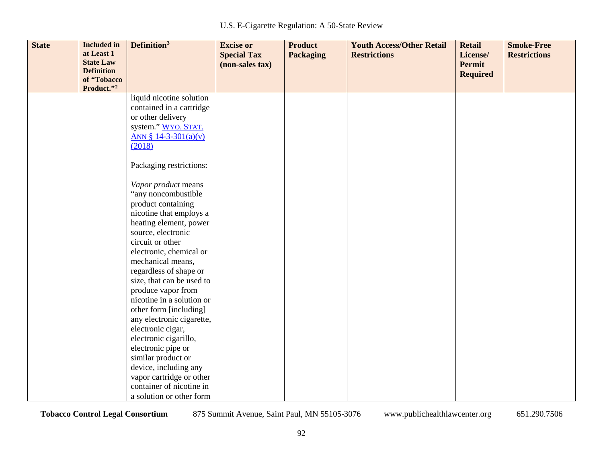| <b>State</b> | <b>Included</b> in<br>at Least 1<br><b>State Law</b><br><b>Definition</b> | Definition <sup>3</sup>                      | <b>Excise or</b><br><b>Special Tax</b><br>(non-sales tax) | <b>Product</b><br><b>Packaging</b> | <b>Youth Access/Other Retail</b><br><b>Restrictions</b> | <b>Retail</b><br>License/<br><b>Permit</b><br><b>Required</b> | <b>Smoke-Free</b><br><b>Restrictions</b> |
|--------------|---------------------------------------------------------------------------|----------------------------------------------|-----------------------------------------------------------|------------------------------------|---------------------------------------------------------|---------------------------------------------------------------|------------------------------------------|
|              | of "Tobacco<br>Product."2                                                 |                                              |                                                           |                                    |                                                         |                                                               |                                          |
|              |                                                                           | liquid nicotine solution                     |                                                           |                                    |                                                         |                                                               |                                          |
|              |                                                                           | contained in a cartridge                     |                                                           |                                    |                                                         |                                                               |                                          |
|              |                                                                           | or other delivery                            |                                                           |                                    |                                                         |                                                               |                                          |
|              |                                                                           | system." WYO. STAT.                          |                                                           |                                    |                                                         |                                                               |                                          |
|              |                                                                           | ANN § 14-3-301(a)(v)<br>(2018)               |                                                           |                                    |                                                         |                                                               |                                          |
|              |                                                                           |                                              |                                                           |                                    |                                                         |                                                               |                                          |
|              |                                                                           | Packaging restrictions:                      |                                                           |                                    |                                                         |                                                               |                                          |
|              |                                                                           | Vapor product means                          |                                                           |                                    |                                                         |                                                               |                                          |
|              |                                                                           | "any noncombustible                          |                                                           |                                    |                                                         |                                                               |                                          |
|              |                                                                           | product containing                           |                                                           |                                    |                                                         |                                                               |                                          |
|              |                                                                           | nicotine that employs a                      |                                                           |                                    |                                                         |                                                               |                                          |
|              |                                                                           | heating element, power                       |                                                           |                                    |                                                         |                                                               |                                          |
|              |                                                                           | source, electronic                           |                                                           |                                    |                                                         |                                                               |                                          |
|              |                                                                           | circuit or other                             |                                                           |                                    |                                                         |                                                               |                                          |
|              |                                                                           | electronic, chemical or<br>mechanical means, |                                                           |                                    |                                                         |                                                               |                                          |
|              |                                                                           | regardless of shape or                       |                                                           |                                    |                                                         |                                                               |                                          |
|              |                                                                           | size, that can be used to                    |                                                           |                                    |                                                         |                                                               |                                          |
|              |                                                                           | produce vapor from                           |                                                           |                                    |                                                         |                                                               |                                          |
|              |                                                                           | nicotine in a solution or                    |                                                           |                                    |                                                         |                                                               |                                          |
|              |                                                                           | other form [including]                       |                                                           |                                    |                                                         |                                                               |                                          |
|              |                                                                           | any electronic cigarette,                    |                                                           |                                    |                                                         |                                                               |                                          |
|              |                                                                           | electronic cigar,                            |                                                           |                                    |                                                         |                                                               |                                          |
|              |                                                                           | electronic cigarillo,                        |                                                           |                                    |                                                         |                                                               |                                          |
|              |                                                                           | electronic pipe or                           |                                                           |                                    |                                                         |                                                               |                                          |
|              |                                                                           | similar product or                           |                                                           |                                    |                                                         |                                                               |                                          |
|              |                                                                           | device, including any                        |                                                           |                                    |                                                         |                                                               |                                          |
|              |                                                                           | vapor cartridge or other                     |                                                           |                                    |                                                         |                                                               |                                          |
|              |                                                                           | container of nicotine in                     |                                                           |                                    |                                                         |                                                               |                                          |
|              |                                                                           | a solution or other form                     |                                                           |                                    |                                                         |                                                               |                                          |